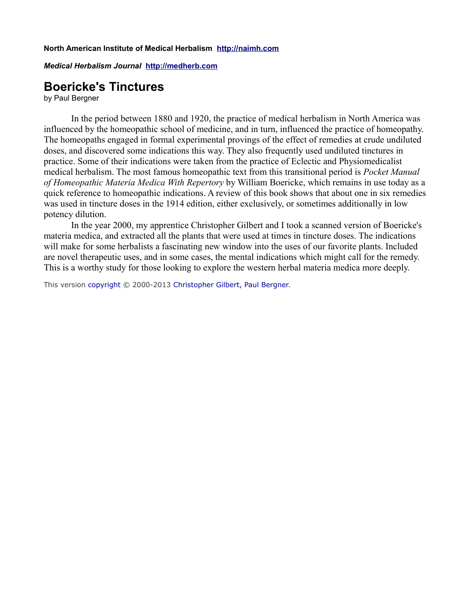#### **North American Institute of Medical Herbalism [http://naimh.com](http://naimh.com/)**

*Medical Herbalism Journal* **[http://medherb.com](http://medherb.com/)**

# **Boericke's Tinctures**

by Paul Bergner

In the period between 1880 and 1920, the practice of medical herbalism in North America was influenced by the homeopathic school of medicine, and in turn, influenced the practice of homeopathy. The homeopaths engaged in formal experimental provings of the effect of remedies at crude undiluted doses, and discovered some indications this way. They also frequently used undiluted tinctures in practice. Some of their indications were taken from the practice of Eclectic and Physiomedicalist medical herbalism. The most famous homeopathic text from this transitional period is *Pocket Manual of Homeopathic Materia Medica With Repertory* by William Boericke, which remains in use today as a quick reference to homeopathic indications. A review of this book shows that about one in six remedies was used in tincture doses in the 1914 edition, either exclusively, or sometimes additionally in low potency dilution.

In the year 2000, my apprentice Christopher Gilbert and I took a scanned version of Boericke's materia medica, and extracted all the plants that were used at times in tincture doses. The indications will make for some herbalists a fascinating new window into the uses of our favorite plants. Included are novel therapeutic uses, and in some cases, the mental indications which might call for the remedy. This is a worthy study for those looking to explore the western herbal materia medica more deeply.

This version [copyright](http://www.henriettesherbal.com/eclectic/copyright.html) © 2000-2013 [Christopher Gilbert, Paul Bergner.](http://www.medherb.com/)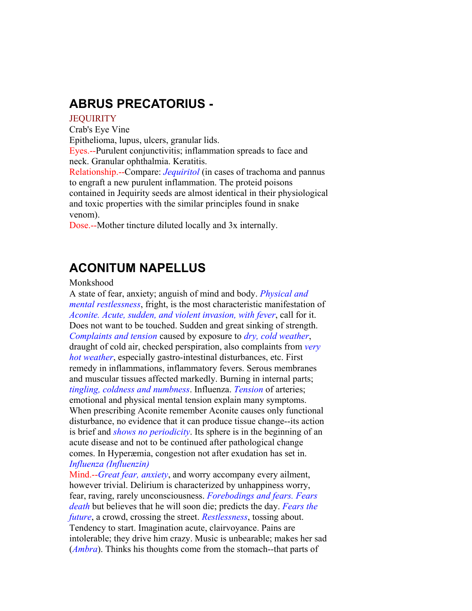# **ABRUS PRECATORIUS -**

## **JEQUIRITY**

Crab's Eye Vine Epithelioma, lupus, ulcers, granular lids. Eyes.--Purulent conjunctivitis; inflammation spreads to face and neck. Granular ophthalmia. Keratitis. Relationship.--Compare: *Jequiritol* (in cases of trachoma and pannus to engraft a new purulent inflammation. The proteid poisons contained in Jequirity seeds are almost identical in their physiological and toxic properties with the similar principles found in snake venom). Dose.--Mother tincture diluted locally and 3x internally.

# **ACONITUM NAPELLUS**

#### Monkshood

A state of fear, anxiety; anguish of mind and body. *Physical and mental restlessness*, fright, is the most characteristic manifestation of *Aconite. Acute, sudden, and violent invasion, with fever*, call for it. Does not want to be touched. Sudden and great sinking of strength. *Complaints and tension* caused by exposure to *dry, cold weather*, draught of cold air, checked perspiration, also complaints from *very hot weather*, especially gastro-intestinal disturbances, etc. First remedy in inflammations, inflammatory fevers. Serous membranes and muscular tissues affected markedly. Burning in internal parts; *tingling, coldness and numbness*. Influenza. *Tension* of arteries; emotional and physical mental tension explain many symptoms. When prescribing Aconite remember Aconite causes only functional disturbance, no evidence that it can produce tissue change--its action is brief and *shows no periodicity*. Its sphere is in the beginning of an acute disease and not to be continued after pathological change comes. In Hyperæmia, congestion not after exudation has set in. *Influenza (Influenzin)* 

Mind.--*Great fear, anxiety*, and worry accompany every ailment, however trivial. Delirium is characterized by unhappiness worry, fear, raving, rarely unconsciousness. *Forebodings and fears. Fears death* but believes that he will soon die; predicts the day. *Fears the future*, a crowd, crossing the street. *Restlessness*, tossing about. Tendency to start. Imagination acute, clairvoyance. Pains are intolerable; they drive him crazy. Music is unbearable; makes her sad (*Ambra*). Thinks his thoughts come from the stomach--that parts of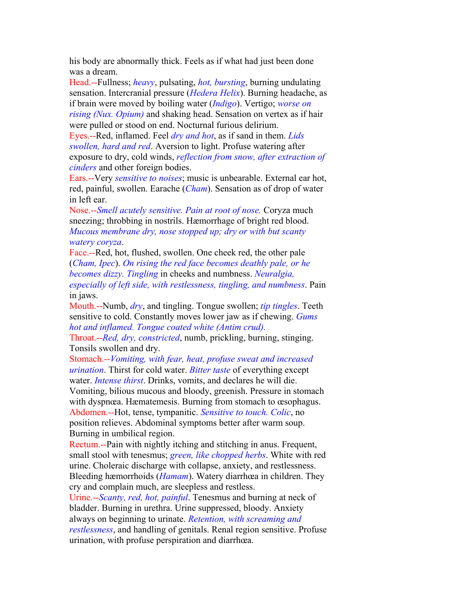his body are abnormally thick. Feels as if what had just been done was a dream.

Head.--Fullness; *heavy*, pulsating, *hot, bursting*, burning undulating sensation. Intercranial pressure (*Hedera Helix*). Burning headache, as if brain were moved by boiling water (*Indigo*). Vertigo; *worse on rising (Nux. Opium)* and shaking head. Sensation on vertex as if hair were pulled or stood on end. Nocturnal furious delirium.

Eyes.--Red, inflamed. Feel *dry and hot*, as if sand in them. *Lids swollen, hard and red*. Aversion to light. Profuse watering after exposure to dry, cold winds, *reflection from snow, after extraction of cinders* and other foreign bodies.

Ears.--Very *sensitive to noises*; music is unbearable. External ear hot, red, painful, swollen. Earache (*Cham*). Sensation as of drop of water in left ear.

Nose.--*Smell acutely sensitive. Pain at root of nose.* Coryza much sneezing; throbbing in nostrils. Hæmorrhage of bright red blood. *Mucous membrane dry, nose stopped up; dry or with but scanty watery coryza*.

Face.--Red, hot, flushed, swollen. One cheek red, the other pale (*Cham, Ipec*). *On rising the red face becomes deathly pale, or he becomes dizzy. Tingling* in cheeks and numbness. *Neuralgia, especially of left side, with restlessness, tingling, and numbness*. Pain in jaws.

Mouth.--Numb, *dry*, and tingling. Tongue swollen; *tip tingles*. Teeth sensitive to cold. Constantly moves lower jaw as if chewing. *Gums hot and inflamed. Tongue coated white (Antim crud).* 

Throat.--*Red, dry, constricted*, numb, prickling, burning, stinging. Tonsils swollen and dry.

Stomach.--*Vomiting, with fear, heat, profuse sweat and increased urination*. Thirst for cold water. *Bitter taste* of everything except water. *Intense thirst*. Drinks, vomits, and declares he will die. Vomiting, bilious mucous and bloody, greenish. Pressure in stomach with dyspnœa. Hæmatemesis. Burning from stomach to œsophagus. Abdomen.--Hot, tense, tympanitic. *Sensitive to touch. Colic*, no position relieves. Abdominal symptoms better after warm soup. Burning in umbilical region.

Rectum.--Pain with nightly itching and stitching in anus. Frequent, small stool with tenesmus; *green, like chopped herbs*. White with red urine. Choleraic discharge with collapse, anxiety, and restlessness. Bleeding hæmorrhoids (*Hamam*). Watery diarrhœa in children. They cry and complain much, are sleepless and restless.

Urine.--*Scanty, red, hot, painful*. Tenesmus and burning at neck of bladder. Burning in urethra. Urine suppressed, bloody. Anxiety always on beginning to urinate. *Retention, with screaming and restlessness*, and handling of genitals. Renal region sensitive. Profuse urination, with profuse perspiration and diarrhœa.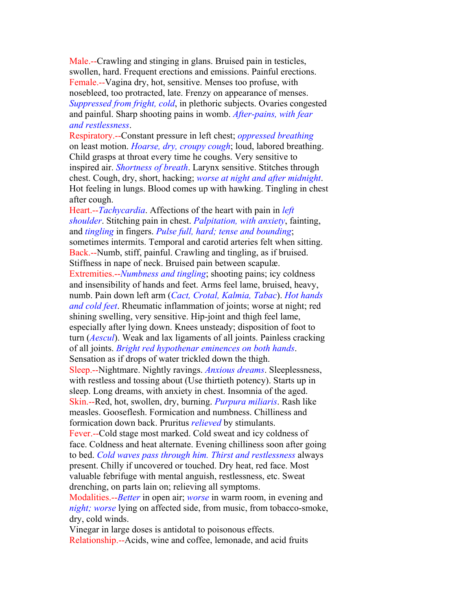Male.--Crawling and stinging in glans. Bruised pain in testicles, swollen, hard. Frequent erections and emissions. Painful erections. Female.--Vagina dry, hot, sensitive. Menses too profuse, with nosebleed, too protracted, late. Frenzy on appearance of menses. *Suppressed from fright, cold*, in plethoric subjects. Ovaries congested and painful. Sharp shooting pains in womb. *After-pains, with fear and restlessness*.

Respiratory.--Constant pressure in left chest; *oppressed breathing*  on least motion. *Hoarse, dry, croupy cough*; loud, labored breathing. Child grasps at throat every time he coughs. Very sensitive to inspired air. *Shortness of breath*. Larynx sensitive. Stitches through chest. Cough, dry, short, hacking; *worse at night and after midnight*. Hot feeling in lungs. Blood comes up with hawking. Tingling in chest after cough.

Heart.--*Tachycardia*. Affections of the heart with pain in *left shoulder*. Stitching pain in chest. *Palpitation, with anxiety*, fainting, and *tingling* in fingers. *Pulse full, hard; tense and bounding*; sometimes intermits. Temporal and carotid arteries felt when sitting. Back.--Numb, stiff, painful. Crawling and tingling, as if bruised. Stiffness in nape of neck. Bruised pain between scapulæ. Extremities.--*Numbness and tingling*; shooting pains; icy coldness and insensibility of hands and feet. Arms feel lame, bruised, heavy, numb. Pain down left arm (*Cact, Crotal, Kalmia, Tabac*). *Hot hands and cold feet*. Rheumatic inflammation of joints; worse at night; red shining swelling, very sensitive. Hip-joint and thigh feel lame, especially after lying down. Knees unsteady; disposition of foot to turn (*Aescul*). Weak and lax ligaments of all joints. Painless cracking of all joints. *Bright red hypothenar eminences on both hands*. Sensation as if drops of water trickled down the thigh. Sleep.--Nightmare. Nightly ravings. *Anxious dreams*. Sleeplessness, with restless and tossing about (Use thirtieth potency). Starts up in sleep. Long dreams, with anxiety in chest. Insomnia of the aged. Skin.--Red, hot, swollen, dry, burning. *Purpura miliaris*. Rash like measles. Gooseflesh. Formication and numbness. Chilliness and formication down back. Pruritus *relieved* by stimulants.

Fever.--Cold stage most marked. Cold sweat and icy coldness of face. Coldness and heat alternate. Evening chilliness soon after going to bed. *Cold waves pass through him. Thirst and restlessness* always present. Chilly if uncovered or touched. Dry heat, red face. Most valuable febrifuge with mental anguish, restlessness, etc. Sweat drenching, on parts lain on; relieving all symptoms.

Modalities.--*Better* in open air; *worse* in warm room, in evening and *night; worse* lying on affected side, from music, from tobacco-smoke, dry, cold winds.

Vinegar in large doses is antidotal to poisonous effects. Relationship.--Acids, wine and coffee, lemonade, and acid fruits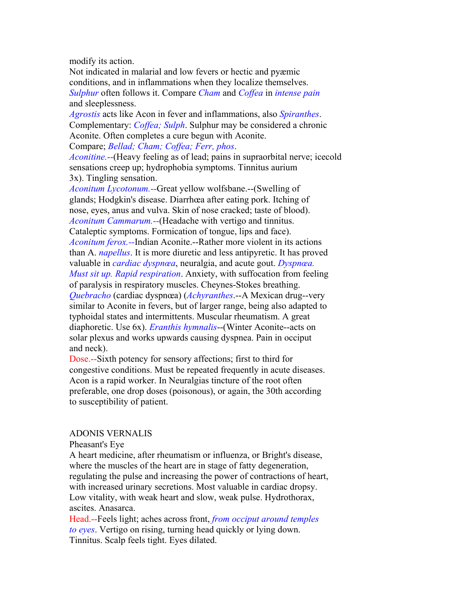modify its action.

Not indicated in malarial and low fevers or hectic and pyæmic conditions, and in inflammations when they localize themselves. *Sulphur* often follows it. Compare *Cham* and *Coffea* in *intense pain*  and sleeplessness.

*Agrostis* acts like Acon in fever and inflammations, also *Spiranthes*. Complementary: *Coffea; Sulph*. Sulphur may be considered a chronic Aconite. Often completes a cure begun with Aconite.

Compare; *Bellad; Cham; Coffea; Ferr, phos*.

*Aconitine.--*(Heavy feeling as of lead; pains in supraorbital nerve; icecold sensations creep up; hydrophobia symptoms. Tinnitus aurium 3x). Tingling sensation.

*Aconitum Lycotonum.--*Great yellow wolfsbane.--(Swelling of glands; Hodgkin's disease. Diarrhœa after eating pork. Itching of nose, eyes, anus and vulva. Skin of nose cracked; taste of blood). *Aconitum Cammarum.--*(Headache with vertigo and tinnitus. Cataleptic symptoms. Formication of tongue, lips and face). *Aconitum ferox.--*Indian Aconite.--Rather more violent in its actions than A. *napellus*. It is more diuretic and less antipyretic. It has proved valuable in *cardiac dyspnœa*, neuralgia, and acute gout. *Dyspnœa. Must sit up. Rapid respiration*. Anxiety, with suffocation from feeling of paralysis in respiratory muscles. Cheynes-Stokes breathing. *Quebracho* (cardiac dyspnœa) (*Achyranthes*.--A Mexican drug--very similar to Aconite in fevers, but of larger range, being also adapted to typhoidal states and intermittents. Muscular rheumatism. A great diaphoretic. Use 6x). *Eranthis hymnalis*--(Winter Aconite--acts on solar plexus and works upwards causing dyspnea. Pain in occiput and neck).

Dose.--Sixth potency for sensory affections; first to third for congestive conditions. Must be repeated frequently in acute diseases. Acon is a rapid worker. In Neuralgias tincture of the root often preferable, one drop doses (poisonous), or again, the 30th according to susceptibility of patient.

#### ADONIS VERNALIS

Pheasant's Eye

A heart medicine, after rheumatism or influenza, or Bright's disease, where the muscles of the heart are in stage of fatty degeneration, regulating the pulse and increasing the power of contractions of heart, with increased urinary secretions. Most valuable in cardiac dropsy. Low vitality, with weak heart and slow, weak pulse. Hydrothorax, ascites. Anasarca.

Head.--Feels light; aches across front, *from occiput around temples to eyes*. Vertigo on rising, turning head quickly or lying down. Tinnitus. Scalp feels tight. Eyes dilated.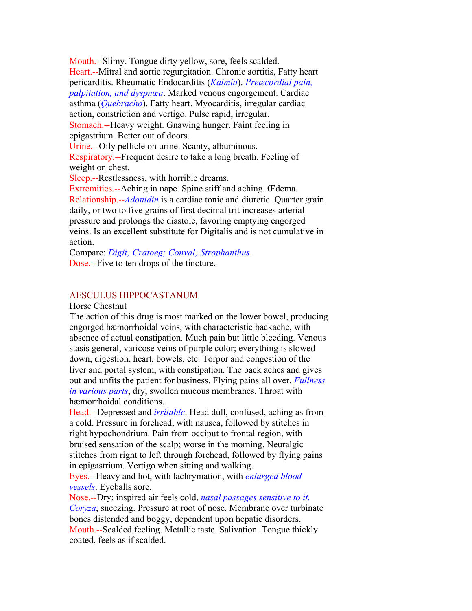Mouth.--Slimy. Tongue dirty yellow, sore, feels scalded. Heart.--Mitral and aortic regurgitation. Chronic aortitis, Fatty heart pericarditis. Rheumatic Endocarditis (*Kalmia*). *Preæcordial pain, palpitation, and dyspnœa*. Marked venous engorgement. Cardiac asthma (*Quebracho*). Fatty heart. Myocarditis, irregular cardiac action, constriction and vertigo. Pulse rapid, irregular. Stomach.--Heavy weight. Gnawing hunger. Faint feeling in epigastrium. Better out of doors.

Urine.--Oily pellicle on urine. Scanty, albuminous.

Respiratory.--Frequent desire to take a long breath. Feeling of weight on chest.

Sleep.--Restlessness, with horrible dreams.

Extremities.--Aching in nape. Spine stiff and aching. Œdema. Relationship.--*Adonidin* is a cardiac tonic and diuretic. Quarter grain daily, or two to five grains of first decimal trit increases arterial pressure and prolongs the diastole, favoring emptying engorged veins. Is an excellent substitute for Digitalis and is not cumulative in action.

Compare: *Digit; Cratoeg; Conval; Strophanthus*. Dose.--Five to ten drops of the tincture.

#### AESCULUS HIPPOCASTANUM

Horse Chestnut

The action of this drug is most marked on the lower bowel, producing engorged hæmorrhoidal veins, with characteristic backache, with absence of actual constipation. Much pain but little bleeding. Venous stasis general, varicose veins of purple color; everything is slowed down, digestion, heart, bowels, etc. Torpor and congestion of the liver and portal system, with constipation. The back aches and gives out and unfits the patient for business. Flying pains all over. *Fullness in various parts*, dry, swollen mucous membranes. Throat with hæmorrhoidal conditions.

Head.--Depressed and *irritable*. Head dull, confused, aching as from a cold. Pressure in forehead, with nausea, followed by stitches in right hypochondrium. Pain from occiput to frontal region, with bruised sensation of the scalp; worse in the morning. Neuralgic stitches from right to left through forehead, followed by flying pains in epigastrium. Vertigo when sitting and walking.

Eyes.--Heavy and hot, with lachrymation, with *enlarged blood vessels*. Eyeballs sore.

Nose.--Dry; inspired air feels cold, *nasal passages sensitive to it. Coryza*, sneezing. Pressure at root of nose. Membrane over turbinate bones distended and boggy, dependent upon hepatic disorders. Mouth.--Scalded feeling. Metallic taste. Salivation. Tongue thickly coated, feels as if scalded.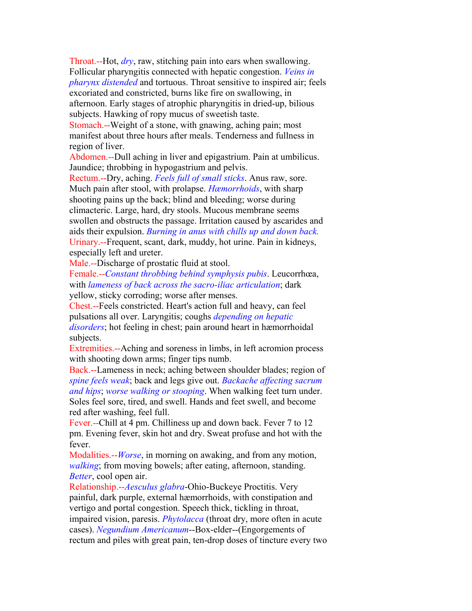Throat.--Hot, *dry*, raw, stitching pain into ears when swallowing. Follicular pharyngitis connected with hepatic congestion. *Veins in pharynx distended* and tortuous. Throat sensitive to inspired air; feels excoriated and constricted, burns like fire on swallowing, in afternoon. Early stages of atrophic pharyngitis in dried-up, bilious subjects. Hawking of ropy mucus of sweetish taste.

Stomach.--Weight of a stone, with gnawing, aching pain; most manifest about three hours after meals. Tenderness and fullness in region of liver.

Abdomen.--Dull aching in liver and epigastrium. Pain at umbilicus. Jaundice; throbbing in hypogastrium and pelvis.

Rectum.--Dry, aching. *Feels full of small sticks*. Anus raw, sore. Much pain after stool, with prolapse. *Hæmorrhoids*, with sharp shooting pains up the back; blind and bleeding; worse during climacteric. Large, hard, dry stools. Mucous membrane seems swollen and obstructs the passage. Irritation caused by ascarides and aids their expulsion. *Burning in anus with chills up and down back.*  Urinary.--Frequent, scant, dark, muddy, hot urine. Pain in kidneys, especially left and ureter.

Male.--Discharge of prostatic fluid at stool.

Female.--*Constant throbbing behind symphysis pubis*. Leucorrhœa, with *lameness of back across the sacro-iliac articulation*; dark yellow, sticky corroding; worse after menses.

Chest.--Feels constricted. Heart's action full and heavy, can feel pulsations all over. Laryngitis; coughs *depending on hepatic disorders*; hot feeling in chest; pain around heart in hæmorrhoidal subjects.

Extremities.--Aching and soreness in limbs, in left acromion process with shooting down arms; finger tips numb.

Back.--Lameness in neck; aching between shoulder blades; region of *spine feels weak*; back and legs give out. *Backache affecting sacrum and hips*; *worse walking or stooping*. When walking feet turn under. Soles feel sore, tired, and swell. Hands and feet swell, and become red after washing, feel full.

Fever.--Chill at 4 pm. Chilliness up and down back. Fever 7 to 12 pm. Evening fever, skin hot and dry. Sweat profuse and hot with the fever.

Modalities.--*Worse*, in morning on awaking, and from any motion, *walking*; from moving bowels; after eating, afternoon, standing. *Better*, cool open air.

Relationship.--*Aesculus glabra*-Ohio-Buckeye Proctitis. Very painful, dark purple, external hæmorrhoids, with constipation and vertigo and portal congestion. Speech thick, tickling in throat, impaired vision, paresis. *Phytolacca* (throat dry, more often in acute cases). *Negundium Americanum*--Box-elder--(Engorgements of rectum and piles with great pain, ten-drop doses of tincture every two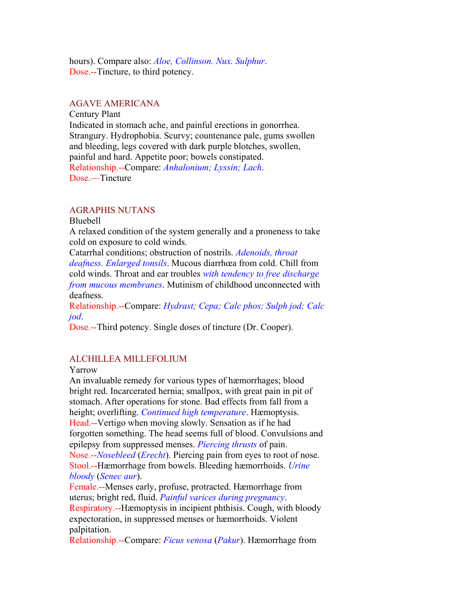hours). Compare also: *Aloe, Collinson. Nux. Sulphur*. Dose.--Tincture, to third potency.

#### AGAVE AMERICANA

Century Plant Indicated in stomach ache, and painful erections in gonorrhea. Strangury. Hydrophobia. Scurvy; countenance pale, gums swollen and bleeding, legs covered with dark purple blotches, swollen, painful and hard. Appetite poor; bowels constipated. Relationship.--Compare: *Anhalonium; Lyssin; Lach*. Dose.—Tincture

#### AGRAPHIS NUTANS

Bluebell

A relaxed condition of the system generally and a proneness to take cold on exposure to cold winds.

Catarrhal conditions; obstruction of nostrils. *Adenoids, throat deafness. Enlarged tonsils*. Mucous diarrhœa from cold. Chill from cold winds. Throat and ear troubles *with tendency to free discharge from mucous membranes*. Mutinism of childhood unconnected with deafness.

Relationship.--Compare: *Hydrast; Cepa; Calc phos; Sulph jod; Calc jod*.

Dose.--Third potency. Single doses of tincture (Dr. Cooper).

#### ALCHILLEA MILLEFOLIUM

Yarrow

An invaluable remedy for various types of hæmorrhages; blood bright red. Incarcerated hernia; smallpox, with great pain in pit of stomach. After operations for stone. Bad effects from fall from a height; overlifting. *Continued high temperature*. Hæmoptysis. Head.--Vertigo when moving slowly. Sensation as if he had forgotten something. The head seems full of blood. Convulsions and epilepsy from suppressed menses. *Piercing thrusts* of pain. Nose.--*Nosebleed* (*Erecht*). Piercing pain from eyes to root of nose. Stool.--Hæmorrhage from bowels. Bleeding hæmorrhoids. *Urine bloody* (*Senec aur*).

Female.--Menses early, profuse, protracted. Hæmorrhage from uterus; bright red, fluid. *Painful varices during pregnancy*. Respiratory.--Hæmoptysis in incipient phthisis. Cough, with bloody expectoration, in suppressed menses or hæmorrhoids. Violent palpitation.

Relationship.--Compare: *Ficus venosa* (*Pakur*). Hæmorrhage from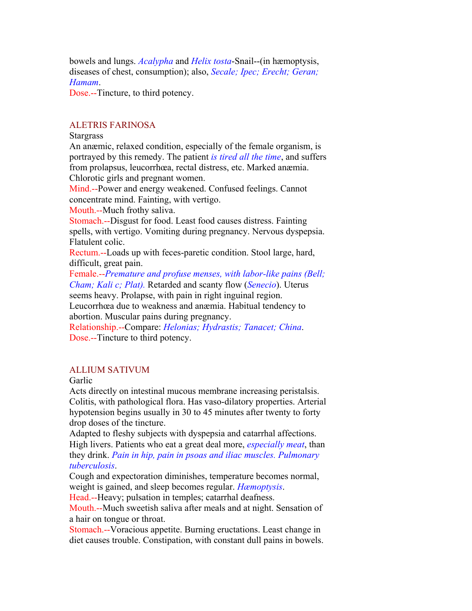bowels and lungs. *Acalypha* and *Helix tosta*-Snail--(in hæmoptysis, diseases of chest, consumption); also, *Secale; Ipec; Erecht; Geran; Hamam*.

Dose.--Tincture, to third potency.

#### ALETRIS FARINOSA

#### **Stargrass**

An anæmic, relaxed condition, especially of the female organism, is portrayed by this remedy. The patient *is tired all the time*, and suffers from prolapsus, leucorrhœa, rectal distress, etc. Marked anæmia. Chlorotic girls and pregnant women.

Mind.--Power and energy weakened. Confused feelings. Cannot concentrate mind. Fainting, with vertigo.

Mouth.--Much frothy saliva.

Stomach.--Disgust for food. Least food causes distress. Fainting spells, with vertigo. Vomiting during pregnancy. Nervous dyspepsia. Flatulent colic.

Rectum.--Loads up with feces-paretic condition. Stool large, hard, difficult, great pain.

Female.--*Premature and profuse menses, with labor-like pains (Bell; Cham; Kali c; Plat).* Retarded and scanty flow (*Senecio*). Uterus seems heavy. Prolapse, with pain in right inguinal region.

Leucorrhœa due to weakness and anæmia. Habitual tendency to abortion. Muscular pains during pregnancy.

Relationship.--Compare: *Helonias; Hydrastis; Tanacet; China*. Dose.--Tincture to third potency.

### ALLIUM SATIVUM

#### Garlic

Acts directly on intestinal mucous membrane increasing peristalsis. Colitis, with pathological flora. Has vaso-dilatory properties. Arterial hypotension begins usually in 30 to 45 minutes after twenty to forty drop doses of the tincture.

Adapted to fleshy subjects with dyspepsia and catarrhal affections. High livers. Patients who eat a great deal more, *especially meat*, than they drink. *Pain in hip, pain in psoas and iliac muscles. Pulmonary tuberculosis*.

Cough and expectoration diminishes, temperature becomes normal, weight is gained, and sleep becomes regular. *Hæmoptysis*.

Head.--Heavy; pulsation in temples; catarrhal deafness.

Mouth.--Much sweetish saliva after meals and at night. Sensation of a hair on tongue or throat.

Stomach.--Voracious appetite. Burning eructations. Least change in diet causes trouble. Constipation, with constant dull pains in bowels.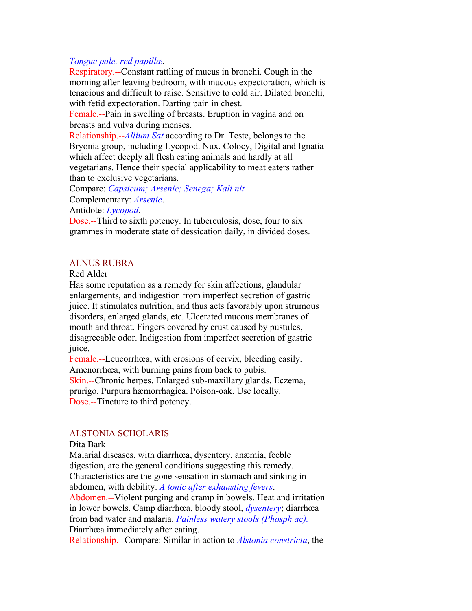#### *Tongue pale, red papillæ*.

Respiratory.--Constant rattling of mucus in bronchi. Cough in the morning after leaving bedroom, with mucous expectoration, which is tenacious and difficult to raise. Sensitive to cold air. Dilated bronchi, with fetid expectoration. Darting pain in chest.

Female.--Pain in swelling of breasts. Eruption in vagina and on breasts and vulva during menses.

Relationship.--*Allium Sat* according to Dr. Teste, belongs to the Bryonia group, including Lycopod. Nux. Colocy, Digital and Ignatia which affect deeply all flesh eating animals and hardly at all vegetarians. Hence their special applicability to meat eaters rather than to exclusive vegetarians.

Compare: *Capsicum; Arsenic; Senega; Kali nit.*  Complementary: *Arsenic*.

Antidote: *Lycopod*.

Dose.--Third to sixth potency. In tuberculosis, dose, four to six grammes in moderate state of dessication daily, in divided doses.

#### ALNUS RUBRA

Red Alder

Has some reputation as a remedy for skin affections, glandular enlargements, and indigestion from imperfect secretion of gastric juice. It stimulates nutrition, and thus acts favorably upon strumous disorders, enlarged glands, etc. Ulcerated mucous membranes of mouth and throat. Fingers covered by crust caused by pustules, disagreeable odor. Indigestion from imperfect secretion of gastric juice.

Female.--Leucorrhœa, with erosions of cervix, bleeding easily. Amenorrhœa, with burning pains from back to pubis. Skin.--Chronic herpes. Enlarged sub-maxillary glands. Eczema, prurigo. Purpura hæmorrhagica. Poison-oak. Use locally. Dose.--Tincture to third potency.

#### ALSTONIA SCHOLARIS

#### Dita Bark

Malarial diseases, with diarrhœa, dysentery, anæmia, feeble digestion, are the general conditions suggesting this remedy. Characteristics are the gone sensation in stomach and sinking in abdomen, with debility. *A tonic after exhausting fevers*.

Abdomen.--Violent purging and cramp in bowels. Heat and irritation in lower bowels. Camp diarrhœa, bloody stool, *dysentery*; diarrhœa from bad water and malaria. *Painless watery stools (Phosph ac).*  Diarrhœa immediately after eating.

Relationship.--Compare: Similar in action to *Alstonia constricta*, the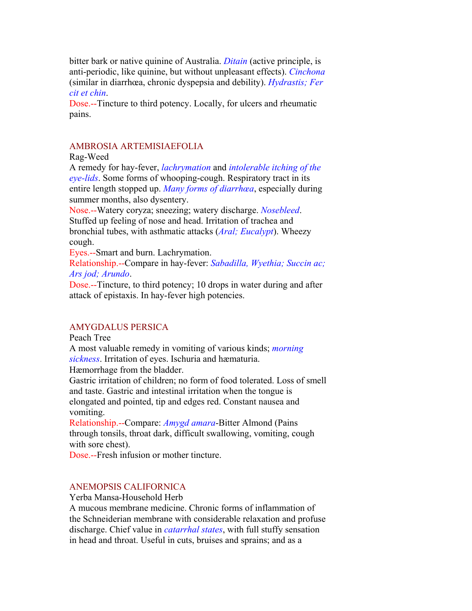bitter bark or native quinine of Australia. *Ditain* (active principle, is anti-periodic, like quinine, but without unpleasant effects). *Cinchona*  (similar in diarrhœa, chronic dyspepsia and debility). *Hydrastis; Fer cit et chin*.

Dose.--Tincture to third potency. Locally, for ulcers and rheumatic pains.

## AMBROSIA ARTEMISIAEFOLIA

Rag-Weed

A remedy for hay-fever, *lachrymation* and *intolerable itching of the eye-lids*. Some forms of whooping-cough. Respiratory tract in its entire length stopped up. *Many forms of diarrhœa*, especially during summer months, also dysentery.

Nose.--Watery coryza; sneezing; watery discharge. *Nosebleed*. Stuffed up feeling of nose and head. Irritation of trachea and bronchial tubes, with asthmatic attacks (*Aral; Eucalypt*). Wheezy cough.

Eyes.--Smart and burn. Lachrymation.

Relationship.--Compare in hay-fever: *Sabadilla, Wyethia; Succin ac; Ars jod; Arundo*.

Dose.--Tincture, to third potency; 10 drops in water during and after attack of epistaxis. In hay-fever high potencies.

# AMYGDALUS PERSICA

Peach Tree

A most valuable remedy in vomiting of various kinds; *morning sickness*. Irritation of eyes. Ischuria and hæmaturia. Hæmorrhage from the bladder.

Gastric irritation of children; no form of food tolerated. Loss of smell and taste. Gastric and intestinal irritation when the tongue is elongated and pointed, tip and edges red. Constant nausea and vomiting.

Relationship.--Compare: *Amygd amara*-Bitter Almond (Pains through tonsils, throat dark, difficult swallowing, vomiting, cough with sore chest)

Dose --Fresh infusion or mother tincture.

## ANEMOPSIS CALIFORNICA

Yerba Mansa-Household Herb

A mucous membrane medicine. Chronic forms of inflammation of the Schneiderian membrane with considerable relaxation and profuse discharge. Chief value in *catarrhal states*, with full stuffy sensation in head and throat. Useful in cuts, bruises and sprains; and as a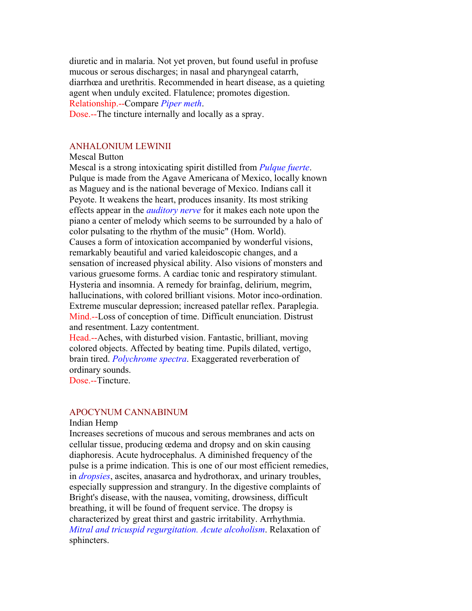diuretic and in malaria. Not yet proven, but found useful in profuse mucous or serous discharges; in nasal and pharyngeal catarrh, diarrhœa and urethritis. Recommended in heart disease, as a quieting agent when unduly excited. Flatulence; promotes digestion. Relationship.--Compare *Piper meth*.

Dose.--The tincture internally and locally as a spray.

#### ANHALONIUM LEWINII

#### Mescal Button

Mescal is a strong intoxicating spirit distilled from *Pulque fuerte*. Pulque is made from the Agave Americana of Mexico, locally known as Maguey and is the national beverage of Mexico. Indians call it Peyote. It weakens the heart, produces insanity. Its most striking effects appear in the *auditory nerve* for it makes each note upon the piano a center of melody which seems to be surrounded by a halo of color pulsating to the rhythm of the music" (Hom. World). Causes a form of intoxication accompanied by wonderful visions, remarkably beautiful and varied kaleidoscopic changes, and a sensation of increased physical ability. Also visions of monsters and various gruesome forms. A cardiac tonic and respiratory stimulant. Hysteria and insomnia. A remedy for brainfag, delirium, megrim, hallucinations, with colored brilliant visions. Motor inco-ordination. Extreme muscular depression; increased patellar reflex. Paraplegia. Mind.--Loss of conception of time. Difficult enunciation. Distrust and resentment. Lazy contentment.

Head.--Aches, with disturbed vision. Fantastic, brilliant, moving colored objects. Affected by beating time. Pupils dilated, vertigo, brain tired. *Polychrome spectra*. Exaggerated reverberation of ordinary sounds.

Dose.--Tincture.

## APOCYNUM CANNABINUM

#### Indian Hemp

Increases secretions of mucous and serous membranes and acts on cellular tissue, producing œdema and dropsy and on skin causing diaphoresis. Acute hydrocephalus. A diminished frequency of the pulse is a prime indication. This is one of our most efficient remedies, in *dropsies*, ascites, anasarca and hydrothorax, and urinary troubles, especially suppression and strangury. In the digestive complaints of Bright's disease, with the nausea, vomiting, drowsiness, difficult breathing, it will be found of frequent service. The dropsy is characterized by great thirst and gastric irritability. Arrhythmia. *Mitral and tricuspid regurgitation. Acute alcoholism*. Relaxation of sphincters.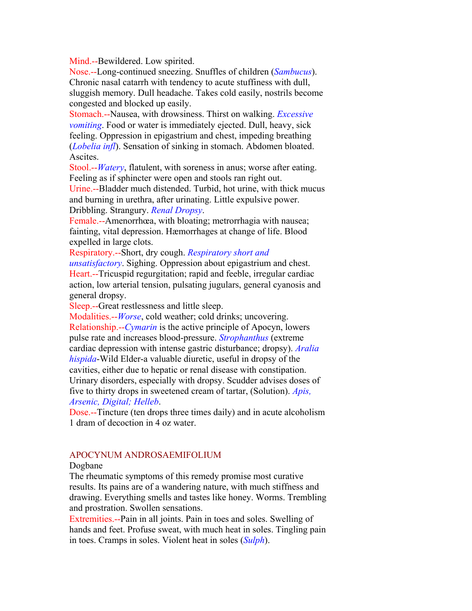Mind.--Bewildered. Low spirited.

Nose.--Long-continued sneezing. Snuffles of children (*Sambucus*). Chronic nasal catarrh with tendency to acute stuffiness with dull, sluggish memory. Dull headache. Takes cold easily, nostrils become congested and blocked up easily.

Stomach.--Nausea, with drowsiness. Thirst on walking. *Excessive vomiting*. Food or water is immediately ejected. Dull, heavy, sick feeling. Oppression in epigastrium and chest, impeding breathing (*Lobelia infl*). Sensation of sinking in stomach. Abdomen bloated. Ascites.

Stool.--*Watery*, flatulent, with soreness in anus; worse after eating. Feeling as if sphincter were open and stools ran right out.

Urine.--Bladder much distended. Turbid, hot urine, with thick mucus and burning in urethra, after urinating. Little expulsive power. Dribbling. Strangury. *Renal Dropsy*.

Female.--Amenorrhœa, with bloating; metrorrhagia with nausea; fainting, vital depression. Hæmorrhages at change of life. Blood expelled in large clots.

Respiratory.--Short, dry cough. *Respiratory short and* 

*unsatisfactory*. Sighing. Oppression about epigastrium and chest. Heart.--Tricuspid regurgitation; rapid and feeble, irregular cardiac action, low arterial tension, pulsating jugulars, general cyanosis and general dropsy.

Sleep.--Great restlessness and little sleep.

Modalities.--*Worse*, cold weather; cold drinks; uncovering. Relationship.--*Cymarin* is the active principle of Apocyn, lowers pulse rate and increases blood-pressure. *Strophanthus* (extreme cardiac depression with intense gastric disturbance; dropsy). *Aralia hispida*-Wild Elder-a valuable diuretic, useful in dropsy of the cavities, either due to hepatic or renal disease with constipation. Urinary disorders, especially with dropsy. Scudder advises doses of five to thirty drops in sweetened cream of tartar, (Solution). *Apis, Arsenic, Digital; Helleb*.

Dose.--Tincture (ten drops three times daily) and in acute alcoholism 1 dram of decoction in 4 oz water.

## APOCYNUM ANDROSAEMIFOLIUM

Dogbane

The rheumatic symptoms of this remedy promise most curative results. Its pains are of a wandering nature, with much stiffness and drawing. Everything smells and tastes like honey. Worms. Trembling and prostration. Swollen sensations.

Extremities.--Pain in all joints. Pain in toes and soles. Swelling of hands and feet. Profuse sweat, with much heat in soles. Tingling pain in toes. Cramps in soles. Violent heat in soles (*Sulph*).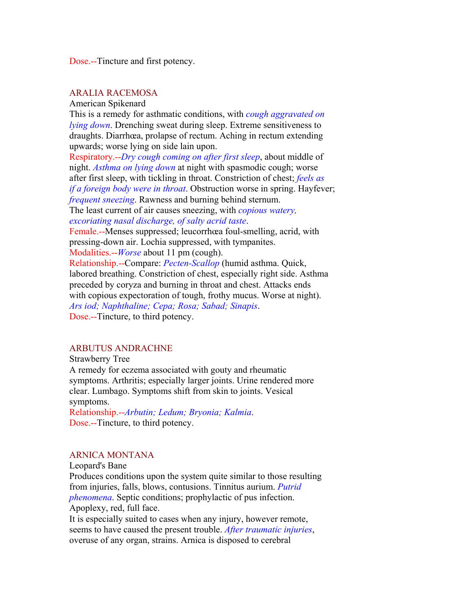Dose.--Tincture and first potency.

## ARALIA RACEMOSA

American Spikenard

This is a remedy for asthmatic conditions, with *cough aggravated on lying down*. Drenching sweat during sleep. Extreme sensitiveness to draughts. Diarrhœa, prolapse of rectum. Aching in rectum extending upwards; worse lying on side lain upon.

Respiratory.--*Dry cough coming on after first sleep*, about middle of night. *Asthma on lying down* at night with spasmodic cough; worse after first sleep, with tickling in throat. Constriction of chest; *feels as if a foreign body were in throat*. Obstruction worse in spring. Hayfever; *frequent sneezing*. Rawness and burning behind sternum.

The least current of air causes sneezing, with *copious watery, excoriating nasal discharge, of salty acrid taste*.

Female.--Menses suppressed; leucorrhœa foul-smelling, acrid, with pressing-down air. Lochia suppressed, with tympanites.

Modalities.--*Worse* about 11 pm (cough).

Relationship.--Compare: *Pecten-Scallop* (humid asthma. Quick, labored breathing. Constriction of chest, especially right side. Asthma preceded by coryza and burning in throat and chest. Attacks ends with copious expectoration of tough, frothy mucus. Worse at night). *Ars iod; Naphthaline; Cepa; Rosa; Sabad; Sinapis*. Dose.--Tincture, to third potency.

#### ARBUTUS ANDRACHNE

Strawberry Tree A remedy for eczema associated with gouty and rheumatic symptoms. Arthritis; especially larger joints. Urine rendered more clear. Lumbago. Symptoms shift from skin to joints. Vesical symptoms.

Relationship.--*Arbutin; Ledum; Bryonia; Kalmia*. Dose.--Tincture, to third potency.

## ARNICA MONTANA

Leopard's Bane

Produces conditions upon the system quite similar to those resulting from injuries, falls, blows, contusions. Tinnitus aurium. *Putrid phenomena*. Septic conditions; prophylactic of pus infection. Apoplexy, red, full face.

It is especially suited to cases when any injury, however remote, seems to have caused the present trouble. *After traumatic injuries*, overuse of any organ, strains. Arnica is disposed to cerebral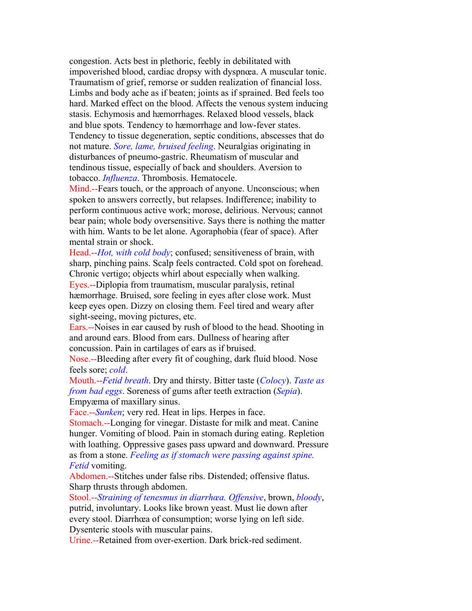congestion. Acts best in plethoric, feebly in debilitated with impoverished blood, cardiac dropsy with dyspnœa. A muscular tonic. Traumatism of grief, remorse or sudden realization of financial loss. Limbs and body ache as if beaten; joints as if sprained. Bed feels too hard. Marked effect on the blood. Affects the venous system inducing stasis. Echymosis and hæmorrhages. Relaxed blood vessels, black and blue spots. Tendency to hæmorrhage and low-fever states. Tendency to tissue degeneration, septic conditions, abscesses that do not mature. *Sore, lame, bruised feeling*. Neuralgias originating in disturbances of pneumo-gastric. Rheumatism of muscular and tendinous tissue, especially of back and shoulders. Aversion to tobacco. *Influenza*. Thrombosis. Hematocele.

Mind.--Fears touch, or the approach of anyone. Unconscious; when spoken to answers correctly, but relapses. Indifference; inability to perform continuous active work; morose, delirious. Nervous; cannot bear pain; whole body oversensitive. Says there is nothing the matter with him. Wants to be let alone. Agoraphobia (fear of space). After mental strain or shock.

Head.--*Hot, with cold body*; confused; sensitiveness of brain, with sharp, pinching pains. Scalp feels contracted. Cold spot on forehead. Chronic vertigo; objects whirl about especially when walking. Eyes.--Diplopia from traumatism, muscular paralysis, retinal hæmorrhage. Bruised, sore feeling in eyes after close work. Must keep eyes open. Dizzy on closing them. Feel tired and weary after sight-seeing, moving pictures, etc.

Ears.--Noises in ear caused by rush of blood to the head. Shooting in and around ears. Blood from ears. Dullness of hearing after concussion. Pain in cartilages of ears as if bruised.

Nose.--Bleeding after every fit of coughing, dark fluid blood. Nose feels sore; *cold*.

Mouth.--*Fetid breath*. Dry and thirsty. Bitter taste (*Colocy*). *Taste as from bad eggs*. Soreness of gums after teeth extraction (*Sepia*). Empyæma of maxillary sinus.

Face.--*Sunken*; very red. Heat in lips. Herpes in face.

Stomach.--Longing for vinegar. Distaste for milk and meat. Canine hunger. Vomiting of blood. Pain in stomach during eating. Repletion with loathing. Oppressive gases pass upward and downward. Pressure as from a stone. *Feeling as if stomach were passing against spine. Fetid* vomiting.

Abdomen.--Stitches under false ribs. Distended; offensive flatus. Sharp thrusts through abdomen.

Stool.--*Straining of tenesmus in diarrhœa. Offensive*, brown, *bloody*, putrid, involuntary. Looks like brown yeast. Must lie down after every stool. Diarrhœa of consumption; worse lying on left side. Dysenteric stools with muscular pains.

Urine.--Retained from over-exertion. Dark brick-red sediment.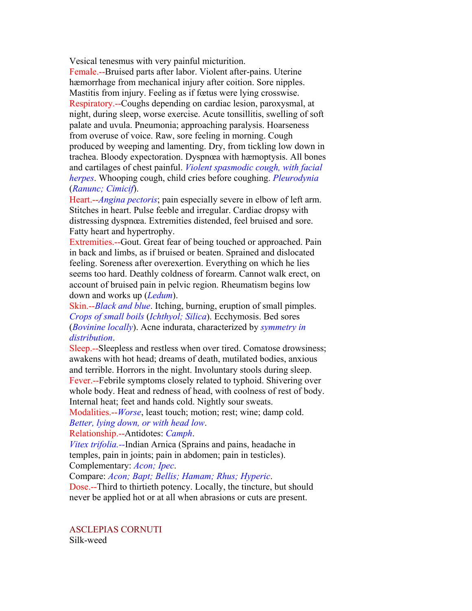Vesical tenesmus with very painful micturition.

Female.--Bruised parts after labor. Violent after-pains. Uterine hæmorrhage from mechanical injury after coition. Sore nipples. Mastitis from injury. Feeling as if fœtus were lying crosswise. Respiratory.--Coughs depending on cardiac lesion, paroxysmal, at night, during sleep, worse exercise. Acute tonsillitis, swelling of soft palate and uvula. Pneumonia; approaching paralysis. Hoarseness from overuse of voice. Raw, sore feeling in morning. Cough produced by weeping and lamenting. Dry, from tickling low down in trachea. Bloody expectoration. Dyspnœa with hæmoptysis. All bones and cartilages of chest painful. *Violent spasmodic cough, with facial herpes*. Whooping cough, child cries before coughing. *Pleurodynia*  (*Ranunc; Cimicif*).

Heart.--*Angina pectoris*; pain especially severe in elbow of left arm. Stitches in heart. Pulse feeble and irregular. Cardiac dropsy with distressing dyspnœa. Extremities distended, feel bruised and sore. Fatty heart and hypertrophy.

Extremities.--Gout. Great fear of being touched or approached. Pain in back and limbs, as if bruised or beaten. Sprained and dislocated feeling. Soreness after overexertion. Everything on which he lies seems too hard. Deathly coldness of forearm. Cannot walk erect, on account of bruised pain in pelvic region. Rheumatism begins low down and works up (*Ledum*).

Skin.--*Black and blue*. Itching, burning, eruption of small pimples. *Crops of small boils* (*Ichthyol; Silica*). Ecchymosis. Bed sores (*Bovinine locally*). Acne indurata, characterized by *symmetry in distribution*.

Sleep.--Sleepless and restless when over tired. Comatose drowsiness; awakens with hot head; dreams of death, mutilated bodies, anxious and terrible. Horrors in the night. Involuntary stools during sleep. Fever.--Febrile symptoms closely related to typhoid. Shivering over whole body. Heat and redness of head, with coolness of rest of body. Internal heat; feet and hands cold. Nightly sour sweats.

Modalities.--*Worse*, least touch; motion; rest; wine; damp cold. *Better, lying down, or with head low*.

Relationship.--Antidotes: *Camph*.

*Vitex trifolia.--*Indian Arnica (Sprains and pains, headache in temples, pain in joints; pain in abdomen; pain in testicles). Complementary: *Acon; Ipec*.

Compare: *Acon; Bapt; Bellis; Hamam; Rhus; Hyperic*.

Dose.--Third to thirtieth potency. Locally, the tincture, but should never be applied hot or at all when abrasions or cuts are present.

ASCLEPIAS CORNUTI Silk-weed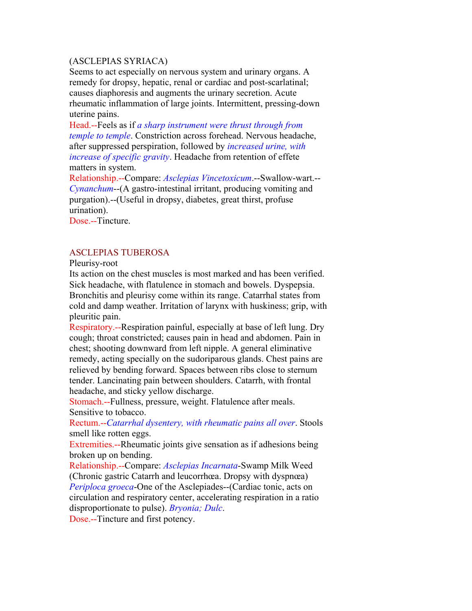## (ASCLEPIAS SYRIACA)

Seems to act especially on nervous system and urinary organs. A remedy for dropsy, hepatic, renal or cardiac and post-scarlatinal; causes diaphoresis and augments the urinary secretion. Acute rheumatic inflammation of large joints. Intermittent, pressing-down uterine pains.

Head.--Feels as if *a sharp instrument were thrust through from temple to temple*. Constriction across forehead. Nervous headache, after suppressed perspiration, followed by *increased urine, with increase of specific gravity*. Headache from retention of effete matters in system.

Relationship.--Compare: *Asclepias Vincetoxicum*.--Swallow-wart.-- *Cynanchum*--(A gastro-intestinal irritant, producing vomiting and purgation).--(Useful in dropsy, diabetes, great thirst, profuse urination).

Dose.--Tincture.

## ASCLEPIAS TUBEROSA

Pleurisy-root

Its action on the chest muscles is most marked and has been verified. Sick headache, with flatulence in stomach and bowels. Dyspepsia. Bronchitis and pleurisy come within its range. Catarrhal states from cold and damp weather. Irritation of larynx with huskiness; grip, with pleuritic pain.

Respiratory.--Respiration painful, especially at base of left lung. Dry cough; throat constricted; causes pain in head and abdomen. Pain in chest; shooting downward from left nipple. A general eliminative remedy, acting specially on the sudoriparous glands. Chest pains are relieved by bending forward. Spaces between ribs close to sternum tender. Lancinating pain between shoulders. Catarrh, with frontal headache, and sticky yellow discharge.

Stomach.--Fullness, pressure, weight. Flatulence after meals. Sensitive to tobacco.

Rectum.--*Catarrhal dysentery, with rheumatic pains all over*. Stools smell like rotten eggs.

Extremities.--Rheumatic joints give sensation as if adhesions being broken up on bending.

Relationship.--Compare: *Asclepias Incarnata*-Swamp Milk Weed (Chronic gastric Catarrh and leucorrhœa. Dropsy with dyspnœa) *Periploca groeca*-One of the Asclepiades--(Cardiac tonic, acts on circulation and respiratory center, accelerating respiration in a ratio disproportionate to pulse). *Bryonia; Dulc*.

Dose.--Tincture and first potency.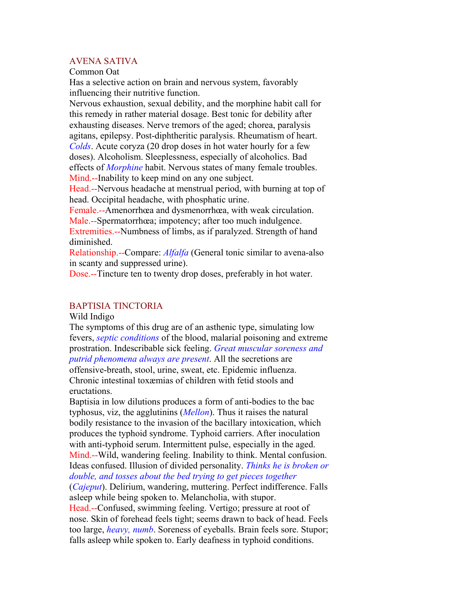#### AVENA SATIVA

Common Oat

Has a selective action on brain and nervous system, favorably influencing their nutritive function.

Nervous exhaustion, sexual debility, and the morphine habit call for this remedy in rather material dosage. Best tonic for debility after exhausting diseases. Nerve tremors of the aged; chorea, paralysis agitans, epilepsy. Post-diphtheritic paralysis. Rheumatism of heart. *Colds*. Acute coryza (20 drop doses in hot water hourly for a few doses). Alcoholism. Sleeplessness, especially of alcoholics. Bad effects of *Morphine* habit. Nervous states of many female troubles. Mind.--Inability to keep mind on any one subject.

Head.--Nervous headache at menstrual period, with burning at top of head. Occipital headache, with phosphatic urine.

Female.--Amenorrhœa and dysmenorrhœa, with weak circulation. Male.--Spermatorrhœa; impotency; after too much indulgence. Extremities.--Numbness of limbs, as if paralyzed. Strength of hand diminished.

Relationship.--Compare: *Alfalfa* (General tonic similar to avena-also in scanty and suppressed urine).

Dose.--Tincture ten to twenty drop doses, preferably in hot water.

#### BAPTISIA TINCTORIA

Wild Indigo

The symptoms of this drug are of an asthenic type, simulating low fevers, *septic conditions* of the blood, malarial poisoning and extreme prostration. Indescribable sick feeling. *Great muscular soreness and putrid phenomena always are present*. All the secretions are offensive-breath, stool, urine, sweat, etc. Epidemic influenza. Chronic intestinal toxæmias of children with fetid stools and eructations.

Baptisia in low dilutions produces a form of anti-bodies to the bac typhosus, viz, the agglutinins (*Mellon*). Thus it raises the natural bodily resistance to the invasion of the bacillary intoxication, which produces the typhoid syndrome. Typhoid carriers. After inoculation with anti-typhoid serum. Intermittent pulse, especially in the aged. Mind.--Wild, wandering feeling. Inability to think. Mental confusion. Ideas confused. Illusion of divided personality. *Thinks he is broken or double, and tosses about the bed trying to get pieces together*  (*Cajeput*). Delirium, wandering, muttering. Perfect indifference. Falls asleep while being spoken to. Melancholia, with stupor. Head.--Confused, swimming feeling. Vertigo; pressure at root of nose. Skin of forehead feels tight; seems drawn to back of head. Feels too large, *heavy, numb*. Soreness of eyeballs. Brain feels sore. Stupor; falls asleep while spoken to. Early deafness in typhoid conditions.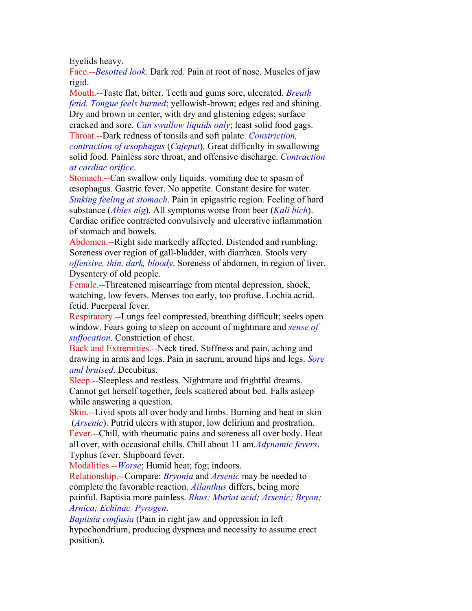Eyelids heavy.

Face.--*Besotted look*. Dark red. Pain at root of nose. Muscles of jaw rigid.

Mouth.--Taste flat, bitter. Teeth and gums sore, ulcerated. *Breath fetid. Tongue feels burned*; yellowish-brown; edges red and shining. Dry and brown in center, with dry and glistening edges; surface cracked and sore. *Can swallow liquids only*; least solid food gags.

Throat.--Dark redness of tonsils and soft palate. *Constriction,* 

*contraction of œsophagus* (*Cajeput*). Great difficulty in swallowing solid food. Painless sore throat, and offensive discharge. *Contraction at cardiac orifice*.

Stomach.--Can swallow only liquids, vomiting due to spasm of œsophagus. Gastric fever. No appetite. Constant desire for water. *Sinking feeling at stomach*. Pain in epigastric region. Feeling of hard substance (*Abies nig*). All symptoms worse from beer (*Kali bich*). Cardiac orifice contracted convulsively and ulcerative inflammation of stomach and bowels.

Abdomen.--Right side markedly affected. Distended and rumbling. Soreness over region of gall-bladder, with diarrhœa. Stools very *offensive, thin, dark, bloody*. Soreness of abdomen, in region of liver. Dysentery of old people.

Female.--Threatened miscarriage from mental depression, shock, watching, low fevers. Menses too early, too profuse. Lochia acrid, fetid. Puerperal fever.

Respiratory.--Lungs feel compressed, breathing difficult; seeks open window. Fears going to sleep on account of nightmare and *sense of suffocation*. Constriction of chest.

Back and Extremities.--Neck tired. Stiffness and pain, aching and drawing in arms and legs. Pain in sacrum, around hips and legs. *Sore and bruised*. Decubitus.

Sleep.--Sleepless and restless. Nightmare and frightful dreams. Cannot get herself together, feels scattered about bed. Falls asleep while answering a question.

Skin.--Livid spots all over body and limbs. Burning and heat in skin (*Arsenic*). Putrid ulcers with stupor, low delirium and prostration. Fever.--Chill, with rheumatic pains and soreness all over body. Heat all over, with occasional chills. Chill about 11 am.*Adynamic fevers*.

Typhus fever. Shipboard fever.

Modalities.--*Worse*; Humid heat; fog; indoors.

Relationship.--Compare: *Bryonia* and *Arsenic* may be needed to complete the favorable reaction. *Ailanthus* differs, being more painful. Baptisia more painless. *Rhus; Muriat acid; Arsenic; Bryon; Arnica; Echinac. Pyrogen*.

*Baptisia confusia* (Pain in right jaw and oppression in left hypochondrium, producing dyspnœa and necessity to assume erect position).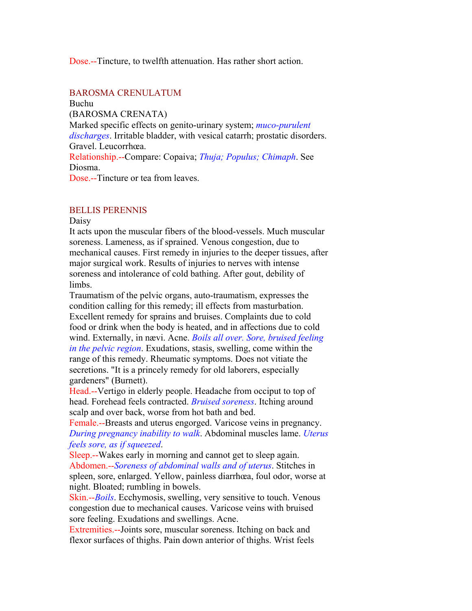Dose.--Tincture, to twelfth attenuation. Has rather short action.

## BAROSMA CRENULATUM

Buchu (BAROSMA CRENATA) Marked specific effects on genito-urinary system; *muco-purulent discharges*. Irritable bladder, with vesical catarrh; prostatic disorders. Gravel. Leucorrhœa. Relationship.--Compare: Copaiva; *Thuja; Populus; Chimaph*. See Diosma. Dose.--Tincture or tea from leaves.

#### BELLIS PERENNIS

Daisy

It acts upon the muscular fibers of the blood-vessels. Much muscular soreness. Lameness, as if sprained. Venous congestion, due to mechanical causes. First remedy in injuries to the deeper tissues, after major surgical work. Results of injuries to nerves with intense soreness and intolerance of cold bathing. After gout, debility of limbs.

Traumatism of the pelvic organs, auto-traumatism, expresses the condition calling for this remedy; ill effects from masturbation. Excellent remedy for sprains and bruises. Complaints due to cold food or drink when the body is heated, and in affections due to cold wind. Externally, in nævi. Acne. *Boils all over. Sore, bruised feeling in the pelvic region*. Exudations, stasis, swelling, come within the range of this remedy. Rheumatic symptoms. Does not vitiate the secretions. "It is a princely remedy for old laborers, especially gardeners" (Burnett).

Head.--Vertigo in elderly people. Headache from occiput to top of head. Forehead feels contracted. *Bruised soreness*. Itching around scalp and over back, worse from hot bath and bed.

Female.--Breasts and uterus engorged. Varicose veins in pregnancy. *During pregnancy inability to walk*. Abdominal muscles lame. *Uterus feels sore, as if squeezed*.

Sleep.--Wakes early in morning and cannot get to sleep again. Abdomen.--*Soreness of abdominal walls and of uterus*. Stitches in spleen, sore, enlarged. Yellow, painless diarrhœa, foul odor, worse at night. Bloated; rumbling in bowels.

Skin.--*Boils*. Ecchymosis, swelling, very sensitive to touch. Venous congestion due to mechanical causes. Varicose veins with bruised sore feeling. Exudations and swellings. Acne.

Extremities.--Joints sore, muscular soreness. Itching on back and flexor surfaces of thighs. Pain down anterior of thighs. Wrist feels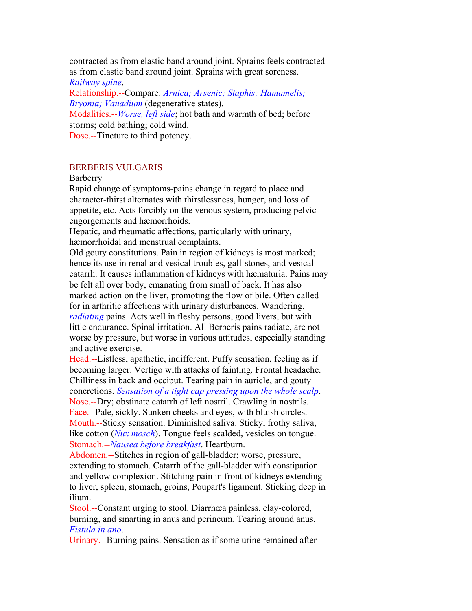contracted as from elastic band around joint. Sprains feels contracted as from elastic band around joint. Sprains with great soreness.

*Railway spine*.

Relationship.--Compare: *Arnica; Arsenic; Staphis; Hamamelis; Bryonia; Vanadium* (degenerative states).

Modalities.--*Worse, left side*; hot bath and warmth of bed; before storms; cold bathing; cold wind.

Dose.--Tincture to third potency.

## BERBERIS VULGARIS

#### **Barberry**

Rapid change of symptoms-pains change in regard to place and character-thirst alternates with thirstlessness, hunger, and loss of appetite, etc. Acts forcibly on the venous system, producing pelvic engorgements and hæmorrhoids.

Hepatic, and rheumatic affections, particularly with urinary, hæmorrhoidal and menstrual complaints.

Old gouty constitutions. Pain in region of kidneys is most marked; hence its use in renal and vesical troubles, gall-stones, and vesical catarrh. It causes inflammation of kidneys with hæmaturia. Pains may be felt all over body, emanating from small of back. It has also marked action on the liver, promoting the flow of bile. Often called for in arthritic affections with urinary disturbances. Wandering, *radiating* pains. Acts well in fleshy persons, good livers, but with little endurance. Spinal irritation. All Berberis pains radiate, are not worse by pressure, but worse in various attitudes, especially standing and active exercise.

Head.--Listless, apathetic, indifferent. Puffy sensation, feeling as if becoming larger. Vertigo with attacks of fainting. Frontal headache. Chilliness in back and occiput. Tearing pain in auricle, and gouty concretions. *Sensation of a tight cap pressing upon the whole scalp*. Nose.--Dry; obstinate catarrh of left nostril. Crawling in nostrils. Face.--Pale, sickly. Sunken cheeks and eyes, with bluish circles. Mouth.--Sticky sensation. Diminished saliva. Sticky, frothy saliva, like cotton (*Nux mosch*). Tongue feels scalded, vesicles on tongue. Stomach.--*Nausea before breakfast*. Heartburn.

Abdomen.--Stitches in region of gall-bladder; worse, pressure, extending to stomach. Catarrh of the gall-bladder with constipation and yellow complexion. Stitching pain in front of kidneys extending to liver, spleen, stomach, groins, Poupart's ligament. Sticking deep in ilium.

Stool.--Constant urging to stool. Diarrhœa painless, clay-colored, burning, and smarting in anus and perineum. Tearing around anus. *Fistula in ano*.

Urinary.--Burning pains. Sensation as if some urine remained after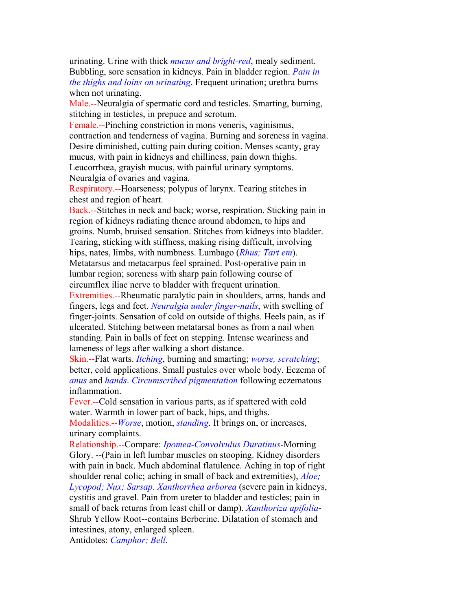urinating. Urine with thick *mucus and bright-red*, mealy sediment. Bubbling, sore sensation in kidneys. Pain in bladder region. *Pain in the thighs and loins on urinating*. Frequent urination; urethra burns when not urinating.

Male.--Neuralgia of spermatic cord and testicles. Smarting, burning, stitching in testicles, in prepuce and scrotum.

Female.--Pinching constriction in mons veneris, vaginismus, contraction and tenderness of vagina. Burning and soreness in vagina. Desire diminished, cutting pain during coition. Menses scanty, gray mucus, with pain in kidneys and chilliness, pain down thighs. Leucorrhœa, grayish mucus, with painful urinary symptoms. Neuralgia of ovaries and vagina.

Respiratory.--Hoarseness; polypus of larynx. Tearing stitches in chest and region of heart.

Back.--Stitches in neck and back; worse, respiration. Sticking pain in region of kidneys radiating thence around abdomen, to hips and groins. Numb, bruised sensation. Stitches from kidneys into bladder. Tearing, sticking with stiffness, making rising difficult, involving hips, nates, limbs, with numbness. Lumbago (*Rhus; Tart em*). Metatarsus and metacarpus feel sprained. Post-operative pain in lumbar region; soreness with sharp pain following course of circumflex iliac nerve to bladder with frequent urination.

Extremities.--Rheumatic paralytic pain in shoulders, arms, hands and fingers, legs and feet. *Neuralgia under finger-nails*, with swelling of finger-joints. Sensation of cold on outside of thighs. Heels pain, as if ulcerated. Stitching between metatarsal bones as from a nail when standing. Pain in balls of feet on stepping. Intense weariness and lameness of legs after walking a short distance.

Skin.--Flat warts. *Itching*, burning and smarting; *worse, scratching*; better, cold applications. Small pustules over whole body. Eczema of *anus* and *hands*. *Circumscribed pigmentation* following eczematous inflammation.

Fever.--Cold sensation in various parts, as if spattered with cold water. Warmth in lower part of back, hips, and thighs.

Modalities.--*Worse*, motion, *standing*. It brings on, or increases, urinary complaints.

Relationship.--Compare: *Ipomea-Convolvulus Duratinus*-Morning Glory. --(Pain in left lumbar muscles on stooping. Kidney disorders with pain in back. Much abdominal flatulence. Aching in top of right shoulder renal colic; aching in small of back and extremities), *Aloe; Lycopod; Nux; Sarsap. Xanthorrhea arborea* (severe pain in kidneys, cystitis and gravel. Pain from ureter to bladder and testicles; pain in small of back returns from least chill or damp). *Xanthoriza apifolia*-Shrub Yellow Root--contains Berberine. Dilatation of stomach and intestines, atony, enlarged spleen.

Antidotes: *Camphor; Bell*.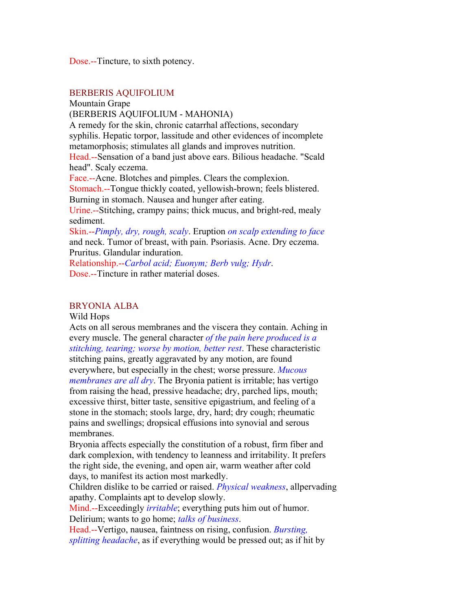Dose.--Tincture, to sixth potency.

#### BERBERIS AQUIFOLIUM

Mountain Grape

(BERBERIS AQUIFOLIUM - MAHONIA)

A remedy for the skin, chronic catarrhal affections, secondary syphilis. Hepatic torpor, lassitude and other evidences of incomplete metamorphosis; stimulates all glands and improves nutrition.

Head.--Sensation of a band just above ears. Bilious headache. "Scald head". Scaly eczema.

Face.--Acne. Blotches and pimples. Clears the complexion. Stomach.--Tongue thickly coated, yellowish-brown; feels blistered. Burning in stomach. Nausea and hunger after eating.

Urine.--Stitching, crampy pains; thick mucus, and bright-red, mealy sediment.

Skin.--*Pimply, dry, rough, scaly*. Eruption *on scalp extending to face*  and neck. Tumor of breast, with pain. Psoriasis. Acne. Dry eczema. Pruritus. Glandular induration.

Relationship.--*Carbol acid; Euonym; Berb vulg; Hydr*. Dose.--Tincture in rather material doses.

#### BRYONIA ALBA

Wild Hops

Acts on all serous membranes and the viscera they contain. Aching in every muscle. The general character *of the pain here produced is a stitching, tearing; worse by motion, better rest*. These characteristic stitching pains, greatly aggravated by any motion, are found everywhere, but especially in the chest; worse pressure. *Mucous membranes are all dry*. The Bryonia patient is irritable; has vertigo from raising the head, pressive headache; dry, parched lips, mouth; excessive thirst, bitter taste, sensitive epigastrium, and feeling of a stone in the stomach; stools large, dry, hard; dry cough; rheumatic pains and swellings; dropsical effusions into synovial and serous membranes.

Bryonia affects especially the constitution of a robust, firm fiber and dark complexion, with tendency to leanness and irritability. It prefers the right side, the evening, and open air, warm weather after cold days, to manifest its action most markedly.

Children dislike to be carried or raised. *Physical weakness*, allpervading apathy. Complaints apt to develop slowly.

Mind.--Exceedingly *irritable*; everything puts him out of humor. Delirium; wants to go home; *talks of business*.

Head.--Vertigo, nausea, faintness on rising, confusion. *Bursting, splitting headache*, as if everything would be pressed out; as if hit by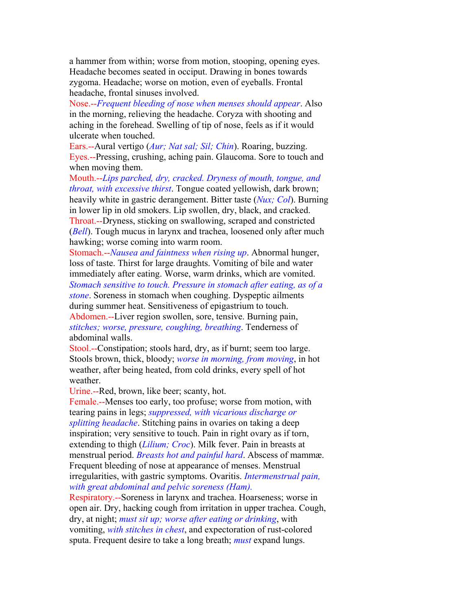a hammer from within; worse from motion, stooping, opening eyes. Headache becomes seated in occiput. Drawing in bones towards zygoma. Headache; worse on motion, even of eyeballs. Frontal headache, frontal sinuses involved.

Nose.--*Frequent bleeding of nose when menses should appear*. Also in the morning, relieving the headache. Coryza with shooting and aching in the forehead. Swelling of tip of nose, feels as if it would ulcerate when touched.

Ears.--Aural vertigo (*Aur; Nat sal; Sil; Chin*). Roaring, buzzing. Eyes.--Pressing, crushing, aching pain. Glaucoma. Sore to touch and when moving them.

Mouth.--*Lips parched, dry, cracked. Dryness of mouth, tongue, and throat, with excessive thirst*. Tongue coated yellowish, dark brown; heavily white in gastric derangement. Bitter taste (*Nux; Col*). Burning in lower lip in old smokers. Lip swollen, dry, black, and cracked. Throat.--Dryness, sticking on swallowing, scraped and constricted (*Bell*). Tough mucus in larynx and trachea, loosened only after much hawking; worse coming into warm room.

Stomach.--*Nausea and faintness when rising up*. Abnormal hunger, loss of taste. Thirst for large draughts. Vomiting of bile and water immediately after eating. Worse, warm drinks, which are vomited. *Stomach sensitive to touch. Pressure in stomach after eating, as of a stone*. Soreness in stomach when coughing. Dyspeptic ailments during summer heat. Sensitiveness of epigastrium to touch. Abdomen.--Liver region swollen, sore, tensive. Burning pain, *stitches; worse, pressure, coughing, breathing*. Tenderness of abdominal walls.

Stool.--Constipation; stools hard, dry, as if burnt; seem too large. Stools brown, thick, bloody; *worse in morning, from moving*, in hot weather, after being heated, from cold drinks, every spell of hot weather.

Urine.--Red, brown, like beer; scanty, hot.

Female.--Menses too early, too profuse; worse from motion, with tearing pains in legs; *suppressed, with vicarious discharge or splitting headache*. Stitching pains in ovaries on taking a deep inspiration; very sensitive to touch. Pain in right ovary as if torn, extending to thigh (*Lilium; Croc*). Milk fever. Pain in breasts at menstrual period. *Breasts hot and painful hard*. Abscess of mammæ. Frequent bleeding of nose at appearance of menses. Menstrual irregularities, with gastric symptoms. Ovaritis. *Intermenstrual pain, with great abdominal and pelvic soreness (Ham).* 

Respiratory.--Soreness in larynx and trachea. Hoarseness; worse in open air. Dry, hacking cough from irritation in upper trachea. Cough, dry, at night; *must sit up; worse after eating or drinking*, with vomiting, *with stitches in chest*, and expectoration of rust-colored sputa. Frequent desire to take a long breath; *must* expand lungs.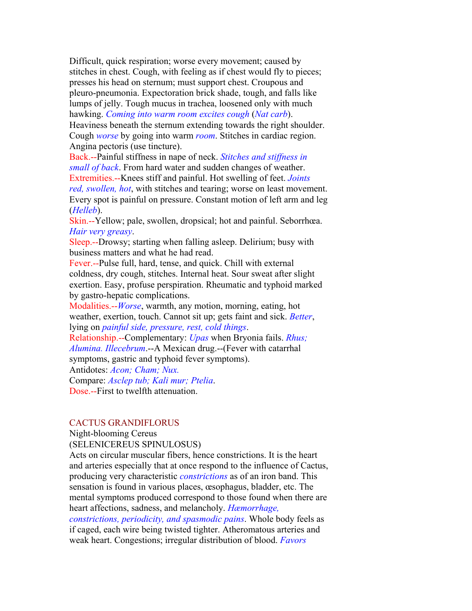Difficult, quick respiration; worse every movement; caused by stitches in chest. Cough, with feeling as if chest would fly to pieces; presses his head on sternum; must support chest. Croupous and pleuro-pneumonia. Expectoration brick shade, tough, and falls like lumps of jelly. Tough mucus in trachea, loosened only with much hawking. *Coming into warm room excites cough* (*Nat carb*).

Heaviness beneath the sternum extending towards the right shoulder. Cough *worse* by going into warm *room*. Stitches in cardiac region. Angina pectoris (use tincture).

Back.--Painful stiffness in nape of neck. *Stitches and stiffness in small of back*. From hard water and sudden changes of weather. Extremities.--Knees stiff and painful. Hot swelling of feet. *Joints red, swollen, hot*, with stitches and tearing; worse on least movement. Every spot is painful on pressure. Constant motion of left arm and leg (*Helleb*).

Skin.--Yellow; pale, swollen, dropsical; hot and painful. Seborrhœa. *Hair very greasy*.

Sleep.--Drowsy; starting when falling asleep. Delirium; busy with business matters and what he had read.

Fever.--Pulse full, hard, tense, and quick. Chill with external coldness, dry cough, stitches. Internal heat. Sour sweat after slight exertion. Easy, profuse perspiration. Rheumatic and typhoid marked by gastro-hepatic complications.

Modalities.--*Worse*, warmth, any motion, morning, eating, hot weather, exertion, touch. Cannot sit up; gets faint and sick. *Better*, lying on *painful side, pressure, rest, cold things*.

Relationship.--Complementary: *Upas* when Bryonia fails. *Rhus; Alumina. Illecebrum*.--A Mexican drug.--(Fever with catarrhal symptoms, gastric and typhoid fever symptoms).

Antidotes: *Acon; Cham; Nux.* 

Compare: *Asclep tub; Kali mur; Ptelia*. Dose.--First to twelfth attenuation.

## CACTUS GRANDIFLORUS

Night-blooming Cereus

(SELENICEREUS SPINULOSUS)

Acts on circular muscular fibers, hence constrictions. It is the heart and arteries especially that at once respond to the influence of Cactus, producing very characteristic *constrictions* as of an iron band. This sensation is found in various places, œsophagus, bladder, etc. The mental symptoms produced correspond to those found when there are heart affections, sadness, and melancholy. *Hæmorrhage,* 

*constrictions, periodicity, and spasmodic pains*. Whole body feels as if caged, each wire being twisted tighter. Atheromatous arteries and weak heart. Congestions; irregular distribution of blood. *Favors*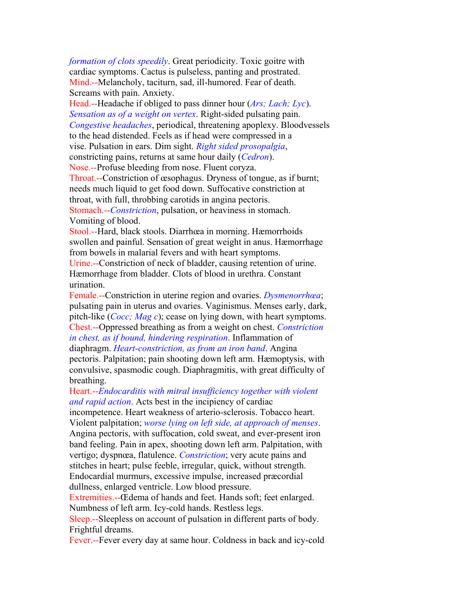*formation of clots speedily*. Great periodicity. Toxic goitre with cardiac symptoms. Cactus is pulseless, panting and prostrated. Mind.--Melancholy, taciturn, sad, ill-humored. Fear of death. Screams with pain. Anxiety.

Head.--Headache if obliged to pass dinner hour (*Ars; Lach; Lyc*). *Sensation as of a weight on vertex*. Right-sided pulsating pain. *Congestive headaches*, periodical, threatening apoplexy. Bloodvessels to the head distended. Feels as if head were compressed in a vise. Pulsation in ears. Dim sight. *Right sided prosopalgia*, constricting pains, returns at same hour daily (*Cedron*). Nose.--Profuse bleeding from nose. Fluent coryza. Throat.--Constriction of œsophagus. Dryness of tongue, as if burnt;

needs much liquid to get food down. Suffocative constriction at throat, with full, throbbing carotids in angina pectoris. Stomach.--*Constriction*, pulsation, or heaviness in stomach. Vomiting of blood.

Stool.--Hard, black stools. Diarrhœa in morning. Hæmorrhoids swollen and painful. Sensation of great weight in anus. Hæmorrhage from bowels in malarial fevers and with heart symptoms. Urine.--Constriction of neck of bladder, causing retention of urine. Hæmorrhage from bladder. Clots of blood in urethra. Constant urination.

Female.--Constriction in uterine region and ovaries. *Dysmenorrhœa*; pulsating pain in uterus and ovaries. Vaginismus. Menses early, dark, pitch-like (*Cocc; Mag c*); cease on lying down, with heart symptoms. Chest.--Oppressed breathing as from a weight on chest. *Constriction in chest, as if bound, hindering respiration*. Inflammation of diaphragm. *Heart-constriction, as from an iron band*. Angina pectoris. Palpitation; pain shooting down left arm. Hæmoptysis, with

convulsive, spasmodic cough. Diaphragmitis, with great difficulty of breathing.

Heart.--*Endocarditis with mitral insufficiency together with violent and rapid action*. Acts best in the incipiency of cardiac

incompetence. Heart weakness of arterio-sclerosis. Tobacco heart. Violent palpitation; *worse lying on left side, at approach of menses*. Angina pectoris, with suffocation, cold sweat, and ever-present iron band feeling. Pain in apex, shooting down left arm. Palpitation, with vertigo; dyspnœa, flatulence. *Constriction*; very acute pains and stitches in heart; pulse feeble, irregular, quick, without strength. Endocardial murmurs, excessive impulse, increased præcordial dullness, enlarged ventricle. Low blood pressure.

Extremities.--Œdema of hands and feet. Hands soft; feet enlarged. Numbness of left arm. Icy-cold hands. Restless legs.

Sleep.--Sleepless on account of pulsation in different parts of body. Frightful dreams.

Fever.--Fever every day at same hour. Coldness in back and icy-cold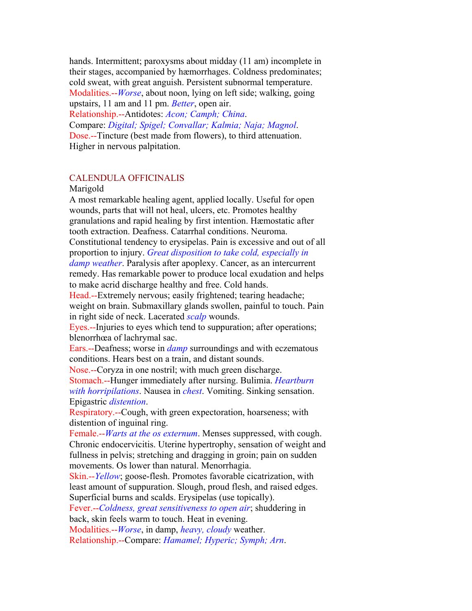hands. Intermittent; paroxysms about midday (11 am) incomplete in their stages, accompanied by hæmorrhages. Coldness predominates; cold sweat, with great anguish. Persistent subnormal temperature. Modalities.--*Worse*, about noon, lying on left side; walking, going upstairs, 11 am and 11 pm. *Better*, open air.

Relationship.--Antidotes: *Acon; Camph; China*. Compare: *Digital; Spigel; Convallar; Kalmia; Naja; Magnol*. Dose.--Tincture (best made from flowers), to third attenuation. Higher in nervous palpitation.

## CALENDULA OFFICINALIS

#### Marigold

A most remarkable healing agent, applied locally. Useful for open wounds, parts that will not heal, ulcers, etc. Promotes healthy granulations and rapid healing by first intention. Hæmostatic after tooth extraction. Deafness. Catarrhal conditions. Neuroma. Constitutional tendency to erysipelas. Pain is excessive and out of all proportion to injury. *Great disposition to take cold, especially in damp weather*. Paralysis after apoplexy. Cancer, as an intercurrent remedy. Has remarkable power to produce local exudation and helps to make acrid discharge healthy and free. Cold hands.

Head.--Extremely nervous; easily frightened; tearing headache; weight on brain. Submaxillary glands swollen, painful to touch. Pain in right side of neck. Lacerated *scalp* wounds.

Eyes.--Injuries to eyes which tend to suppuration; after operations; blenorrhœa of lachrymal sac.

Ears.--Deafness; worse in *damp* surroundings and with eczematous conditions. Hears best on a train, and distant sounds.

Nose.--Coryza in one nostril; with much green discharge.

Stomach.--Hunger immediately after nursing. Bulimia. *Heartburn with horripilations*. Nausea in *chest*. Vomiting. Sinking sensation. Epigastric *distention*.

Respiratory.--Cough, with green expectoration, hoarseness; with distention of inguinal ring.

Female.--*Warts at the os externum*. Menses suppressed, with cough. Chronic endocervicitis. Uterine hypertrophy, sensation of weight and fullness in pelvis; stretching and dragging in groin; pain on sudden movements. Os lower than natural. Menorrhagia.

Skin.--*Yellow*; goose-flesh. Promotes favorable cicatrization, with least amount of suppuration. Slough, proud flesh, and raised edges. Superficial burns and scalds. Erysipelas (use topically).

Fever.--*Coldness, great sensitiveness to open air*; shuddering in

back, skin feels warm to touch. Heat in evening.

Modalities.--*Worse*, in damp, *heavy, cloudy* weather. Relationship.--Compare: *Hamamel; Hyperic; Symph; Arn*.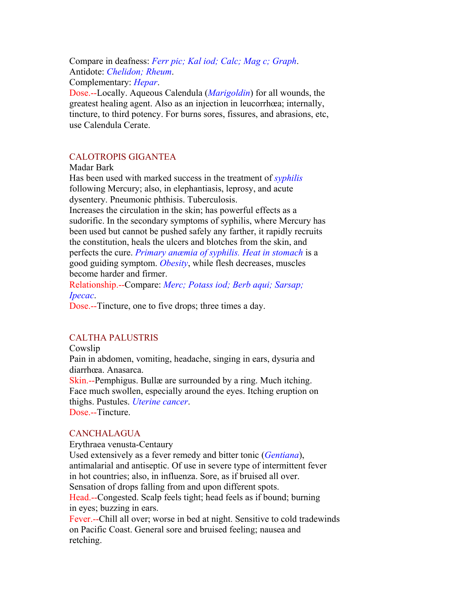Compare in deafness: *Ferr pic; Kal iod; Calc; Mag c; Graph*. Antidote: *Chelidon; Rheum*. Complementary: *Hepar*. Dose.--Locally. Aqueous Calendula (*Marigoldin*) for all wounds, the greatest healing agent. Also as an injection in leucorrhœa; internally, tincture, to third potency. For burns sores, fissures, and abrasions, etc, use Calendula Cerate.

## CALOTROPIS GIGANTEA

Madar Bark

Has been used with marked success in the treatment of *syphilis*  following Mercury; also, in elephantiasis, leprosy, and acute dysentery. Pneumonic phthisis. Tuberculosis. Increases the circulation in the skin; has powerful effects as a sudorific. In the secondary symptoms of syphilis, where Mercury has been used but cannot be pushed safely any farther, it rapidly recruits the constitution, heals the ulcers and blotches from the skin, and perfects the cure. *Primary anæmia of syphilis. Heat in stomach* is a good guiding symptom. *Obesity*, while flesh decreases, muscles become harder and firmer.

Relationship.--Compare: *Merc; Potass iod; Berb aqui; Sarsap; Ipecac*.

Dose.--Tincture, one to five drops; three times a day.

#### CALTHA PALUSTRIS

Cowslip Pain in abdomen, vomiting, headache, singing in ears, dysuria and diarrhœa. Anasarca. Skin.--Pemphigus. Bullæ are surrounded by a ring. Much itching. Face much swollen, especially around the eyes. Itching eruption on thighs. Pustules. *Uterine cancer*.

Dose --Tincture

#### CANCHALAGUA

Erythraea venusta-Centaury Used extensively as a fever remedy and bitter tonic (*Gentiana*), antimalarial and antiseptic. Of use in severe type of intermittent fever in hot countries; also, in influenza. Sore, as if bruised all over. Sensation of drops falling from and upon different spots. Head.--Congested. Scalp feels tight; head feels as if bound; burning in eyes; buzzing in ears. Fever.--Chill all over; worse in bed at night. Sensitive to cold tradewinds

on Pacific Coast. General sore and bruised feeling; nausea and retching.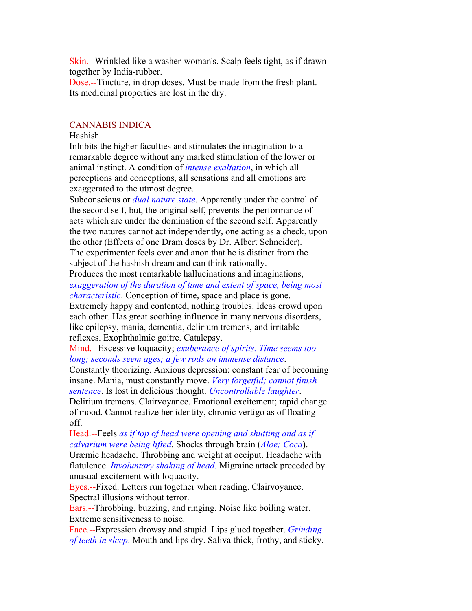Skin.--Wrinkled like a washer-woman's. Scalp feels tight, as if drawn together by India-rubber.

Dose.--Tincture, in drop doses. Must be made from the fresh plant. Its medicinal properties are lost in the dry.

#### CANNABIS INDICA

#### Hashish

Inhibits the higher faculties and stimulates the imagination to a remarkable degree without any marked stimulation of the lower or animal instinct. A condition of *intense exaltation*, in which all perceptions and conceptions, all sensations and all emotions are exaggerated to the utmost degree.

Subconscious or *dual nature state*. Apparently under the control of the second self, but, the original self, prevents the performance of acts which are under the domination of the second self. Apparently the two natures cannot act independently, one acting as a check, upon the other (Effects of one Dram doses by Dr. Albert Schneider). The experimenter feels ever and anon that he is distinct from the subject of the hashish dream and can think rationally.

Produces the most remarkable hallucinations and imaginations, *exaggeration of the duration of time and extent of space, being most characteristic*. Conception of time, space and place is gone. Extremely happy and contented, nothing troubles. Ideas crowd upon each other. Has great soothing influence in many nervous disorders, like epilepsy, mania, dementia, delirium tremens, and irritable reflexes. Exophthalmic goitre. Catalepsy.

Mind.--Excessive loquacity; *exuberance of spirits. Time seems too long; seconds seem ages; a few rods an immense distance*.

Constantly theorizing. Anxious depression; constant fear of becoming insane. Mania, must constantly move. *Very forgetful; cannot finish sentence*. Is lost in delicious thought. *Uncontrollable laughter*. Delirium tremens. Clairvoyance. Emotional excitement; rapid change of mood. Cannot realize her identity, chronic vertigo as of floating off.

Head.--Feels *as if top of head were opening and shutting and as if calvarium were being lifted*. Shocks through brain (*Aloe; Coca*). Uræmic headache. Throbbing and weight at occiput. Headache with flatulence. *Involuntary shaking of head.* Migraine attack preceded by unusual excitement with loquacity.

Eyes.--Fixed. Letters run together when reading. Clairvoyance. Spectral illusions without terror.

Ears.--Throbbing, buzzing, and ringing. Noise like boiling water. Extreme sensitiveness to noise.

Face.--Expression drowsy and stupid. Lips glued together. *Grinding of teeth in sleep*. Mouth and lips dry. Saliva thick, frothy, and sticky.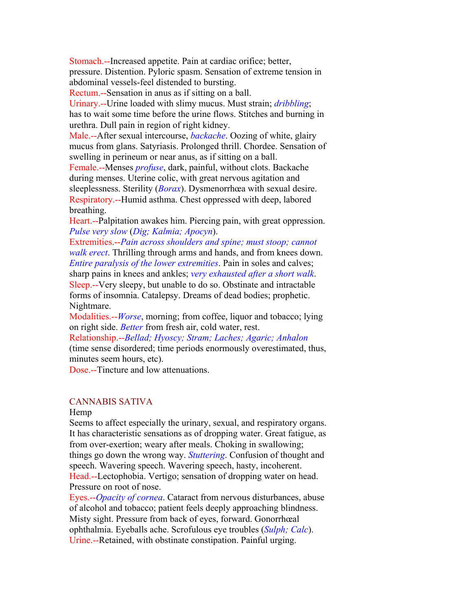Stomach.--Increased appetite. Pain at cardiac orifice; better, pressure. Distention. Pyloric spasm. Sensation of extreme tension in abdominal vessels-feel distended to bursting.

Rectum.--Sensation in anus as if sitting on a ball.

Urinary.--Urine loaded with slimy mucus. Must strain; *dribbling*; has to wait some time before the urine flows. Stitches and burning in urethra. Dull pain in region of right kidney.

Male.--After sexual intercourse, *backache*. Oozing of white, glairy mucus from glans. Satyriasis. Prolonged thrill. Chordee. Sensation of swelling in perineum or near anus, as if sitting on a ball.

Female.--Menses *profuse*, dark, painful, without clots. Backache during menses. Uterine colic, with great nervous agitation and sleeplessness. Sterility (*Borax*). Dysmenorrhœa with sexual desire. Respiratory.--Humid asthma. Chest oppressed with deep, labored breathing.

Heart.--Palpitation awakes him. Piercing pain, with great oppression. *Pulse very slow* (*Dig; Kalmia; Apocyn*).

Extremities.--*Pain across shoulders and spine; must stoop; cannot walk erect*. Thrilling through arms and hands, and from knees down. *Entire paralysis of the lower extremities*. Pain in soles and calves; sharp pains in knees and ankles; *very exhausted after a short walk*. Sleep.--Very sleepy, but unable to do so. Obstinate and intractable forms of insomnia. Catalepsy. Dreams of dead bodies; prophetic. Nightmare.

Modalities.--*Worse*, morning; from coffee, liquor and tobacco; lying on right side. *Better* from fresh air, cold water, rest.

Relationship.--*Bellad; Hyoscy; Stram; Laches; Agaric; Anhalon*  (time sense disordered; time periods enormously overestimated, thus, minutes seem hours, etc).

Dose.--Tincture and low attenuations.

#### CANNABIS SATIVA

#### Hemp

Seems to affect especially the urinary, sexual, and respiratory organs. It has characteristic sensations as of dropping water. Great fatigue, as from over-exertion; weary after meals. Choking in swallowing; things go down the wrong way. *Stuttering*. Confusion of thought and speech. Wavering speech. Wavering speech, hasty, incoherent. Head.--Lectophobia. Vertigo; sensation of dropping water on head. Pressure on root of nose.

Eyes.--*Opacity of cornea*. Cataract from nervous disturbances, abuse of alcohol and tobacco; patient feels deeply approaching blindness. Misty sight. Pressure from back of eyes, forward. Gonorrhœal ophthalmia. Eyeballs ache. Scrofulous eye troubles (*Sulph; Calc*). Urine.--Retained, with obstinate constipation. Painful urging.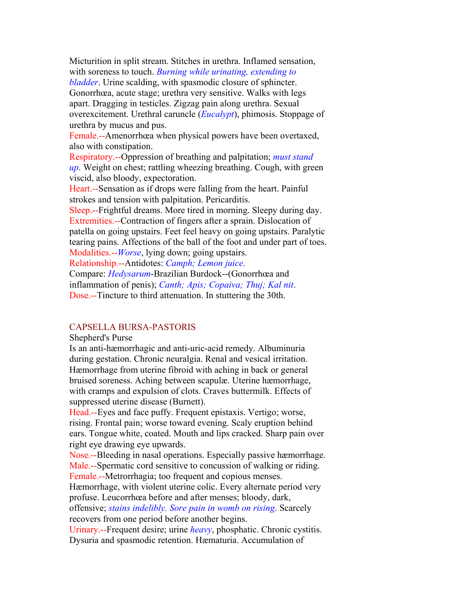Micturition in split stream. Stitches in urethra. Inflamed sensation, with soreness to touch. *Burning while urinating, extending to bladder*. Urine scalding, with spasmodic closure of sphincter. Gonorrhœa, acute stage; urethra very sensitive. Walks with legs apart. Dragging in testicles. Zigzag pain along urethra. Sexual overexcitement. Urethral caruncle (*Eucalypt*), phimosis. Stoppage of urethra by mucus and pus.

Female.--Amenorrhœa when physical powers have been overtaxed, also with constipation.

Respiratory.--Oppression of breathing and palpitation; *must stand up*. Weight on chest; rattling wheezing breathing. Cough, with green viscid, also bloody, expectoration.

Heart.--Sensation as if drops were falling from the heart. Painful strokes and tension with palpitation. Pericarditis.

Sleep.--Frightful dreams. More tired in morning. Sleepy during day. Extremities.--Contraction of fingers after a sprain. Dislocation of patella on going upstairs. Feet feel heavy on going upstairs. Paralytic tearing pains. Affections of the ball of the foot and under part of toes. Modalities.--*Worse*, lying down; going upstairs.

Relationship.--Antidotes: *Camph; Lemon juice*.

Compare: *Hedysarum*-Brazilian Burdock--(Gonorrhœa and inflammation of penis); *Canth; Apis; Copaiva; Thuj; Kal nit*. Dose.--Tincture to third attenuation. In stuttering the 30th.

## CAPSELLA BURSA-PASTORIS

Shepherd's Purse

Is an anti-hæmorrhagic and anti-uric-acid remedy. Albuminuria during gestation. Chronic neuralgia. Renal and vesical irritation. Hæmorrhage from uterine fibroid with aching in back or general bruised soreness. Aching between scapulæ. Uterine hæmorrhage, with cramps and expulsion of clots. Craves buttermilk. Effects of suppressed uterine disease (Burnett).

Head.--Eyes and face puffy. Frequent epistaxis. Vertigo; worse, rising. Frontal pain; worse toward evening. Scaly eruption behind ears. Tongue white, coated. Mouth and lips cracked. Sharp pain over right eye drawing eye upwards.

Nose.--Bleeding in nasal operations. Especially passive hæmorrhage. Male.--Spermatic cord sensitive to concussion of walking or riding. Female.--Metrorrhagia; too frequent and copious menses.

Hæmorrhage, with violent uterine colic. Every alternate period very profuse. Leucorrhœa before and after menses; bloody, dark, offensive; *stains indelibly. Sore pain in womb on rising*. Scarcely

recovers from one period before another begins.

Urinary.--Frequent desire; urine *heavy*, phosphatic. Chronic cystitis. Dysuria and spasmodic retention. Hæmaturia. Accumulation of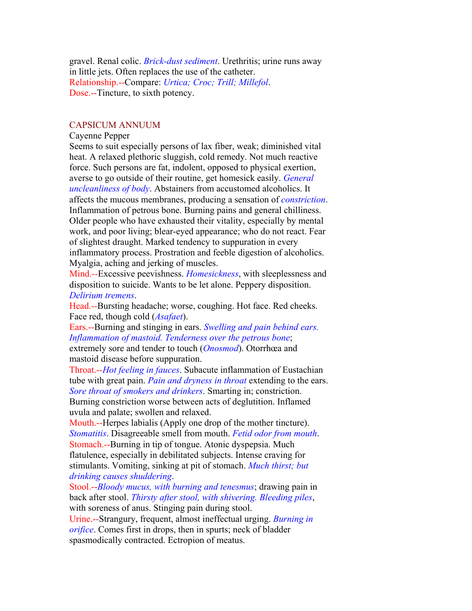gravel. Renal colic. *Brick-dust sediment*. Urethritis; urine runs away in little jets. Often replaces the use of the catheter. Relationship.--Compare: *Urtica; Croc; Trill; Millefol*. Dose.--Tincture, to sixth potency.

#### CAPSICUM ANNUUM

#### Cayenne Pepper

Seems to suit especially persons of lax fiber, weak; diminished vital heat. A relaxed plethoric sluggish, cold remedy. Not much reactive force. Such persons are fat, indolent, opposed to physical exertion, averse to go outside of their routine, get homesick easily. *General uncleanliness of body*. Abstainers from accustomed alcoholics. It affects the mucous membranes, producing a sensation of *constriction*. Inflammation of petrous bone. Burning pains and general chilliness. Older people who have exhausted their vitality, especially by mental work, and poor living; blear-eyed appearance; who do not react. Fear of slightest draught. Marked tendency to suppuration in every inflammatory process. Prostration and feeble digestion of alcoholics. Myalgia, aching and jerking of muscles.

Mind.--Excessive peevishness. *Homesickness*, with sleeplessness and disposition to suicide. Wants to be let alone. Peppery disposition. *Delirium tremens*.

Head.--Bursting headache; worse, coughing. Hot face. Red cheeks. Face red, though cold (*Asafaet*).

Ears.--Burning and stinging in ears. *Swelling and pain behind ears. Inflammation of mastoid. Tenderness over the petrous bone*; extremely sore and tender to touch (*Onosmod*). Otorrhœa and mastoid disease before suppuration.

Throat.--*Hot feeling in fauces*. Subacute inflammation of Eustachian tube with great pain. *Pain and dryness in throat* extending to the ears. *Sore throat of smokers and drinkers*. Smarting in; constriction. Burning constriction worse between acts of deglutition. Inflamed uvula and palate; swollen and relaxed.

Mouth.--Herpes labialis (Apply one drop of the mother tincture). *Stomatitis*. Disagreeable smell from mouth. *Fetid odor from mouth*. Stomach.--Burning in tip of tongue. Atonic dyspepsia. Much flatulence, especially in debilitated subjects. Intense craving for stimulants. Vomiting, sinking at pit of stomach. *Much thirst; but drinking causes shuddering*.

Stool.--*Bloody mucus, with burning and tenesmus*; drawing pain in back after stool. *Thirsty after stool, with shivering. Bleeding piles*, with soreness of anus. Stinging pain during stool.

Urine.--Strangury, frequent, almost ineffectual urging. *Burning in orifice*. Comes first in drops, then in spurts; neck of bladder spasmodically contracted. Ectropion of meatus.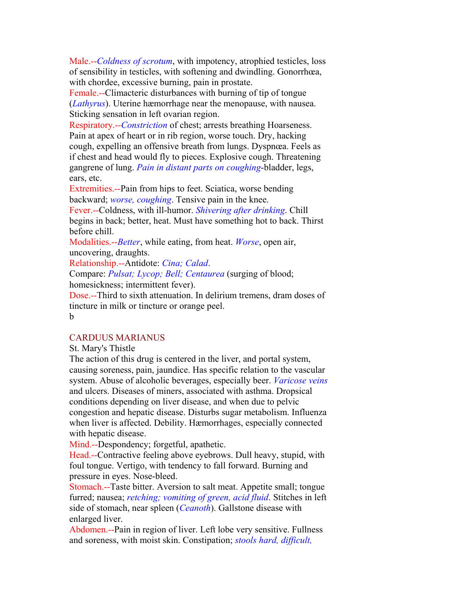Male.--*Coldness of scrotum*, with impotency, atrophied testicles, loss of sensibility in testicles, with softening and dwindling. Gonorrhœa, with chordee, excessive burning, pain in prostate.

Female.--Climacteric disturbances with burning of tip of tongue (*Lathyrus*). Uterine hæmorrhage near the menopause, with nausea. Sticking sensation in left ovarian region.

Respiratory.--*Constriction* of chest; arrests breathing Hoarseness. Pain at apex of heart or in rib region, worse touch. Dry, hacking cough, expelling an offensive breath from lungs. Dyspnœa. Feels as if chest and head would fly to pieces. Explosive cough. Threatening gangrene of lung. *Pain in distant parts on coughing*-bladder, legs, ears, etc.

Extremities.--Pain from hips to feet. Sciatica, worse bending backward; *worse, coughing*. Tensive pain in the knee.

Fever.--Coldness, with ill-humor. *Shivering after drinking*. Chill begins in back; better, heat. Must have something hot to back. Thirst before chill.

Modalities.--*Better*, while eating, from heat. *Worse*, open air, uncovering, draughts.

Relationship.--Antidote: *Cina; Calad*.

Compare: *Pulsat; Lycop; Bell; Centaurea* (surging of blood; homesickness; intermittent fever).

Dose.--Third to sixth attenuation. In delirium tremens, dram doses of tincture in milk or tincture or orange peel. b

# CARDUUS MARIANUS

St. Mary's Thistle

The action of this drug is centered in the liver, and portal system, causing soreness, pain, jaundice. Has specific relation to the vascular system. Abuse of alcoholic beverages, especially beer. *Varicose veins*  and ulcers. Diseases of miners, associated with asthma. Dropsical conditions depending on liver disease, and when due to pelvic congestion and hepatic disease. Disturbs sugar metabolism. Influenza when liver is affected. Debility. Hæmorrhages, especially connected with hepatic disease.

Mind.--Despondency; forgetful, apathetic.

Head.--Contractive feeling above eyebrows. Dull heavy, stupid, with foul tongue. Vertigo, with tendency to fall forward. Burning and pressure in eyes. Nose-bleed.

Stomach.--Taste bitter. Aversion to salt meat. Appetite small; tongue furred; nausea; *retching; vomiting of green, acid fluid*. Stitches in left side of stomach, near spleen (*Ceanoth*). Gallstone disease with enlarged liver.

Abdomen.--Pain in region of liver. Left lobe very sensitive. Fullness and soreness, with moist skin. Constipation; *stools hard, difficult,*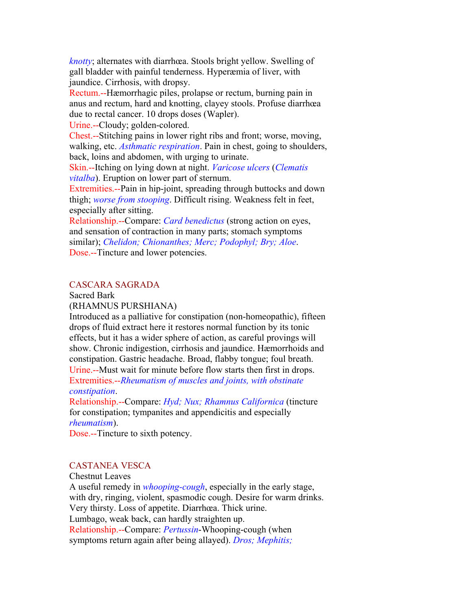*knotty*; alternates with diarrhœa. Stools bright yellow. Swelling of gall bladder with painful tenderness. Hyperæmia of liver, with jaundice. Cirrhosis, with dropsy.

Rectum.--Hæmorrhagic piles, prolapse or rectum, burning pain in anus and rectum, hard and knotting, clayey stools. Profuse diarrhœa due to rectal cancer. 10 drops doses (Wapler).

Urine.--Cloudy; golden-colored.

Chest.--Stitching pains in lower right ribs and front; worse, moving, walking, etc. *Asthmatic respiration*. Pain in chest, going to shoulders, back, loins and abdomen, with urging to urinate.

Skin.--Itching on lying down at night. *Varicose ulcers* (*Clematis vitalba*). Eruption on lower part of sternum.

Extremities.--Pain in hip-joint, spreading through buttocks and down thigh; *worse from stooping*. Difficult rising. Weakness felt in feet, especially after sitting.

Relationship.--Compare: *Card benedictus* (strong action on eyes, and sensation of contraction in many parts; stomach symptoms similar); *Chelidon; Chionanthes; Merc; Podophyl; Bry; Aloe*. Dose.--Tincture and lower potencies.

#### CASCARA SAGRADA

Sacred Bark

(RHAMNUS PURSHIANA)

Introduced as a palliative for constipation (non-homeopathic), fifteen drops of fluid extract here it restores normal function by its tonic effects, but it has a wider sphere of action, as careful provings will show. Chronic indigestion, cirrhosis and jaundice. Hæmorrhoids and constipation. Gastric headache. Broad, flabby tongue; foul breath. Urine.--Must wait for minute before flow starts then first in drops. Extremities.--*Rheumatism of muscles and joints, with obstinate* 

*constipation*.

Relationship.--Compare: *Hyd; Nux; Rhamnus Californica* (tincture for constipation; tympanites and appendicitis and especially *rheumatism*).

Dose.--Tincture to sixth potency.

#### CASTANEA VESCA

Chestnut Leaves

A useful remedy in *whooping-cough*, especially in the early stage, with dry, ringing, violent, spasmodic cough. Desire for warm drinks. Very thirsty. Loss of appetite. Diarrhœa. Thick urine. Lumbago, weak back, can hardly straighten up. Relationship.--Compare: *Pertussin*-Whooping-cough (when symptoms return again after being allayed). *Dros; Mephitis;*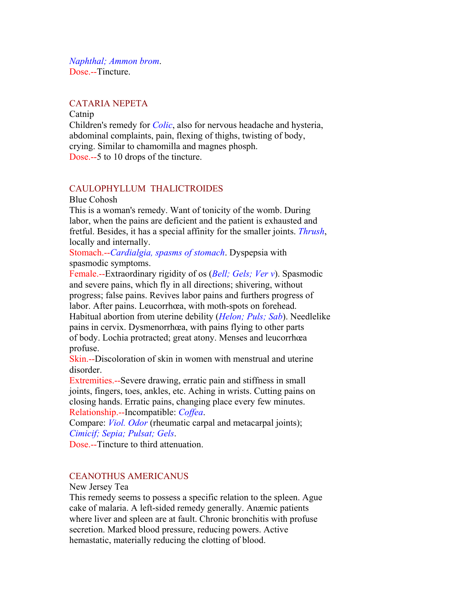*Naphthal; Ammon brom*. Dose.--Tincture.

## CATARIA NEPETA

Catnip Children's remedy for *Colic*, also for nervous headache and hysteria, abdominal complaints, pain, flexing of thighs, twisting of body, crying. Similar to chamomilla and magnes phosph. Dose.--5 to 10 drops of the tincture.

#### CAULOPHYLLUM THALICTROIDES

Blue Cohosh

This is a woman's remedy. Want of tonicity of the womb. During labor, when the pains are deficient and the patient is exhausted and fretful. Besides, it has a special affinity for the smaller joints. *Thrush*, locally and internally.

Stomach.--*Cardialgia, spasms of stomach*. Dyspepsia with spasmodic symptoms.

Female.--Extraordinary rigidity of os (*Bell; Gels; Ver v*). Spasmodic and severe pains, which fly in all directions; shivering, without progress; false pains. Revives labor pains and furthers progress of labor. After pains. Leucorrhœa, with moth-spots on forehead. Habitual abortion from uterine debility (*Helon; Puls; Sab*). Needlelike pains in cervix. Dysmenorrhœa, with pains flying to other parts of body. Lochia protracted; great atony. Menses and leucorrhœa profuse.

Skin --Discoloration of skin in women with menstrual and uterine disorder.

Extremities.--Severe drawing, erratic pain and stiffness in small joints, fingers, toes, ankles, etc. Aching in wrists. Cutting pains on closing hands. Erratic pains, changing place every few minutes. Relationship.--Incompatible: *Coffea*.

Compare: *Viol. Odor* (rheumatic carpal and metacarpal joints); *Cimicif; Sepia; Pulsat; Gels*.

Dose --Tincture to third attenuation.

## CEANOTHUS AMERICANUS

New Jersey Tea

This remedy seems to possess a specific relation to the spleen. Ague cake of malaria. A left-sided remedy generally. Anæmic patients where liver and spleen are at fault. Chronic bronchitis with profuse secretion. Marked blood pressure, reducing powers. Active hemastatic, materially reducing the clotting of blood.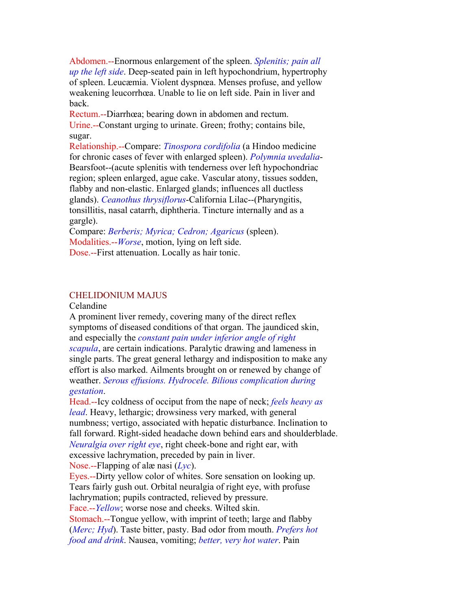Abdomen.--Enormous enlargement of the spleen. *Splenitis; pain all up the left side*. Deep-seated pain in left hypochondrium, hypertrophy of spleen. Leucæmia. Violent dyspnœa. Menses profuse, and yellow weakening leucorrhœa. Unable to lie on left side. Pain in liver and back.

Rectum.--Diarrhœa; bearing down in abdomen and rectum. Urine.--Constant urging to urinate. Green; frothy; contains bile, sugar.

Relationship.--Compare: *Tinospora cordifolia* (a Hindoo medicine for chronic cases of fever with enlarged spleen). *Polymnia uvedalia*-Bearsfoot--(acute splenitis with tenderness over left hypochondriac region; spleen enlarged, ague cake. Vascular atony, tissues sodden, flabby and non-elastic. Enlarged glands; influences all ductless glands). *Ceanothus thrysiflorus*-California Lilac--(Pharyngitis, tonsillitis, nasal catarrh, diphtheria. Tincture internally and as a gargle).

Compare: *Berberis; Myrica; Cedron; Agaricus* (spleen). Modalities.--*Worse*, motion, lying on left side. Dose.--First attenuation. Locally as hair tonic.

#### CHELIDONIUM MAJUS

Celandine

A prominent liver remedy, covering many of the direct reflex symptoms of diseased conditions of that organ. The jaundiced skin, and especially the *constant pain under inferior angle of right scapula*, are certain indications. Paralytic drawing and lameness in single parts. The great general lethargy and indisposition to make any effort is also marked. Ailments brought on or renewed by change of weather. *Serous effusions. Hydrocele. Bilious complication during gestation*.

Head.--Icy coldness of occiput from the nape of neck; *feels heavy as lead*. Heavy, lethargic; drowsiness very marked, with general numbness; vertigo, associated with hepatic disturbance. Inclination to fall forward. Right-sided headache down behind ears and shoulderblade. *Neuralgia over right eye*, right cheek-bone and right ear, with excessive lachrymation, preceded by pain in liver.

Nose.--Flapping of alæ nasi (*Lyc*).

Eyes.--Dirty yellow color of whites. Sore sensation on looking up. Tears fairly gush out. Orbital neuralgia of right eye, with profuse lachrymation; pupils contracted, relieved by pressure. Face.--*Yellow*; worse nose and cheeks. Wilted skin. Stomach.--Tongue yellow, with imprint of teeth; large and flabby

(*Merc; Hyd*). Taste bitter, pasty. Bad odor from mouth. *Prefers hot food and drink*. Nausea, vomiting; *better, very hot water*. Pain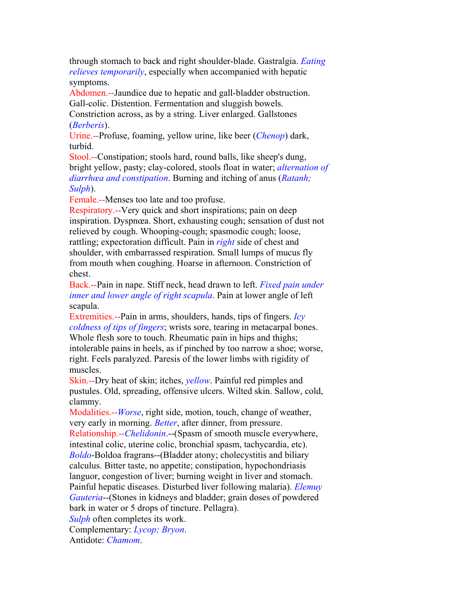through stomach to back and right shoulder-blade. Gastralgia. *Eating relieves temporarily*, especially when accompanied with hepatic symptoms.

Abdomen.--Jaundice due to hepatic and gall-bladder obstruction. Gall-colic. Distention. Fermentation and sluggish bowels.

Constriction across, as by a string. Liver enlarged. Gallstones (*Berberis*).

Urine.--Profuse, foaming, yellow urine, like beer (*Chenop*) dark, turbid.

Stool.--Constipation; stools hard, round balls, like sheep's dung, bright yellow, pasty; clay-colored, stools float in water; *alternation of diarrhœa and constipation*. Burning and itching of anus (*Ratanh; Sulph*).

Female.--Menses too late and too profuse.

Respiratory.--Very quick and short inspirations; pain on deep inspiration. Dyspnœa. Short, exhausting cough; sensation of dust not relieved by cough. Whooping-cough; spasmodic cough; loose, rattling; expectoration difficult. Pain in *right* side of chest and shoulder, with embarrassed respiration. Small lumps of mucus fly from mouth when coughing. Hoarse in afternoon. Constriction of chest.

Back.--Pain in nape. Stiff neck, head drawn to left. *Fixed pain under inner and lower angle of right scapula*. Pain at lower angle of left scapula.

Extremities.--Pain in arms, shoulders, hands, tips of fingers. *Icy coldness of tips of fingers*; wrists sore, tearing in metacarpal bones. Whole flesh sore to touch. Rheumatic pain in hips and thighs; intolerable pains in heels, as if pinched by too narrow a shoe; worse, right. Feels paralyzed. Paresis of the lower limbs with rigidity of muscles.

Skin.--Dry heat of skin; itches, *yellow*. Painful red pimples and pustules. Old, spreading, offensive ulcers. Wilted skin. Sallow, cold, clammy.

Modalities.--*Worse*, right side, motion, touch, change of weather, very early in morning. *Better*, after dinner, from pressure.

Relationship.--*Chelidonin*.--(Spasm of smooth muscle everywhere, intestinal colic, uterine colic, bronchial spasm, tachycardia, etc). *Boldo*-Boldoa fragrans--(Bladder atony; cholecystitis and biliary calculus. Bitter taste, no appetite; constipation, hypochondriasis languor, congestion of liver; burning weight in liver and stomach. Painful hepatic diseases. Disturbed liver following malaria). *Elemuy Gauteria*--(Stones in kidneys and bladder; grain doses of powdered bark in water or 5 drops of tincture. Pellagra).

*Sulph* often completes its work.

Complementary: *Lycop; Bryon*. Antidote: *Chamom*.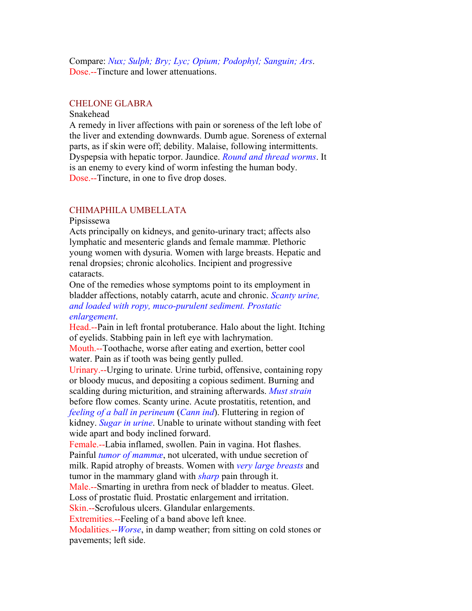Compare: *Nux; Sulph; Bry; Lyc; Opium; Podophyl; Sanguin; Ars*. Dose.--Tincture and lower attenuations.

### CHELONE GLABRA

Snakehead

A remedy in liver affections with pain or soreness of the left lobe of the liver and extending downwards. Dumb ague. Soreness of external parts, as if skin were off; debility. Malaise, following intermittents. Dyspepsia with hepatic torpor. Jaundice. *Round and thread worms*. It is an enemy to every kind of worm infesting the human body. Dose.--Tincture, in one to five drop doses.

### CHIMAPHILA UMBELLATA

#### Pipsissewa

Acts principally on kidneys, and genito-urinary tract; affects also lymphatic and mesenteric glands and female mammæ. Plethoric young women with dysuria. Women with large breasts. Hepatic and renal dropsies; chronic alcoholics. Incipient and progressive cataracts.

One of the remedies whose symptoms point to its employment in bladder affections, notably catarrh, acute and chronic. *Scanty urine, and loaded with ropy, muco-purulent sediment. Prostatic enlargement*.

Head.--Pain in left frontal protuberance. Halo about the light. Itching of eyelids. Stabbing pain in left eye with lachrymation.

Mouth.--Toothache, worse after eating and exertion, better cool water. Pain as if tooth was being gently pulled.

Urinary.--Urging to urinate. Urine turbid, offensive, containing ropy or bloody mucus, and depositing a copious sediment. Burning and scalding during micturition, and straining afterwards. *Must strain*  before flow comes. Scanty urine. Acute prostatitis, retention, and *feeling of a ball in perineum* (*Cann ind*). Fluttering in region of kidney. *Sugar in urine*. Unable to urinate without standing with feet wide apart and body inclined forward.

Female.--Labia inflamed, swollen. Pain in vagina. Hot flashes. Painful *tumor of mammæ*, not ulcerated, with undue secretion of milk. Rapid atrophy of breasts. Women with *very large breasts* and tumor in the mammary gland with *sharp* pain through it.

Male.--Smarting in urethra from neck of bladder to meatus. Gleet.

Loss of prostatic fluid. Prostatic enlargement and irritation.

Skin.--Scrofulous ulcers. Glandular enlargements.

Extremities.--Feeling of a band above left knee.

Modalities.--*Worse*, in damp weather; from sitting on cold stones or pavements; left side.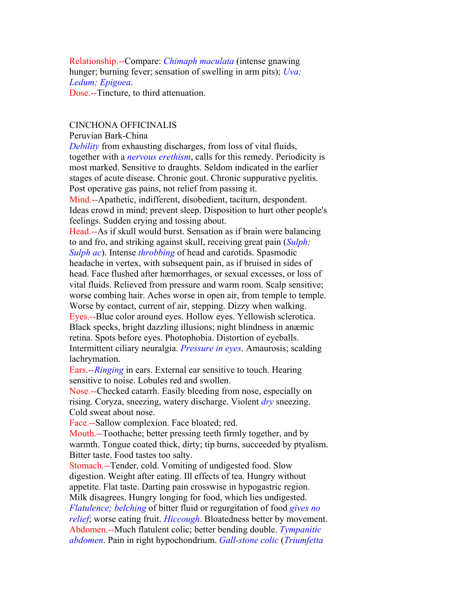Relationship.--Compare: *Chimaph maculata* (intense gnawing hunger; burning fever; sensation of swelling in arm pits); *Uva; Ledum; Epigoea*. Dose.--Tincture, to third attenuation.

### CINCHONA OFFICINALIS

### Peruvian Bark-China

*Debility* from exhausting discharges, from loss of vital fluids, together with a *nervous erethism*, calls for this remedy. Periodicity is most marked. Sensitive to draughts. Seldom indicated in the earlier stages of acute disease. Chronic gout. Chronic suppurative pyelitis. Post operative gas pains, not relief from passing it. Mind.--Apathetic, indifferent, disobedient, taciturn, despondent.

Ideas crowd in mind; prevent sleep. Disposition to hurt other people's feelings. Sudden crying and tossing about.

Head.--As if skull would burst. Sensation as if brain were balancing to and fro, and striking against skull, receiving great pain (*Sulph; Sulph ac*). Intense *throbbing* of head and carotids. Spasmodic headache in vertex, with subsequent pain, as if bruised in sides of head. Face flushed after hæmorrhages, or sexual excesses, or loss of vital fluids. Relieved from pressure and warm room. Scalp sensitive; worse combing hair. Aches worse in open air, from temple to temple. Worse by contact, current of air, stepping. Dizzy when walking. Eyes.--Blue color around eyes. Hollow eyes. Yellowish sclerotica. Black specks, bright dazzling illusions; night blindness in anæmic retina. Spots before eyes. Photophobia. Distortion of eyeballs. Intermittent ciliary neuralgia. *Pressure in eyes*. Amaurosis; scalding lachrymation.

Ears.--*Ringing* in ears. External ear sensitive to touch. Hearing sensitive to noise. Lobules red and swollen.

Nose.--Checked catarrh. Easily bleeding from nose, especially on rising. Coryza, sneezing, watery discharge. Violent *dry* sneezing. Cold sweat about nose.

Face.--Sallow complexion. Face bloated; red.

Mouth.--Toothache; better pressing teeth firmly together, and by warmth. Tongue coated thick, dirty; tip burns, succeeded by ptyalism. Bitter taste. Food tastes too salty.

Stomach.--Tender, cold. Vomiting of undigested food. Slow digestion. Weight after eating. Ill effects of tea. Hungry without appetite. Flat taste. Darting pain crosswise in hypogastric region. Milk disagrees. Hungry longing for food, which lies undigested. *Flatulence; belching* of bitter fluid or regurgitation of food *gives no relief*; worse eating fruit. *Hiccough*. Bloatedness better by movement. Abdomen.--Much flatulent colic; better bending double. *Tympanitic abdomen*. Pain in right hypochondrium. *Gall-stone colic* (*Triumfetta*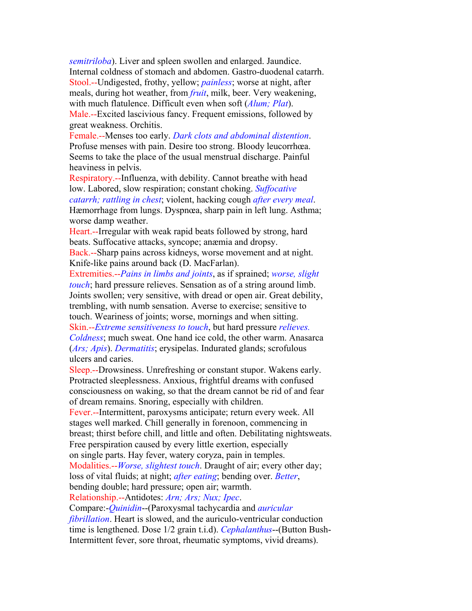*semitriloba*). Liver and spleen swollen and enlarged. Jaundice. Internal coldness of stomach and abdomen. Gastro-duodenal catarrh. Stool.--Undigested, frothy, yellow; *painless*; worse at night, after meals, during hot weather, from *fruit*, milk, beer. Very weakening, with much flatulence. Difficult even when soft (*Alum; Plat*).

Male.--Excited lascivious fancy. Frequent emissions, followed by great weakness. Orchitis.

Female.--Menses too early. *Dark clots and abdominal distention*. Profuse menses with pain. Desire too strong. Bloody leucorrhœa. Seems to take the place of the usual menstrual discharge. Painful heaviness in pelvis.

Respiratory.--Influenza, with debility. Cannot breathe with head low. Labored, slow respiration; constant choking. *Suffocative catarrh; rattling in chest*; violent, hacking cough *after every meal*. Hæmorrhage from lungs. Dyspnœa, sharp pain in left lung. Asthma; worse damp weather.

Heart.--Irregular with weak rapid beats followed by strong, hard beats. Suffocative attacks, syncope; anæmia and dropsy.

Back.--Sharp pains across kidneys, worse movement and at night. Knife-like pains around back (D. MacFarlan).

Extremities.--*Pains in limbs and joints*, as if sprained; *worse, slight touch*; hard pressure relieves. Sensation as of a string around limb. Joints swollen; very sensitive, with dread or open air. Great debility, trembling, with numb sensation. Averse to exercise; sensitive to touch. Weariness of joints; worse, mornings and when sitting. Skin.--*Extreme sensitiveness to touch*, but hard pressure *relieves. Coldness*; much sweat. One hand ice cold, the other warm. Anasarca (*Ars; Apis*). *Dermatitis*; erysipelas. Indurated glands; scrofulous ulcers and caries.

Sleep.--Drowsiness. Unrefreshing or constant stupor. Wakens early. Protracted sleeplessness. Anxious, frightful dreams with confused consciousness on waking, so that the dream cannot be rid of and fear of dream remains. Snoring, especially with children.

Fever.--Intermittent, paroxysms anticipate; return every week. All stages well marked. Chill generally in forenoon, commencing in breast; thirst before chill, and little and often. Debilitating nightsweats. Free perspiration caused by every little exertion, especially on single parts. Hay fever, watery coryza, pain in temples. Modalities.--*Worse, slightest touch*. Draught of air; every other day;

loss of vital fluids; at night; *after eating*; bending over. *Better*,

bending double; hard pressure; open air; warmth.

Relationship.--Antidotes: *Arn; Ars; Nux; Ipec*.

Compare:-*Quinidin*--(Paroxysmal tachycardia and *auricular fibrillation*. Heart is slowed, and the auriculo-ventricular conduction time is lengthened. Dose 1/2 grain t.i.d). *Cephalanthus*--(Button Bush-Intermittent fever, sore throat, rheumatic symptoms, vivid dreams).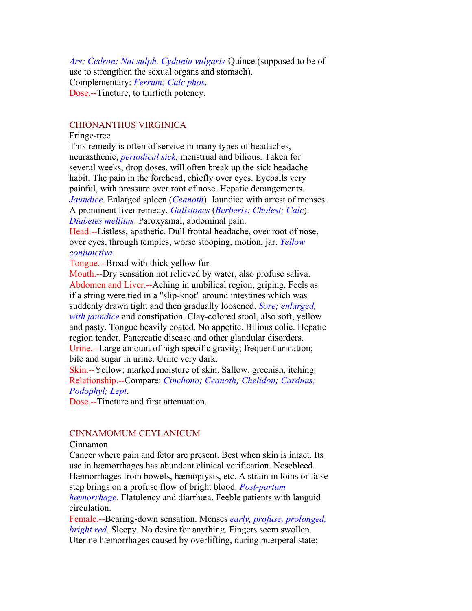*Ars; Cedron; Nat sulph. Cydonia vulgaris*-Quince (supposed to be of use to strengthen the sexual organs and stomach). Complementary: *Ferrum; Calc phos*. Dose.--Tincture, to thirtieth potency.

### CHIONANTHUS VIRGINICA

#### Fringe-tree

This remedy is often of service in many types of headaches, neurasthenic, *periodical sick*, menstrual and bilious. Taken for several weeks, drop doses, will often break up the sick headache habit. The pain in the forehead, chiefly over eyes. Eyeballs very painful, with pressure over root of nose. Hepatic derangements. *Jaundice*. Enlarged spleen (*Ceanoth*). Jaundice with arrest of menses. A prominent liver remedy. *Gallstones* (*Berberis; Cholest; Calc*).

*Diabetes mellitus*. Paroxysmal, abdominal pain.

Head.--Listless, apathetic. Dull frontal headache, over root of nose, over eyes, through temples, worse stooping, motion, jar. *Yellow conjunctiva*.

Tongue.--Broad with thick yellow fur.

Mouth.--Dry sensation not relieved by water, also profuse saliva. Abdomen and Liver.--Aching in umbilical region, griping. Feels as if a string were tied in a "slip-knot" around intestines which was suddenly drawn tight and then gradually loosened. *Sore; enlarged, with jaundice* and constipation. Clay-colored stool, also soft, yellow and pasty. Tongue heavily coated. No appetite. Bilious colic. Hepatic region tender. Pancreatic disease and other glandular disorders. Urine.--Large amount of high specific gravity; frequent urination; bile and sugar in urine. Urine very dark.

Skin.--Yellow; marked moisture of skin. Sallow, greenish, itching. Relationship.--Compare: *Cinchona; Ceanoth; Chelidon; Carduus; Podophyl; Lept*.

Dose.--Tincture and first attenuation.

#### CINNAMOMUM CEYLANICUM

#### Cinnamon

Cancer where pain and fetor are present. Best when skin is intact. Its use in hæmorrhages has abundant clinical verification. Nosebleed. Hæmorrhages from bowels, hæmoptysis, etc. A strain in loins or false step brings on a profuse flow of bright blood. *Post-partum hæmorrhage*. Flatulency and diarrhœa. Feeble patients with languid circulation.

Female.--Bearing-down sensation. Menses *early, profuse, prolonged, bright red*. Sleepy. No desire for anything. Fingers seem swollen. Uterine hæmorrhages caused by overlifting, during puerperal state;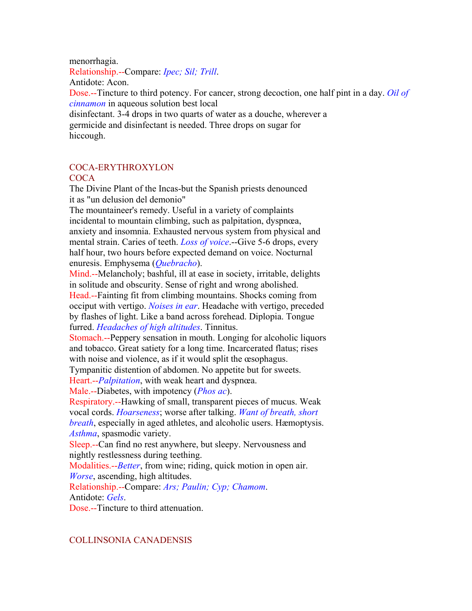menorrhagia.

Relationship.--Compare: *Ipec; Sil; Trill*.

Antidote: Acon.

Dose.--Tincture to third potency. For cancer, strong decoction, one half pint in a day. *Oil of cinnamon* in aqueous solution best local

disinfectant. 3-4 drops in two quarts of water as a douche, wherever a germicide and disinfectant is needed. Three drops on sugar for hiccough.

# COCA-ERYTHROXYLON

### **COCA**

The Divine Plant of the Incas-but the Spanish priests denounced it as "un delusion del demonio"

The mountaineer's remedy. Useful in a variety of complaints incidental to mountain climbing, such as palpitation, dyspnœa, anxiety and insomnia. Exhausted nervous system from physical and mental strain. Caries of teeth. *Loss of voice*.--Give 5-6 drops, every half hour, two hours before expected demand on voice. Nocturnal enuresis. Emphysema (*Quebracho*).

Mind.--Melancholy; bashful, ill at ease in society, irritable, delights in solitude and obscurity. Sense of right and wrong abolished. Head.--Fainting fit from climbing mountains. Shocks coming from occiput with vertigo. *Noises in ear*. Headache with vertigo, preceded by flashes of light. Like a band across forehead. Diplopia. Tongue furred. *Headaches of high altitudes*. Tinnitus.

Stomach.--Peppery sensation in mouth. Longing for alcoholic liquors and tobacco. Great satiety for a long time. Incarcerated flatus; rises with noise and violence, as if it would split the export allows.

Tympanitic distention of abdomen. No appetite but for sweets.

Heart.--*Palpitation*, with weak heart and dyspnœa.

Male.--Diabetes, with impotency (*Phos ac*).

Respiratory.--Hawking of small, transparent pieces of mucus. Weak vocal cords. *Hoarseness*; worse after talking. *Want of breath, short breath*, especially in aged athletes, and alcoholic users. Hæmoptysis. *Asthma*, spasmodic variety.

Sleep.--Can find no rest anywhere, but sleepy. Nervousness and nightly restlessness during teething.

Modalities.--*Better*, from wine; riding, quick motion in open air. *Worse*, ascending, high altitudes.

Relationship.--Compare: *Ars; Paulin; Cyp; Chamom*. Antidote: *Gels*.

Dose.--Tincture to third attenuation.

### COLLINSONIA CANADENSIS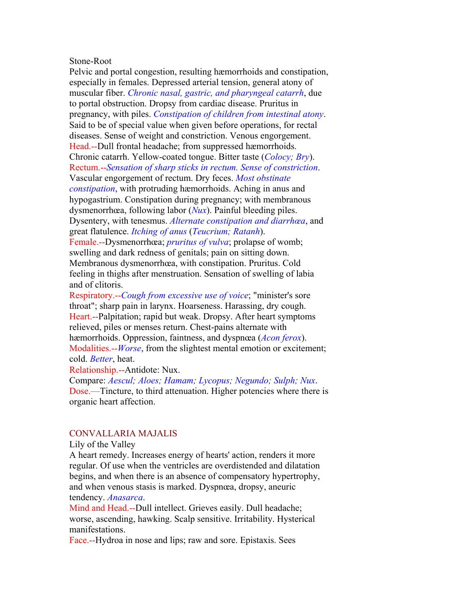### Stone-Root

Pelvic and portal congestion, resulting hæmorrhoids and constipation, especially in females. Depressed arterial tension, general atony of muscular fiber. *Chronic nasal, gastric, and pharyngeal catarrh*, due to portal obstruction. Dropsy from cardiac disease. Pruritus in pregnancy, with piles. *Constipation of children from intestinal atony*. Said to be of special value when given before operations, for rectal diseases. Sense of weight and constriction. Venous engorgement. Head.--Dull frontal headache; from suppressed hæmorrhoids. Chronic catarrh. Yellow-coated tongue. Bitter taste (*Colocy; Bry*). Rectum.--*Sensation of sharp sticks in rectum. Sense of constriction*. Vascular engorgement of rectum. Dry feces. *Most obstinate constipation*, with protruding hæmorrhoids. Aching in anus and hypogastrium. Constipation during pregnancy; with membranous dysmenorrhœa, following labor (*Nux*). Painful bleeding piles. Dysentery, with tenesmus. *Alternate constipation and diarrhœa*, and great flatulence. *Itching of anus* (*Teucrium; Ratanh*). Female.--Dysmenorrhœa; *pruritus of vulva*; prolapse of womb; swelling and dark redness of genitals; pain on sitting down.

Membranous dysmenorrhœa, with constipation. Pruritus. Cold feeling in thighs after menstruation. Sensation of swelling of labia and of clitoris.

Respiratory.--*Cough from excessive use of voice*; "minister's sore throat"; sharp pain in larynx. Hoarseness. Harassing, dry cough. Heart.--Palpitation; rapid but weak. Dropsy. After heart symptoms relieved, piles or menses return. Chest-pains alternate with hæmorrhoids. Oppression, faintness, and dyspnœa (*Acon ferox*). Modalities.--*Worse*, from the slightest mental emotion or excitement; cold. *Better*, heat.

Relationship.--Antidote: Nux.

Compare: *Aescul; Aloes; Hamam; Lycopus; Negundo; Sulph; Nux*. Dose.—Tincture, to third attenuation. Higher potencies where there is organic heart affection.

### CONVALLARIA MAJALIS

#### Lily of the Valley

A heart remedy. Increases energy of hearts' action, renders it more regular. Of use when the ventricles are overdistended and dilatation begins, and when there is an absence of compensatory hypertrophy, and when venous stasis is marked. Dyspnœa, dropsy, aneuric tendency. *Anasarca*.

Mind and Head.--Dull intellect. Grieves easily. Dull headache; worse, ascending, hawking. Scalp sensitive. Irritability. Hysterical manifestations.

Face.--Hydroa in nose and lips; raw and sore. Epistaxis. Sees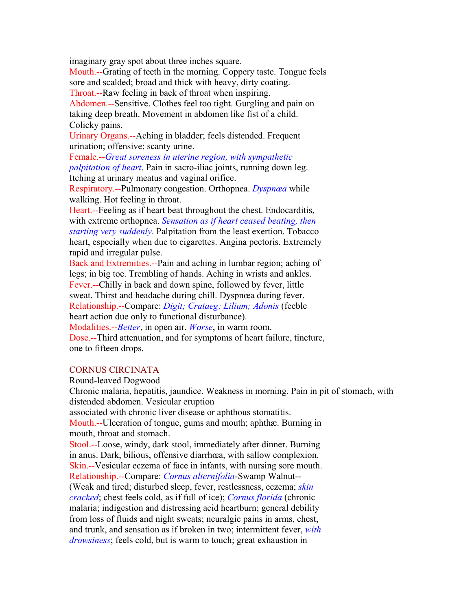imaginary gray spot about three inches square.

Mouth.--Grating of teeth in the morning. Coppery taste. Tongue feels sore and scalded; broad and thick with heavy, dirty coating.

Throat.--Raw feeling in back of throat when inspiring.

Abdomen.--Sensitive. Clothes feel too tight. Gurgling and pain on taking deep breath. Movement in abdomen like fist of a child. Colicky pains.

Urinary Organs.--Aching in bladder; feels distended. Frequent urination; offensive; scanty urine.

Female.--*Great soreness in uterine region, with sympathetic palpitation of heart*. Pain in sacro-iliac joints, running down leg. Itching at urinary meatus and vaginal orifice.

Respiratory.--Pulmonary congestion. Orthopnea. *Dyspnœa* while walking. Hot feeling in throat.

Heart.--Feeling as if heart beat throughout the chest. Endocarditis, with extreme orthopnea. *Sensation as if heart ceased beating, then starting very suddenly*. Palpitation from the least exertion. Tobacco heart, especially when due to cigarettes. Angina pectoris. Extremely rapid and irregular pulse.

Back and Extremities.--Pain and aching in lumbar region; aching of legs; in big toe. Trembling of hands. Aching in wrists and ankles. Fever.--Chilly in back and down spine, followed by fever, little sweat. Thirst and headache during chill. Dyspnœa during fever. Relationship.--Compare: *Digit; Crataeg; Lilium; Adonis* (feeble heart action due only to functional disturbance).

Modalities.--*Better*, in open air. *Worse*, in warm room.

Dose.--Third attenuation, and for symptoms of heart failure, tincture, one to fifteen drops.

### CORNUS CIRCINATA

Round-leaved Dogwood

Chronic malaria, hepatitis, jaundice. Weakness in morning. Pain in pit of stomach, with distended abdomen. Vesicular eruption

associated with chronic liver disease or aphthous stomatitis.

Mouth.--Ulceration of tongue, gums and mouth; aphthæ. Burning in mouth, throat and stomach.

Stool.--Loose, windy, dark stool, immediately after dinner. Burning in anus. Dark, bilious, offensive diarrhœa, with sallow complexion. Skin.--Vesicular eczema of face in infants, with nursing sore mouth. Relationship.--Compare: *Cornus alternifolia*-Swamp Walnut-- (Weak and tired; disturbed sleep, fever, restlessness, eczema; *skin cracked*; chest feels cold, as if full of ice); *Cornus florida* (chronic malaria; indigestion and distressing acid heartburn; general debility from loss of fluids and night sweats; neuralgic pains in arms, chest, and trunk, and sensation as if broken in two; intermittent fever, *with drowsiness*; feels cold, but is warm to touch; great exhaustion in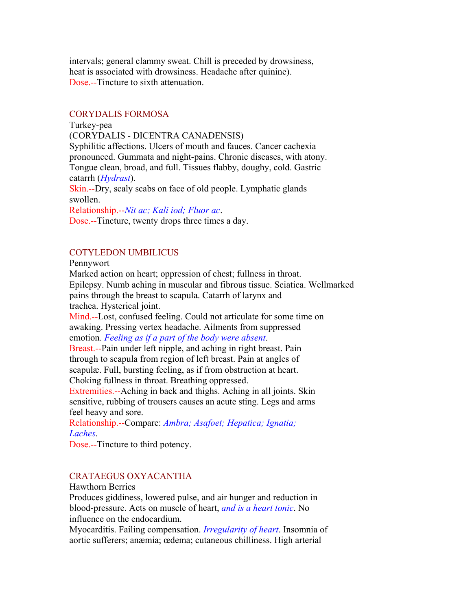intervals; general clammy sweat. Chill is preceded by drowsiness, heat is associated with drowsiness. Headache after quinine). Dose.--Tincture to sixth attenuation.

### CORYDALIS FORMOSA

Turkey-pea

(CORYDALIS - DICENTRA CANADENSIS)

Syphilitic affections. Ulcers of mouth and fauces. Cancer cachexia pronounced. Gummata and night-pains. Chronic diseases, with atony. Tongue clean, broad, and full. Tissues flabby, doughy, cold. Gastric catarrh (*Hydrast*).

Skin.--Dry, scaly scabs on face of old people. Lymphatic glands swollen.

Relationship.--*Nit ac; Kali iod; Fluor ac*.

Dose.--Tincture, twenty drops three times a day.

# COTYLEDON UMBILICUS

Pennywort

Marked action on heart; oppression of chest; fullness in throat. Epilepsy. Numb aching in muscular and fibrous tissue. Sciatica. Wellmarked pains through the breast to scapula. Catarrh of larynx and trachea. Hysterical joint.

Mind.--Lost, confused feeling. Could not articulate for some time on awaking. Pressing vertex headache. Ailments from suppressed emotion. *Feeling as if a part of the body were absent*.

Breast.--Pain under left nipple, and aching in right breast. Pain through to scapula from region of left breast. Pain at angles of scapulæ. Full, bursting feeling, as if from obstruction at heart. Choking fullness in throat. Breathing oppressed.

Extremities.--Aching in back and thighs. Aching in all joints. Skin sensitive, rubbing of trousers causes an acute sting. Legs and arms feel heavy and sore.

Relationship.--Compare: *Ambra; Asafoet; Hepatica; Ignatia; Laches*.

Dose.--Tincture to third potency.

# CRATAEGUS OXYACANTHA

Hawthorn Berries

Produces giddiness, lowered pulse, and air hunger and reduction in blood-pressure. Acts on muscle of heart, *and is a heart tonic*. No influence on the endocardium.

Myocarditis. Failing compensation. *Irregularity of heart*. Insomnia of aortic sufferers; anæmia; œdema; cutaneous chilliness. High arterial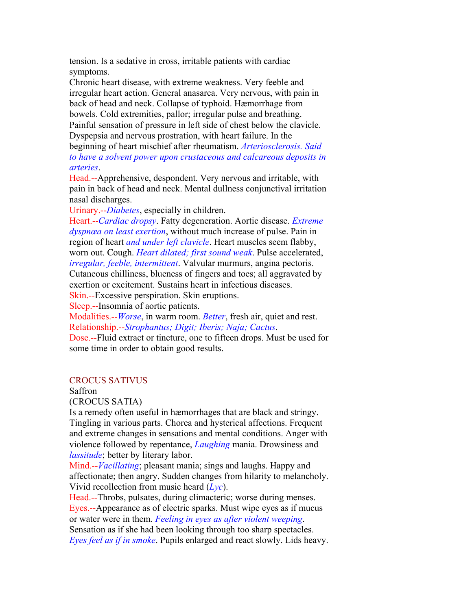tension. Is a sedative in cross, irritable patients with cardiac symptoms.

Chronic heart disease, with extreme weakness. Very feeble and irregular heart action. General anasarca. Very nervous, with pain in back of head and neck. Collapse of typhoid. Hæmorrhage from bowels. Cold extremities, pallor; irregular pulse and breathing. Painful sensation of pressure in left side of chest below the clavicle. Dyspepsia and nervous prostration, with heart failure. In the beginning of heart mischief after rheumatism. *Arteriosclerosis. Said to have a solvent power upon crustaceous and calcareous deposits in arteries*.

Head.--Apprehensive, despondent. Very nervous and irritable, with pain in back of head and neck. Mental dullness conjunctival irritation nasal discharges.

Urinary.--*Diabetes*, especially in children.

Heart.--*Cardiac dropsy*. Fatty degeneration. Aortic disease. *Extreme dyspnœa on least exertion*, without much increase of pulse. Pain in region of heart *and under left clavicle*. Heart muscles seem flabby, worn out. Cough. *Heart dilated; first sound weak*. Pulse accelerated, *irregular, feeble, intermittent*. Valvular murmurs, angina pectoris. Cutaneous chilliness, blueness of fingers and toes; all aggravated by

exertion or excitement. Sustains heart in infectious diseases.

Skin.--Excessive perspiration. Skin eruptions.

Sleep.--Insomnia of aortic patients.

Modalities.--*Worse*, in warm room. *Better*, fresh air, quiet and rest. Relationship.--*Strophantus; Digit; Iberis; Naja; Cactus*.

Dose.--Fluid extract or tincture, one to fifteen drops. Must be used for some time in order to obtain good results.

### CROCUS SATIVUS

Saffron

(CROCUS SATIA)

Is a remedy often useful in hæmorrhages that are black and stringy. Tingling in various parts. Chorea and hysterical affections. Frequent and extreme changes in sensations and mental conditions. Anger with violence followed by repentance, *Laughing* mania. Drowsiness and *lassitude*; better by literary labor.

Mind.--*Vacillating*; pleasant mania; sings and laughs. Happy and affectionate; then angry. Sudden changes from hilarity to melancholy. Vivid recollection from music heard (*Lyc*).

Head.--Throbs, pulsates, during climacteric; worse during menses. Eyes.--Appearance as of electric sparks. Must wipe eyes as if mucus or water were in them. *Feeling in eyes as after violent weeping*. Sensation as if she had been looking through too sharp spectacles. *Eyes feel as if in smoke*. Pupils enlarged and react slowly. Lids heavy.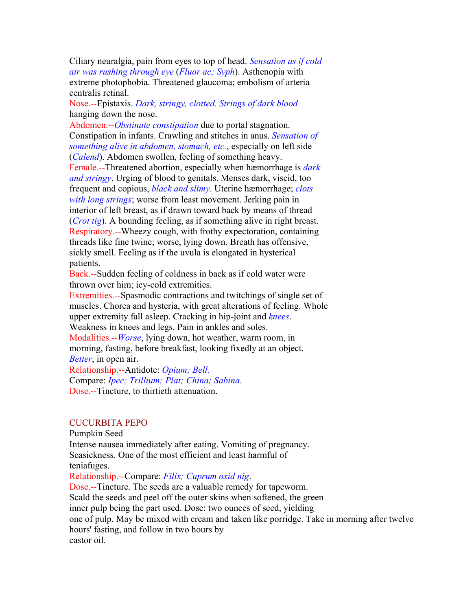Ciliary neuralgia, pain from eyes to top of head. *Sensation as if cold air was rushing through eye* (*Fluor ac; Syph*). Asthenopia with extreme photophobia. Threatened glaucoma; embolism of arteria centralis retinal.

Nose.--Epistaxis. *Dark, stringy, clotted. Strings of dark blood*  hanging down the nose.

Abdomen.--*Obstinate constipation* due to portal stagnation. Constipation in infants. Crawling and stitches in anus. *Sensation of something alive in abdomen, stomach, etc.*, especially on left side (*Calend*). Abdomen swollen, feeling of something heavy. Female.--Threatened abortion, especially when hæmorrhage is *dark and stringy*. Urging of blood to genitals. Menses dark, viscid, too frequent and copious, *black and slimy*. Uterine hæmorrhage; *clots with long strings*; worse from least movement. Jerking pain in interior of left breast, as if drawn toward back by means of thread (*Crot tig*). A bounding feeling, as if something alive in right breast. Respiratory.--Wheezy cough, with frothy expectoration, containing threads like fine twine; worse, lying down. Breath has offensive, sickly smell. Feeling as if the uvula is elongated in hysterical patients.

Back.--Sudden feeling of coldness in back as if cold water were thrown over him; icy-cold extremities.

Extremities.--Spasmodic contractions and twitchings of single set of muscles. Chorea and hysteria, with great alterations of feeling. Whole upper extremity fall asleep. Cracking in hip-joint and *knees*. Weakness in knees and legs. Pain in ankles and soles.

Modalities.--*Worse*, lying down, hot weather, warm room, in morning, fasting, before breakfast, looking fixedly at an object. *Better*, in open air.

Relationship.--Antidote: *Opium; Bell.* 

Compare: *Ipec; Trillium; Plat; China; Sabina*. Dose.--Tincture, to thirtieth attenuation.

### CUCURBITA PEPO

Pumpkin Seed

Intense nausea immediately after eating. Vomiting of pregnancy. Seasickness. One of the most efficient and least harmful of teniafuges.

Relationship.--Compare: *Filix; Cuprum oxid nig*.

Dose.--Tincture. The seeds are a valuable remedy for tapeworm. Scald the seeds and peel off the outer skins when softened, the green inner pulp being the part used. Dose: two ounces of seed, yielding one of pulp. May be mixed with cream and taken like porridge. Take in morning after twelve hours' fasting, and follow in two hours by castor oil.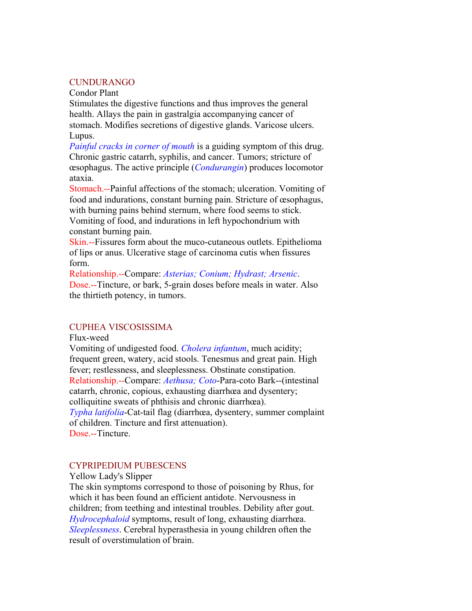# CUNDURANGO

Condor Plant

Stimulates the digestive functions and thus improves the general health. Allays the pain in gastralgia accompanying cancer of stomach. Modifies secretions of digestive glands. Varicose ulcers. Lupus.

*Painful cracks in corner of mouth* is a guiding symptom of this drug. Chronic gastric catarrh, syphilis, and cancer. Tumors; stricture of œsophagus. The active principle (*Condurangin*) produces locomotor ataxia.

Stomach.--Painful affections of the stomach; ulceration. Vomiting of food and indurations, constant burning pain. Stricture of œsophagus, with burning pains behind sternum, where food seems to stick. Vomiting of food, and indurations in left hypochondrium with constant burning pain.

Skin.--Fissures form about the muco-cutaneous outlets. Epithelioma of lips or anus. Ulcerative stage of carcinoma cutis when fissures form.

Relationship.--Compare: *Asterias; Conium; Hydrast; Arsenic*. Dose.--Tincture, or bark, 5-grain doses before meals in water. Also the thirtieth potency, in tumors.

# CUPHEA VISCOSISSIMA

Flux-weed

Vomiting of undigested food. *Cholera infantum*, much acidity; frequent green, watery, acid stools. Tenesmus and great pain. High fever; restlessness, and sleeplessness. Obstinate constipation. Relationship.--Compare: *Aethusa; Coto*-Para-coto Bark--(intestinal catarrh, chronic, copious, exhausting diarrhœa and dysentery; colliquitine sweats of phthisis and chronic diarrhœa). *Typha latifolia*-Cat-tail flag (diarrhœa, dysentery, summer complaint

of children. Tincture and first attenuation). Dose.--Tincture.

### CYPRIPEDIUM PUBESCENS

Yellow Lady's Slipper

The skin symptoms correspond to those of poisoning by Rhus, for which it has been found an efficient antidote. Nervousness in children; from teething and intestinal troubles. Debility after gout. *Hydrocephaloid* symptoms, result of long, exhausting diarrhœa. *Sleeplessness*. Cerebral hyperasthesia in young children often the result of overstimulation of brain.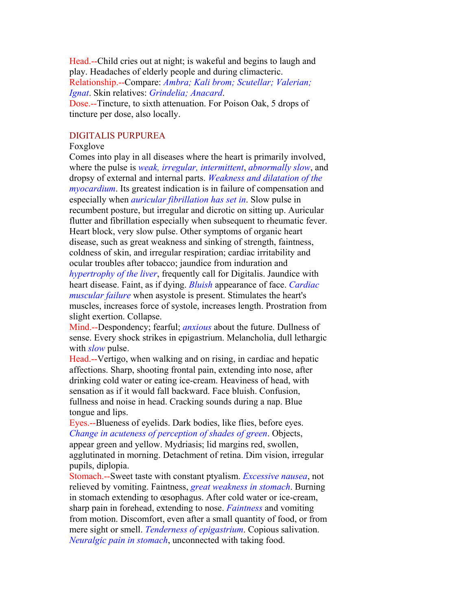Head.--Child cries out at night; is wakeful and begins to laugh and play. Headaches of elderly people and during climacteric.

Relationship.--Compare: *Ambra; Kali brom; Scutellar; Valerian; Ignat*. Skin relatives: *Grindelia; Anacard*.

Dose.--Tincture, to sixth attenuation. For Poison Oak, 5 drops of tincture per dose, also locally.

# DIGITALIS PURPUREA

#### Foxglove

Comes into play in all diseases where the heart is primarily involved, where the pulse is *weak, irregular, intermittent*, *abnormally slow*, and dropsy of external and internal parts. *Weakness and dilatation of the myocardium*. Its greatest indication is in failure of compensation and especially when *auricular fibrillation has set in*. Slow pulse in recumbent posture, but irregular and dicrotic on sitting up. Auricular flutter and fibrillation especially when subsequent to rheumatic fever. Heart block, very slow pulse. Other symptoms of organic heart disease, such as great weakness and sinking of strength, faintness, coldness of skin, and irregular respiration; cardiac irritability and ocular troubles after tobacco; jaundice from induration and *hypertrophy of the liver*, frequently call for Digitalis. Jaundice with heart disease. Faint, as if dying. *Bluish* appearance of face. *Cardiac muscular failure* when asystole is present. Stimulates the heart's muscles, increases force of systole, increases length. Prostration from slight exertion. Collapse.

Mind.--Despondency; fearful; *anxious* about the future. Dullness of sense. Every shock strikes in epigastrium. Melancholia, dull lethargic with *slow* pulse.

Head.--Vertigo, when walking and on rising, in cardiac and hepatic affections. Sharp, shooting frontal pain, extending into nose, after drinking cold water or eating ice-cream. Heaviness of head, with sensation as if it would fall backward. Face bluish. Confusion, fullness and noise in head. Cracking sounds during a nap. Blue tongue and lips.

Eyes.--Blueness of eyelids. Dark bodies, like flies, before eyes. *Change in acuteness of perception of shades of green*. Objects, appear green and yellow. Mydriasis; lid margins red, swollen, agglutinated in morning. Detachment of retina. Dim vision, irregular pupils, diplopia.

Stomach.--Sweet taste with constant ptyalism. *Excessive nausea*, not relieved by vomiting. Faintness, *great weakness in stomach*. Burning in stomach extending to œsophagus. After cold water or ice-cream, sharp pain in forehead, extending to nose. *Faintness* and vomiting from motion. Discomfort, even after a small quantity of food, or from mere sight or smell. *Tenderness of epigastrium*. Copious salivation. *Neuralgic pain in stomach*, unconnected with taking food.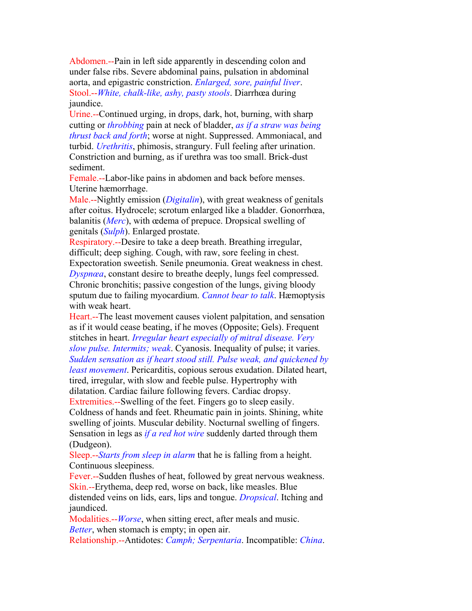Abdomen.--Pain in left side apparently in descending colon and under false ribs. Severe abdominal pains, pulsation in abdominal aorta, and epigastric constriction. *Enlarged, sore, painful liver*. Stool.--*White, chalk-like, ashy, pasty stools*. Diarrhœa during jaundice.

Urine.--Continued urging, in drops, dark, hot, burning, with sharp cutting or *throbbing* pain at neck of bladder, *as if a straw was being thrust back and forth*; worse at night. Suppressed. Ammoniacal, and turbid. *Urethritis*, phimosis, strangury. Full feeling after urination. Constriction and burning, as if urethra was too small. Brick-dust sediment.

Female.--Labor-like pains in abdomen and back before menses. Uterine hæmorrhage.

Male.--Nightly emission (*Digitalin*), with great weakness of genitals after coitus. Hydrocele; scrotum enlarged like a bladder. Gonorrhœa, balanitis (*Merc*), with œdema of prepuce. Dropsical swelling of genitals (*Sulph*). Enlarged prostate.

Respiratory.--Desire to take a deep breath. Breathing irregular, difficult; deep sighing. Cough, with raw, sore feeling in chest. Expectoration sweetish. Senile pneumonia. Great weakness in chest. *Dyspnœa*, constant desire to breathe deeply, lungs feel compressed. Chronic bronchitis; passive congestion of the lungs, giving bloody sputum due to failing myocardium. *Cannot bear to talk*. Hæmoptysis with weak heart.

Heart.--The least movement causes violent palpitation, and sensation as if it would cease beating, if he moves (Opposite; Gels). Frequent stitches in heart. *Irregular heart especially of mitral disease. Very slow pulse. Intermits; weak*. Cyanosis. Inequality of pulse; it varies. *Sudden sensation as if heart stood still. Pulse weak, and quickened by least movement*. Pericarditis, copious serous exudation. Dilated heart, tired, irregular, with slow and feeble pulse. Hypertrophy with dilatation. Cardiac failure following fevers. Cardiac dropsy.

Extremities.--Swelling of the feet. Fingers go to sleep easily. Coldness of hands and feet. Rheumatic pain in joints. Shining, white swelling of joints. Muscular debility. Nocturnal swelling of fingers. Sensation in legs as *if a red hot wire* suddenly darted through them (Dudgeon).

Sleep.--*Starts from sleep in alarm* that he is falling from a height. Continuous sleepiness.

Fever.--Sudden flushes of heat, followed by great nervous weakness. Skin.--Erythema, deep red, worse on back, like measles. Blue distended veins on lids, ears, lips and tongue. *Dropsical*. Itching and jaundiced.

Modalities.--*Worse*, when sitting erect, after meals and music. *Better*, when stomach is empty; in open air.

Relationship.--Antidotes: *Camph; Serpentaria*. Incompatible: *China*.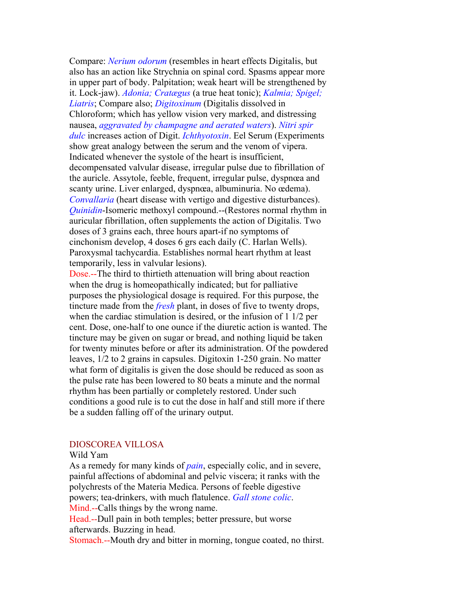Compare: *Nerium odorum* (resembles in heart effects Digitalis, but also has an action like Strychnia on spinal cord. Spasms appear more in upper part of body. Palpitation; weak heart will be strengthened by it. Lock-jaw). *Adonia; Cratægus* (a true heat tonic); *Kalmia; Spigel; Liatris*; Compare also; *Digitoxinum* (Digitalis dissolved in Chloroform; which has yellow vision very marked, and distressing nausea, *aggravated by champagne and aerated waters*). *Nitri spir dulc* increases action of Digit. *Ichthyotoxin*. Eel Serum (Experiments show great analogy between the serum and the venom of vipera. Indicated whenever the systole of the heart is insufficient, decompensated valvular disease, irregular pulse due to fibrillation of the auricle. Assytole, feeble, frequent, irregular pulse, dyspnœa and scanty urine. Liver enlarged, dyspnœa, albuminuria. No œdema). *Convallaria* (heart disease with vertigo and digestive disturbances). *Quinidin*-Isomeric methoxyl compound.--(Restores normal rhythm in auricular fibrillation, often supplements the action of Digitalis. Two doses of 3 grains each, three hours apart-if no symptoms of cinchonism develop, 4 doses 6 grs each daily (C. Harlan Wells). Paroxysmal tachycardia. Establishes normal heart rhythm at least temporarily, less in valvular lesions).

Dose.--The third to thirtieth attenuation will bring about reaction when the drug is homeopathically indicated; but for palliative purposes the physiological dosage is required. For this purpose, the tincture made from the *fresh* plant, in doses of five to twenty drops, when the cardiac stimulation is desired, or the infusion of 1 1/2 per cent. Dose, one-half to one ounce if the diuretic action is wanted. The tincture may be given on sugar or bread, and nothing liquid be taken for twenty minutes before or after its administration. Of the powdered leaves, 1/2 to 2 grains in capsules. Digitoxin 1-250 grain. No matter what form of digitalis is given the dose should be reduced as soon as the pulse rate has been lowered to 80 beats a minute and the normal rhythm has been partially or completely restored. Under such conditions a good rule is to cut the dose in half and still more if there be a sudden falling off of the urinary output.

### DIOSCOREA VILLOSA

#### Wild Yam

As a remedy for many kinds of *pain*, especially colic, and in severe, painful affections of abdominal and pelvic viscera; it ranks with the polychrests of the Materia Medica. Persons of feeble digestive powers; tea-drinkers, with much flatulence. *Gall stone colic*. Mind.--Calls things by the wrong name. Head.--Dull pain in both temples; better pressure, but worse afterwards. Buzzing in head. Stomach.--Mouth dry and bitter in morning, tongue coated, no thirst.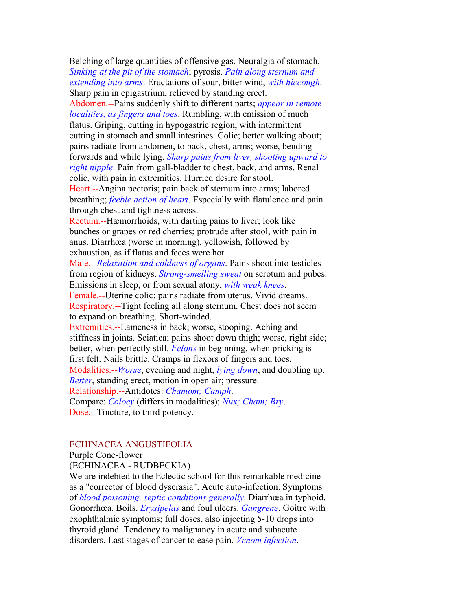Belching of large quantities of offensive gas. Neuralgia of stomach. *Sinking at the pit of the stomach*; pyrosis. *Pain along sternum and extending into arms*. Eructations of sour, bitter wind, *with hiccough*. Sharp pain in epigastrium, relieved by standing erect. Abdomen.--Pains suddenly shift to different parts; *appear in remote localities, as fingers and toes*. Rumbling, with emission of much flatus. Griping, cutting in hypogastric region, with intermittent cutting in stomach and small intestines. Colic; better walking about; pains radiate from abdomen, to back, chest, arms; worse, bending forwards and while lying. *Sharp pains from liver, shooting upward to right nipple*. Pain from gall-bladder to chest, back, and arms. Renal colic, with pain in extremities. Hurried desire for stool. Heart.--Angina pectoris; pain back of sternum into arms; labored breathing; *feeble action of heart*. Especially with flatulence and pain through chest and tightness across. Rectum.--Hæmorrhoids, with darting pains to liver; look like bunches or grapes or red cherries; protrude after stool, with pain in anus. Diarrhœa (worse in morning), yellowish, followed by exhaustion, as if flatus and feces were hot. Male.--*Relaxation and coldness of organs*. Pains shoot into testicles from region of kidneys. *Strong-smelling sweat* on scrotum and pubes. Emissions in sleep, or from sexual atony, *with weak knees*. Female.--Uterine colic; pains radiate from uterus. Vivid dreams. Respiratory.--Tight feeling all along sternum. Chest does not seem to expand on breathing. Short-winded. Extremities.--Lameness in back; worse, stooping. Aching and stiffness in joints. Sciatica; pains shoot down thigh; worse, right side; better, when perfectly still. *Felons* in beginning, when pricking is first felt. Nails brittle. Cramps in flexors of fingers and toes. Modalities.--*Worse*, evening and night, *lying down*, and doubling up. *Better*, standing erect, motion in open air; pressure. Relationship.--Antidotes: *Chamom; Camph*. Compare: *Colocy* (differs in modalities); *Nux; Cham; Bry*. Dose.--Tincture, to third potency.

### ECHINACEA ANGUSTIFOLIA

Purple Cone-flower

(ECHINACEA - RUDBECKIA)

We are indebted to the Eclectic school for this remarkable medicine as a "corrector of blood dyscrasia". Acute auto-infection. Symptoms of *blood poisoning, septic conditions generally*. Diarrhœa in typhoid. Gonorrhœa. Boils. *Erysipelas* and foul ulcers. *Gangrene*. Goitre with exophthalmic symptoms; full doses, also injecting 5-10 drops into thyroid gland. Tendency to malignancy in acute and subacute disorders. Last stages of cancer to ease pain. *Venom infection*.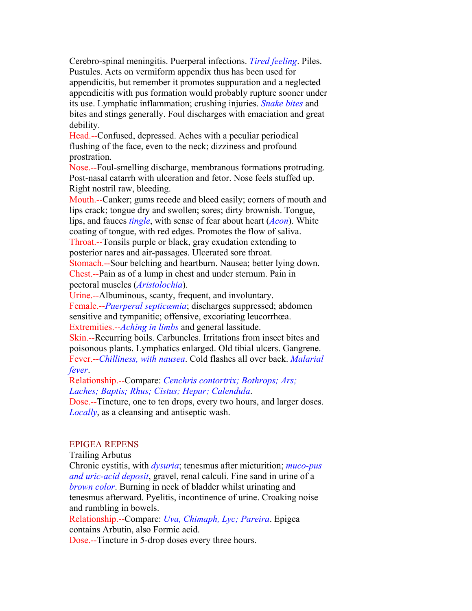Cerebro-spinal meningitis. Puerperal infections. *Tired feeling*. Piles. Pustules. Acts on vermiform appendix thus has been used for appendicitis, but remember it promotes suppuration and a neglected appendicitis with pus formation would probably rupture sooner under its use. Lymphatic inflammation; crushing injuries. *Snake bites* and bites and stings generally. Foul discharges with emaciation and great debility.

Head.--Confused, depressed. Aches with a peculiar periodical flushing of the face, even to the neck; dizziness and profound prostration.

Nose.--Foul-smelling discharge, membranous formations protruding. Post-nasal catarrh with ulceration and fetor. Nose feels stuffed up. Right nostril raw, bleeding.

Mouth.--Canker; gums recede and bleed easily; corners of mouth and lips crack; tongue dry and swollen; sores; dirty brownish. Tongue, lips, and fauces *tingle*, with sense of fear about heart (*Acon*). White coating of tongue, with red edges. Promotes the flow of saliva. Throat.--Tonsils purple or black, gray exudation extending to posterior nares and air-passages. Ulcerated sore throat. Stomach.--Sour belching and heartburn. Nausea; better lying down. Chest.--Pain as of a lump in chest and under sternum. Pain in pectoral muscles (*Aristolochia*).

Urine.--Albuminous, scanty, frequent, and involuntary. Female.--*Puerperal septicæmia*; discharges suppressed; abdomen sensitive and tympanitic; offensive, excoriating leucorrhœa. Extremities.--*Aching in limbs* and general lassitude.

Skin.--Recurring boils. Carbuncles. Irritations from insect bites and poisonous plants. Lymphatics enlarged. Old tibial ulcers. Gangrene. Fever.--*Chilliness, with nausea*. Cold flashes all over back. *Malarial fever*.

Relationship.--Compare: *Cenchris contortrix; Bothrops; Ars; Laches; Baptis; Rhus; Cistus; Hepar; Calendula*.

Dose.--Tincture, one to ten drops, every two hours, and larger doses. *Locally*, as a cleansing and antiseptic wash.

# EPIGEA REPENS

Trailing Arbutus

Chronic cystitis, with *dysuria*; tenesmus after micturition; *muco-pus and uric-acid deposit*, gravel, renal calculi. Fine sand in urine of a *brown color*. Burning in neck of bladder whilst urinating and tenesmus afterward. Pyelitis, incontinence of urine. Croaking noise and rumbling in bowels.

Relationship.--Compare: *Uva, Chimaph, Lyc; Pareira*. Epigea contains Arbutin, also Formic acid.

Dose.--Tincture in 5-drop doses every three hours.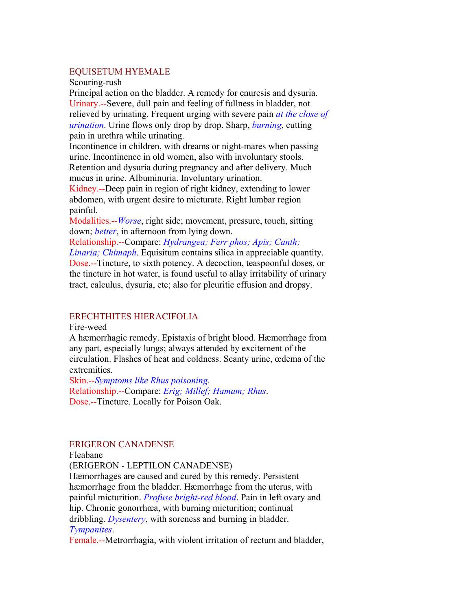### EQUISETUM HYEMALE

Scouring-rush

Principal action on the bladder. A remedy for enuresis and dysuria. Urinary.--Severe, dull pain and feeling of fullness in bladder, not relieved by urinating. Frequent urging with severe pain *at the close of urination*. Urine flows only drop by drop. Sharp, *burning*, cutting pain in urethra while urinating.

Incontinence in children, with dreams or night-mares when passing urine. Incontinence in old women, also with involuntary stools. Retention and dysuria during pregnancy and after delivery. Much mucus in urine. Albuminuria. Involuntary urination.

Kidney.--Deep pain in region of right kidney, extending to lower abdomen, with urgent desire to micturate. Right lumbar region painful.

Modalities.--*Worse*, right side; movement, pressure, touch, sitting down; *better*, in afternoon from lying down.

Relationship.--Compare: *Hydrangea; Ferr phos; Apis; Canth; Linaria; Chimaph*. Equisitum contains silica in appreciable quantity. Dose.--Tincture, to sixth potency. A decoction, teaspoonful doses, or the tincture in hot water, is found useful to allay irritability of urinary tract, calculus, dysuria, etc; also for pleuritic effusion and dropsy.

# ERECHTHITES HIERACIFOLIA

### Fire-weed

A hæmorrhagic remedy. Epistaxis of bright blood. Hæmorrhage from any part, especially lungs; always attended by excitement of the circulation. Flashes of heat and coldness. Scanty urine, œdema of the extremities.

Skin.--*Symptoms like Rhus poisoning*.

Relationship.--Compare: *Erig; Millef; Hamam; Rhus*. Dose.--Tincture. Locally for Poison Oak.

### ERIGERON CANADENSE

Fleabane

(ERIGERON - LEPTILON CANADENSE)

Hæmorrhages are caused and cured by this remedy. Persistent hæmorrhage from the bladder. Hæmorrhage from the uterus, with painful micturition. *Profuse bright-red blood*. Pain in left ovary and hip. Chronic gonorrhœa, with burning micturition; continual dribbling. *Dysentery*, with soreness and burning in bladder. *Tympanites*.

Female.--Metrorrhagia, with violent irritation of rectum and bladder,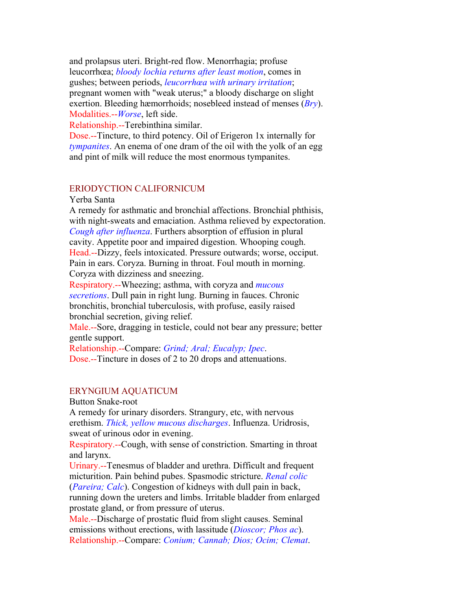and prolapsus uteri. Bright-red flow. Menorrhagia; profuse leucorrhœa; *bloody lochia returns after least motion*, comes in gushes; between periods, *leucorrhœa with urinary irritation*; pregnant women with "weak uterus;" a bloody discharge on slight exertion. Bleeding hæmorrhoids; nosebleed instead of menses (*Bry*). Modalities.--*Worse*, left side.

Relationship.--Terebinthina similar.

Dose.--Tincture, to third potency. Oil of Erigeron 1x internally for *tympanites*. An enema of one dram of the oil with the yolk of an egg and pint of milk will reduce the most enormous tympanites.

### ERIODYCTION CALIFORNICUM

Yerba Santa

A remedy for asthmatic and bronchial affections. Bronchial phthisis, with night-sweats and emaciation. Asthma relieved by expectoration. *Cough after influenza*. Furthers absorption of effusion in plural cavity. Appetite poor and impaired digestion. Whooping cough. Head.--Dizzy, feels intoxicated. Pressure outwards; worse, occiput. Pain in ears. Coryza. Burning in throat. Foul mouth in morning. Coryza with dizziness and sneezing.

Respiratory.--Wheezing; asthma, with coryza and *mucous secretions*. Dull pain in right lung. Burning in fauces. Chronic bronchitis, bronchial tuberculosis, with profuse, easily raised bronchial secretion, giving relief.

Male.--Sore, dragging in testicle, could not bear any pressure; better gentle support.

Relationship.--Compare: *Grind; Aral; Eucalyp; Ipec*. Dose.--Tincture in doses of 2 to 20 drops and attenuations.

## ERYNGIUM AQUATICUM

Button Snake-root

A remedy for urinary disorders. Strangury, etc, with nervous erethism. *Thick, yellow mucous discharges*. Influenza. Uridrosis, sweat of urinous odor in evening.

Respiratory.--Cough, with sense of constriction. Smarting in throat and larynx.

Urinary.--Tenesmus of bladder and urethra. Difficult and frequent micturition. Pain behind pubes. Spasmodic stricture. *Renal colic*  (*Pareira; Calc*). Congestion of kidneys with dull pain in back, running down the ureters and limbs. Irritable bladder from enlarged prostate gland, or from pressure of uterus.

Male.--Discharge of prostatic fluid from slight causes. Seminal emissions without erections, with lassitude (*Dioscor; Phos ac*). Relationship.--Compare: *Conium; Cannab; Dios; Ocim; Clemat*.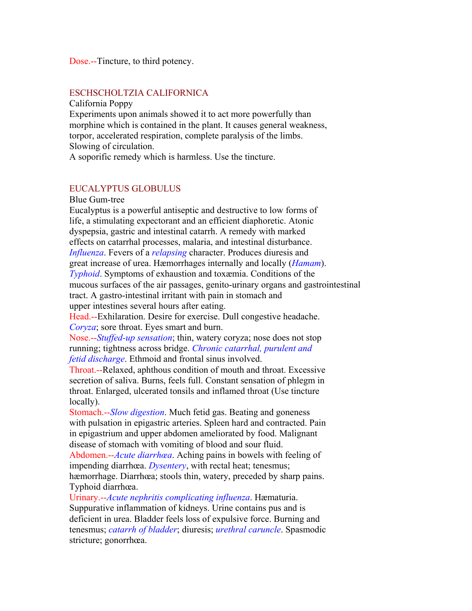Dose.--Tincture, to third potency.

### ESCHSCHOLTZIA CALIFORNICA

California Poppy Experiments upon animals showed it to act more powerfully than morphine which is contained in the plant. It causes general weakness, torpor, accelerated respiration, complete paralysis of the limbs. Slowing of circulation. A soporific remedy which is harmless. Use the tincture.

# EUCALYPTUS GLOBULUS

Blue Gum-tree

Eucalyptus is a powerful antiseptic and destructive to low forms of life, a stimulating expectorant and an efficient diaphoretic. Atonic dyspepsia, gastric and intestinal catarrh. A remedy with marked effects on catarrhal processes, malaria, and intestinal disturbance. *Influenza*. Fevers of a *relapsing* character. Produces diuresis and great increase of urea. Hæmorrhages internally and locally (*Hamam*). *Typhoid*. Symptoms of exhaustion and toxæmia. Conditions of the mucous surfaces of the air passages, genito-urinary organs and gastrointestinal tract. A gastro-intestinal irritant with pain in stomach and upper intestines several hours after eating.

Head.--Exhilaration. Desire for exercise. Dull congestive headache. *Coryza*; sore throat. Eyes smart and burn.

Nose.--*Stuffed-up sensation*; thin, watery coryza; nose does not stop running; tightness across bridge. *Chronic catarrhal, purulent and fetid discharge*. Ethmoid and frontal sinus involved.

Throat.--Relaxed, aphthous condition of mouth and throat. Excessive secretion of saliva. Burns, feels full. Constant sensation of phlegm in throat. Enlarged, ulcerated tonsils and inflamed throat (Use tincture locally).

Stomach.--*Slow digestion*. Much fetid gas. Beating and goneness with pulsation in epigastric arteries. Spleen hard and contracted. Pain in epigastrium and upper abdomen ameliorated by food. Malignant disease of stomach with vomiting of blood and sour fluid.

Abdomen.--*Acute diarrhœa*. Aching pains in bowels with feeling of impending diarrhœa. *Dysentery*, with rectal heat; tenesmus; hæmorrhage. Diarrhœa; stools thin, watery, preceded by sharp pains. Typhoid diarrhœa.

Urinary.--*Acute nephritis complicating influenza*. Hæmaturia. Suppurative inflammation of kidneys. Urine contains pus and is deficient in urea. Bladder feels loss of expulsive force. Burning and tenesmus; *catarrh of bladder*; diuresis; *urethral caruncle*. Spasmodic stricture; gonorrhœa.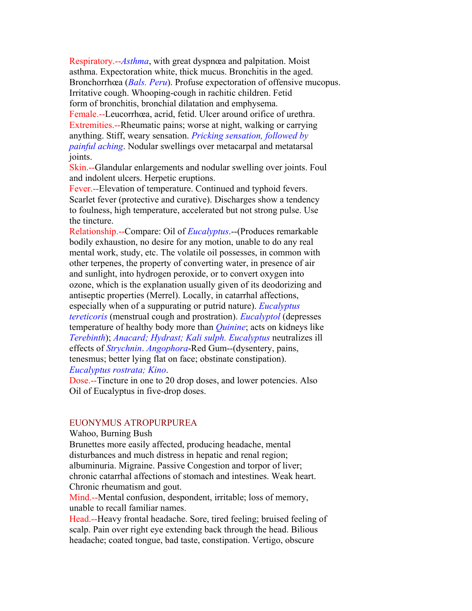Respiratory.--*Asthma*, with great dyspnœa and palpitation. Moist asthma. Expectoration white, thick mucus. Bronchitis in the aged. Bronchorrhœa (*Bals. Peru*). Profuse expectoration of offensive mucopus. Irritative cough. Whooping-cough in rachitic children. Fetid form of bronchitis, bronchial dilatation and emphysema.

Female.--Leucorrhœa, acrid, fetid. Ulcer around orifice of urethra. Extremities.--Rheumatic pains; worse at night, walking or carrying anything. Stiff, weary sensation. *Pricking sensation, followed by painful aching*. Nodular swellings over metacarpal and metatarsal joints.

Skin.--Glandular enlargements and nodular swelling over joints. Foul and indolent ulcers. Herpetic eruptions.

Fever.--Elevation of temperature. Continued and typhoid fevers. Scarlet fever (protective and curative). Discharges show a tendency to foulness, high temperature, accelerated but not strong pulse. Use the tincture.

Relationship.--Compare: Oil of *Eucalyptus*.--(Produces remarkable bodily exhaustion, no desire for any motion, unable to do any real mental work, study, etc. The volatile oil possesses, in common with other terpenes, the property of converting water, in presence of air and sunlight, into hydrogen peroxide, or to convert oxygen into ozone, which is the explanation usually given of its deodorizing and antiseptic properties (Merrel). Locally, in catarrhal affections, especially when of a suppurating or putrid nature). *Eucalyptus tereticoris* (menstrual cough and prostration). *Eucalyptol* (depresses temperature of healthy body more than *Quinine*; acts on kidneys like *Terebinth*); *Anacard; Hydrast; Kali sulph. Eucalyptus* neutralizes ill effects of *Strychnin*. *Angophora*-Red Gum--(dysentery, pains, tenesmus; better lying flat on face; obstinate constipation). *Eucalyptus rostrata; Kino*.

Dose.--Tincture in one to 20 drop doses, and lower potencies. Also Oil of Eucalyptus in five-drop doses.

### EUONYMUS ATROPURPUREA

### Wahoo, Burning Bush

Brunettes more easily affected, producing headache, mental disturbances and much distress in hepatic and renal region; albuminuria. Migraine. Passive Congestion and torpor of liver; chronic catarrhal affections of stomach and intestines. Weak heart. Chronic rheumatism and gout.

Mind.--Mental confusion, despondent, irritable; loss of memory, unable to recall familiar names.

Head.--Heavy frontal headache. Sore, tired feeling; bruised feeling of scalp. Pain over right eye extending back through the head. Bilious headache; coated tongue, bad taste, constipation. Vertigo, obscure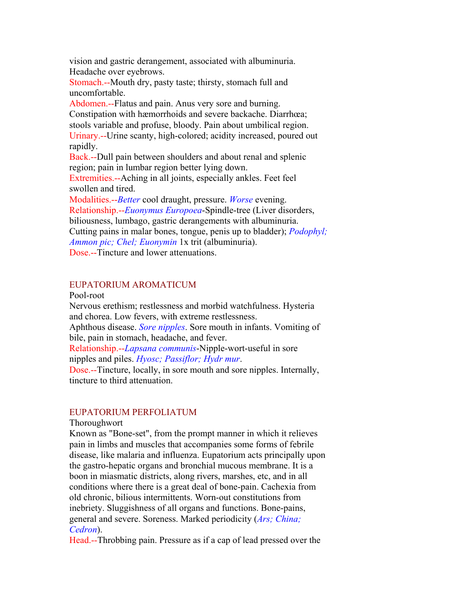vision and gastric derangement, associated with albuminuria. Headache over eyebrows.

Stomach.--Mouth dry, pasty taste; thirsty, stomach full and uncomfortable.

Abdomen.--Flatus and pain. Anus very sore and burning. Constipation with hæmorrhoids and severe backache. Diarrhœa; stools variable and profuse, bloody. Pain about umbilical region. Urinary.--Urine scanty, high-colored; acidity increased, poured out rapidly.

Back.--Dull pain between shoulders and about renal and splenic region; pain in lumbar region better lying down.

Extremities.--Aching in all joints, especially ankles. Feet feel swollen and tired.

Modalities.--*Better* cool draught, pressure. *Worse* evening. Relationship.--*Euonymus Europoea*-Spindle-tree (Liver disorders, biliousness, lumbago, gastric derangements with albuminuria. Cutting pains in malar bones, tongue, penis up to bladder); *Podophyl; Ammon pic; Chel; Euonymin* 1x trit (albuminuria). Dose --Tincture and lower attenuations.

# EUPATORIUM AROMATICUM

Pool-root

Nervous erethism; restlessness and morbid watchfulness. Hysteria and chorea. Low fevers, with extreme restlessness.

Aphthous disease. *Sore nipples*. Sore mouth in infants. Vomiting of bile, pain in stomach, headache, and fever.

Relationship.--*Lapsana communis*-Nipple-wort-useful in sore nipples and piles. *Hyosc; Passiflor; Hydr mur*.

Dose.--Tincture, locally, in sore mouth and sore nipples. Internally, tincture to third attenuation.

### EUPATORIUM PERFOLIATUM

Thoroughwort

Known as "Bone-set", from the prompt manner in which it relieves pain in limbs and muscles that accompanies some forms of febrile disease, like malaria and influenza. Eupatorium acts principally upon the gastro-hepatic organs and bronchial mucous membrane. It is a boon in miasmatic districts, along rivers, marshes, etc, and in all conditions where there is a great deal of bone-pain. Cachexia from old chronic, bilious intermittents. Worn-out constitutions from inebriety. Sluggishness of all organs and functions. Bone-pains, general and severe. Soreness. Marked periodicity (*Ars; China; Cedron*).

Head.--Throbbing pain. Pressure as if a cap of lead pressed over the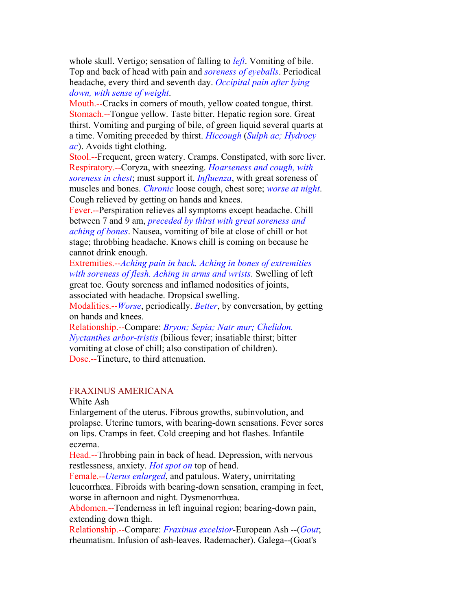whole skull. Vertigo; sensation of falling to *left*. Vomiting of bile. Top and back of head with pain and *soreness of eyeballs*. Periodical headache, every third and seventh day. *Occipital pain after lying down, with sense of weight*.

Mouth.--Cracks in corners of mouth, yellow coated tongue, thirst. Stomach.--Tongue yellow. Taste bitter. Hepatic region sore. Great thirst. Vomiting and purging of bile, of green liquid several quarts at a time. Vomiting preceded by thirst. *Hiccough* (*Sulph ac; Hydrocy ac*). Avoids tight clothing.

Stool.--Frequent, green watery. Cramps. Constipated, with sore liver. Respiratory.--Coryza, with sneezing. *Hoarseness and cough, with soreness in chest*; must support it. *Influenza*, with great soreness of muscles and bones. *Chronic* loose cough, chest sore; *worse at night*. Cough relieved by getting on hands and knees.

Fever.--Perspiration relieves all symptoms except headache. Chill between 7 and 9 am, *preceded by thirst with great soreness and aching of bones*. Nausea, vomiting of bile at close of chill or hot stage; throbbing headache. Knows chill is coming on because he cannot drink enough.

Extremities.--*Aching pain in back. Aching in bones of extremities with soreness of flesh. Aching in arms and wrists*. Swelling of left great toe. Gouty soreness and inflamed nodosities of joints, associated with headache. Dropsical swelling.

Modalities.--*Worse*, periodically. *Better*, by conversation, by getting on hands and knees.

Relationship.--Compare: *Bryon; Sepia; Natr mur; Chelidon. Nyctanthes arbor-tristis* (bilious fever; insatiable thirst; bitter vomiting at close of chill; also constipation of children). Dose.--Tincture, to third attenuation.

## FRAXINUS AMERICANA

White Ash

Enlargement of the uterus. Fibrous growths, subinvolution, and prolapse. Uterine tumors, with bearing-down sensations. Fever sores on lips. Cramps in feet. Cold creeping and hot flashes. Infantile eczema.

Head.--Throbbing pain in back of head. Depression, with nervous restlessness, anxiety. *Hot spot on* top of head.

Female.--*Uterus enlarged*, and patulous. Watery, unirritating leucorrhœa. Fibroids with bearing-down sensation, cramping in feet, worse in afternoon and night. Dysmenorrhœa.

Abdomen.--Tenderness in left inguinal region; bearing-down pain, extending down thigh.

Relationship.--Compare: *Fraxinus excelsior*-European Ash --(*Gout*; rheumatism. Infusion of ash-leaves. Rademacher). Galega--(Goat's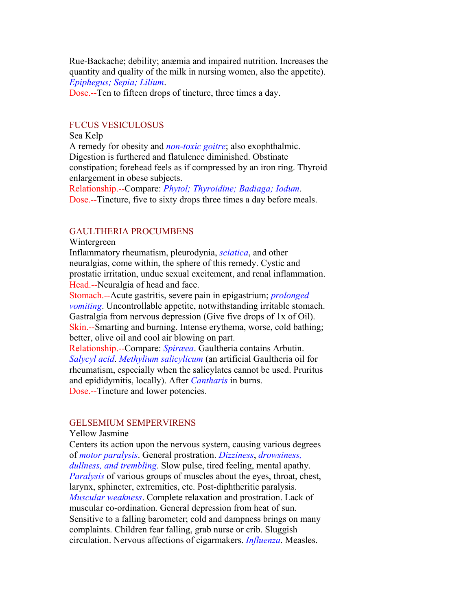Rue-Backache; debility; anæmia and impaired nutrition. Increases the quantity and quality of the milk in nursing women, also the appetite). *Epiphegus; Sepia; Lilium*.

Dose.--Ten to fifteen drops of tincture, three times a day.

### FUCUS VESICULOSUS

Sea Kelp

A remedy for obesity and *non-toxic goitre*; also exophthalmic. Digestion is furthered and flatulence diminished. Obstinate constipation; forehead feels as if compressed by an iron ring. Thyroid enlargement in obese subjects.

Relationship.--Compare: *Phytol; Thyroidine; Badiaga; Iodum*. Dose.--Tincture, five to sixty drops three times a day before meals.

### GAULTHERIA PROCUMBENS

#### Wintergreen

Inflammatory rheumatism, pleurodynia, *sciatica*, and other neuralgias, come within, the sphere of this remedy. Cystic and prostatic irritation, undue sexual excitement, and renal inflammation. Head.--Neuralgia of head and face.

Stomach.--Acute gastritis, severe pain in epigastrium; *prolonged vomiting*. Uncontrollable appetite, notwithstanding irritable stomach. Gastralgia from nervous depression (Give five drops of 1x of Oil). Skin.--Smarting and burning. Intense erythema, worse, cold bathing; better, olive oil and cool air blowing on part.

Relationship.--Compare: *Spiræea*. Gaultheria contains Arbutin. *Salycyl acid*. *Methylium salicylicum* (an artificial Gaultheria oil for rheumatism, especially when the salicylates cannot be used. Pruritus and epididymitis, locally). After *Cantharis* in burns. Dose.--Tincture and lower potencies.

#### GELSEMIUM SEMPERVIRENS

#### Yellow Jasmine

Centers its action upon the nervous system, causing various degrees of *motor paralysis*. General prostration. *Dizziness*, *drowsiness, dullness, and trembling*. Slow pulse, tired feeling, mental apathy. *Paralysis* of various groups of muscles about the eyes, throat, chest, larynx, sphincter, extremities, etc. Post-diphtheritic paralysis. *Muscular weakness*. Complete relaxation and prostration. Lack of muscular co-ordination. General depression from heat of sun. Sensitive to a falling barometer; cold and dampness brings on many complaints. Children fear falling, grab nurse or crib. Sluggish circulation. Nervous affections of cigarmakers. *Influenza*. Measles.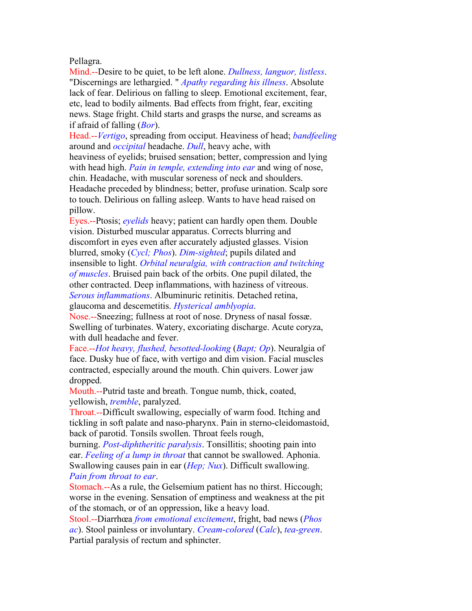Pellagra.

Mind.--Desire to be quiet, to be left alone. *Dullness, languor, listless*. "Discernings are lethargied. " *Apathy regarding his illness*. Absolute lack of fear. Delirious on falling to sleep. Emotional excitement, fear, etc, lead to bodily ailments. Bad effects from fright, fear, exciting news. Stage fright. Child starts and grasps the nurse, and screams as if afraid of falling (*Bor*).

Head.--*Vertigo*, spreading from occiput. Heaviness of head; *bandfeeling*  around and *occipital* headache. *Dull*, heavy ache, with heaviness of eyelids; bruised sensation; better, compression and lying with head high. *Pain in temple, extending into ear* and wing of nose, chin. Headache, with muscular soreness of neck and shoulders. Headache preceded by blindness; better, profuse urination. Scalp sore to touch. Delirious on falling asleep. Wants to have head raised on pillow.

Eyes.--Ptosis; *eyelids* heavy; patient can hardly open them. Double vision. Disturbed muscular apparatus. Corrects blurring and discomfort in eyes even after accurately adjusted glasses. Vision blurred, smoky (*Cycl; Phos*). *Dim-sighted*; pupils dilated and insensible to light. *Orbital neuralgia, with contraction and twitching of muscles*. Bruised pain back of the orbits. One pupil dilated, the other contracted. Deep inflammations, with haziness of vitreous. *Serous inflammations*. Albuminuric retinitis. Detached retina, glaucoma and descemetitis. *Hysterical amblyopia*.

Nose.--Sneezing; fullness at root of nose. Dryness of nasal fossæ. Swelling of turbinates. Watery, excoriating discharge. Acute coryza, with dull headache and fever.

Face.--*Hot heavy, flushed, besotted-looking* (*Bapt; Op*). Neuralgia of face. Dusky hue of face, with vertigo and dim vision. Facial muscles contracted, especially around the mouth. Chin quivers. Lower jaw dropped.

Mouth.--Putrid taste and breath. Tongue numb, thick, coated, yellowish, *tremble*, paralyzed.

Throat.--Difficult swallowing, especially of warm food. Itching and tickling in soft palate and naso-pharynx. Pain in sterno-cleidomastoid, back of parotid. Tonsils swollen. Throat feels rough,

burning. *Post-diphtheritic paralysis*. Tonsillitis; shooting pain into ear. *Feeling of a lump in throat* that cannot be swallowed. Aphonia. Swallowing causes pain in ear (*Hep; Nux*). Difficult swallowing. *Pain from throat to ear*.

Stomach.--As a rule, the Gelsemium patient has no thirst. Hiccough; worse in the evening. Sensation of emptiness and weakness at the pit of the stomach, or of an oppression, like a heavy load.

Stool.--Diarrhœa *from emotional excitement*, fright, bad news (*Phos ac*). Stool painless or involuntary. *Cream-colored* (*Calc*), *tea-green*. Partial paralysis of rectum and sphincter.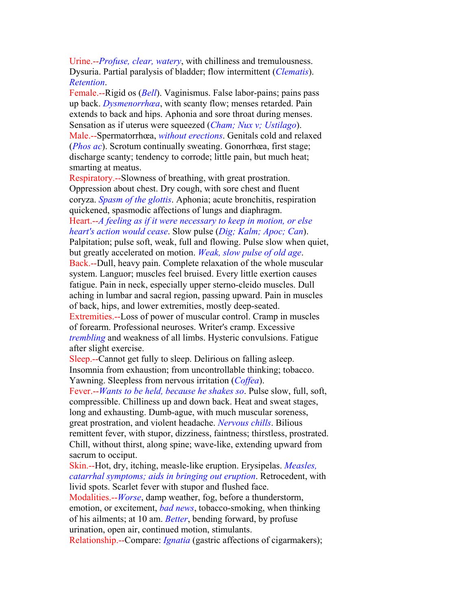Urine.--*Profuse, clear, watery*, with chilliness and tremulousness. Dysuria. Partial paralysis of bladder; flow intermittent (*Clematis*). *Retention*.

Female.--Rigid os (*Bell*). Vaginismus. False labor-pains; pains pass up back. *Dysmenorrhœa*, with scanty flow; menses retarded. Pain extends to back and hips. Aphonia and sore throat during menses. Sensation as if uterus were squeezed (*Cham; Nux v; Ustilago*). Male.--Spermatorrhœa, *without erections*. Genitals cold and relaxed (*Phos ac*). Scrotum continually sweating. Gonorrhœa, first stage; discharge scanty; tendency to corrode; little pain, but much heat; smarting at meatus.

Respiratory.--Slowness of breathing, with great prostration. Oppression about chest. Dry cough, with sore chest and fluent coryza. *Spasm of the glottis*. Aphonia; acute bronchitis, respiration quickened, spasmodic affections of lungs and diaphragm.

Heart.--*A feeling as if it were necessary to keep in motion, or else heart's action would cease*. Slow pulse (*Dig; Kalm; Apoc; Can*).

Palpitation; pulse soft, weak, full and flowing. Pulse slow when quiet, but greatly accelerated on motion. *Weak, slow pulse of old age*.

Back.--Dull, heavy pain. Complete relaxation of the whole muscular system. Languor; muscles feel bruised. Every little exertion causes fatigue. Pain in neck, especially upper sterno-cleido muscles. Dull aching in lumbar and sacral region, passing upward. Pain in muscles of back, hips, and lower extremities, mostly deep-seated.

Extremities.--Loss of power of muscular control. Cramp in muscles of forearm. Professional neuroses. Writer's cramp. Excessive *trembling* and weakness of all limbs. Hysteric convulsions. Fatigue after slight exercise.

Sleep.--Cannot get fully to sleep. Delirious on falling asleep. Insomnia from exhaustion; from uncontrollable thinking; tobacco. Yawning. Sleepless from nervous irritation (*Coffea*).

Fever.--*Wants to be held, because he shakes so*. Pulse slow, full, soft, compressible. Chilliness up and down back. Heat and sweat stages, long and exhausting. Dumb-ague, with much muscular soreness, great prostration, and violent headache. *Nervous chills*. Bilious remittent fever, with stupor, dizziness, faintness; thirstless, prostrated. Chill, without thirst, along spine; wave-like, extending upward from sacrum to occiput.

Skin.--Hot, dry, itching, measle-like eruption. Erysipelas. *Measles, catarrhal symptoms; aids in bringing out eruption*. Retrocedent, with livid spots. Scarlet fever with stupor and flushed face.

Modalities.--*Worse*, damp weather, fog, before a thunderstorm, emotion, or excitement, *bad news*, tobacco-smoking, when thinking of his ailments; at 10 am. *Better*, bending forward, by profuse urination, open air, continued motion, stimulants.

Relationship.--Compare: *Ignatia* (gastric affections of cigarmakers);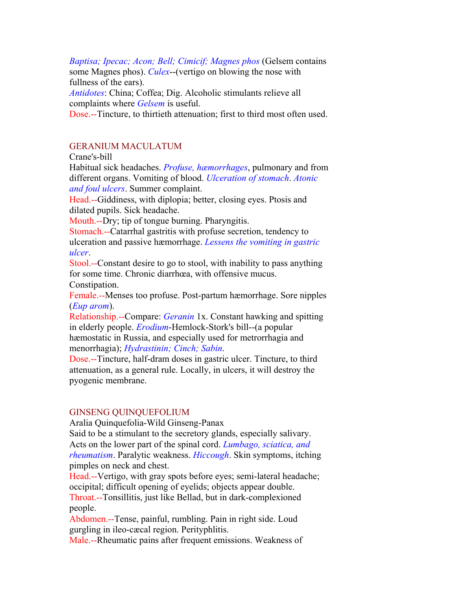*Baptisa; Ipecac; Acon; Bell; Cimicif; Magnes phos (Gelsem contains)* some Magnes phos). *Culex*--(vertigo on blowing the nose with fullness of the ears).

*Antidotes*: China; Coffea; Dig. Alcoholic stimulants relieve all complaints where *Gelsem* is useful.

Dose.--Tincture, to thirtieth attenuation; first to third most often used.

# GERANIUM MACULATUM

Crane's-bill

Habitual sick headaches. *Profuse, hæmorrhages*, pulmonary and from different organs. Vomiting of blood. *Ulceration of stomach*. *Atonic and foul ulcers*. Summer complaint.

Head.--Giddiness, with diplopia; better, closing eyes. Ptosis and dilated pupils. Sick headache.

Mouth.--Dry; tip of tongue burning. Pharyngitis.

Stomach.--Catarrhal gastritis with profuse secretion, tendency to ulceration and passive hæmorrhage. *Lessens the vomiting in gastric ulcer*.

Stool.--Constant desire to go to stool, with inability to pass anything for some time. Chronic diarrhœa, with offensive mucus. Constipation.

Female.--Menses too profuse. Post-partum hæmorrhage. Sore nipples (*Eup arom*).

Relationship.--Compare: *Geranin* 1x. Constant hawking and spitting in elderly people. *Erodium*-Hemlock-Stork's bill--(a popular hæmostatic in Russia, and especially used for metrorrhagia and menorrhagia); *Hydrastinin; Cinch; Sabin*.

Dose.--Tincture, half-dram doses in gastric ulcer. Tincture, to third attenuation, as a general rule. Locally, in ulcers, it will destroy the pyogenic membrane.

# GINSENG QUINQUEFOLIUM

Aralia Quinquefolia-Wild Ginseng-Panax

Said to be a stimulant to the secretory glands, especially salivary. Acts on the lower part of the spinal cord. *Lumbago, sciatica, and rheumatism*. Paralytic weakness. *Hiccough*. Skin symptoms, itching pimples on neck and chest.

Head.--Vertigo, with gray spots before eyes; semi-lateral headache; occipital; difficult opening of eyelids; objects appear double. Throat.--Tonsillitis, just like Bellad, but in dark-complexioned people.

Abdomen.--Tense, painful, rumbling. Pain in right side. Loud gurgling in ileo-cæcal region. Perityphlitis.

Male.--Rheumatic pains after frequent emissions. Weakness of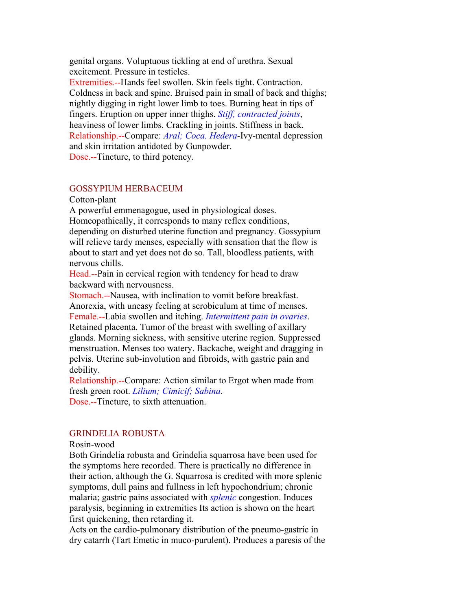genital organs. Voluptuous tickling at end of urethra. Sexual excitement. Pressure in testicles.

Extremities.--Hands feel swollen. Skin feels tight. Contraction. Coldness in back and spine. Bruised pain in small of back and thighs; nightly digging in right lower limb to toes. Burning heat in tips of fingers. Eruption on upper inner thighs. *Stiff, contracted joints*, heaviness of lower limbs. Crackling in joints. Stiffness in back. Relationship.--Compare: *Aral; Coca. Hedera*-Ivy-mental depression and skin irritation antidoted by Gunpowder. Dose.--Tincture, to third potency.

### GOSSYPIUM HERBACEUM

Cotton-plant

A powerful emmenagogue, used in physiological doses. Homeopathically, it corresponds to many reflex conditions, depending on disturbed uterine function and pregnancy. Gossypium will relieve tardy menses, especially with sensation that the flow is about to start and yet does not do so. Tall, bloodless patients, with nervous chills.

Head.--Pain in cervical region with tendency for head to draw backward with nervousness.

Stomach.--Nausea, with inclination to vomit before breakfast. Anorexia, with uneasy feeling at scrobiculum at time of menses. Female.--Labia swollen and itching. *Intermittent pain in ovaries*. Retained placenta. Tumor of the breast with swelling of axillary glands. Morning sickness, with sensitive uterine region. Suppressed menstruation. Menses too watery. Backache, weight and dragging in pelvis. Uterine sub-involution and fibroids, with gastric pain and debility.

Relationship.--Compare: Action similar to Ergot when made from fresh green root. *Lilium; Cimicif; Sabina*.

Dose.--Tincture, to sixth attenuation.

#### GRINDELIA ROBUSTA

Rosin-wood

Both Grindelia robusta and Grindelia squarrosa have been used for the symptoms here recorded. There is practically no difference in their action, although the G. Squarrosa is credited with more splenic symptoms, dull pains and fullness in left hypochondrium; chronic malaria; gastric pains associated with *splenic* congestion. Induces paralysis, beginning in extremities Its action is shown on the heart first quickening, then retarding it.

Acts on the cardio-pulmonary distribution of the pneumo-gastric in dry catarrh (Tart Emetic in muco-purulent). Produces a paresis of the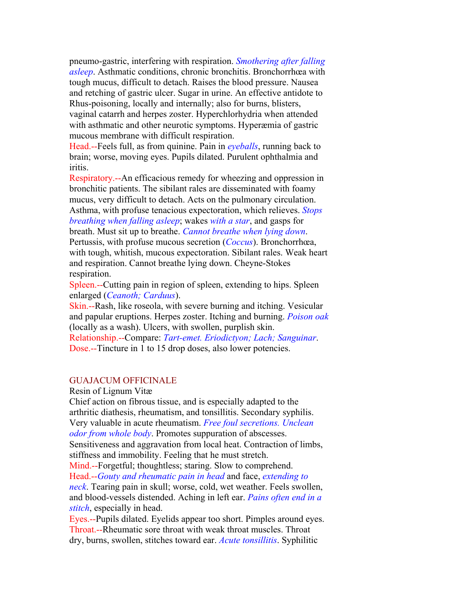pneumo-gastric, interfering with respiration. *Smothering after falling asleep*. Asthmatic conditions, chronic bronchitis. Bronchorrhœa with tough mucus, difficult to detach. Raises the blood pressure. Nausea and retching of gastric ulcer. Sugar in urine. An effective antidote to Rhus-poisoning, locally and internally; also for burns, blisters, vaginal catarrh and herpes zoster. Hyperchlorhydria when attended with asthmatic and other neurotic symptoms. Hyperæmia of gastric mucous membrane with difficult respiration.

Head.--Feels full, as from quinine. Pain in *eyeballs*, running back to brain; worse, moving eyes. Pupils dilated. Purulent ophthalmia and iritis.

Respiratory.--An efficacious remedy for wheezing and oppression in bronchitic patients. The sibilant rales are disseminated with foamy mucus, very difficult to detach. Acts on the pulmonary circulation. Asthma, with profuse tenacious expectoration, which relieves. *Stops breathing when falling asleep*; wakes *with a star*, and gasps for breath. Must sit up to breathe. *Cannot breathe when lying down*. Pertussis, with profuse mucous secretion (*Coccus*). Bronchorrhœa, with tough, whitish, mucous expectoration. Sibilant rales. Weak heart and respiration. Cannot breathe lying down. Cheyne-Stokes respiration.

Spleen.--Cutting pain in region of spleen, extending to hips. Spleen enlarged (*Ceanoth; Carduus*).

Skin.--Rash, like roseola, with severe burning and itching. Vesicular and papular eruptions. Herpes zoster. Itching and burning. *Poison oak*  (locally as a wash). Ulcers, with swollen, purplish skin.

Relationship.--Compare: *Tart-emet. Eriodictyon; Lach; Sanguinar*. Dose.--Tincture in 1 to 15 drop doses, also lower potencies.

### GUAJACUM OFFICINALE

Resin of Lignum Vitæ

Chief action on fibrous tissue, and is especially adapted to the arthritic diathesis, rheumatism, and tonsillitis. Secondary syphilis. Very valuable in acute rheumatism. *Free foul secretions. Unclean odor from whole body*. Promotes suppuration of abscesses. Sensitiveness and aggravation from local heat. Contraction of limbs, stiffness and immobility. Feeling that he must stretch. Mind.--Forgetful; thoughtless; staring. Slow to comprehend. Head.--*Gouty and rheumatic pain in head* and face, *extending to neck*. Tearing pain in skull; worse, cold, wet weather. Feels swollen, and blood-vessels distended. Aching in left ear. *Pains often end in a stitch*, especially in head.

Eyes.--Pupils dilated. Eyelids appear too short. Pimples around eyes. Throat.--Rheumatic sore throat with weak throat muscles. Throat dry, burns, swollen, stitches toward ear. *Acute tonsillitis*. Syphilitic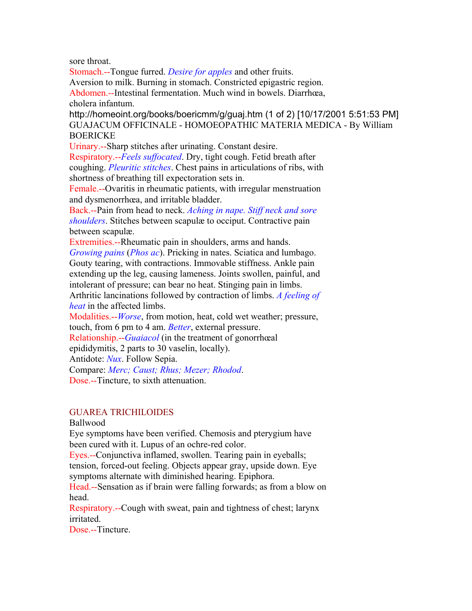sore throat.

Stomach.--Tongue furred. *Desire for apples* and other fruits. Aversion to milk. Burning in stomach. Constricted epigastric region. Abdomen.--Intestinal fermentation. Much wind in bowels. Diarrhœa, cholera infantum.

http://homeoint.org/books/boericmm/g/guaj.htm (1 of 2) [10/17/2001 5:51:53 PM] GUAJACUM OFFICINALE - HOMOEOPATHIC MATERIA MEDICA - By William BOERICKE

Urinary.--Sharp stitches after urinating. Constant desire. Respiratory.--*Feels suffocated*. Dry, tight cough. Fetid breath after coughing. *Pleuritic stitches*. Chest pains in articulations of ribs, with shortness of breathing till expectoration sets in.

Female.--Ovaritis in rheumatic patients, with irregular menstruation and dysmenorrhœa, and irritable bladder.

Back.--Pain from head to neck. *Aching in nape. Stiff neck and sore shoulders*. Stitches between scapulæ to occiput. Contractive pain between scapulæ.

Extremities.--Rheumatic pain in shoulders, arms and hands. *Growing pains* (*Phos ac*). Pricking in nates. Sciatica and lumbago. Gouty tearing, with contractions. Immovable stiffness. Ankle pain extending up the leg, causing lameness. Joints swollen, painful, and intolerant of pressure; can bear no heat. Stinging pain in limbs. Arthritic lancinations followed by contraction of limbs. *A feeling of heat* in the affected limbs.

Modalities.--*Worse*, from motion, heat, cold wet weather; pressure, touch, from 6 pm to 4 am. *Better*, external pressure.

Relationship.--*Guaiacol* (in the treatment of gonorrhœal

epididymitis, 2 parts to 30 vaselin, locally).

Antidote: *Nux*. Follow Sepia.

Compare: *Merc; Caust; Rhus; Mezer; Rhodod*.

Dose.--Tincture, to sixth attenuation.

# GUAREA TRICHILOIDES

Ballwood

Eye symptoms have been verified. Chemosis and pterygium have been cured with it. Lupus of an ochre-red color.

Eyes.--Conjunctiva inflamed, swollen. Tearing pain in eyeballs; tension, forced-out feeling. Objects appear gray, upside down. Eye symptoms alternate with diminished hearing. Epiphora.

Head.--Sensation as if brain were falling forwards; as from a blow on head.

Respiratory.--Cough with sweat, pain and tightness of chest; larynx irritated.

Dose.--Tincture.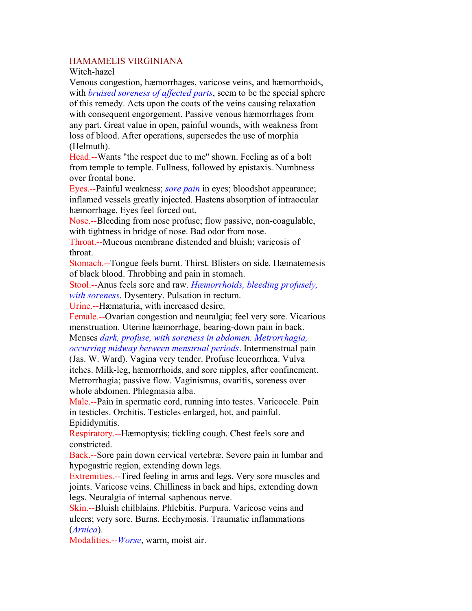# HAMAMELIS VIRGINIANA

Witch-hazel

Venous congestion, hæmorrhages, varicose veins, and hæmorrhoids, with *bruised soreness of affected parts*, seem to be the special sphere of this remedy. Acts upon the coats of the veins causing relaxation with consequent engorgement. Passive venous hæmorrhages from any part. Great value in open, painful wounds, with weakness from loss of blood. After operations, supersedes the use of morphia (Helmuth).

Head.--Wants "the respect due to me" shown. Feeling as of a bolt from temple to temple. Fullness, followed by epistaxis. Numbness over frontal bone.

Eyes.--Painful weakness; *sore pain* in eyes; bloodshot appearance; inflamed vessels greatly injected. Hastens absorption of intraocular hæmorrhage. Eyes feel forced out.

Nose.--Bleeding from nose profuse; flow passive, non-coagulable, with tightness in bridge of nose. Bad odor from nose.

Throat.--Mucous membrane distended and bluish; varicosis of throat.

Stomach.--Tongue feels burnt. Thirst. Blisters on side. Hæmatemesis of black blood. Throbbing and pain in stomach.

Stool.--Anus feels sore and raw. *Hæmorrhoids, bleeding profusely, with soreness*. Dysentery. Pulsation in rectum.

Urine.--Hæmaturia, with increased desire.

Female.--Ovarian congestion and neuralgia; feel very sore. Vicarious menstruation. Uterine hæmorrhage, bearing-down pain in back.

Menses *dark, profuse, with soreness in abdomen. Metrorrhagia, occurring midway between menstrual periods*. Intermenstrual pain

(Jas. W. Ward). Vagina very tender. Profuse leucorrhœa. Vulva itches. Milk-leg, hæmorrhoids, and sore nipples, after confinement. Metrorrhagia; passive flow. Vaginismus, ovaritis, soreness over whole abdomen. Phlegmasia alba.

Male.--Pain in spermatic cord, running into testes. Varicocele. Pain in testicles. Orchitis. Testicles enlarged, hot, and painful. Epididymitis.

Respiratory.--Hæmoptysis; tickling cough. Chest feels sore and constricted.

Back.--Sore pain down cervical vertebræ. Severe pain in lumbar and hypogastric region, extending down legs.

Extremities.--Tired feeling in arms and legs. Very sore muscles and joints. Varicose veins. Chilliness in back and hips, extending down legs. Neuralgia of internal saphenous nerve.

Skin.--Bluish chilblains. Phlebitis. Purpura. Varicose veins and ulcers; very sore. Burns. Ecchymosis. Traumatic inflammations (*Arnica*).

Modalities.--*Worse*, warm, moist air.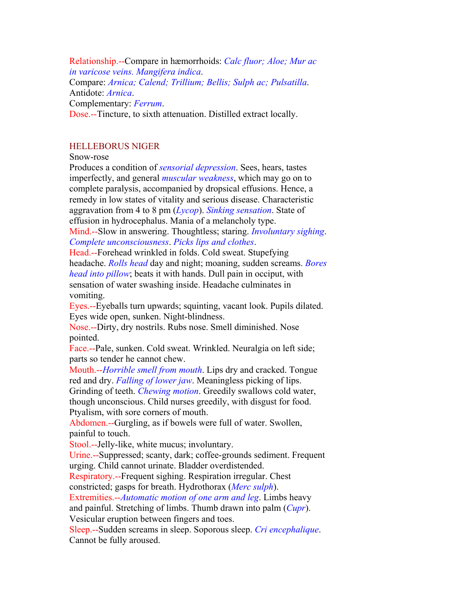Relationship.--Compare in hæmorrhoids: *Calc fluor; Aloe; Mur ac in varicose veins. Mangifera indica*. Compare: *Arnica; Calend; Trillium; Bellis; Sulph ac; Pulsatilla*. Antidote: *Arnica*. Complementary: *Ferrum*. Dose.--Tincture, to sixth attenuation. Distilled extract locally.

# HELLEBORUS NIGER

Snow-rose

Produces a condition of *sensorial depression*. Sees, hears, tastes imperfectly, and general *muscular weakness*, which may go on to complete paralysis, accompanied by dropsical effusions. Hence, a remedy in low states of vitality and serious disease. Characteristic aggravation from 4 to 8 pm (*Lycop*). *Sinking sensation*. State of effusion in hydrocephalus. Mania of a melancholy type. Mind.--Slow in answering. Thoughtless; staring. *Involuntary sighing*. *Complete unconsciousness*. *Picks lips and clothes*. Head.--Forehead wrinkled in folds. Cold sweat. Stupefying headache. *Rolls head* day and night; moaning, sudden screams. *Bores head into pillow*; beats it with hands. Dull pain in occiput, with sensation of water swashing inside. Headache culminates in vomiting. Eyes.--Eyeballs turn upwards; squinting, vacant look. Pupils dilated. Eyes wide open, sunken. Night-blindness. Nose.--Dirty, dry nostrils. Rubs nose. Smell diminished. Nose pointed.

Face.--Pale, sunken. Cold sweat. Wrinkled. Neuralgia on left side; parts so tender he cannot chew.

Mouth.--*Horrible smell from mouth*. Lips dry and cracked. Tongue red and dry. *Falling of lower jaw*. Meaningless picking of lips. Grinding of teeth. *Chewing motion*. Greedily swallows cold water, though unconscious. Child nurses greedily, with disgust for food. Ptyalism, with sore corners of mouth.

Abdomen.--Gurgling, as if bowels were full of water. Swollen, painful to touch.

Stool.--Jelly-like, white mucus; involuntary.

Urine.--Suppressed; scanty, dark; coffee-grounds sediment. Frequent urging. Child cannot urinate. Bladder overdistended.

Respiratory.--Frequent sighing. Respiration irregular. Chest constricted; gasps for breath. Hydrothorax (*Merc sulph*).

Extremities.--*Automatic motion of one arm and leg*. Limbs heavy and painful. Stretching of limbs. Thumb drawn into palm (*Cupr*). Vesicular eruption between fingers and toes.

Sleep.--Sudden screams in sleep. Soporous sleep. *Cri encephalique*. Cannot be fully aroused.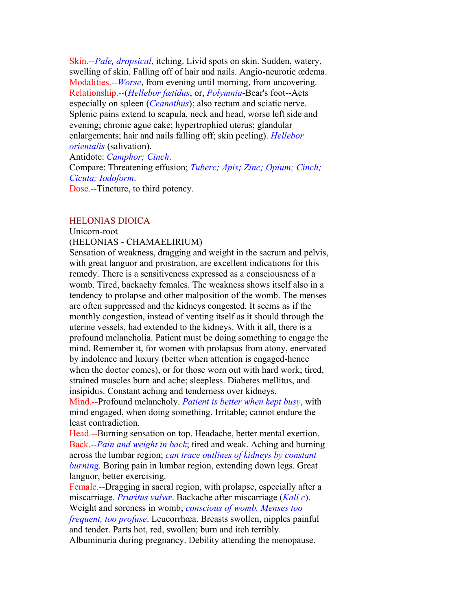Skin.--*Pale, dropsical*, itching. Livid spots on skin. Sudden, watery, swelling of skin. Falling off of hair and nails. Angio-neurotic œdema. Modalities.--*Worse*, from evening until morning, from uncovering. Relationship.--(*Hellebor fætidus*, or, *Polymnia*-Bear's foot--Acts especially on spleen (*Ceanothus*); also rectum and sciatic nerve. Splenic pains extend to scapula, neck and head, worse left side and evening; chronic ague cake; hypertrophied uterus; glandular enlargements; hair and nails falling off; skin peeling). *Hellebor orientalis* (salivation).

Antidote: *Camphor; Cinch*.

Compare: Threatening effusion; *Tuberc; Apis; Zinc; Opium; Cinch; Cicuta; Iodoform*. Dose.--Tincture, to third potency.

### HELONIAS DIOICA

Unicorn-root (HELONIAS - CHAMAELIRIUM)

Sensation of weakness, dragging and weight in the sacrum and pelvis, with great languor and prostration, are excellent indications for this remedy. There is a sensitiveness expressed as a consciousness of a womb. Tired, backachy females. The weakness shows itself also in a tendency to prolapse and other malposition of the womb. The menses are often suppressed and the kidneys congested. It seems as if the monthly congestion, instead of venting itself as it should through the uterine vessels, had extended to the kidneys. With it all, there is a profound melancholia. Patient must be doing something to engage the mind. Remember it, for women with prolapsus from atony, enervated by indolence and luxury (better when attention is engaged-hence when the doctor comes), or for those worn out with hard work; tired, strained muscles burn and ache; sleepless. Diabetes mellitus, and insipidus. Constant aching and tenderness over kidneys.

Mind.--Profound melancholy. *Patient is better when kept busy*, with mind engaged, when doing something. Irritable; cannot endure the least contradiction.

Head.--Burning sensation on top. Headache, better mental exertion. Back.--*Pain and weight in back*; tired and weak. Aching and burning across the lumbar region; *can trace outlines of kidneys by constant burning*. Boring pain in lumbar region, extending down legs. Great languor, better exercising.

Female.--Dragging in sacral region, with prolapse, especially after a miscarriage. *Pruritus vulvæ*. Backache after miscarriage (*Kali c*). Weight and soreness in womb; *conscious of womb. Menses too frequent, too profuse*. Leucorrhœa. Breasts swollen, nipples painful and tender. Parts hot, red, swollen; burn and itch terribly. Albuminuria during pregnancy. Debility attending the menopause.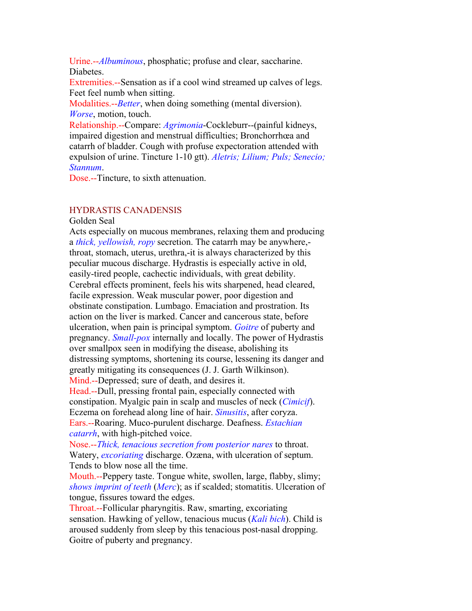Urine.--*Albuminous*, phosphatic; profuse and clear, saccharine. Diabetes.

Extremities.--Sensation as if a cool wind streamed up calves of legs. Feet feel numb when sitting.

Modalities.--*Better*, when doing something (mental diversion). *Worse*, motion, touch.

Relationship.--Compare: *Agrimonia*-Cockleburr--(painful kidneys, impaired digestion and menstrual difficulties; Bronchorrhœa and catarrh of bladder. Cough with profuse expectoration attended with expulsion of urine. Tincture 1-10 gtt). *Aletris; Lilium; Puls; Senecio; Stannum*.

Dose.--Tincture, to sixth attenuation.

# HYDRASTIS CANADENSIS

Golden Seal

Acts especially on mucous membranes, relaxing them and producing a *thick, yellowish, ropy* secretion. The catarrh may be anywhere, throat, stomach, uterus, urethra,-it is always characterized by this peculiar mucous discharge. Hydrastis is especially active in old, easily-tired people, cachectic individuals, with great debility. Cerebral effects prominent, feels his wits sharpened, head cleared, facile expression. Weak muscular power, poor digestion and obstinate constipation. Lumbago. Emaciation and prostration. Its action on the liver is marked. Cancer and cancerous state, before ulceration, when pain is principal symptom. *Goitre* of puberty and pregnancy. *Small-pox* internally and locally. The power of Hydrastis over smallpox seen in modifying the disease, abolishing its distressing symptoms, shortening its course, lessening its danger and greatly mitigating its consequences (J. J. Garth Wilkinson). Mind.--Depressed; sure of death, and desires it. Head.--Dull, pressing frontal pain, especially connected with constipation. Myalgic pain in scalp and muscles of neck (*Cimicif*). Eczema on forehead along line of hair. *Sinusitis*, after coryza. Ears.--Roaring. Muco-purulent discharge. Deafness. *Estachian* 

*catarrh*, with high-pitched voice.

Nose.--*Thick, tenacious secretion from posterior nares* to throat. Watery, *excoriating* discharge. Ozæna, with ulceration of septum. Tends to blow nose all the time.

Mouth.--Peppery taste. Tongue white, swollen, large, flabby, slimy; *shows imprint of teeth* (*Merc*); as if scalded; stomatitis. Ulceration of tongue, fissures toward the edges.

Throat.--Follicular pharyngitis. Raw, smarting, excoriating sensation. Hawking of yellow, tenacious mucus (*Kali bich*). Child is aroused suddenly from sleep by this tenacious post-nasal dropping. Goitre of puberty and pregnancy.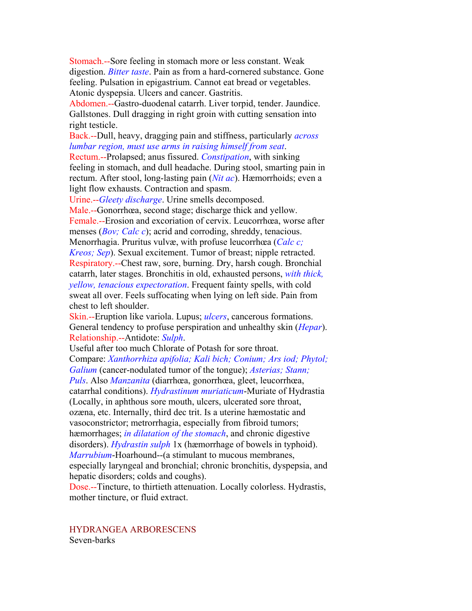Stomach.--Sore feeling in stomach more or less constant. Weak digestion. *Bitter taste*. Pain as from a hard-cornered substance. Gone feeling. Pulsation in epigastrium. Cannot eat bread or vegetables. Atonic dyspepsia. Ulcers and cancer. Gastritis.

Abdomen.--Gastro-duodenal catarrh. Liver torpid, tender. Jaundice. Gallstones. Dull dragging in right groin with cutting sensation into right testicle.

Back.--Dull, heavy, dragging pain and stiffness, particularly *across lumbar region, must use arms in raising himself from seat*.

Rectum.--Prolapsed; anus fissured. *Constipation*, with sinking feeling in stomach, and dull headache. During stool, smarting pain in rectum. After stool, long-lasting pain (*Nit ac*). Hæmorrhoids; even a light flow exhausts. Contraction and spasm.

Urine.--*Gleety discharge*. Urine smells decomposed.

Male.--Gonorrhœa, second stage; discharge thick and yellow.

Female.--Erosion and excoriation of cervix. Leucorrhœa, worse after menses (*Bov; Calc c*); acrid and corroding, shreddy, tenacious.

Menorrhagia. Pruritus vulvæ, with profuse leucorrhœa (*Calc c; Kreos; Sep*). Sexual excitement. Tumor of breast; nipple retracted. Respiratory.--Chest raw, sore, burning. Dry, harsh cough. Bronchial catarrh, later stages. Bronchitis in old, exhausted persons, *with thick, yellow, tenacious expectoration*. Frequent fainty spells, with cold sweat all over. Feels suffocating when lying on left side. Pain from chest to left shoulder.

Skin.--Eruption like variola. Lupus; *ulcers*, cancerous formations. General tendency to profuse perspiration and unhealthy skin (*Hepar*). Relationship.--Antidote: *Sulph*.

Useful after too much Chlorate of Potash for sore throat. Compare: *Xanthorrhiza apifolia; Kali bich; Conium; Ars iod; Phytol; Galium* (cancer-nodulated tumor of the tongue); *Asterias; Stann; Puls*. Also *Manzanita* (diarrhœa, gonorrhœa, gleet, leucorrhœa, catarrhal conditions). *Hydrastinum muriaticum*-Muriate of Hydrastia (Locally, in aphthous sore mouth, ulcers, ulcerated sore throat, ozæna, etc. Internally, third dec trit. Is a uterine hæmostatic and vasoconstrictor; metrorrhagia, especially from fibroid tumors; hæmorrhages; *in dilatation of the stomach*, and chronic digestive disorders). *Hydrastin sulph* 1x (hæmorrhage of bowels in typhoid). *Marrubium*-Hoarhound--(a stimulant to mucous membranes, especially laryngeal and bronchial; chronic bronchitis, dyspepsia, and hepatic disorders; colds and coughs).

Dose.--Tincture, to thirtieth attenuation. Locally colorless. Hydrastis, mother tincture, or fluid extract.

HYDRANGEA ARBORESCENS Seven-barks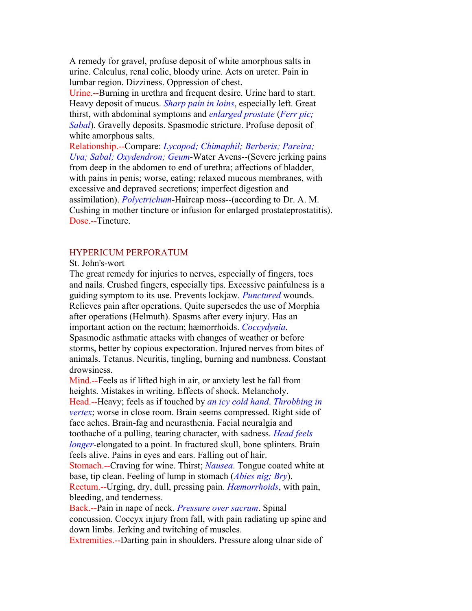A remedy for gravel, profuse deposit of white amorphous salts in urine. Calculus, renal colic, bloody urine. Acts on ureter. Pain in lumbar region. Dizziness. Oppression of chest.

Urine.--Burning in urethra and frequent desire. Urine hard to start. Heavy deposit of mucus. *Sharp pain in loins*, especially left. Great thirst, with abdominal symptoms and *enlarged prostate* (*Ferr pic; Sabal*). Gravelly deposits. Spasmodic stricture. Profuse deposit of white amorphous salts.

Relationship.--Compare: *Lycopod; Chimaphil; Berberis; Pareira; Uva; Sabal; Oxydendron; Geum*-Water Avens--(Severe jerking pains from deep in the abdomen to end of urethra; affections of bladder, with pains in penis; worse, eating; relaxed mucous membranes, with excessive and depraved secretions; imperfect digestion and assimilation). *Polyctrichum*-Haircap moss--(according to Dr. A. M. Cushing in mother tincture or infusion for enlarged prostateprostatitis). Dose.--Tincture.

#### HYPERICUM PERFORATUM

#### St. John's-wort

The great remedy for injuries to nerves, especially of fingers, toes and nails. Crushed fingers, especially tips. Excessive painfulness is a guiding symptom to its use. Prevents lockjaw. *Punctured* wounds. Relieves pain after operations. Quite supersedes the use of Morphia after operations (Helmuth). Spasms after every injury. Has an important action on the rectum; hæmorrhoids. *Coccydynia*. Spasmodic asthmatic attacks with changes of weather or before storms, better by copious expectoration. Injured nerves from bites of animals. Tetanus. Neuritis, tingling, burning and numbness. Constant drowsiness.

Mind.--Feels as if lifted high in air, or anxiety lest he fall from heights. Mistakes in writing. Effects of shock. Melancholy. Head.--Heavy; feels as if touched by *an icy cold hand*. *Throbbing in vertex*; worse in close room. Brain seems compressed. Right side of face aches. Brain-fag and neurasthenia. Facial neuralgia and toothache of a pulling, tearing character, with sadness. *Head feels longer*-elongated to a point. In fractured skull, bone splinters. Brain feels alive. Pains in eyes and ears. Falling out of hair. Stomach.--Craving for wine. Thirst; *Nausea*. Tongue coated white at base, tip clean. Feeling of lump in stomach (*Abies nig; Bry*). Rectum.--Urging, dry, dull, pressing pain. *Hæmorrhoids*, with pain, bleeding, and tenderness. Back.--Pain in nape of neck. *Pressure over sacrum*. Spinal

concussion. Coccyx injury from fall, with pain radiating up spine and down limbs. Jerking and twitching of muscles.

Extremities.--Darting pain in shoulders. Pressure along ulnar side of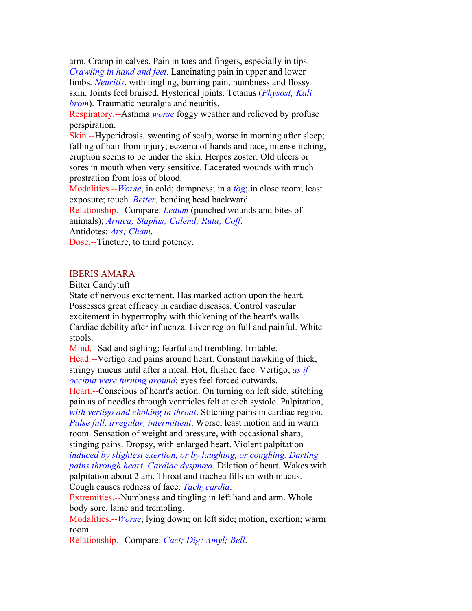arm. Cramp in calves. Pain in toes and fingers, especially in tips. *Crawling in hand and feet*. Lancinating pain in upper and lower limbs. *Neuritis*, with tingling, burning pain, numbness and flossy skin. Joints feel bruised. Hysterical joints. Tetanus (*Physost; Kali brom*). Traumatic neuralgia and neuritis.

Respiratory.--Asthma *worse* foggy weather and relieved by profuse perspiration.

Skin.--Hyperidrosis, sweating of scalp, worse in morning after sleep; falling of hair from injury; eczema of hands and face, intense itching, eruption seems to be under the skin. Herpes zoster. Old ulcers or sores in mouth when very sensitive. Lacerated wounds with much prostration from loss of blood.

Modalities.--*Worse*, in cold; dampness; in a *fog*; in close room; least exposure; touch. *Better*, bending head backward.

Relationship.--Compare: *Ledum* (punched wounds and bites of animals); *Arnica; Staphis; Calend; Ruta; Coff*. Antidotes: *Ars; Cham*.

Dose.--Tincture, to third potency.

## IBERIS AMARA

Bitter Candytuft

State of nervous excitement. Has marked action upon the heart. Possesses great efficacy in cardiac diseases. Control vascular excitement in hypertrophy with thickening of the heart's walls. Cardiac debility after influenza. Liver region full and painful. White stools.

Mind.--Sad and sighing; fearful and trembling. Irritable. Head.--Vertigo and pains around heart. Constant hawking of thick, stringy mucus until after a meal. Hot, flushed face. Vertigo, *as if occiput were turning around*; eyes feel forced outwards. Heart.--Conscious of heart's action. On turning on left side, stitching pain as of needles through ventricles felt at each systole. Palpitation, *with vertigo and choking in throat*. Stitching pains in cardiac region. *Pulse full, irregular, intermittent*. Worse, least motion and in warm room. Sensation of weight and pressure, with occasional sharp, stinging pains. Dropsy, with enlarged heart. Violent palpitation *induced by slightest exertion, or by laughing, or coughing. Darting pains through heart. Cardiac dyspnœa*. Dilation of heart. Wakes with palpitation about 2 am. Throat and trachea fills up with mucus.

Cough causes redness of face. *Tachycardia*.

Extremities.--Numbness and tingling in left hand and arm. Whole body sore, lame and trembling.

Modalities.--*Worse*, lying down; on left side; motion, exertion; warm room.

Relationship.--Compare: *Cact; Dig; Amyl; Bell*.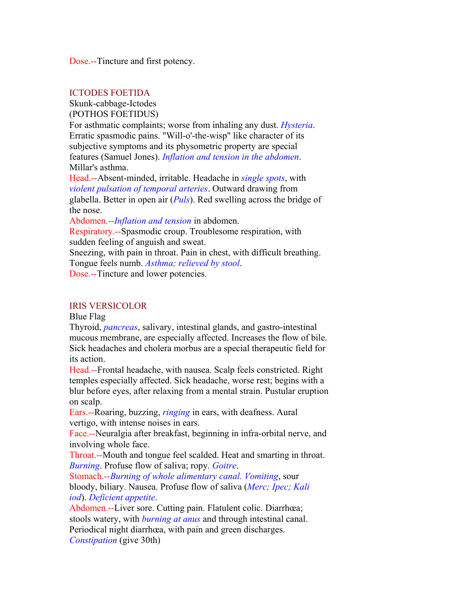Dose.--Tincture and first potency.

### ICTODES FOETIDA

Skunk-cabbage-Ictodes (POTHOS FOETIDUS)

For asthmatic complaints; worse from inhaling any dust. *Hysteria*. Erratic spasmodic pains. "Will-o'-the-wisp" like character of its subjective symptoms and its physometric property are special features (Samuel Jones). *Inflation and tension in the abdomen*. Millar's asthma.

Head.--Absent-minded, irritable. Headache in *single spots*, with *violent pulsation of temporal arteries*. Outward drawing from glabella. Better in open air (*Puls*). Red swelling across the bridge of the nose.

Abdomen.--*Inflation and tension* in abdomen.

Respiratory.--Spasmodic croup. Troublesome respiration, with sudden feeling of anguish and sweat.

Sneezing, with pain in throat. Pain in chest, with difficult breathing. Tongue feels numb. *Asthma; relieved by stool*.

Dose.--Tincture and lower potencies.

### IRIS VERSICOLOR

Blue Flag

Thyroid, *pancreas*, salivary, intestinal glands, and gastro-intestinal mucous membrane, are especially affected. Increases the flow of bile. Sick headaches and cholera morbus are a special therapeutic field for its action.

Head.--Frontal headache, with nausea. Scalp feels constricted. Right temples especially affected. Sick headache, worse rest; begins with a blur before eyes, after relaxing from a mental strain. Pustular eruption on scalp.

Ears.--Roaring, buzzing, *ringing* in ears, with deafness. Aural vertigo, with intense noises in ears.

Face.--Neuralgia after breakfast, beginning in infra-orbital nerve, and involving whole face.

Throat.--Mouth and tongue feel scalded. Heat and smarting in throat. *Burning*. Profuse flow of saliva; ropy. *Goitre*.

Stomach.--*Burning of whole alimentary canal. Vomiting*, sour bloody, biliary. Nausea. Profuse flow of saliva (*Merc; Ipec; Kali iod*). *Deficient appetite*.

Abdomen.--Liver sore. Cutting pain. Flatulent colic. Diarrhœa; stools watery, with *burning at anus* and through intestinal canal. Periodical night diarrhœa, with pain and green discharges.

*Constipation* (give 30th)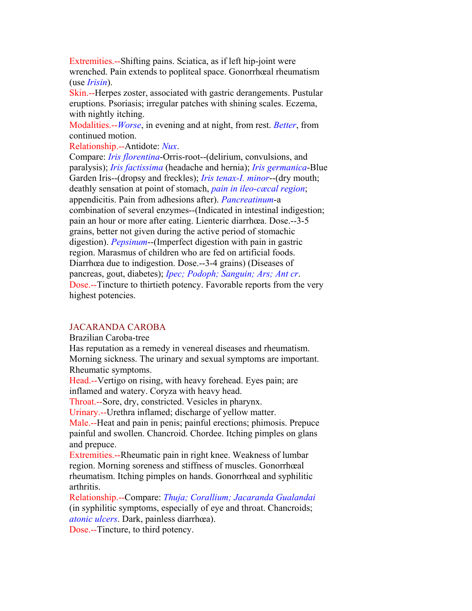Extremities.--Shifting pains. Sciatica, as if left hip-joint were wrenched. Pain extends to popliteal space. Gonorrhœal rheumatism (use *Irisin*).

Skin.--Herpes zoster, associated with gastric derangements. Pustular eruptions. Psoriasis; irregular patches with shining scales. Eczema, with nightly itching.

Modalities.--*Worse*, in evening and at night, from rest. *Better*, from continued motion.

Relationship.--Antidote: *Nux*.

Compare: *Iris florentina*-Orris-root--(delirium, convulsions, and paralysis); *Iris factissima* (headache and hernia); *Iris germanica*-Blue Garden Iris--(dropsy and freckles); *Iris tenax-I. minor*--(dry mouth; deathly sensation at point of stomach, *pain in ileo-cæcal region*; appendicitis. Pain from adhesions after). *Pancreatinum*-a combination of several enzymes--(Indicated in intestinal indigestion; pain an hour or more after eating. Lienteric diarrhœa. Dose.--3-5 grains, better not given during the active period of stomachic digestion). *Pepsinum*--(Imperfect digestion with pain in gastric region. Marasmus of children who are fed on artificial foods. Diarrhœa due to indigestion. Dose.--3-4 grains) (Diseases of pancreas, gout, diabetes); *Ipec; Podoph; Sanguin; Ars; Ant cr*. Dose.--Tincture to thirtieth potency. Favorable reports from the very highest potencies.

# JACARANDA CAROBA

Brazilian Caroba-tree

Has reputation as a remedy in venereal diseases and rheumatism. Morning sickness. The urinary and sexual symptoms are important. Rheumatic symptoms.

Head.--Vertigo on rising, with heavy forehead. Eyes pain; are inflamed and watery. Coryza with heavy head.

Throat.--Sore, dry, constricted. Vesicles in pharynx.

Urinary.--Urethra inflamed; discharge of yellow matter.

Male.--Heat and pain in penis; painful erections; phimosis. Prepuce painful and swollen. Chancroid. Chordee. Itching pimples on glans and prepuce.

Extremities.--Rheumatic pain in right knee. Weakness of lumbar region. Morning soreness and stiffness of muscles. Gonorrhœal rheumatism. Itching pimples on hands. Gonorrhœal and syphilitic arthritis.

Relationship.--Compare: *Thuja; Corallium; Jacaranda Gualandai*  (in syphilitic symptoms, especially of eye and throat. Chancroids; *atonic ulcers*. Dark, painless diarrhœa).

Dose.--Tincture, to third potency.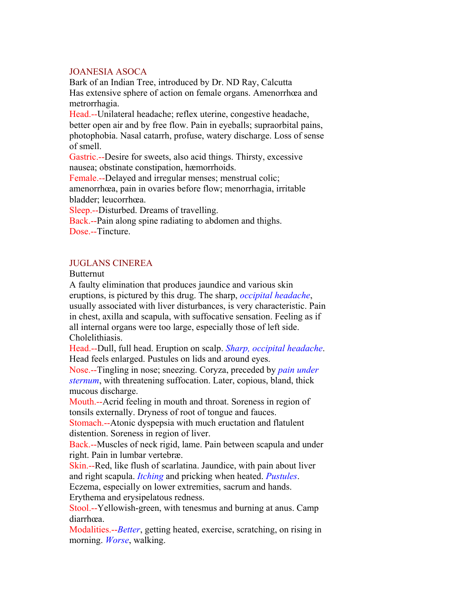## JOANESIA ASOCA

Bark of an Indian Tree, introduced by Dr. ND Ray, Calcutta Has extensive sphere of action on female organs. Amenorrhœa and metrorrhagia.

Head.--Unilateral headache; reflex uterine, congestive headache, better open air and by free flow. Pain in eyeballs; supraorbital pains, photophobia. Nasal catarrh, profuse, watery discharge. Loss of sense of smell.

Gastric.--Desire for sweets, also acid things. Thirsty, excessive nausea; obstinate constipation, hæmorrhoids.

Female.--Delayed and irregular menses; menstrual colic;

amenorrhœa, pain in ovaries before flow; menorrhagia, irritable bladder; leucorrhœa.

Sleep.--Disturbed. Dreams of travelling.

Back.--Pain along spine radiating to abdomen and thighs. Dose.--Tincture.

# JUGLANS CINEREA

Butternut

A faulty elimination that produces jaundice and various skin eruptions, is pictured by this drug. The sharp, *occipital headache*, usually associated with liver disturbances, is very characteristic. Pain in chest, axilla and scapula, with suffocative sensation. Feeling as if all internal organs were too large, especially those of left side. Cholelithiasis.

Head.--Dull, full head. Eruption on scalp. *Sharp, occipital headache*. Head feels enlarged. Pustules on lids and around eyes.

Nose.--Tingling in nose; sneezing. Coryza, preceded by *pain under sternum*, with threatening suffocation. Later, copious, bland, thick mucous discharge.

Mouth.--Acrid feeling in mouth and throat. Soreness in region of tonsils externally. Dryness of root of tongue and fauces.

Stomach.--Atonic dyspepsia with much eructation and flatulent distention. Soreness in region of liver.

Back.--Muscles of neck rigid, lame. Pain between scapula and under right. Pain in lumbar vertebræ.

Skin.--Red, like flush of scarlatina. Jaundice, with pain about liver and right scapula. *Itching* and pricking when heated. *Pustules*.

Eczema, especially on lower extremities, sacrum and hands. Erythema and erysipelatous redness.

Stool.--Yellowish-green, with tenesmus and burning at anus. Camp diarrhœa.

Modalities.--*Better*, getting heated, exercise, scratching, on rising in morning. *Worse*, walking.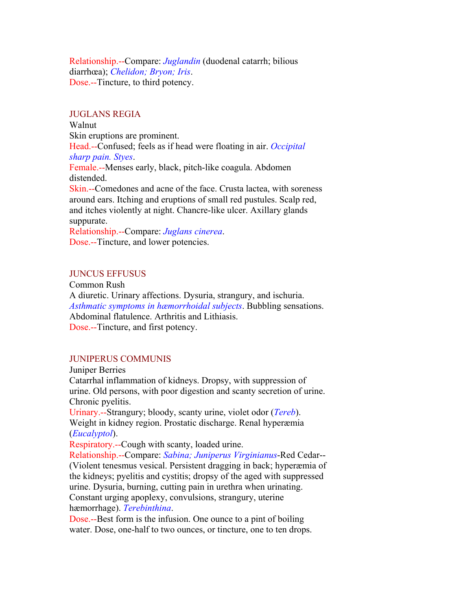Relationship.--Compare: *Juglandin* (duodenal catarrh; bilious diarrhœa); *Chelidon; Bryon; Iris*. Dose.--Tincture, to third potency.

## JUGLANS REGIA

Walnut Skin eruptions are prominent. Head.--Confused; feels as if head were floating in air. *Occipital sharp pain. Styes*. Female.--Menses early, black, pitch-like coagula. Abdomen distended. Skin.--Comedones and acne of the face. Crusta lactea, with soreness around ears. Itching and eruptions of small red pustules. Scalp red, and itches violently at night. Chancre-like ulcer. Axillary glands suppurate. Relationship.--Compare: *Juglans cinerea*. Dose.--Tincture, and lower potencies.

## JUNCUS EFFUSUS

Common Rush A diuretic. Urinary affections. Dysuria, strangury, and ischuria. *Asthmatic symptoms in hæmorrhoidal subjects*. Bubbling sensations. Abdominal flatulence. Arthritis and Lithiasis. Dose.--Tincture, and first potency.

## JUNIPERUS COMMUNIS

Juniper Berries Catarrhal inflammation of kidneys. Dropsy, with suppression of urine. Old persons, with poor digestion and scanty secretion of urine. Chronic pyelitis. Urinary.--Strangury; bloody, scanty urine, violet odor (*Tereb*). Weight in kidney region. Prostatic discharge. Renal hyperæmia (*Eucalyptol*). Respiratory.--Cough with scanty, loaded urine. Relationship.--Compare: *Sabina; Juniperus Virginianus*-Red Cedar-- (Violent tenesmus vesical. Persistent dragging in back; hyperæmia of the kidneys; pyelitis and cystitis; dropsy of the aged with suppressed urine. Dysuria, burning, cutting pain in urethra when urinating. Constant urging apoplexy, convulsions, strangury, uterine hæmorrhage). *Terebinthina*.

Dose.--Best form is the infusion. One ounce to a pint of boiling water. Dose, one-half to two ounces, or tincture, one to ten drops.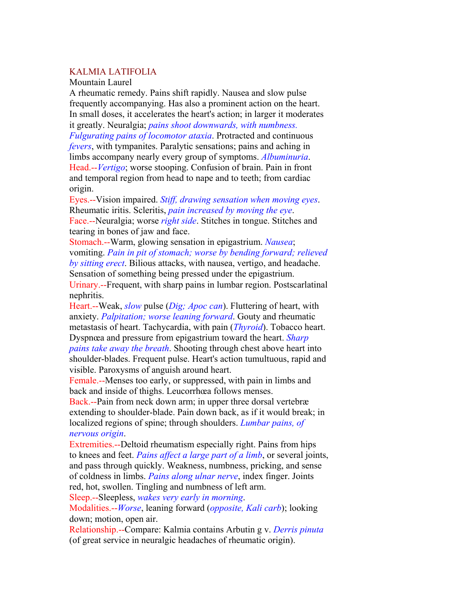## KALMIA LATIFOLIA

Mountain Laurel

A rheumatic remedy. Pains shift rapidly. Nausea and slow pulse frequently accompanying. Has also a prominent action on the heart. In small doses, it accelerates the heart's action; in larger it moderates it greatly. Neuralgia; *pains shoot downwards, with numbness. Fulgurating pains of locomotor ataxia*. Protracted and continuous *fevers*, with tympanites. Paralytic sensations; pains and aching in limbs accompany nearly every group of symptoms. *Albuminuria*. Head.--*Vertigo*; worse stooping. Confusion of brain. Pain in front and temporal region from head to nape and to teeth; from cardiac origin.

Eyes.--Vision impaired. *Stiff, drawing sensation when moving eyes*. Rheumatic iritis. Scleritis, *pain increased by moving the eye*. Face.--Neuralgia; worse *right side*. Stitches in tongue. Stitches and tearing in bones of jaw and face.

Stomach.--Warm, glowing sensation in epigastrium. *Nausea*; vomiting. *Pain in pit of stomach; worse by bending forward; relieved by sitting erect*. Bilious attacks, with nausea, vertigo, and headache. Sensation of something being pressed under the epigastrium. Urinary.--Frequent, with sharp pains in lumbar region. Postscarlatinal nephritis.

Heart.--Weak, *slow* pulse (*Dig; Apoc can*). Fluttering of heart, with anxiety. *Palpitation; worse leaning forward*. Gouty and rheumatic metastasis of heart. Tachycardia, with pain (*Thyroid*). Tobacco heart. Dyspnœa and pressure from epigastrium toward the heart. *Sharp pains take away the breath*. Shooting through chest above heart into shoulder-blades. Frequent pulse. Heart's action tumultuous, rapid and visible. Paroxysms of anguish around heart.

Female.--Menses too early, or suppressed, with pain in limbs and back and inside of thighs. Leucorrhœa follows menses.

Back.--Pain from neck down arm; in upper three dorsal vertebræ extending to shoulder-blade. Pain down back, as if it would break; in localized regions of spine; through shoulders. *Lumbar pains, of nervous origin*.

Extremities.--Deltoid rheumatism especially right. Pains from hips to knees and feet. *Pains affect a large part of a limb*, or several joints, and pass through quickly. Weakness, numbness, pricking, and sense of coldness in limbs. *Pains along ulnar nerve*, index finger. Joints red, hot, swollen. Tingling and numbness of left arm.

Sleep.--Sleepless, *wakes very early in morning*.

Modalities.--*Worse*, leaning forward (*opposite, Kali carb*); looking down; motion, open air.

Relationship.--Compare: Kalmia contains Arbutin g v. *Derris pinuta*  (of great service in neuralgic headaches of rheumatic origin).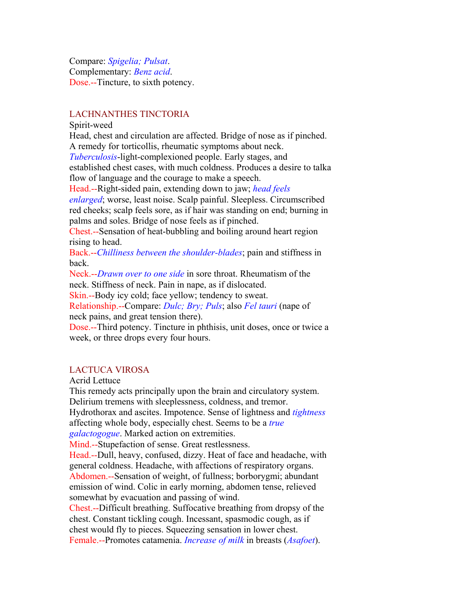Compare: *Spigelia; Pulsat*. Complementary: *Benz acid*. Dose.--Tincture, to sixth potency.

### LACHNANTHES TINCTORIA

#### Spirit-weed

Head, chest and circulation are affected. Bridge of nose as if pinched. A remedy for torticollis, rheumatic symptoms about neck. *Tuberculosis*-light-complexioned people. Early stages, and established chest cases, with much coldness. Produces a desire to talka flow of language and the courage to make a speech.

Head.--Right-sided pain, extending down to jaw; *head feels enlarged*; worse, least noise. Scalp painful. Sleepless. Circumscribed red cheeks; scalp feels sore, as if hair was standing on end; burning in palms and soles. Bridge of nose feels as if pinched.

Chest.--Sensation of heat-bubbling and boiling around heart region rising to head.

Back.--*Chilliness between the shoulder-blades*; pain and stiffness in back.

Neck.--*Drawn over to one side* in sore throat. Rheumatism of the neck. Stiffness of neck. Pain in nape, as if dislocated.

Skin.--Body icy cold; face yellow; tendency to sweat.

Relationship.--Compare: *Dulc; Bry; Puls*; also *Fel tauri* (nape of neck pains, and great tension there).

Dose.--Third potency. Tincture in phthisis, unit doses, once or twice a week, or three drops every four hours.

## LACTUCA VIROSA

Acrid Lettuce

This remedy acts principally upon the brain and circulatory system. Delirium tremens with sleeplessness, coldness, and tremor. Hydrothorax and ascites. Impotence. Sense of lightness and *tightness*  affecting whole body, especially chest. Seems to be a *true galactogogue*. Marked action on extremities. Mind.--Stupefaction of sense. Great restlessness. Head.--Dull, heavy, confused, dizzy. Heat of face and headache, with general coldness. Headache, with affections of respiratory organs. Abdomen.--Sensation of weight, of fullness; borborygmi; abundant emission of wind. Colic in early morning, abdomen tense, relieved somewhat by evacuation and passing of wind. Chest.--Difficult breathing. Suffocative breathing from dropsy of the chest. Constant tickling cough. Incessant, spasmodic cough, as if chest would fly to pieces. Squeezing sensation in lower chest. Female.--Promotes catamenia. *Increase of milk* in breasts (*Asafoet*).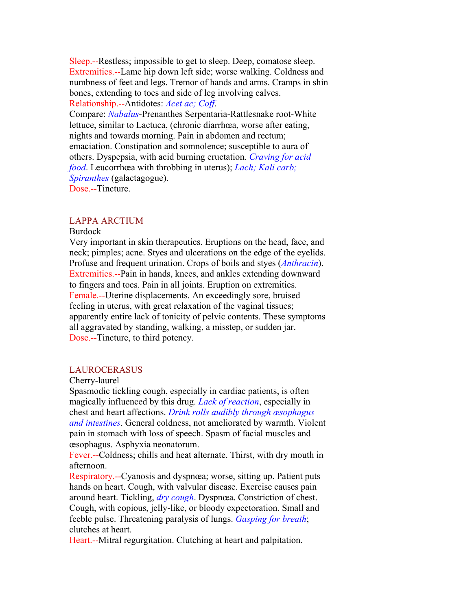Sleep.--Restless; impossible to get to sleep. Deep, comatose sleep. Extremities.--Lame hip down left side; worse walking. Coldness and numbness of feet and legs. Tremor of hands and arms. Cramps in shin bones, extending to toes and side of leg involving calves. Relationship.--Antidotes: *Acet ac; Coff*.

Compare: *Nabalus*-Prenanthes Serpentaria-Rattlesnake root-White lettuce, similar to Lactuca, (chronic diarrhœa, worse after eating, nights and towards morning. Pain in abdomen and rectum; emaciation. Constipation and somnolence; susceptible to aura of others. Dyspepsia, with acid burning eructation. *Craving for acid food*. Leucorrhœa with throbbing in uterus); *Lach; Kali carb; Spiranthes* (galactagogue). Dose.--Tincture.

#### LAPPA ARCTIUM

#### Burdock

Very important in skin therapeutics. Eruptions on the head, face, and neck; pimples; acne. Styes and ulcerations on the edge of the eyelids. Profuse and frequent urination. Crops of boils and styes (*Anthracin*). Extremities.--Pain in hands, knees, and ankles extending downward to fingers and toes. Pain in all joints. Eruption on extremities. Female.--Uterine displacements. An exceedingly sore, bruised feeling in uterus, with great relaxation of the vaginal tissues; apparently entire lack of tonicity of pelvic contents. These symptoms all aggravated by standing, walking, a misstep, or sudden jar. Dose.--Tincture, to third potency.

#### LAUROCERASUS

#### Cherry-laurel

Spasmodic tickling cough, especially in cardiac patients, is often magically influenced by this drug. *Lack of reaction*, especially in chest and heart affections. *Drink rolls audibly through œsophagus and intestines*. General coldness, not ameliorated by warmth. Violent pain in stomach with loss of speech. Spasm of facial muscles and œsophagus. Asphyxia neonatorum.

Fever.--Coldness; chills and heat alternate. Thirst, with dry mouth in afternoon.

Respiratory.--Cyanosis and dyspnœa; worse, sitting up. Patient puts hands on heart. Cough, with valvular disease. Exercise causes pain around heart. Tickling, *dry cough*. Dyspnœa. Constriction of chest. Cough, with copious, jelly-like, or bloody expectoration. Small and feeble pulse. Threatening paralysis of lungs. *Gasping for breath*; clutches at heart.

Heart.--Mitral regurgitation. Clutching at heart and palpitation.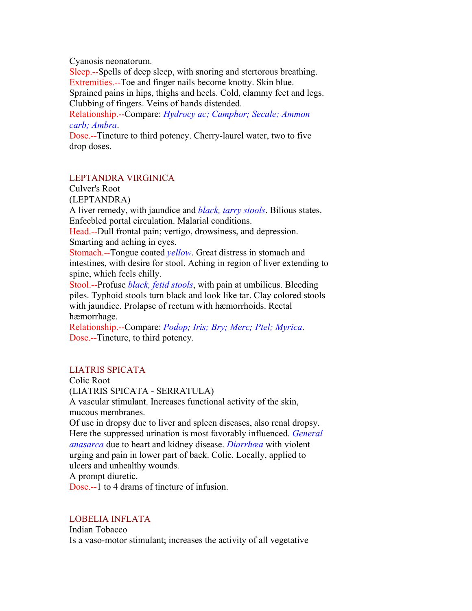Cyanosis neonatorum.

Sleep.--Spells of deep sleep, with snoring and stertorous breathing. Extremities.--Toe and finger nails become knotty. Skin blue.

Sprained pains in hips, thighs and heels. Cold, clammy feet and legs. Clubbing of fingers. Veins of hands distended.

Relationship.--Compare: *Hydrocy ac; Camphor; Secale; Ammon carb; Ambra*.

Dose.--Tincture to third potency. Cherry-laurel water, two to five drop doses.

## LEPTANDRA VIRGINICA

Culver's Root

(LEPTANDRA)

A liver remedy, with jaundice and *black, tarry stools*. Bilious states. Enfeebled portal circulation. Malarial conditions.

Head.--Dull frontal pain; vertigo, drowsiness, and depression. Smarting and aching in eyes.

Stomach.--Tongue coated *yellow*. Great distress in stomach and intestines, with desire for stool. Aching in region of liver extending to spine, which feels chilly.

Stool.--Profuse *black, fetid stools*, with pain at umbilicus. Bleeding piles. Typhoid stools turn black and look like tar. Clay colored stools with jaundice. Prolapse of rectum with hæmorrhoids. Rectal hæmorrhage.

Relationship.--Compare: *Podop; Iris; Bry; Merc; Ptel; Myrica*. Dose.--Tincture, to third potency.

# LIATRIS SPICATA

Colic Root (LIATRIS SPICATA - SERRATULA) A vascular stimulant. Increases functional activity of the skin,

mucous membranes.

Of use in dropsy due to liver and spleen diseases, also renal dropsy. Here the suppressed urination is most favorably influenced. *General anasarca* due to heart and kidney disease. *Diarrhœa* with violent urging and pain in lower part of back. Colic. Locally, applied to ulcers and unhealthy wounds.

A prompt diuretic.

Dose.--1 to 4 drams of tincture of infusion.

# LOBELIA INFLATA

Indian Tobacco Is a vaso-motor stimulant; increases the activity of all vegetative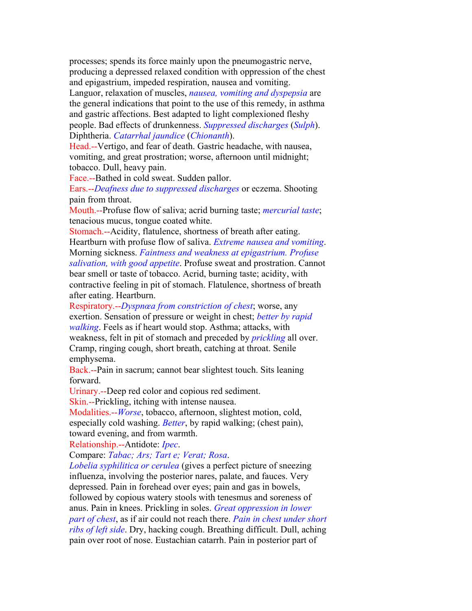processes; spends its force mainly upon the pneumogastric nerve, producing a depressed relaxed condition with oppression of the chest and epigastrium, impeded respiration, nausea and vomiting.

Languor, relaxation of muscles, *nausea, vomiting and dyspepsia* are the general indications that point to the use of this remedy, in asthma and gastric affections. Best adapted to light complexioned fleshy people. Bad effects of drunkenness. *Suppressed discharges* (*Sulph*). Diphtheria. *Catarrhal jaundice* (*Chionanth*).

Head.--Vertigo, and fear of death. Gastric headache, with nausea, vomiting, and great prostration; worse, afternoon until midnight; tobacco. Dull, heavy pain.

Face.--Bathed in cold sweat. Sudden pallor.

Ears.--*Deafness due to suppressed discharges* or eczema. Shooting pain from throat.

Mouth.--Profuse flow of saliva; acrid burning taste; *mercurial taste*; tenacious mucus, tongue coated white.

Stomach.--Acidity, flatulence, shortness of breath after eating. Heartburn with profuse flow of saliva. *Extreme nausea and vomiting*. Morning sickness. *Faintness and weakness at epigastrium. Profuse salivation, with good appetite*. Profuse sweat and prostration. Cannot bear smell or taste of tobacco. Acrid, burning taste; acidity, with contractive feeling in pit of stomach. Flatulence, shortness of breath after eating. Heartburn.

Respiratory.--*Dyspnœa from constriction of chest*; worse, any exertion. Sensation of pressure or weight in chest; *better by rapid walking*. Feels as if heart would stop. Asthma; attacks, with weakness, felt in pit of stomach and preceded by *prickling* all over. Cramp, ringing cough, short breath, catching at throat. Senile emphysema.

Back.--Pain in sacrum; cannot bear slightest touch. Sits leaning forward.

Urinary.--Deep red color and copious red sediment.

Skin.--Prickling, itching with intense nausea.

Modalities.--*Worse*, tobacco, afternoon, slightest motion, cold, especially cold washing. *Better*, by rapid walking; (chest pain), toward evening, and from warmth.

Relationship.--Antidote: *Ipec*.

Compare: *Tabac; Ars; Tart e; Verat; Rosa*.

*Lobelia syphilitica or cerulea* (gives a perfect picture of sneezing influenza, involving the posterior nares, palate, and fauces. Very depressed. Pain in forehead over eyes; pain and gas in bowels, followed by copious watery stools with tenesmus and soreness of anus. Pain in knees. Prickling in soles. *Great oppression in lower part of chest*, as if air could not reach there. *Pain in chest under short ribs of left side*. Dry, hacking cough. Breathing difficult. Dull, aching pain over root of nose. Eustachian catarrh. Pain in posterior part of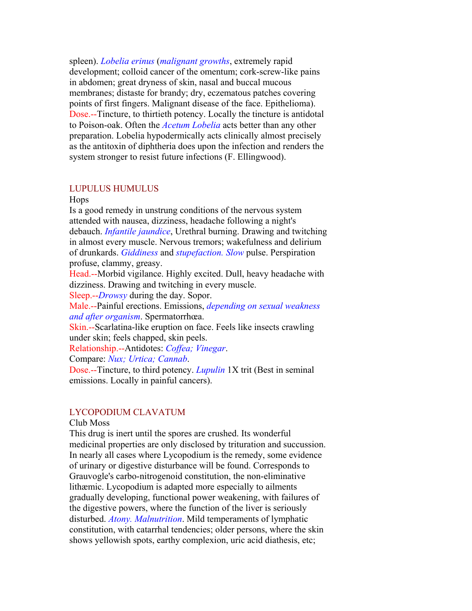spleen). *Lobelia erinus* (*malignant growths*, extremely rapid development; colloid cancer of the omentum; cork-screw-like pains in abdomen; great dryness of skin, nasal and buccal mucous membranes; distaste for brandy; dry, eczematous patches covering points of first fingers. Malignant disease of the face. Epithelioma). Dose.--Tincture, to thirtieth potency. Locally the tincture is antidotal to Poison-oak. Often the *Acetum Lobelia* acts better than any other preparation. Lobelia hypodermically acts clinically almost precisely as the antitoxin of diphtheria does upon the infection and renders the system stronger to resist future infections (F. Ellingwood).

#### LUPULUS HUMULUS

#### Hops

Is a good remedy in unstrung conditions of the nervous system attended with nausea, dizziness, headache following a night's debauch. *Infantile jaundice*, Urethral burning. Drawing and twitching in almost every muscle. Nervous tremors; wakefulness and delirium of drunkards. *Giddiness* and *stupefaction. Slow* pulse. Perspiration profuse, clammy, greasy.

Head.--Morbid vigilance. Highly excited. Dull, heavy headache with dizziness. Drawing and twitching in every muscle.

Sleep.--*Drowsy* during the day. Sopor.

Male.--Painful erections. Emissions, *depending on sexual weakness and after organism*. Spermatorrhœa.

Skin.--Scarlatina-like eruption on face. Feels like insects crawling under skin; feels chapped, skin peels.

Relationship.--Antidotes: *Coffea; Vinegar*.

Compare: *Nux; Urtica; Cannab*.

Dose.--Tincture, to third potency. *Lupulin* 1X trit (Best in seminal emissions. Locally in painful cancers).

#### LYCOPODIUM CLAVATUM

#### Club Moss

This drug is inert until the spores are crushed. Its wonderful medicinal properties are only disclosed by trituration and succussion. In nearly all cases where Lycopodium is the remedy, some evidence of urinary or digestive disturbance will be found. Corresponds to Grauvogle's carbo-nitrogenoid constitution, the non-eliminative lithæmic. Lycopodium is adapted more especially to ailments gradually developing, functional power weakening, with failures of the digestive powers, where the function of the liver is seriously disturbed. *Atony. Malnutrition*. Mild temperaments of lymphatic constitution, with catarrhal tendencies; older persons, where the skin shows yellowish spots, earthy complexion, uric acid diathesis, etc;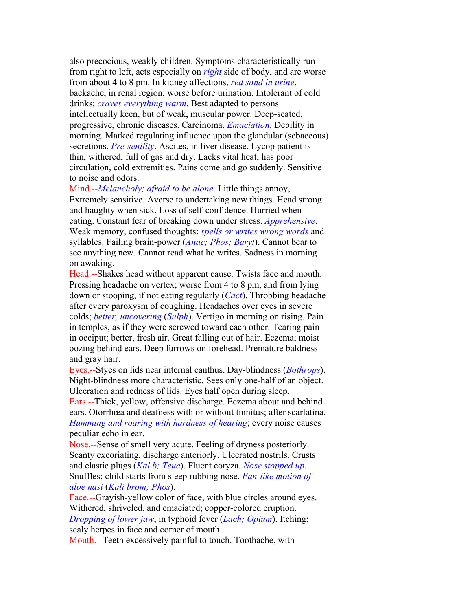also precocious, weakly children. Symptoms characteristically run from right to left, acts especially on *right* side of body, and are worse from about 4 to 8 pm. In kidney affections, *red sand in urine*, backache, in renal region; worse before urination. Intolerant of cold drinks; *craves everything warm*. Best adapted to persons intellectually keen, but of weak, muscular power. Deep-seated, progressive, chronic diseases. Carcinoma. *Emaciation*. Debility in morning. Marked regulating influence upon the glandular (sebaceous) secretions. *Pre-senility*. Ascites, in liver disease. Lycop patient is thin, withered, full of gas and dry. Lacks vital heat; has poor circulation, cold extremities. Pains come and go suddenly. Sensitive to noise and odors.

Mind.--*Melancholy; afraid to be alone*. Little things annoy, Extremely sensitive. Averse to undertaking new things. Head strong and haughty when sick. Loss of self-confidence. Hurried when eating. Constant fear of breaking down under stress. *Apprehensive*. Weak memory, confused thoughts; *spells or writes wrong words* and syllables. Failing brain-power (*Anac; Phos; Baryt*). Cannot bear to see anything new. Cannot read what he writes. Sadness in morning on awaking.

Head.--Shakes head without apparent cause. Twists face and mouth. Pressing headache on vertex; worse from 4 to 8 pm, and from lying down or stooping, if not eating regularly (*Cact*). Throbbing headache after every paroxysm of coughing. Headaches over eyes in severe colds; *better, uncovering* (*Sulph*). Vertigo in morning on rising. Pain in temples, as if they were screwed toward each other. Tearing pain in occiput; better, fresh air. Great falling out of hair. Eczema; moist oozing behind ears. Deep furrows on forehead. Premature baldness and gray hair.

Eyes.--Styes on lids near internal canthus. Day-blindness (*Bothrops*). Night-blindness more characteristic. Sees only one-half of an object. Ulceration and redness of lids. Eyes half open during sleep.

Ears.--Thick, yellow, offensive discharge. Eczema about and behind ears. Otorrhœa and deafness with or without tinnitus; after scarlatina. *Humming and roaring with hardness of hearing*; every noise causes peculiar echo in ear.

Nose.--Sense of smell very acute. Feeling of dryness posteriorly. Scanty excoriating, discharge anteriorly. Ulcerated nostrils. Crusts and elastic plugs (*Kal b; Teuc*). Fluent coryza. *Nose stopped up*. Snuffles; child starts from sleep rubbing nose. *Fan-like motion of aloe nasi* (*Kali brom; Phos*).

Face.--Grayish-yellow color of face, with blue circles around eyes. Withered, shriveled, and emaciated; copper-colored eruption. *Dropping of lower jaw*, in typhoid fever (*Lach; Opium*). Itching; scaly herpes in face and corner of mouth.

Mouth.--Teeth excessively painful to touch. Toothache, with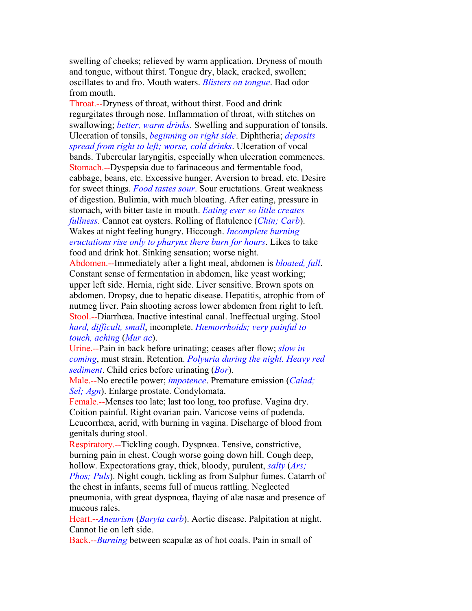swelling of cheeks; relieved by warm application. Dryness of mouth and tongue, without thirst. Tongue dry, black, cracked, swollen; oscillates to and fro. Mouth waters. *Blisters on tongue*. Bad odor from mouth.

Throat.--Dryness of throat, without thirst. Food and drink regurgitates through nose. Inflammation of throat, with stitches on swallowing; *better, warm drinks*. Swelling and suppuration of tonsils. Ulceration of tonsils, *beginning on right side*. Diphtheria; *deposits spread from right to left; worse, cold drinks*. Ulceration of vocal bands. Tubercular laryngitis, especially when ulceration commences. Stomach.--Dyspepsia due to farinaceous and fermentable food, cabbage, beans, etc. Excessive hunger. Aversion to bread, etc. Desire for sweet things. *Food tastes sour*. Sour eructations. Great weakness of digestion. Bulimia, with much bloating. After eating, pressure in stomach, with bitter taste in mouth. *Eating ever so little creates fullness*. Cannot eat oysters. Rolling of flatulence (*Chin; Carb*). Wakes at night feeling hungry. Hiccough. *Incomplete burning eructations rise only to pharynx there burn for hours*. Likes to take food and drink hot. Sinking sensation; worse night.

Abdomen.--Immediately after a light meal, abdomen is *bloated, full*. Constant sense of fermentation in abdomen, like yeast working; upper left side. Hernia, right side. Liver sensitive. Brown spots on abdomen. Dropsy, due to hepatic disease. Hepatitis, atrophic from of nutmeg liver. Pain shooting across lower abdomen from right to left. Stool.--Diarrhœa. Inactive intestinal canal. Ineffectual urging. Stool *hard, difficult, small*, incomplete. *Hæmorrhoids; very painful to touch, aching* (*Mur ac*).

Urine.--Pain in back before urinating; ceases after flow; *slow in coming*, must strain. Retention. *Polyuria during the night. Heavy red sediment*. Child cries before urinating (*Bor*).

Male.--No erectile power; *impotence*. Premature emission (*Calad; Sel; Agn*). Enlarge prostate. Condylomata.

Female.--Menses too late; last too long, too profuse. Vagina dry. Coition painful. Right ovarian pain. Varicose veins of pudenda. Leucorrhœa, acrid, with burning in vagina. Discharge of blood from genitals during stool.

Respiratory.--Tickling cough. Dyspnœa. Tensive, constrictive, burning pain in chest. Cough worse going down hill. Cough deep, hollow. Expectorations gray, thick, bloody, purulent, *salty* (*Ars; Phos; Puls*). Night cough, tickling as from Sulphur fumes. Catarrh of the chest in infants, seems full of mucus rattling. Neglected pneumonia, with great dyspnœa, flaying of alæ nasæ and presence of mucous rales.

Heart.--*Aneurism* (*Baryta carb*). Aortic disease. Palpitation at night. Cannot lie on left side.

Back.--*Burning* between scapulæ as of hot coals. Pain in small of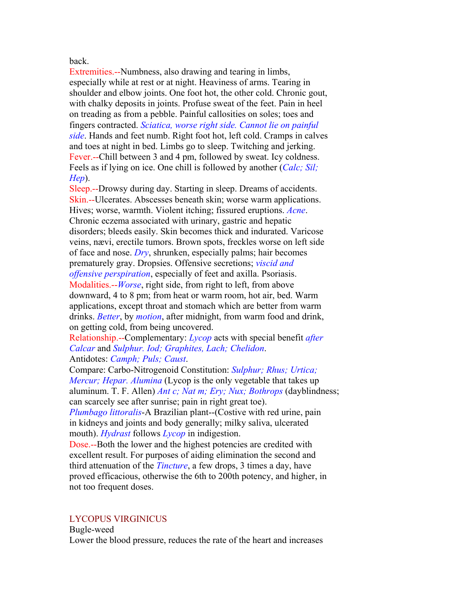#### back.

Extremities.--Numbness, also drawing and tearing in limbs, especially while at rest or at night. Heaviness of arms. Tearing in shoulder and elbow joints. One foot hot, the other cold. Chronic gout, with chalky deposits in joints. Profuse sweat of the feet. Pain in heel on treading as from a pebble. Painful callosities on soles; toes and fingers contracted. *Sciatica, worse right side. Cannot lie on painful side*. Hands and feet numb. Right foot hot, left cold. Cramps in calves and toes at night in bed. Limbs go to sleep. Twitching and jerking. Fever.--Chill between 3 and 4 pm, followed by sweat. Icy coldness. Feels as if lying on ice. One chill is followed by another (*Calc; Sil; Hep*).

Sleep.--Drowsy during day. Starting in sleep. Dreams of accidents. Skin.--Ulcerates. Abscesses beneath skin; worse warm applications. Hives; worse, warmth. Violent itching; fissured eruptions. *Acne*. Chronic eczema associated with urinary, gastric and hepatic disorders; bleeds easily. Skin becomes thick and indurated. Varicose veins, nævi, erectile tumors. Brown spots, freckles worse on left side of face and nose. *Dry*, shrunken, especially palms; hair becomes prematurely gray. Dropsies. Offensive secretions; *viscid and offensive perspiration*, especially of feet and axilla. Psoriasis. Modalities.--*Worse*, right side, from right to left, from above downward, 4 to 8 pm; from heat or warm room, hot air, bed. Warm applications, except throat and stomach which are better from warm drinks. *Better*, by *motion*, after midnight, from warm food and drink, on getting cold, from being uncovered.

Relationship.--Complementary: *Lycop* acts with special benefit *after Calcar* and *Sulphur. Iod; Graphites, Lach; Chelidon*. Antidotes: *Camph; Puls; Caust*.

Compare: Carbo-Nitrogenoid Constitution: *Sulphur; Rhus; Urtica; Mercur; Hepar. Alumina* (Lycop is the only vegetable that takes up aluminum. T. F. Allen) *Ant c; Nat m; Ery; Nux; Bothrops* (dayblindness; can scarcely see after sunrise; pain in right great toe).

*Plumbago littoralis*-A Brazilian plant--(Costive with red urine, pain in kidneys and joints and body generally; milky saliva, ulcerated mouth). *Hydrast* follows *Lycop* in indigestion.

Dose.--Both the lower and the highest potencies are credited with excellent result. For purposes of aiding elimination the second and third attenuation of the *Tincture*, a few drops, 3 times a day, have proved efficacious, otherwise the 6th to 200th potency, and higher, in not too frequent doses.

# LYCOPUS VIRGINICUS

Bugle-weed Lower the blood pressure, reduces the rate of the heart and increases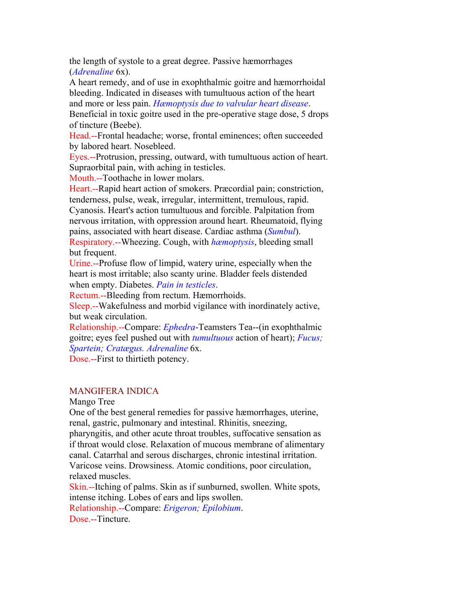the length of systole to a great degree. Passive hæmorrhages (*Adrenaline* 6x).

A heart remedy, and of use in exophthalmic goitre and hæmorrhoidal bleeding. Indicated in diseases with tumultuous action of the heart and more or less pain. *Hæmoptysis due to valvular heart disease*.

Beneficial in toxic goitre used in the pre-operative stage dose, 5 drops of tincture (Beebe).

Head.--Frontal headache; worse, frontal eminences; often succeeded by labored heart. Nosebleed.

Eyes.--Protrusion, pressing, outward, with tumultuous action of heart. Supraorbital pain, with aching in testicles.

Mouth.--Toothache in lower molars.

Heart.--Rapid heart action of smokers. Præcordial pain; constriction, tenderness, pulse, weak, irregular, intermittent, tremulous, rapid. Cyanosis. Heart's action tumultuous and forcible. Palpitation from nervous irritation, with oppression around heart. Rheumatoid, flying pains, associated with heart disease. Cardiac asthma (*Sumbul*).

Respiratory.--Wheezing. Cough, with *hæmoptysis*, bleeding small but frequent.

Urine.--Profuse flow of limpid, watery urine, especially when the heart is most irritable; also scanty urine. Bladder feels distended when empty. Diabetes. *Pain in testicles*.

Rectum.--Bleeding from rectum. Hæmorrhoids.

Sleep.--Wakefulness and morbid vigilance with inordinately active, but weak circulation.

Relationship.--Compare: *Ephedra*-Teamsters Tea--(in exophthalmic goitre; eyes feel pushed out with *tumultuous* action of heart); *Fucus; Spartein; Cratægus. Adrenaline* 6x.

Dose.--First to thirtieth potency.

# MANGIFERA INDICA

Mango Tree

One of the best general remedies for passive hæmorrhages, uterine, renal, gastric, pulmonary and intestinal. Rhinitis, sneezing,

pharyngitis, and other acute throat troubles, suffocative sensation as if throat would close. Relaxation of mucous membrane of alimentary canal. Catarrhal and serous discharges, chronic intestinal irritation. Varicose veins. Drowsiness. Atomic conditions, poor circulation, relaxed muscles.

Skin.--Itching of palms. Skin as if sunburned, swollen. White spots, intense itching. Lobes of ears and lips swollen.

Relationship.--Compare: *Erigeron; Epilobium*.

Dose.--Tincture.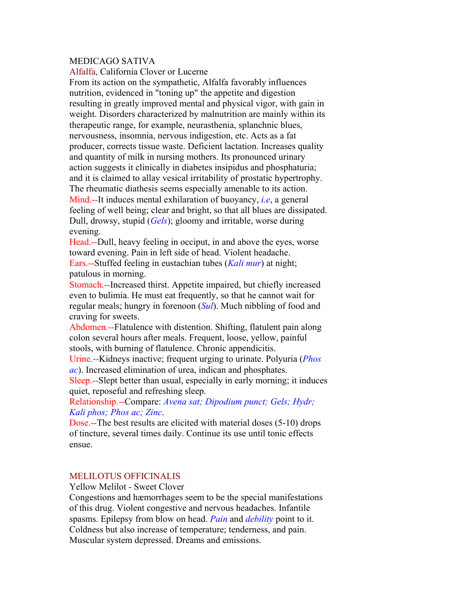## MEDICAGO SATIVA

Alfalfa, California Clover or Lucerne

From its action on the sympathetic, Alfalfa favorably influences nutrition, evidenced in "toning up" the appetite and digestion resulting in greatly improved mental and physical vigor, with gain in weight. Disorders characterized by malnutrition are mainly within its therapeutic range, for example, neurasthenia, splanchnic blues, nervousness, insomnia, nervous indigestion, etc. Acts as a fat producer, corrects tissue waste. Deficient lactation. Increases quality and quantity of milk in nursing mothers. Its pronounced urinary action suggests it clinically in diabetes insipidus and phosphaturia; and it is claimed to allay vesical irritability of prostatic hypertrophy. The rheumatic diathesis seems especially amenable to its action. Mind.--It induces mental exhilaration of buoyancy, *i.e*, a general feeling of well being; clear and bright, so that all blues are dissipated. Dull, drowsy, stupid (*Gels*); gloomy and irritable, worse during evening.

Head.--Dull, heavy feeling in occiput, in and above the eyes, worse toward evening. Pain in left side of head. Violent headache. Ears.--Stuffed feeling in eustachian tubes (*Kali mur*) at night; patulous in morning.

Stomach.--Increased thirst. Appetite impaired, but chiefly increased even to bulimia. He must eat frequently, so that he cannot wait for regular meals; hungry in forenoon (*Sul*). Much nibbling of food and craving for sweets.

Abdomen.--Flatulence with distention. Shifting, flatulent pain along colon several hours after meals. Frequent, loose, yellow, painful stools, with burning of flatulence. Chronic appendicitis.

Urine.--Kidneys inactive; frequent urging to urinate. Polyuria (*Phos ac*). Increased elimination of urea, indican and phosphates.

Sleep.--Slept better than usual, especially in early morning; it induces quiet, reposeful and refreshing sleep.

Relationship.--Compare: *Avena sat; Dipodium punct; Gels; Hydr; Kali phos; Phos ac; Zinc*.

Dose.--The best results are elicited with material doses (5-10) drops of tincture, several times daily. Continue its use until tonic effects ensue.

# MELILOTUS OFFICINALIS

Yellow Melilot - Sweet Clover

Congestions and hæmorrhages seem to be the special manifestations of this drug. Violent congestive and nervous headaches. Infantile spasms. Epilepsy from blow on head. *Pain* and *debility* point to it. Coldness but also increase of temperature; tenderness, and pain. Muscular system depressed. Dreams and emissions.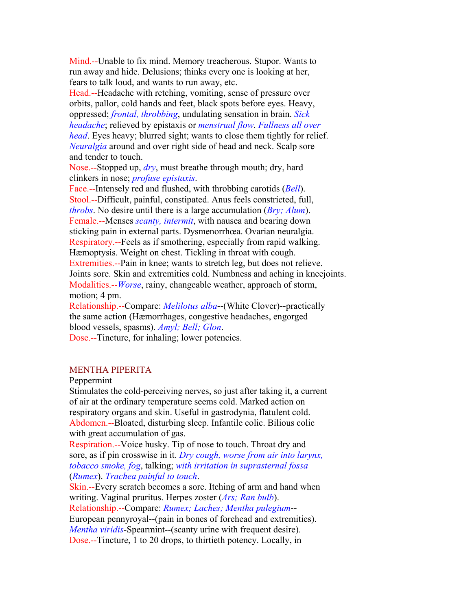Mind.--Unable to fix mind. Memory treacherous. Stupor. Wants to run away and hide. Delusions; thinks every one is looking at her, fears to talk loud, and wants to run away, etc.

Head.--Headache with retching, vomiting, sense of pressure over orbits, pallor, cold hands and feet, black spots before eyes. Heavy, oppressed; *frontal, throbbing*, undulating sensation in brain. *Sick headache*; relieved by epistaxis or *menstrual flow*. *Fullness all over head*. Eyes heavy; blurred sight; wants to close them tightly for relief. *Neuralgia* around and over right side of head and neck. Scalp sore and tender to touch.

Nose.--Stopped up, *dry*, must breathe through mouth; dry, hard clinkers in nose; *profuse epistaxis*.

Face.--Intensely red and flushed, with throbbing carotids (*Bell*). Stool.--Difficult, painful, constipated. Anus feels constricted, full, *throbs*. No desire until there is a large accumulation (*Bry; Alum*). Female.--Menses *scanty, intermit*, with nausea and bearing down sticking pain in external parts. Dysmenorrhœa. Ovarian neuralgia. Respiratory.--Feels as if smothering, especially from rapid walking. Hæmoptysis. Weight on chest. Tickling in throat with cough. Extremities.--Pain in knee; wants to stretch leg, but does not relieve. Joints sore. Skin and extremities cold. Numbness and aching in kneejoints. Modalities.--*Worse*, rainy, changeable weather, approach of storm, motion; 4 pm.

Relationship.--Compare: *Melilotus alba*--(White Clover)--practically the same action (Hæmorrhages, congestive headaches, engorged blood vessels, spasms). *Amyl; Bell; Glon*.

Dose.--Tincture, for inhaling; lower potencies.

### MENTHA PIPERITA

#### Peppermint

Stimulates the cold-perceiving nerves, so just after taking it, a current of air at the ordinary temperature seems cold. Marked action on respiratory organs and skin. Useful in gastrodynia, flatulent cold. Abdomen.--Bloated, disturbing sleep. Infantile colic. Bilious colic with great accumulation of gas.

Respiration.--Voice husky. Tip of nose to touch. Throat dry and sore, as if pin crosswise in it. *Dry cough, worse from air into larynx, tobacco smoke, fog*, talking; *with irritation in suprasternal fossa*  (*Rumex*). *Trachea painful to touch*.

Skin.--Every scratch becomes a sore. Itching of arm and hand when writing. Vaginal pruritus. Herpes zoster (*Ars; Ran bulb*). Relationship.--Compare: *Rumex; Laches; Mentha pulegium*-- European pennyroyal--(pain in bones of forehead and extremities). *Mentha viridis*-Spearmint--(scanty urine with frequent desire). Dose.--Tincture, 1 to 20 drops, to thirtieth potency. Locally, in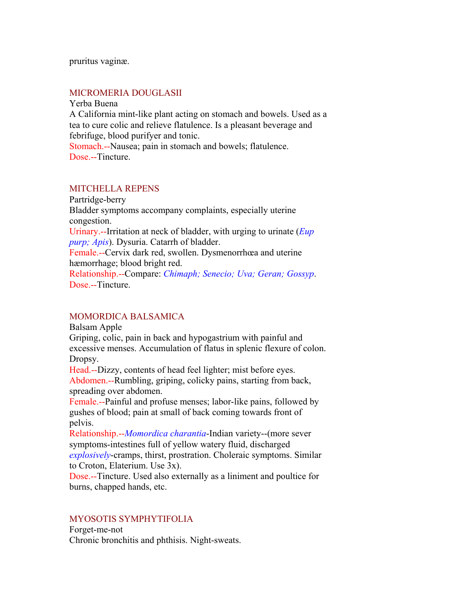pruritus vaginæ.

### MICROMERIA DOUGLASII

Yerba Buena A California mint-like plant acting on stomach and bowels. Used as a tea to cure colic and relieve flatulence. Is a pleasant beverage and febrifuge, blood purifyer and tonic. Stomach.--Nausea; pain in stomach and bowels; flatulence. Dose.--Tincture.

#### MITCHELLA REPENS

Partridge-berry Bladder symptoms accompany complaints, especially uterine congestion. Urinary.--Irritation at neck of bladder, with urging to urinate (*Eup purp; Apis*). Dysuria. Catarrh of bladder. Female.--Cervix dark red, swollen. Dysmenorrhœa and uterine hæmorrhage; blood bright red. Relationship.--Compare: *Chimaph; Senecio; Uva; Geran; Gossyp*. Dose.--Tincture.

## MOMORDICA BALSAMICA

Balsam Apple

Griping, colic, pain in back and hypogastrium with painful and excessive menses. Accumulation of flatus in splenic flexure of colon. Dropsy.

Head.--Dizzy, contents of head feel lighter; mist before eyes. Abdomen.--Rumbling, griping, colicky pains, starting from back, spreading over abdomen.

Female.--Painful and profuse menses; labor-like pains, followed by gushes of blood; pain at small of back coming towards front of pelvis.

Relationship.--*Momordica charantia*-Indian variety--(more sever symptoms-intestines full of yellow watery fluid, discharged *explosively*-cramps, thirst, prostration. Choleraic symptoms. Similar to Croton, Elaterium. Use 3x).

Dose.--Tincture. Used also externally as a liniment and poultice for burns, chapped hands, etc.

# MYOSOTIS SYMPHYTIFOLIA

Forget-me-not Chronic bronchitis and phthisis. Night-sweats.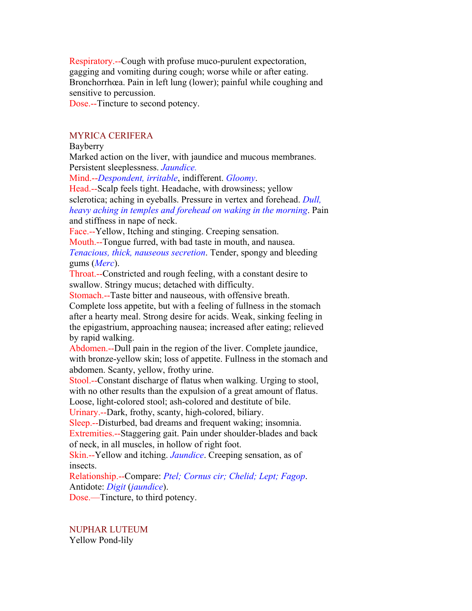Respiratory.--Cough with profuse muco-purulent expectoration, gagging and vomiting during cough; worse while or after eating. Bronchorrhœa. Pain in left lung (lower); painful while coughing and sensitive to percussion.

Dose.--Tincture to second potency.

## MYRICA CERIFERA

Bayberry

Marked action on the liver, with jaundice and mucous membranes. Persistent sleeplessness. *Jaundice.* 

Mind.--*Despondent, irritable*, indifferent. *Gloomy*.

Head.--Scalp feels tight. Headache, with drowsiness; yellow sclerotica; aching in eyeballs. Pressure in vertex and forehead. *Dull, heavy aching in temples and forehead on waking in the morning*. Pain and stiffness in nape of neck.

Face.--Yellow, Itching and stinging. Creeping sensation.

Mouth.--Tongue furred, with bad taste in mouth, and nausea. *Tenacious, thick, nauseous secretion*. Tender, spongy and bleeding gums (*Merc*).

Throat.--Constricted and rough feeling, with a constant desire to swallow. Stringy mucus; detached with difficulty.

Stomach.--Taste bitter and nauseous, with offensive breath.

Complete loss appetite, but with a feeling of fullness in the stomach after a hearty meal. Strong desire for acids. Weak, sinking feeling in the epigastrium, approaching nausea; increased after eating; relieved by rapid walking.

Abdomen.--Dull pain in the region of the liver. Complete jaundice, with bronze-yellow skin; loss of appetite. Fullness in the stomach and abdomen. Scanty, yellow, frothy urine.

Stool.--Constant discharge of flatus when walking. Urging to stool, with no other results than the expulsion of a great amount of flatus. Loose, light-colored stool; ash-colored and destitute of bile.

Urinary.--Dark, frothy, scanty, high-colored, biliary.

Sleep.--Disturbed, bad dreams and frequent waking; insomnia. Extremities.--Staggering gait. Pain under shoulder-blades and back of neck, in all muscles, in hollow of right foot.

Skin.--Yellow and itching. *Jaundice*. Creeping sensation, as of insects.

Relationship.--Compare: *Ptel; Cornus cir; Chelid; Lept; Fagop*. Antidote: *Digit* (*jaundice*).

Dose.—Tincture, to third potency.

NUPHAR LUTEUM Yellow Pond-lily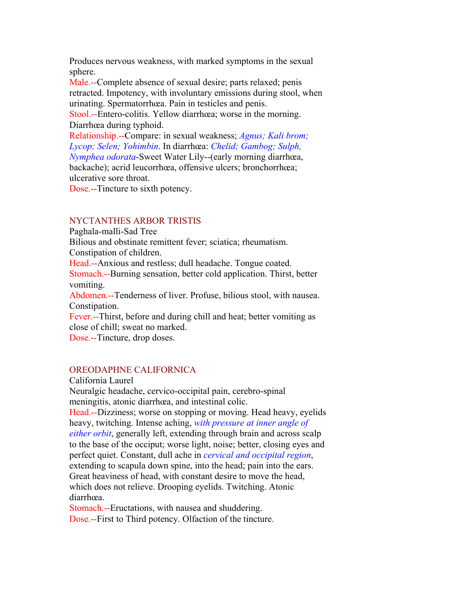Produces nervous weakness, with marked symptoms in the sexual sphere.

Male.--Complete absence of sexual desire; parts relaxed; penis retracted. Impotency, with involuntary emissions during stool, when urinating. Spermatorrhœa. Pain in testicles and penis.

Stool.--Entero-colitis. Yellow diarrhœa; worse in the morning. Diarrhœa during typhoid.

Relationship.--Compare: in sexual weakness; *Agnus; Kali brom; Lycop; Selen; Yohimbin*. In diarrhœa: *Chelid; Gambog; Sulph, Nymphea odorata*-Sweet Water Lily--(early morning diarrhœa, backache); acrid leucorrhœa, offensive ulcers; bronchorrhœa; ulcerative sore throat.

Dose.--Tincture to sixth potency.

# NYCTANTHES ARBOR TRISTIS

Paghala-malli-Sad Tree

Bilious and obstinate remittent fever; sciatica; rheumatism.

Constipation of children.

Head.--Anxious and restless; dull headache. Tongue coated.

Stomach.--Burning sensation, better cold application. Thirst, better vomiting.

Abdomen.--Tenderness of liver. Profuse, bilious stool, with nausea. Constipation.

Fever.--Thirst, before and during chill and heat; better vomiting as close of chill; sweat no marked.

Dose.--Tincture, drop doses.

# OREODAPHNE CALIFORNICA

California Laurel

Neuralgic headache, cervico-occipital pain, cerebro-spinal meningitis, atonic diarrhœa, and intestinal colic.

Head.--Dizziness; worse on stopping or moving. Head heavy, eyelids heavy, twitching. Intense aching, *with pressure at inner angle of either orbit*, generally left, extending through brain and across scalp to the base of the occiput; worse light, noise; better, closing eyes and perfect quiet. Constant, dull ache in *cervical and occipital region*, extending to scapula down spine, into the head; pain into the ears. Great heaviness of head, with constant desire to move the head, which does not relieve. Drooping eyelids. Twitching. Atonic diarrhœa.

Stomach.--Eructations, with nausea and shuddering. Dose.--First to Third potency. Olfaction of the tincture.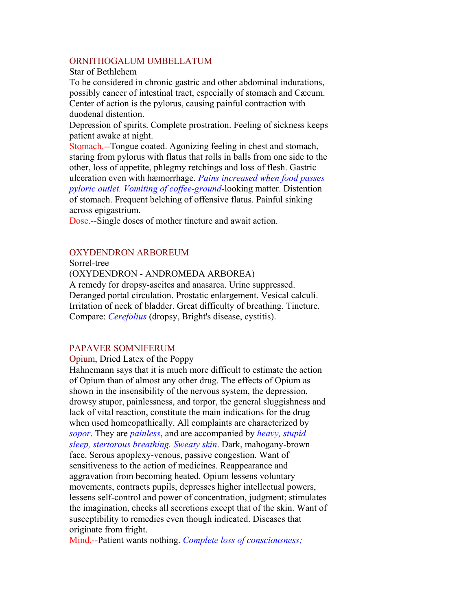### ORNITHOGALUM UMBELLATUM

#### Star of Bethlehem

To be considered in chronic gastric and other abdominal indurations, possibly cancer of intestinal tract, especially of stomach and Cæcum. Center of action is the pylorus, causing painful contraction with duodenal distention.

Depression of spirits. Complete prostration. Feeling of sickness keeps patient awake at night.

Stomach.--Tongue coated. Agonizing feeling in chest and stomach, staring from pylorus with flatus that rolls in balls from one side to the other, loss of appetite, phlegmy retchings and loss of flesh. Gastric ulceration even with hæmorrhage. *Pains increased when food passes pyloric outlet. Vomiting of coffee-ground*-looking matter. Distention of stomach. Frequent belching of offensive flatus. Painful sinking across epigastrium.

Dose.--Single doses of mother tincture and await action.

#### OXYDENDRON ARBOREUM

Sorrel-tree

(OXYDENDRON - ANDROMEDA ARBOREA)

A remedy for dropsy-ascites and anasarca. Urine suppressed. Deranged portal circulation. Prostatic enlargement. Vesical calculi. Irritation of neck of bladder. Great difficulty of breathing. Tincture. Compare: *Cerefolius* (dropsy, Bright's disease, cystitis).

## PAPAVER SOMNIFERUM

Opium, Dried Latex of the Poppy

Hahnemann says that it is much more difficult to estimate the action of Opium than of almost any other drug. The effects of Opium as shown in the insensibility of the nervous system, the depression, drowsy stupor, painlessness, and torpor, the general sluggishness and lack of vital reaction, constitute the main indications for the drug when used homeopathically. All complaints are characterized by *sopor*. They are *painless*, and are accompanied by *heavy, stupid sleep, stertorous breathing. Sweaty skin*. Dark, mahogany-brown face. Serous apoplexy-venous, passive congestion. Want of sensitiveness to the action of medicines. Reappearance and aggravation from becoming heated. Opium lessens voluntary movements, contracts pupils, depresses higher intellectual powers, lessens self-control and power of concentration, judgment; stimulates the imagination, checks all secretions except that of the skin. Want of susceptibility to remedies even though indicated. Diseases that originate from fright.

Mind.--Patient wants nothing. *Complete loss of consciousness;*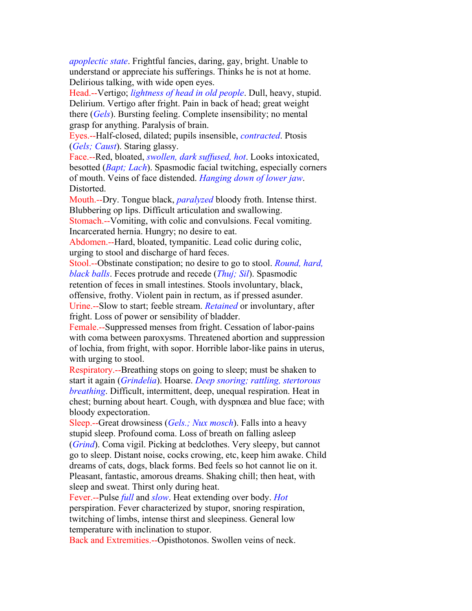*apoplectic state*. Frightful fancies, daring, gay, bright. Unable to understand or appreciate his sufferings. Thinks he is not at home. Delirious talking, with wide open eyes.

Head.--Vertigo; *lightness of head in old people*. Dull, heavy, stupid. Delirium. Vertigo after fright. Pain in back of head; great weight there (*Gels*). Bursting feeling. Complete insensibility; no mental grasp for anything. Paralysis of brain.

Eyes.--Half-closed, dilated; pupils insensible, *contracted*. Ptosis (*Gels; Caust*). Staring glassy.

Face.--Red, bloated, *swollen, dark suffused, hot*. Looks intoxicated, besotted (*Bapt; Lach*). Spasmodic facial twitching, especially corners of mouth. Veins of face distended. *Hanging down of lower jaw*. Distorted.

Mouth.--Dry. Tongue black, *paralyzed* bloody froth. Intense thirst. Blubbering op lips. Difficult articulation and swallowing.

Stomach.--Vomiting, with colic and convulsions. Fecal vomiting. Incarcerated hernia. Hungry; no desire to eat.

Abdomen.--Hard, bloated, tympanitic. Lead colic during colic, urging to stool and discharge of hard feces.

Stool.--Obstinate constipation; no desire to go to stool. *Round, hard, black balls*. Feces protrude and recede (*Thuj; Sil*). Spasmodic retention of feces in small intestines. Stools involuntary, black, offensive, frothy. Violent pain in rectum, as if pressed asunder. Urine.--Slow to start; feeble stream. *Retained* or involuntary, after fright. Loss of power or sensibility of bladder.

Female.--Suppressed menses from fright. Cessation of labor-pains with coma between paroxysms. Threatened abortion and suppression of lochia, from fright, with sopor. Horrible labor-like pains in uterus, with urging to stool.

Respiratory.--Breathing stops on going to sleep; must be shaken to start it again (*Grindelia*). Hoarse. *Deep snoring; rattling, stertorous breathing*. Difficult, intermittent, deep, unequal respiration. Heat in chest; burning about heart. Cough, with dyspnœa and blue face; with bloody expectoration.

Sleep.--Great drowsiness (*Gels.; Nux mosch*). Falls into a heavy stupid sleep. Profound coma. Loss of breath on falling asleep (*Grind*). Coma vigil. Picking at bedclothes. Very sleepy, but cannot go to sleep. Distant noise, cocks crowing, etc, keep him awake. Child dreams of cats, dogs, black forms. Bed feels so hot cannot lie on it. Pleasant, fantastic, amorous dreams. Shaking chill; then heat, with sleep and sweat. Thirst only during heat.

Fever.--Pulse *full* and *slow*. Heat extending over body. *Hot*  perspiration. Fever characterized by stupor, snoring respiration, twitching of limbs, intense thirst and sleepiness. General low temperature with inclination to stupor.

Back and Extremities.--Opisthotonos. Swollen veins of neck.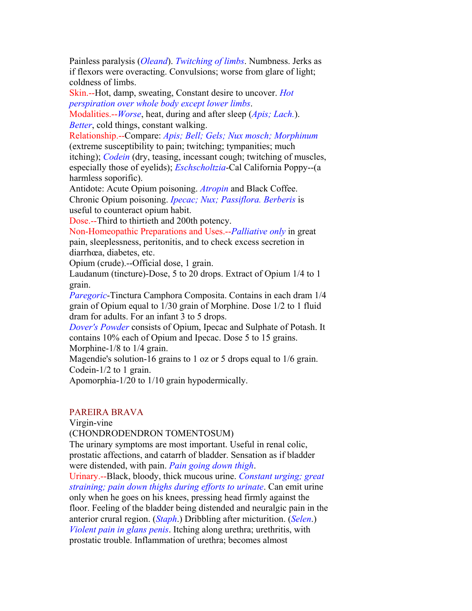Painless paralysis (*Oleand*). *Twitching of limbs*. Numbness. Jerks as if flexors were overacting. Convulsions; worse from glare of light; coldness of limbs.

Skin.--Hot, damp, sweating, Constant desire to uncover. *Hot perspiration over whole body except lower limbs*.

Modalities.--*Worse*, heat, during and after sleep (*Apis; Lach.*). *Better*, cold things, constant walking.

Relationship.--Compare: *Apis; Bell; Gels; Nux mosch; Morphinum*  (extreme susceptibility to pain; twitching; tympanities; much itching); *Codein* (dry, teasing, incessant cough; twitching of muscles, especially those of eyelids); *Eschscholtzia*-Cal California Poppy--(a harmless soporific).

Antidote: Acute Opium poisoning. *Atropin* and Black Coffee. Chronic Opium poisoning. *Ipecac; Nux; Passiflora. Berberis* is useful to counteract opium habit.

Dose.--Third to thirtieth and 200th potency.

Non-Homeopathic Preparations and Uses.--*Palliative only* in great pain, sleeplessness, peritonitis, and to check excess secretion in diarrhœa, diabetes, etc.

Opium (crude).--Official dose, 1 grain.

Laudanum (tincture)-Dose, 5 to 20 drops. Extract of Opium 1/4 to 1 grain.

*Paregoric*-Tinctura Camphora Composita. Contains in each dram 1/4 grain of Opium equal to 1/30 grain of Morphine. Dose 1/2 to 1 fluid dram for adults. For an infant 3 to 5 drops.

*Dover's Powder* consists of Opium, Ipecac and Sulphate of Potash. It contains 10% each of Opium and Ipecac. Dose 5 to 15 grains.

Morphine-1/8 to 1/4 grain.

Magendie's solution-16 grains to 1 oz or 5 drops equal to 1/6 grain. Codein-1/2 to 1 grain.

Apomorphia-1/20 to 1/10 grain hypodermically.

## PAREIRA BRAVA

Virgin-vine

(CHONDRODENDRON TOMENTOSUM)

The urinary symptoms are most important. Useful in renal colic, prostatic affections, and catarrh of bladder. Sensation as if bladder were distended, with pain. *Pain going down thigh*.

Urinary.--Black, bloody, thick mucous urine. *Constant urging; great straining; pain down thighs during efforts to urinate*. Can emit urine only when he goes on his knees, pressing head firmly against the floor. Feeling of the bladder being distended and neuralgic pain in the anterior crural region. (*Staph*.) Dribbling after micturition. (*Selen*.) *Violent pain in glans penis*. Itching along urethra; urethritis, with prostatic trouble. Inflammation of urethra; becomes almost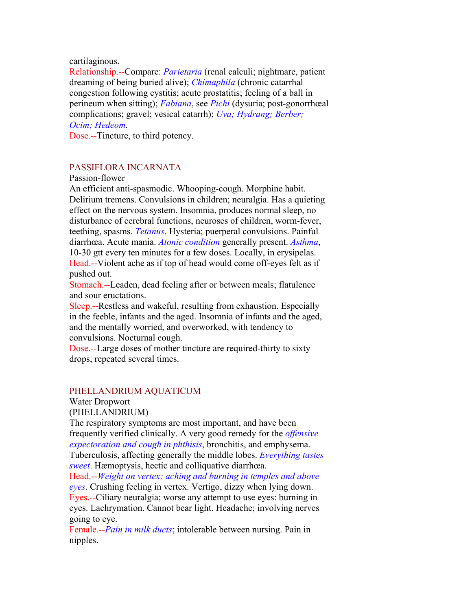cartilaginous.

Relationship.--Compare: *Parietaria* (renal calculi; nightmare, patient dreaming of being buried alive); *Chimaphila* (chronic catarrhal congestion following cystitis; acute prostatitis; feeling of a ball in perineum when sitting); *Fabiana*, see *Pichi* (dysuria; post-gonorrhœal complications; gravel; vesical catarrh); *Uva; Hydrang; Berber; Ocim; Hedeom*.

Dose.--Tincture, to third potency.

# PASSIFLORA INCARNATA

Passion-flower

An efficient anti-spasmodic. Whooping-cough. Morphine habit. Delirium tremens. Convulsions in children; neuralgia. Has a quieting effect on the nervous system. Insomnia, produces normal sleep, no disturbance of cerebral functions, neuroses of children, worm-fever, teething, spasms. *Tetanus*. Hysteria; puerperal convulsions. Painful diarrhœa. Acute mania. *Atonic condition* generally present. *Asthma*, 10-30 gtt every ten minutes for a few doses. Locally, in erysipelas. Head.--Violent ache as if top of head would come off-eyes felt as if pushed out.

Stomach.--Leaden, dead feeling after or between meals; flatulence and sour eructations.

Sleep.--Restless and wakeful, resulting from exhaustion. Especially in the feeble, infants and the aged. Insomnia of infants and the aged, and the mentally worried, and overworked, with tendency to convulsions. Nocturnal cough.

Dose.--Large doses of mother tincture are required-thirty to sixty drops, repeated several times.

## PHELLANDRIUM AQUATICUM

Water Dropwort

(PHELLANDRIUM)

The respiratory symptoms are most important, and have been frequently verified clinically. A very good remedy for the *offensive expectoration and cough in phthisis*, bronchitis, and emphysema. Tuberculosis, affecting generally the middle lobes. *Everything tastes sweet*. Hæmoptysis, hectic and colliquative diarrhœa.

Head.--*Weight on vertex; aching and burning in temples and above eyes*. Crushing feeling in vertex. Vertigo, dizzy when lying down. Eyes.--Ciliary neuralgia; worse any attempt to use eyes: burning in eyes. Lachrymation. Cannot bear light. Headache; involving nerves going to eye.

Female.--*Pain in milk ducts*; intolerable between nursing. Pain in nipples.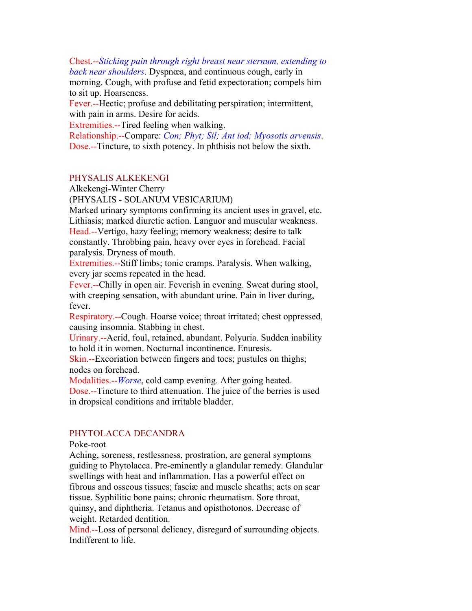Chest.--*Sticking pain through right breast near sternum, extending to back near shoulders*. Dyspnœa, and continuous cough, early in

morning. Cough, with profuse and fetid expectoration; compels him to sit up. Hoarseness.

Fever.--Hectic; profuse and debilitating perspiration; intermittent, with pain in arms. Desire for acids.

Extremities.--Tired feeling when walking.

Relationship.--Compare: *Con; Phyt; Sil; Ant iod; Myosotis arvensis*. Dose.--Tincture, to sixth potency. In phthisis not below the sixth.

## PHYSALIS ALKEKENGI

Alkekengi-Winter Cherry

(PHYSALIS - SOLANUM VESICARIUM)

Marked urinary symptoms confirming its ancient uses in gravel, etc. Lithiasis; marked diuretic action. Languor and muscular weakness. Head.--Vertigo, hazy feeling; memory weakness; desire to talk constantly. Throbbing pain, heavy over eyes in forehead. Facial paralysis. Dryness of mouth.

Extremities.--Stiff limbs; tonic cramps. Paralysis. When walking, every jar seems repeated in the head.

Fever.--Chilly in open air. Feverish in evening. Sweat during stool, with creeping sensation, with abundant urine. Pain in liver during, fever.

Respiratory.--Cough. Hoarse voice; throat irritated; chest oppressed, causing insomnia. Stabbing in chest.

Urinary.--Acrid, foul, retained, abundant. Polyuria. Sudden inability to hold it in women. Nocturnal incontinence. Enuresis.

Skin.--Excoriation between fingers and toes; pustules on thighs; nodes on forehead.

Modalities.--*Worse*, cold camp evening. After going heated. Dose.--Tincture to third attenuation. The juice of the berries is used in dropsical conditions and irritable bladder.

## PHYTOLACCA DECANDRA

#### Poke-root

Aching, soreness, restlessness, prostration, are general symptoms guiding to Phytolacca. Pre-eminently a glandular remedy. Glandular swellings with heat and inflammation. Has a powerful effect on fibrous and osseous tissues; fasciæ and muscle sheaths; acts on scar tissue. Syphilitic bone pains; chronic rheumatism. Sore throat, quinsy, and diphtheria. Tetanus and opisthotonos. Decrease of weight. Retarded dentition.

Mind.--Loss of personal delicacy, disregard of surrounding objects. Indifferent to life.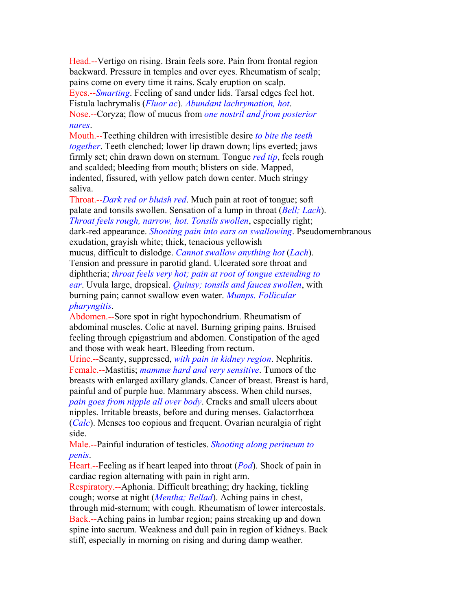Head.--Vertigo on rising. Brain feels sore. Pain from frontal region backward. Pressure in temples and over eyes. Rheumatism of scalp; pains come on every time it rains. Scaly eruption on scalp.

Eyes.--*Smarting*. Feeling of sand under lids. Tarsal edges feel hot. Fistula lachrymalis (*Fluor ac*). *Abundant lachrymation, hot*.

Nose.--Coryza; flow of mucus from *one nostril and from posterior nares*.

Mouth.--Teething children with irresistible desire *to bite the teeth together*. Teeth clenched; lower lip drawn down; lips everted; jaws firmly set; chin drawn down on sternum. Tongue *red tip*, feels rough and scalded; bleeding from mouth; blisters on side. Mapped, indented, fissured, with yellow patch down center. Much stringy saliva.

Throat.--*Dark red or bluish red*. Much pain at root of tongue; soft palate and tonsils swollen. Sensation of a lump in throat (*Bell; Lach*). *Throat feels rough, narrow, hot. Tonsils swollen*, especially right; dark-red appearance. *Shooting pain into ears on swallowing*. Pseudomembranous exudation, grayish white; thick, tenacious yellowish

mucus, difficult to dislodge. *Cannot swallow anything hot* (*Lach*). Tension and pressure in parotid gland. Ulcerated sore throat and diphtheria; *throat feels very hot; pain at root of tongue extending to ear*. Uvula large, dropsical. *Quinsy; tonsils and fauces swollen*, with burning pain; cannot swallow even water. *Mumps. Follicular pharyngitis*.

Abdomen.--Sore spot in right hypochondrium. Rheumatism of abdominal muscles. Colic at navel. Burning griping pains. Bruised feeling through epigastrium and abdomen. Constipation of the aged and those with weak heart. Bleeding from rectum.

Urine.--Scanty, suppressed, *with pain in kidney region*. Nephritis. Female.--Mastitis; *mammæ hard and very sensitive*. Tumors of the breasts with enlarged axillary glands. Cancer of breast. Breast is hard, painful and of purple hue. Mammary abscess. When child nurses, *pain goes from nipple all over body*. Cracks and small ulcers about nipples. Irritable breasts, before and during menses. Galactorrhœa (*Calc*). Menses too copious and frequent. Ovarian neuralgia of right side.

Male.--Painful induration of testicles. *Shooting along perineum to penis*.

Heart.--Feeling as if heart leaped into throat (*Pod*). Shock of pain in cardiac region alternating with pain in right arm.

Respiratory.--Aphonia. Difficult breathing; dry hacking, tickling cough; worse at night (*Mentha; Bellad*). Aching pains in chest, through mid-sternum; with cough. Rheumatism of lower intercostals. Back.--Aching pains in lumbar region; pains streaking up and down spine into sacrum. Weakness and dull pain in region of kidneys. Back stiff, especially in morning on rising and during damp weather.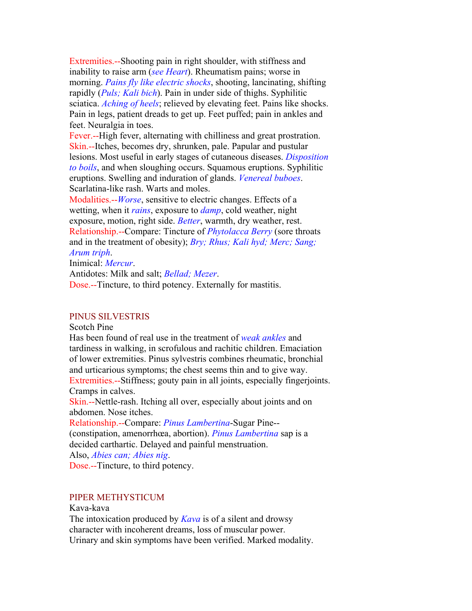Extremities.--Shooting pain in right shoulder, with stiffness and inability to raise arm (*see Heart*). Rheumatism pains; worse in morning. *Pains fly like electric shocks*, shooting, lancinating, shifting rapidly (*Puls; Kali bich*). Pain in under side of thighs. Syphilitic sciatica. *Aching of heels*; relieved by elevating feet. Pains like shocks. Pain in legs, patient dreads to get up. Feet puffed; pain in ankles and feet. Neuralgia in toes.

Fever.--High fever, alternating with chilliness and great prostration. Skin.--Itches, becomes dry, shrunken, pale. Papular and pustular lesions. Most useful in early stages of cutaneous diseases. *Disposition to boils*, and when sloughing occurs. Squamous eruptions. Syphilitic eruptions. Swelling and induration of glands. *Venereal buboes*. Scarlatina-like rash. Warts and moles.

Modalities.--*Worse*, sensitive to electric changes. Effects of a wetting, when it *rains*, exposure to *damp*, cold weather, night exposure, motion, right side. *Better*, warmth, dry weather, rest. Relationship.--Compare: Tincture of *Phytolacca Berry* (sore throats and in the treatment of obesity); *Bry; Rhus; Kali hyd; Merc; Sang; Arum triph*.

Inimical: *Mercur*.

Antidotes: Milk and salt; *Bellad; Mezer*. Dose.--Tincture, to third potency. Externally for mastitis.

## PINUS SILVESTRIS

Scotch Pine

Has been found of real use in the treatment of *weak ankles* and tardiness in walking, in scrofulous and rachitic children. Emaciation of lower extremities. Pinus sylvestris combines rheumatic, bronchial and urticarious symptoms; the chest seems thin and to give way.

Extremities.--Stiffness; gouty pain in all joints, especially fingerjoints. Cramps in calves.

Skin.--Nettle-rash. Itching all over, especially about joints and on abdomen. Nose itches.

Relationship.--Compare: *Pinus Lambertina*-Sugar Pine-- (constipation, amenorrhœa, abortion). *Pinus Lambertina* sap is a decided carthartic. Delayed and painful menstruation. Also, *Abies can; Abies nig*.

Dose.--Tincture, to third potency.

## PIPER METHYSTICUM

Kava-kava

The intoxication produced by *Kava* is of a silent and drowsy character with incoherent dreams, loss of muscular power. Urinary and skin symptoms have been verified. Marked modality.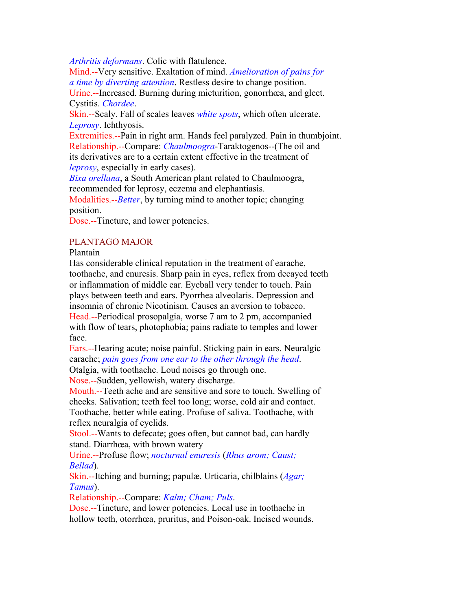*Arthritis deformans*. Colic with flatulence.

Mind.--Very sensitive. Exaltation of mind. *Amelioration of pains for a time by diverting attention*. Restless desire to change position. Urine.--Increased. Burning during micturition, gonorrhœa, and gleet. Cystitis. *Chordee*.

Skin.--Scaly. Fall of scales leaves *white spots*, which often ulcerate. *Leprosy*. Ichthyosis.

Extremities.--Pain in right arm. Hands feel paralyzed. Pain in thumbjoint. Relationship.--Compare: *Chaulmoogra*-Taraktogenos--(The oil and its derivatives are to a certain extent effective in the treatment of *leprosy*, especially in early cases).

*Bixa orellana*, a South American plant related to Chaulmoogra, recommended for leprosy, eczema and elephantiasis.

Modalities.--*Better*, by turning mind to another topic; changing position.

Dose.--Tincture, and lower potencies.

# PLANTAGO MAJOR

Plantain

Has considerable clinical reputation in the treatment of earache, toothache, and enuresis. Sharp pain in eyes, reflex from decayed teeth or inflammation of middle ear. Eyeball very tender to touch. Pain plays between teeth and ears. Pyorrhea alveolaris. Depression and insomnia of chronic Nicotinism. Causes an aversion to tobacco. Head.--Periodical prosopalgia, worse 7 am to 2 pm, accompanied with flow of tears, photophobia; pains radiate to temples and lower face.

Ears.--Hearing acute; noise painful. Sticking pain in ears. Neuralgic earache; *pain goes from one ear to the other through the head*.

Otalgia, with toothache. Loud noises go through one.

Nose.--Sudden, yellowish, watery discharge.

Mouth.--Teeth ache and are sensitive and sore to touch. Swelling of cheeks. Salivation; teeth feel too long; worse, cold air and contact. Toothache, better while eating. Profuse of saliva. Toothache, with reflex neuralgia of eyelids.

Stool.--Wants to defecate; goes often, but cannot bad, can hardly stand. Diarrhœa, with brown watery

Urine.--Profuse flow; *nocturnal enuresis* (*Rhus arom; Caust; Bellad*).

Skin.--Itching and burning; papulæ. Urticaria, chilblains (*Agar; Tamus*).

Relationship.--Compare: *Kalm; Cham; Puls*.

Dose.--Tincture, and lower potencies. Local use in toothache in hollow teeth, otorrhœa, pruritus, and Poison-oak. Incised wounds.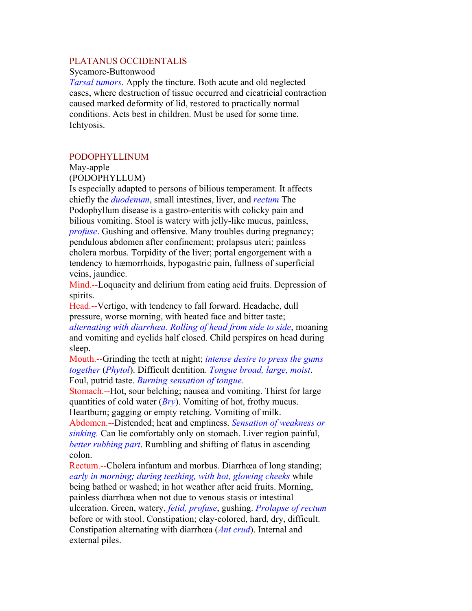## PLATANUS OCCIDENTALIS

#### Sycamore-Buttonwood

*Tarsal tumors*. Apply the tincture. Both acute and old neglected cases, where destruction of tissue occurred and cicatricial contraction caused marked deformity of lid, restored to practically normal conditions. Acts best in children. Must be used for some time. Ichtyosis.

#### PODOPHYLLINUM

May-apple (PODOPHYLLUM)

Is especially adapted to persons of bilious temperament. It affects chiefly the *duodenum*, small intestines, liver, and *rectum* The Podophyllum disease is a gastro-enteritis with colicky pain and bilious vomiting. Stool is watery with jelly-like mucus, painless, *profuse*. Gushing and offensive. Many troubles during pregnancy; pendulous abdomen after confinement; prolapsus uteri; painless cholera morbus. Torpidity of the liver; portal engorgement with a tendency to hæmorrhoids, hypogastric pain, fullness of superficial veins, jaundice.

Mind.--Loquacity and delirium from eating acid fruits. Depression of spirits.

Head.--Vertigo, with tendency to fall forward. Headache, dull pressure, worse morning, with heated face and bitter taste;

*alternating with diarrhœa. Rolling of head from side to side*, moaning and vomiting and eyelids half closed. Child perspires on head during sleep.

Mouth.--Grinding the teeth at night; *intense desire to press the gums together* (*Phytol*). Difficult dentition. *Tongue broad, large, moist*. Foul, putrid taste. *Burning sensation of tongue*.

Stomach.--Hot, sour belching; nausea and vomiting. Thirst for large quantities of cold water (*Bry*). Vomiting of hot, frothy mucus. Heartburn; gagging or empty retching. Vomiting of milk.

Abdomen.--Distended; heat and emptiness. *Sensation of weakness or sinking.* Can lie comfortably only on stomach. Liver region painful, *better rubbing part*. Rumbling and shifting of flatus in ascending colon.

Rectum.--Cholera infantum and morbus. Diarrhœa of long standing; *early in morning; during teething, with hot, glowing cheeks* while being bathed or washed; in hot weather after acid fruits. Morning, painless diarrhœa when not due to venous stasis or intestinal ulceration. Green, watery, *fetid, profuse*, gushing. *Prolapse of rectum*  before or with stool. Constipation; clay-colored, hard, dry, difficult. Constipation alternating with diarrhœa (*Ant crud*). Internal and external piles.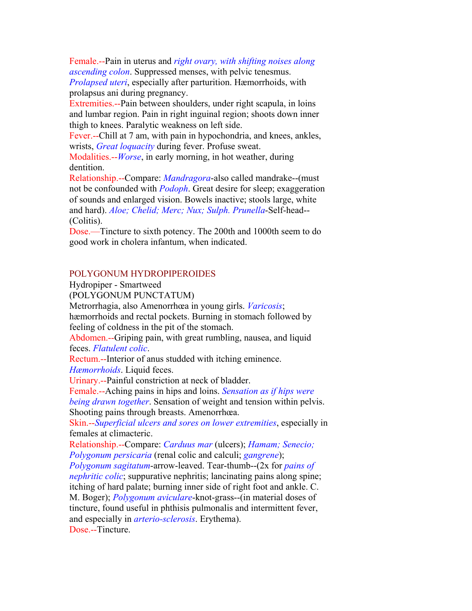Female.--Pain in uterus and *right ovary, with shifting noises along ascending colon*. Suppressed menses, with pelvic tenesmus.

*Prolapsed uteri*, especially after parturition. Hæmorrhoids, with prolapsus ani during pregnancy.

Extremities.--Pain between shoulders, under right scapula, in loins and lumbar region. Pain in right inguinal region; shoots down inner thigh to knees. Paralytic weakness on left side.

Fever.--Chill at 7 am, with pain in hypochondria, and knees, ankles, wrists, *Great loquacity* during fever. Profuse sweat.

Modalities.--*Worse*, in early morning, in hot weather, during dentition.

Relationship.--Compare: *Mandragora*-also called mandrake--(must not be confounded with *Podoph*. Great desire for sleep; exaggeration of sounds and enlarged vision. Bowels inactive; stools large, white and hard). *Aloe; Chelid; Merc; Nux; Sulph. Prunella*-Self-head-- (Colitis).

Dose.—Tincture to sixth potency. The 200th and 1000th seem to do good work in cholera infantum, when indicated.

## POLYGONUM HYDROPIPEROIDES

Hydropiper - Smartweed

(POLYGONUM PUNCTATUM)

Metrorrhagia, also Amenorrhœa in young girls. *Varicosis*;

hæmorrhoids and rectal pockets. Burning in stomach followed by feeling of coldness in the pit of the stomach.

Abdomen.--Griping pain, with great rumbling, nausea, and liquid feces. *Flatulent colic*.

Rectum.--Interior of anus studded with itching eminence.

*Hæmorrhoids*. Liquid feces.

Urinary.--Painful constriction at neck of bladder.

Female.--Aching pains in hips and loins. *Sensation as if hips were being drawn together*. Sensation of weight and tension within pelvis.

Shooting pains through breasts. Amenorrhœa.

Skin.--*Superficial ulcers and sores on lower extremities*, especially in females at climacteric.

Relationship.--Compare: *Carduus mar* (ulcers); *Hamam; Senecio; Polygonum persicaria* (renal colic and calculi; *gangrene*);

*Polygonum sagitatum*-arrow-leaved. Tear-thumb--(2x for *pains of nephritic colic*; suppurative nephritis; lancinating pains along spine; itching of hard palate; burning inner side of right foot and ankle. C. M. Boger); *Polygonum aviculare*-knot-grass--(in material doses of tincture, found useful in phthisis pulmonalis and intermittent fever, and especially in *arterio-sclerosis*. Erythema).

Dose.--Tincture.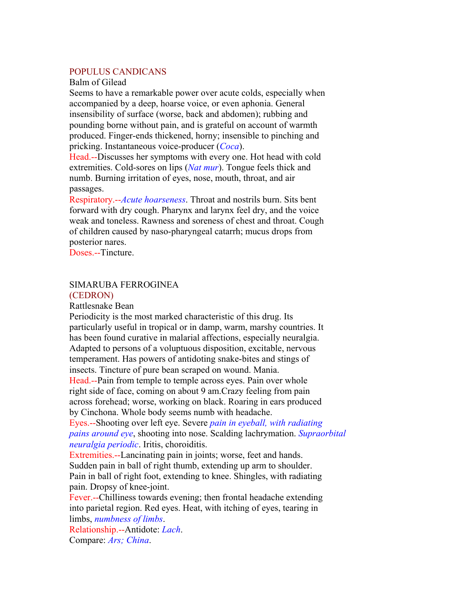### POPULUS CANDICANS

Balm of Gilead

Seems to have a remarkable power over acute colds, especially when accompanied by a deep, hoarse voice, or even aphonia. General insensibility of surface (worse, back and abdomen); rubbing and pounding borne without pain, and is grateful on account of warmth produced. Finger-ends thickened, horny; insensible to pinching and pricking. Instantaneous voice-producer (*Coca*).

Head.--Discusses her symptoms with every one. Hot head with cold extremities. Cold-sores on lips (*Nat mur*). Tongue feels thick and numb. Burning irritation of eyes, nose, mouth, throat, and air passages.

Respiratory.--*Acute hoarseness*. Throat and nostrils burn. Sits bent forward with dry cough. Pharynx and larynx feel dry, and the voice weak and toneless. Rawness and soreness of chest and throat. Cough of children caused by naso-pharyngeal catarrh; mucus drops from posterior nares.

Doses --Tincture

# SIMARUBA FERROGINEA

#### (CEDRON)

Rattlesnake Bean

Periodicity is the most marked characteristic of this drug. Its particularly useful in tropical or in damp, warm, marshy countries. It has been found curative in malarial affections, especially neuralgia. Adapted to persons of a voluptuous disposition, excitable, nervous temperament. Has powers of antidoting snake-bites and stings of insects. Tincture of pure bean scraped on wound. Mania.

Head.--Pain from temple to temple across eyes. Pain over whole right side of face, coming on about 9 am.Crazy feeling from pain across forehead; worse, working on black. Roaring in ears produced by Cinchona. Whole body seems numb with headache.

Eyes.--Shooting over left eye. Severe *pain in eyeball, with radiating pains around eye*, shooting into nose. Scalding lachrymation. *Supraorbital neuralgia periodic*. Iritis, choroiditis.

Extremities.--Lancinating pain in joints; worse, feet and hands. Sudden pain in ball of right thumb, extending up arm to shoulder. Pain in ball of right foot, extending to knee. Shingles, with radiating pain. Dropsy of knee-joint.

Fever.--Chilliness towards evening; then frontal headache extending into parietal region. Red eyes. Heat, with itching of eyes, tearing in limbs, *numbness of limbs*.

Relationship.--Antidote: *Lach*. Compare: *Ars; China*.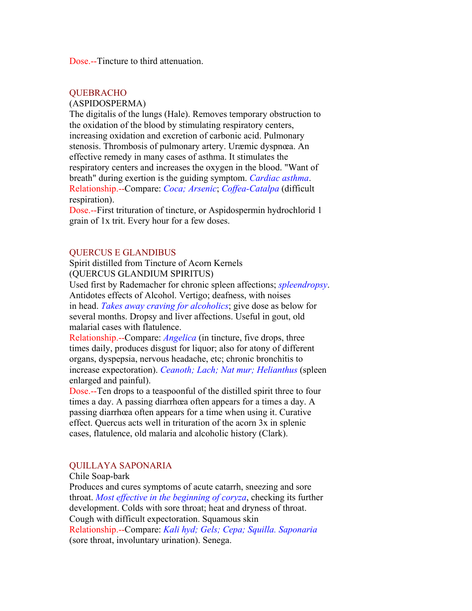Dose.--Tincture to third attenuation.

## QUEBRACHO

### (ASPIDOSPERMA)

The digitalis of the lungs (Hale). Removes temporary obstruction to the oxidation of the blood by stimulating respiratory centers, increasing oxidation and excretion of carbonic acid. Pulmonary stenosis. Thrombosis of pulmonary artery. Uræmic dyspnœa. An effective remedy in many cases of asthma. It stimulates the respiratory centers and increases the oxygen in the blood. "Want of breath" during exertion is the guiding symptom. *Cardiac asthma*. Relationship.--Compare: *Coca; Arsenic*; *Coffea-Catalpa* (difficult respiration).

Dose.--First trituration of tincture, or Aspidospermin hydrochlorid 1 grain of 1x trit. Every hour for a few doses.

## QUERCUS E GLANDIBUS

Spirit distilled from Tincture of Acorn Kernels (QUERCUS GLANDIUM SPIRITUS)

Used first by Rademacher for chronic spleen affections; *spleendropsy*. Antidotes effects of Alcohol. Vertigo; deafness, with noises in head. *Takes away craving for alcoholics*; give dose as below for several months. Dropsy and liver affections. Useful in gout, old malarial cases with flatulence.

Relationship.--Compare: *Angelica* (in tincture, five drops, three times daily, produces disgust for liquor; also for atony of different organs, dyspepsia, nervous headache, etc; chronic bronchitis to increase expectoration). *Ceanoth; Lach; Nat mur; Helianthus* (spleen enlarged and painful).

Dose.--Ten drops to a teaspoonful of the distilled spirit three to four times a day. A passing diarrhœa often appears for a times a day. A passing diarrhœa often appears for a time when using it. Curative effect. Quercus acts well in trituration of the acorn 3x in splenic cases, flatulence, old malaria and alcoholic history (Clark).

# QUILLAYA SAPONARIA

Chile Soap-bark

Produces and cures symptoms of acute catarrh, sneezing and sore throat. *Most effective in the beginning of coryza*, checking its further development. Colds with sore throat; heat and dryness of throat. Cough with difficult expectoration. Squamous skin Relationship.--Compare: *Kali hyd; Gels; Cepa; Squilla. Saponaria* 

(sore throat, involuntary urination). Senega.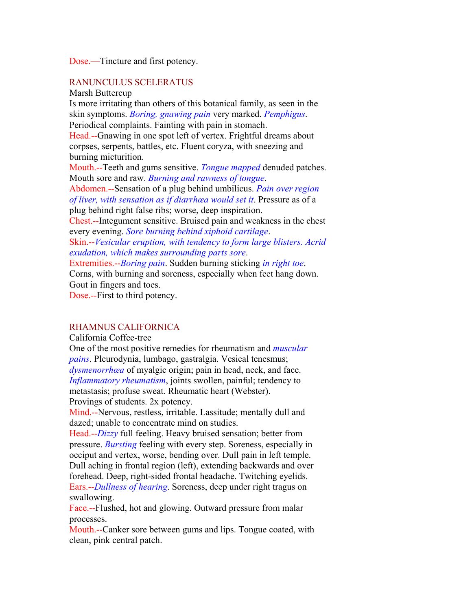Dose.—Tincture and first potency.

# RANUNCULUS SCELERATUS

Marsh Buttercup

Is more irritating than others of this botanical family, as seen in the skin symptoms. *Boring, gnawing pain* very marked. *Pemphigus*. Periodical complaints. Fainting with pain in stomach.

Head.--Gnawing in one spot left of vertex. Frightful dreams about corpses, serpents, battles, etc. Fluent coryza, with sneezing and burning micturition.

Mouth.--Teeth and gums sensitive. *Tongue mapped* denuded patches. Mouth sore and raw. *Burning and rawness of tongue*.

Abdomen.--Sensation of a plug behind umbilicus. *Pain over region of liver, with sensation as if diarrhœa would set it*. Pressure as of a plug behind right false ribs; worse, deep inspiration.

Chest.--Integument sensitive. Bruised pain and weakness in the chest every evening. *Sore burning behind xiphoid cartilage*.

Skin.--*Vesicular eruption, with tendency to form large blisters. Acrid exudation, which makes surrounding parts sore*.

Extremities.--*Boring pain*. Sudden burning sticking *in right toe*. Corns, with burning and soreness, especially when feet hang down. Gout in fingers and toes.

Dose.--First to third potency.

## RHAMNUS CALIFORNICA

California Coffee-tree

One of the most positive remedies for rheumatism and *muscular pains*. Pleurodynia, lumbago, gastralgia. Vesical tenesmus; *dysmenorrhœa* of myalgic origin; pain in head, neck, and face. *Inflammatory rheumatism*, joints swollen, painful; tendency to metastasis; profuse sweat. Rheumatic heart (Webster). Provings of students. 2x potency.

Mind.--Nervous, restless, irritable. Lassitude; mentally dull and dazed; unable to concentrate mind on studies.

Head.--*Dizzy* full feeling. Heavy bruised sensation; better from pressure. *Bursting* feeling with every step. Soreness, especially in occiput and vertex, worse, bending over. Dull pain in left temple. Dull aching in frontal region (left), extending backwards and over forehead. Deep, right-sided frontal headache. Twitching eyelids. Ears.--*Dullness of hearing*. Soreness, deep under right tragus on swallowing.

Face.--Flushed, hot and glowing. Outward pressure from malar processes.

Mouth.--Canker sore between gums and lips. Tongue coated, with clean, pink central patch.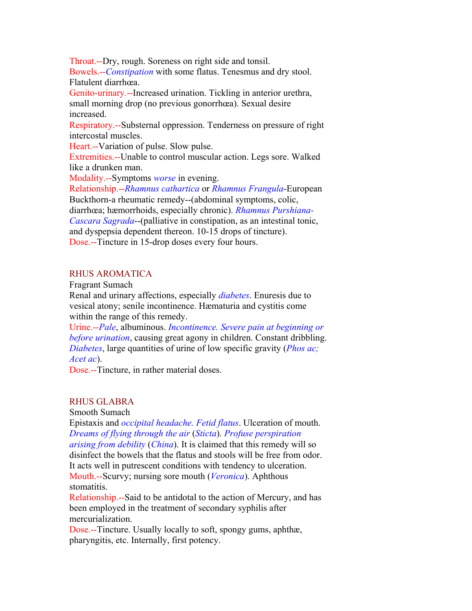Throat.--Dry, rough. Soreness on right side and tonsil. Bowels.--*Constipation* with some flatus. Tenesmus and dry stool. Flatulent diarrhœa.

Genito-urinary.--Increased urination. Tickling in anterior urethra, small morning drop (no previous gonorrhœa). Sexual desire increased.

Respiratory.--Substernal oppression. Tenderness on pressure of right intercostal muscles.

Heart.--Variation of pulse. Slow pulse.

Extremities.--Unable to control muscular action. Legs sore. Walked like a drunken man.

Modality.--Symptoms *worse* in evening.

Relationship.--*Rhamnus cathartica* or *Rhamnus Frangula*-European Buckthorn-a rheumatic remedy--(abdominal symptoms, colic, diarrhœa; hæmorrhoids, especially chronic). *Rhamnus Purshiana-Cascara Sagrada*--(palliative in constipation, as an intestinal tonic, and dyspepsia dependent thereon. 10-15 drops of tincture). Dose.--Tincture in 15-drop doses every four hours.

# RHUS AROMATICA

Fragrant Sumach

Renal and urinary affections, especially *diabetes*. Enuresis due to vesical atony; senile incontinence. Hæmaturia and cystitis come within the range of this remedy.

Urine.--*Pale*, albuminous. *Incontinence. Severe pain at beginning or before urination*, causing great agony in children. Constant dribbling. *Diabetes*, large quantities of urine of low specific gravity (*Phos ac; Acet ac*).

Dose.--Tincture, in rather material doses.

## RHUS GLABRA

Smooth Sumach

Epistaxis and *occipital headache. Fetid flatus*. Ulceration of mouth. *Dreams of flying through the air* (*Sticta*). *Profuse perspiration arising from debility* (*China*). It is claimed that this remedy will so disinfect the bowels that the flatus and stools will be free from odor. It acts well in putrescent conditions with tendency to ulceration. Mouth.--Scurvy; nursing sore mouth (*Veronica*). Aphthous stomatitis.

Relationship.--Said to be antidotal to the action of Mercury, and has been employed in the treatment of secondary syphilis after mercurialization.

Dose.--Tincture. Usually locally to soft, spongy gums, aphthæ, pharyngitis, etc. Internally, first potency.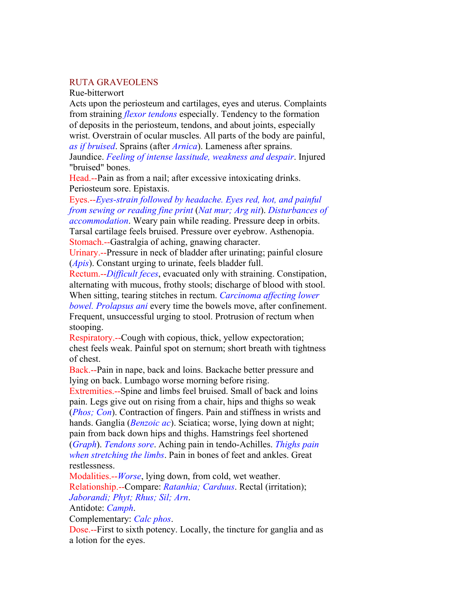### RUTA GRAVEOLENS

Rue-bitterwort

Acts upon the periosteum and cartilages, eyes and uterus. Complaints from straining *flexor tendons* especially. Tendency to the formation of deposits in the periosteum, tendons, and about joints, especially wrist. Overstrain of ocular muscles. All parts of the body are painful, *as if bruised*. Sprains (after *Arnica*). Lameness after sprains. Jaundice. *Feeling of intense lassitude, weakness and despair*. Injured "bruised" bones.

Head.--Pain as from a nail; after excessive intoxicating drinks. Periosteum sore. Epistaxis.

Eyes.--*Eyes-strain followed by headache. Eyes red, hot, and painful from sewing or reading fine print* (*Nat mur; Arg nit*). *Disturbances of accommodation*. Weary pain while reading. Pressure deep in orbits.

Tarsal cartilage feels bruised. Pressure over eyebrow. Asthenopia. Stomach.--Gastralgia of aching, gnawing character.

Urinary.--Pressure in neck of bladder after urinating; painful closure (*Apis*). Constant urging to urinate, feels bladder full.

Rectum.--*Difficult feces*, evacuated only with straining. Constipation, alternating with mucous, frothy stools; discharge of blood with stool. When sitting, tearing stitches in rectum. *Carcinoma affecting lower* 

*bowel. Prolapsus ani* every time the bowels move, after confinement. Frequent, unsuccessful urging to stool. Protrusion of rectum when stooping.

Respiratory.--Cough with copious, thick, yellow expectoration; chest feels weak. Painful spot on sternum; short breath with tightness of chest.

Back.--Pain in nape, back and loins. Backache better pressure and lying on back. Lumbago worse morning before rising.

Extremities.--Spine and limbs feel bruised. Small of back and loins pain. Legs give out on rising from a chair, hips and thighs so weak (*Phos; Con*). Contraction of fingers. Pain and stiffness in wrists and hands. Ganglia (*Benzoic ac*). Sciatica; worse, lying down at night; pain from back down hips and thighs. Hamstrings feel shortened (*Graph*). *Tendons sore*. Aching pain in tendo-Achilles. *Thighs pain when stretching the limbs*. Pain in bones of feet and ankles. Great restlessness.

Modalities.--*Worse*, lying down, from cold, wet weather.

Relationship.--Compare: *Ratanhia; Carduus*. Rectal (irritation); *Jaborandi; Phyt; Rhus; Sil; Arn*.

Antidote: *Camph*.

Complementary: *Calc phos*.

Dose.--First to sixth potency. Locally, the tincture for ganglia and as a lotion for the eyes.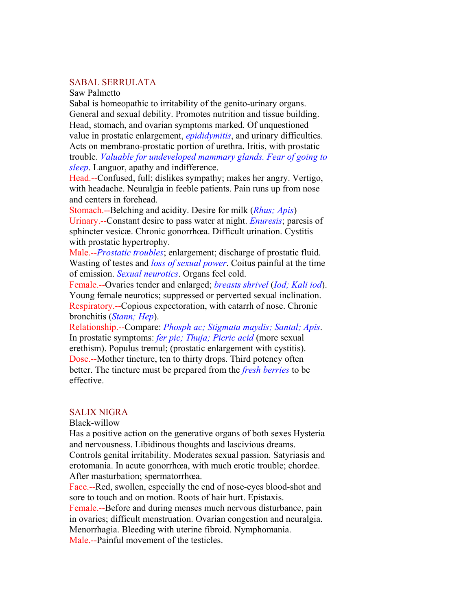## SABAL SERRULATA

Saw Palmetto

Sabal is homeopathic to irritability of the genito-urinary organs. General and sexual debility. Promotes nutrition and tissue building. Head, stomach, and ovarian symptoms marked. Of unquestioned value in prostatic enlargement, *epididymitis*, and urinary difficulties. Acts on membrano-prostatic portion of urethra. Iritis, with prostatic trouble. *Valuable for undeveloped mammary glands. Fear of going to sleep*. Languor, apathy and indifference.

Head.--Confused, full; dislikes sympathy; makes her angry. Vertigo, with headache. Neuralgia in feeble patients. Pain runs up from nose and centers in forehead.

Stomach.--Belching and acidity. Desire for milk (*Rhus; Apis*) Urinary.--Constant desire to pass water at night. *Enuresis*; paresis of sphincter vesicæ. Chronic gonorrhœa. Difficult urination. Cystitis with prostatic hypertrophy.

Male.--*Prostatic troubles*; enlargement; discharge of prostatic fluid. Wasting of testes and *loss of sexual power*. Coitus painful at the time of emission. *Sexual neurotics*. Organs feel cold.

Female.--Ovaries tender and enlarged; *breasts shrivel* (*Iod; Kali iod*). Young female neurotics; suppressed or perverted sexual inclination. Respiratory.--Copious expectoration, with catarrh of nose. Chronic bronchitis (*Stann; Hep*).

Relationship.--Compare: *Phosph ac; Stigmata maydis; Santal; Apis*. In prostatic symptoms: *fer pic; Thuja; Picric acid* (more sexual erethism). Populus tremul; (prostatic enlargement with cystitis). Dose.--Mother tincture, ten to thirty drops. Third potency often better. The tincture must be prepared from the *fresh berries* to be effective.

## SALIX NIGRA

Black-willow

Has a positive action on the generative organs of both sexes Hysteria and nervousness. Libidinous thoughts and lascivious dreams. Controls genital irritability. Moderates sexual passion. Satyriasis and erotomania. In acute gonorrhœa, with much erotic trouble; chordee. After masturbation; spermatorrhœa.

Face.--Red, swollen, especially the end of nose-eyes blood-shot and sore to touch and on motion. Roots of hair hurt. Epistaxis.

Female.--Before and during menses much nervous disturbance, pain in ovaries; difficult menstruation. Ovarian congestion and neuralgia. Menorrhagia. Bleeding with uterine fibroid. Nymphomania.

Male.--Painful movement of the testicles.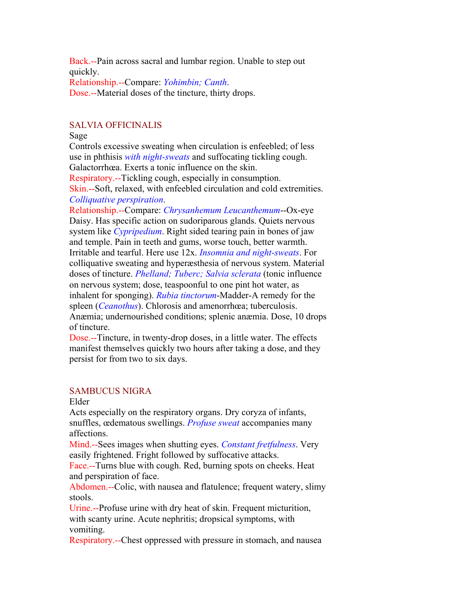Back.--Pain across sacral and lumbar region. Unable to step out quickly.

Relationship.--Compare: *Yohimbin; Canth*. Dose.--Material doses of the tincture, thirty drops.

### SALVIA OFFICINALIS

Sage

Controls excessive sweating when circulation is enfeebled; of less use in phthisis *with night-sweats* and suffocating tickling cough. Galactorrhœa. Exerts a tonic influence on the skin.

Respiratory.--Tickling cough, especially in consumption.

Skin.--Soft, relaxed, with enfeebled circulation and cold extremities. *Colliquative perspiration*.

Relationship.--Compare: *Chrysanhemum Leucanthemum*--Ox-eye Daisy. Has specific action on sudoriparous glands. Quiets nervous system like *Cypripedium*. Right sided tearing pain in bones of jaw and temple. Pain in teeth and gums, worse touch, better warmth. Irritable and tearful. Here use 12x. *Insomnia and night-sweats*. For colliquative sweating and hyperæsthesia of nervous system. Material doses of tincture. *Phelland; Tuberc; Salvia sclerata* (tonic influence on nervous system; dose, teaspoonful to one pint hot water, as inhalent for sponging). *Rubia tinctorum*-Madder-A remedy for the spleen (*Ceanothus*). Chlorosis and amenorrhœa; tuberculosis. Anæmia; undernourished conditions; splenic anæmia. Dose, 10 drops of tincture.

Dose.--Tincture, in twenty-drop doses, in a little water. The effects manifest themselves quickly two hours after taking a dose, and they persist for from two to six days.

# SAMBUCUS NIGRA

Elder

Acts especially on the respiratory organs. Dry coryza of infants, snuffles, œdematous swellings. *Profuse sweat* accompanies many affections.

Mind.--Sees images when shutting eyes. *Constant fretfulness*. Very easily frightened. Fright followed by suffocative attacks.

Face.--Turns blue with cough. Red, burning spots on cheeks. Heat and perspiration of face.

Abdomen.--Colic, with nausea and flatulence; frequent watery, slimy stools.

Urine.--Profuse urine with dry heat of skin. Frequent micturition, with scanty urine. Acute nephritis; dropsical symptoms, with vomiting.

Respiratory.--Chest oppressed with pressure in stomach, and nausea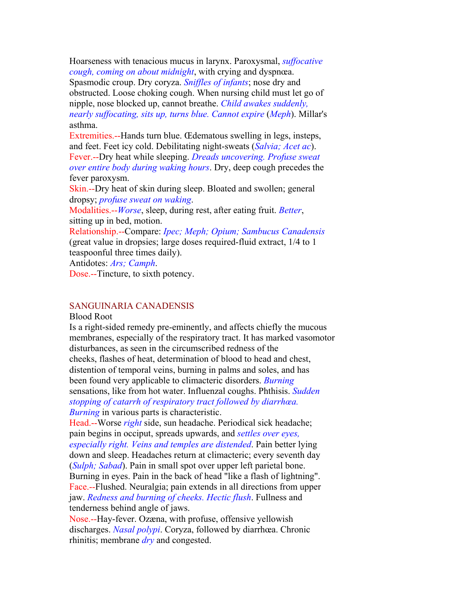Hoarseness with tenacious mucus in larynx. Paroxysmal, *suffocative cough, coming on about midnight*, with crying and dyspnœa. Spasmodic croup. Dry coryza. *Sniffles of infants*; nose dry and

obstructed. Loose choking cough. When nursing child must let go of nipple, nose blocked up, cannot breathe. *Child awakes suddenly, nearly suffocating, sits up, turns blue. Cannot expire* (*Meph*). Millar's asthma.

Extremities.--Hands turn blue. Œdematous swelling in legs, insteps, and feet. Feet icy cold. Debilitating night-sweats (*Salvia; Acet ac*). Fever.--Dry heat while sleeping. *Dreads uncovering. Profuse sweat over entire body during waking hours*. Dry, deep cough precedes the fever paroxysm.

Skin.--Dry heat of skin during sleep. Bloated and swollen; general dropsy; *profuse sweat on waking*.

Modalities.--*Worse*, sleep, during rest, after eating fruit. *Better*, sitting up in bed, motion.

Relationship.--Compare: *Ipec; Meph; Opium; Sambucus Canadensis*  (great value in dropsies; large doses required-fluid extract, 1/4 to 1 teaspoonful three times daily).

Antidotes: *Ars; Camph*.

Dose.--Tincture, to sixth potency.

### SANGUINARIA CANADENSIS

#### Blood Root

Is a right-sided remedy pre-eminently, and affects chiefly the mucous membranes, especially of the respiratory tract. It has marked vasomotor disturbances, as seen in the circumscribed redness of the cheeks, flashes of heat, determination of blood to head and chest, distention of temporal veins, burning in palms and soles, and has been found very applicable to climacteric disorders. *Burning*  sensations, like from hot water. Influenzal coughs. Phthisis. *Sudden stopping of catarrh of respiratory tract followed by diarrhœa. Burning* in various parts is characteristic.

Head.--Worse *right* side, sun headache. Periodical sick headache; pain begins in occiput, spreads upwards, and *settles over eyes, especially right. Veins and temples are distended*. Pain better lying down and sleep. Headaches return at climacteric; every seventh day (*Sulph; Sabad*). Pain in small spot over upper left parietal bone. Burning in eyes. Pain in the back of head "like a flash of lightning". Face.--Flushed. Neuralgia; pain extends in all directions from upper jaw. *Redness and burning of cheeks. Hectic flush*. Fullness and tenderness behind angle of jaws.

Nose.--Hay-fever. Ozæna, with profuse, offensive yellowish discharges. *Nasal polypi*. Coryza, followed by diarrhœa. Chronic rhinitis; membrane *dry* and congested.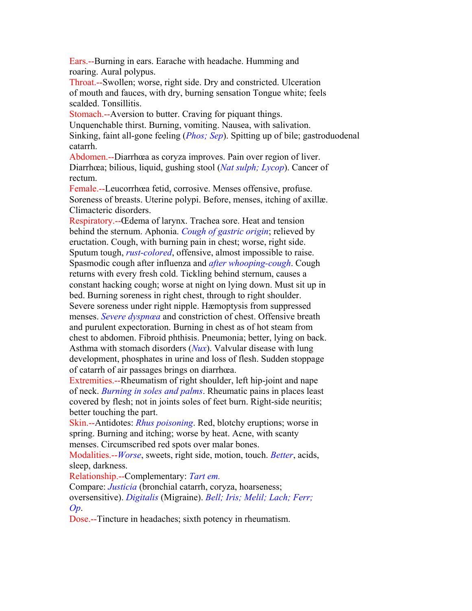Ears.--Burning in ears. Earache with headache. Humming and roaring. Aural polypus.

Throat.--Swollen; worse, right side. Dry and constricted. Ulceration of mouth and fauces, with dry, burning sensation Tongue white; feels scalded. Tonsillitis.

Stomach.--Aversion to butter. Craving for piquant things.

Unquenchable thirst. Burning, vomiting. Nausea, with salivation. Sinking, faint all-gone feeling (*Phos; Sep*). Spitting up of bile; gastroduodenal catarrh.

Abdomen.--Diarrhœa as coryza improves. Pain over region of liver. Diarrhœa; bilious, liquid, gushing stool (*Nat sulph; Lycop*). Cancer of rectum.

Female.--Leucorrhœa fetid, corrosive. Menses offensive, profuse. Soreness of breasts. Uterine polypi. Before, menses, itching of axillæ. Climacteric disorders.

Respiratory.--Œdema of larynx. Trachea sore. Heat and tension behind the sternum. Aphonia. *Cough of gastric origin*; relieved by eructation. Cough, with burning pain in chest; worse, right side. Sputum tough, *rust-colored*, offensive, almost impossible to raise. Spasmodic cough after influenza and *after whooping-cough*. Cough returns with every fresh cold. Tickling behind sternum, causes a constant hacking cough; worse at night on lying down. Must sit up in bed. Burning soreness in right chest, through to right shoulder. Severe soreness under right nipple. Hæmoptysis from suppressed menses. *Severe dyspnœa* and constriction of chest. Offensive breath and purulent expectoration. Burning in chest as of hot steam from chest to abdomen. Fibroid phthisis. Pneumonia; better, lying on back. Asthma with stomach disorders (*Nux*). Valvular disease with lung development, phosphates in urine and loss of flesh. Sudden stoppage of catarrh of air passages brings on diarrhœa.

Extremities.--Rheumatism of right shoulder, left hip-joint and nape of neck. *Burning in soles and palms*. Rheumatic pains in places least covered by flesh; not in joints soles of feet burn. Right-side neuritis; better touching the part.

Skin.--Antidotes: *Rhus poisoning*. Red, blotchy eruptions; worse in spring. Burning and itching; worse by heat. Acne, with scanty menses. Circumscribed red spots over malar bones.

Modalities.--*Worse*, sweets, right side, motion, touch. *Better*, acids, sleep, darkness.

Relationship.--Complementary: *Tart em.* 

Compare: *Justicia* (bronchial catarrh, coryza, hoarseness; oversensitive). *Digitalis* (Migraine). *Bell; Iris; Melil; Lach; Ferr;* 

*Op*.

Dose.--Tincture in headaches; sixth potency in rheumatism.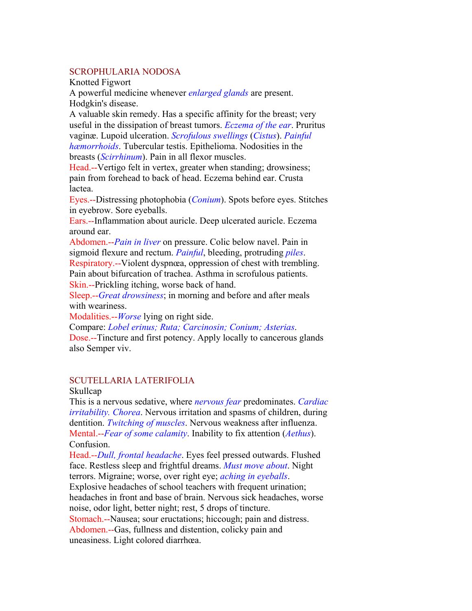### SCROPHULARIA NODOSA

Knotted Figwort

A powerful medicine whenever *enlarged glands* are present. Hodgkin's disease.

A valuable skin remedy. Has a specific affinity for the breast; very useful in the dissipation of breast tumors. *Eczema of the ear*. Pruritus vaginæ. Lupoid ulceration. *Scrofulous swellings* (*Cistus*). *Painful hæmorrhoids*. Tubercular testis. Epithelioma. Nodosities in the breasts (*Scirrhinum*). Pain in all flexor muscles.

Head.--Vertigo felt in vertex, greater when standing; drowsiness; pain from forehead to back of head. Eczema behind ear. Crusta lactea.

Eyes.--Distressing photophobia (*Conium*). Spots before eyes. Stitches in eyebrow. Sore eyeballs.

Ears.--Inflammation about auricle. Deep ulcerated auricle. Eczema around ear.

Abdomen.--*Pain in liver* on pressure. Colic below navel. Pain in sigmoid flexure and rectum. *Painful*, bleeding, protruding *piles*. Respiratory.--Violent dyspnœa, oppression of chest with trembling. Pain about bifurcation of trachea. Asthma in scrofulous patients. Skin.--Prickling itching, worse back of hand.

Sleep.--*Great drowsiness*; in morning and before and after meals

with weariness.

Modalities.--*Worse* lying on right side.

Compare: *Lobel erinus; Ruta; Carcinosin; Conium; Asterias*.

Dose.--Tincture and first potency. Apply locally to cancerous glands also Semper viv.

# SCUTELLARIA LATERIFOLIA

Skullcap

This is a nervous sedative, where *nervous fear* predominates. *Cardiac irritability. Chorea*. Nervous irritation and spasms of children, during dentition. *Twitching of muscles*. Nervous weakness after influenza. Mental.--*Fear of some calamity*. Inability to fix attention (*Aethus*). Confusion.

Head.--*Dull, frontal headache*. Eyes feel pressed outwards. Flushed face. Restless sleep and frightful dreams. *Must move about*. Night terrors. Migraine; worse, over right eye; *aching in eyeballs*. Explosive headaches of school teachers with frequent urination; headaches in front and base of brain. Nervous sick headaches, worse noise, odor light, better night; rest, 5 drops of tincture. Stomach.--Nausea; sour eructations; hiccough; pain and distress. Abdomen.--Gas, fullness and distention, colicky pain and uneasiness. Light colored diarrhœa.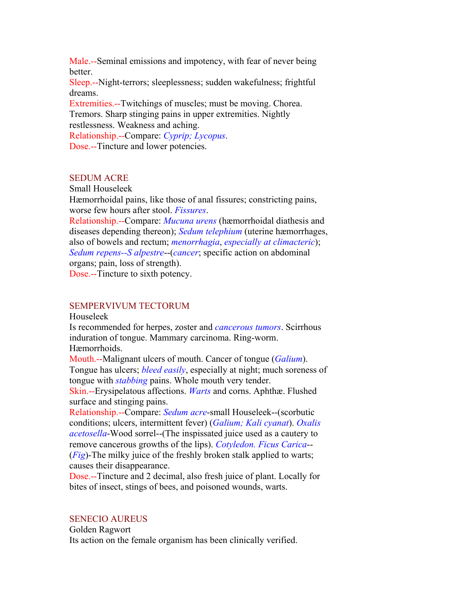Male.--Seminal emissions and impotency, with fear of never being **better** 

Sleep.--Night-terrors; sleeplessness; sudden wakefulness; frightful dreams.

Extremities.--Twitchings of muscles; must be moving. Chorea. Tremors. Sharp stinging pains in upper extremities. Nightly restlessness. Weakness and aching. Relationship.--Compare: *Cyprip; Lycopus*.

Dose.--Tincture and lower potencies.

### SEDUM ACRE

Small Houseleek Hæmorrhoidal pains, like those of anal fissures; constricting pains, worse few hours after stool. *Fissures*.

Relationship.--Compare: *Mucuna urens* (hæmorrhoidal diathesis and diseases depending thereon); *Sedum telephium* (uterine hæmorrhages, also of bowels and rectum; *menorrhagia*, *especially at climacteric*); *Sedum repens--S alpestre*--(*cancer*; specific action on abdominal organs; pain, loss of strength).

Dose.--Tincture to sixth potency.

#### SEMPERVIVUM TECTORUM

Houseleek

Is recommended for herpes, zoster and *cancerous tumors*. Scirrhous induration of tongue. Mammary carcinoma. Ring-worm. Hæmorrhoids.

Mouth.--Malignant ulcers of mouth. Cancer of tongue (*Galium*). Tongue has ulcers; *bleed easily*, especially at night; much soreness of tongue with *stabbing* pains. Whole mouth very tender.

Skin.--Erysipelatous affections. *Warts* and corns. Aphthæ. Flushed surface and stinging pains.

Relationship.--Compare: *Sedum acre*-small Houseleek--(scorbutic conditions; ulcers, intermittent fever) (*Galium; Kali cyanat*). *Oxalis acetosella*-Wood sorrel--(The inspissated juice used as a cautery to remove cancerous growths of the lips). *Cotyledon. Ficus Carica*-- (*Fig*)-The milky juice of the freshly broken stalk applied to warts; causes their disappearance.

Dose.--Tincture and 2 decimal, also fresh juice of plant. Locally for bites of insect, stings of bees, and poisoned wounds, warts.

# SENECIO AUREUS

Golden Ragwort Its action on the female organism has been clinically verified.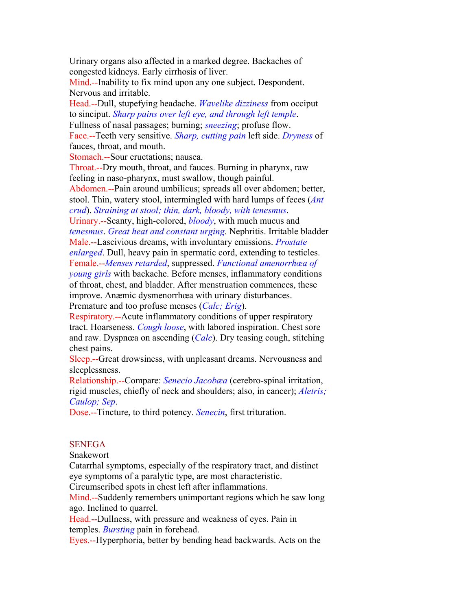Urinary organs also affected in a marked degree. Backaches of congested kidneys. Early cirrhosis of liver.

Mind.--Inability to fix mind upon any one subject. Despondent. Nervous and irritable.

Head.--Dull, stupefying headache. *Wavelike dizziness* from occiput to sinciput. *Sharp pains over left eye, and through left temple*. Fullness of nasal passages; burning; *sneezing*; profuse flow.

Face.--Teeth very sensitive. *Sharp, cutting pain* left side. *Dryness* of fauces, throat, and mouth.

Stomach.--Sour eructations; nausea.

Throat.--Dry mouth, throat, and fauces. Burning in pharynx, raw feeling in naso-pharynx, must swallow, though painful.

Abdomen.--Pain around umbilicus; spreads all over abdomen; better, stool. Thin, watery stool, intermingled with hard lumps of feces (*Ant crud*). *Straining at stool; thin, dark, bloody, with tenesmus*.

Urinary.--Scanty, high-colored, *bloody*, with much mucus and *tenesmus*. *Great heat and constant urging*. Nephritis. Irritable bladder Male.--Lascivious dreams, with involuntary emissions. *Prostate enlarged*. Dull, heavy pain in spermatic cord, extending to testicles. Female.--*Menses retarded*, suppressed. *Functional amenorrhœa of young girls* with backache. Before menses, inflammatory conditions of throat, chest, and bladder. After menstruation commences, these improve. Anæmic dysmenorrhœa with urinary disturbances.

Premature and too profuse menses (*Calc; Erig*).

Respiratory.--Acute inflammatory conditions of upper respiratory tract. Hoarseness. *Cough loose*, with labored inspiration. Chest sore and raw. Dyspnœa on ascending (*Calc*). Dry teasing cough, stitching chest pains.

Sleep.--Great drowsiness, with unpleasant dreams. Nervousness and sleeplessness.

Relationship.--Compare: *Senecio Jacobæa* (cerebro-spinal irritation, rigid muscles, chiefly of neck and shoulders; also, in cancer); *Aletris; Caulop; Sep*.

Dose.--Tincture, to third potency. *Senecin*, first trituration.

# **SENEGA**

Snakewort

Catarrhal symptoms, especially of the respiratory tract, and distinct eye symptoms of a paralytic type, are most characteristic.

Circumscribed spots in chest left after inflammations.

Mind.--Suddenly remembers unimportant regions which he saw long ago. Inclined to quarrel.

Head.--Dullness, with pressure and weakness of eyes. Pain in temples. *Bursting* pain in forehead.

Eyes.--Hyperphoria, better by bending head backwards. Acts on the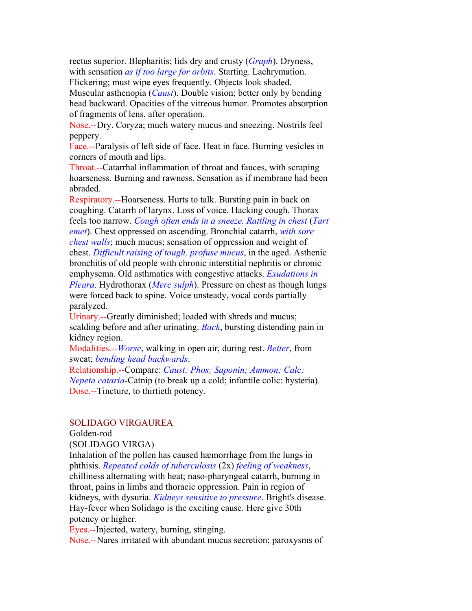rectus superior. Blepharitis; lids dry and crusty (*Graph*). Dryness, with sensation *as if too large for orbits*. Starting. Lachrymation.

Flickering; must wipe eyes frequently. Objects look shaded.

Muscular asthenopia (*Caust*). Double vision; better only by bending head backward. Opacities of the vitreous humor. Promotes absorption of fragments of lens, after operation.

Nose.--Dry. Coryza; much watery mucus and sneezing. Nostrils feel peppery.

Face.--Paralysis of left side of face. Heat in face. Burning vesicles in corners of mouth and lips.

Throat.--Catarrhal inflammation of throat and fauces, with scraping hoarseness. Burning and rawness. Sensation as if membrane had been abraded.

Respiratory.--Hoarseness. Hurts to talk. Bursting pain in back on coughing. Catarrh of larynx. Loss of voice. Hacking cough. Thorax feels too narrow. *Cough often ends in a sneeze. Rattling in chest* (*Tart emet*). Chest oppressed on ascending. Bronchial catarrh, *with sore chest walls*; much mucus; sensation of oppression and weight of chest. *Difficult raising of tough, profuse mucus*, in the aged. Asthenic bronchitis of old people with chronic interstitial nephritis or chronic emphysema. Old asthmatics with congestive attacks. *Exudations in Pleura*. Hydrothorax (*Merc sulph*). Pressure on chest as though lungs were forced back to spine. Voice unsteady, vocal cords partially paralyzed.

Urinary.--Greatly diminished; loaded with shreds and mucus; scalding before and after urinating. *Back*, bursting distending pain in kidney region.

Modalities.--*Worse*, walking in open air, during rest. *Better*, from sweat; *bending head backwards*.

Relationship.--Compare: *Caust; Phos; Saponin; Ammon; Calc; Nepeta cataria*-Catnip (to break up a cold; infantile colic: hysteria). Dose.--Tincture, to thirtieth potency.

# SOLIDAGO VIRGAUREA

# Golden-rod

#### (SOLIDAGO VIRGA)

Inhalation of the pollen has caused hæmorrhage from the lungs in phthisis. *Repeated colds of tuberculosis* (2x) *feeling of weakness*, chilliness alternating with heat; naso-pharyngeal catarrh, burning in throat, pains in limbs and thoracic oppression. Pain in region of kidneys, with dysuria. *Kidneys sensitive to pressure*. Bright's disease. Hay-fever when Solidago is the exciting cause. Here give 30th potency or higher.

Eyes.--Injected, watery, burning, stinging.

Nose.--Nares irritated with abundant mucus secretion; paroxysms of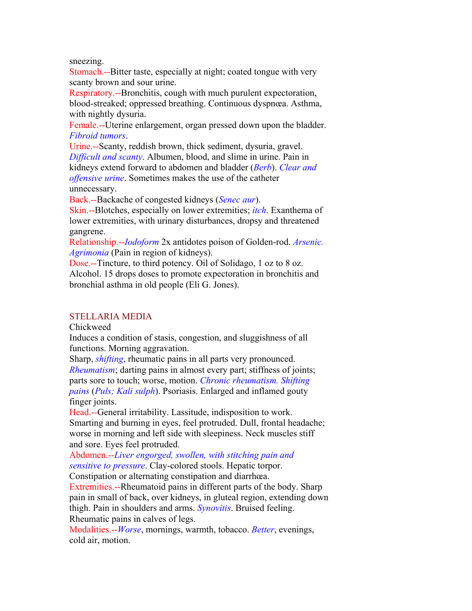sneezing.

Stomach.--Bitter taste, especially at night; coated tongue with very scanty brown and sour urine.

Respiratory.--Bronchitis, cough with much purulent expectoration, blood-streaked; oppressed breathing. Continuous dyspnœa. Asthma, with nightly dysuria.

Female.--Uterine enlargement, organ pressed down upon the bladder. *Fibroid tumors*.

Urine.--Scanty, reddish brown, thick sediment, dysuria, gravel. *Difficult and scanty*. Albumen, blood, and slime in urine. Pain in kidneys extend forward to abdomen and bladder (*Berb*). *Clear and offensive urine*. Sometimes makes the use of the catheter unnecessary.

Back.--Backache of congested kidneys (*Senec aur*).

Skin.--Blotches, especially on lower extremities; *itch*. Exanthema of lower extremities, with urinary disturbances, dropsy and threatened gangrene.

Relationship.--*Iodoform* 2x antidotes poison of Golden-rod. *Arsenic. Agrimonia* (Pain in region of kidneys).

Dose.--Tincture, to third potency. Oil of Solidago, 1 oz to 8 oz. Alcohol. 15 drops doses to promote expectoration in bronchitis and bronchial asthma in old people (Eli G. Jones).

# STELLARIA MEDIA

Chickweed

Induces a condition of stasis, congestion, and sluggishness of all functions. Morning aggravation.

Sharp, *shifting*, rheumatic pains in all parts very pronounced. *Rheumatism*; darting pains in almost every part; stiffness of joints; parts sore to touch; worse, motion. *Chronic rheumatism. Shifting pains* (*Puls; Kali sulph*). Psoriasis. Enlarged and inflamed gouty finger joints.

Head.--General irritability. Lassitude, indisposition to work. Smarting and burning in eyes, feel protruded. Dull, frontal headache; worse in morning and left side with sleepiness. Neck muscles stiff and sore. Eyes feel protruded.

Abdomen.--*Liver engorged, swollen, with stitching pain and sensitive to pressure*. Clay-colored stools. Hepatic torpor.

Constipation or alternating constipation and diarrhœa.

Extremities.--Rheumatoid pains in different parts of the body. Sharp pain in small of back, over kidneys, in gluteal region, extending down thigh. Pain in shoulders and arms. *Synovitis*. Bruised feeling. Rheumatic pains in calves of legs.

Modalities.--*Worse*, mornings, warmth, tobacco. *Better*, evenings, cold air, motion.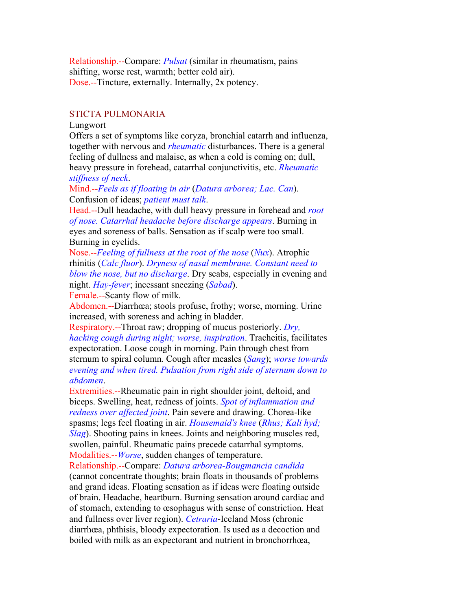Relationship.--Compare: *Pulsat* (similar in rheumatism, pains shifting, worse rest, warmth; better cold air). Dose.--Tincture, externally. Internally, 2x potency.

### STICTA PULMONARIA

#### Lungwort

Offers a set of symptoms like coryza, bronchial catarrh and influenza, together with nervous and *rheumatic* disturbances. There is a general feeling of dullness and malaise, as when a cold is coming on; dull, heavy pressure in forehead, catarrhal conjunctivitis, etc. *Rheumatic stiffness of neck*.

Mind.--*Feels as if floating in air* (*Datura arborea; Lac. Can*). Confusion of ideas; *patient must talk*.

Head.--Dull headache, with dull heavy pressure in forehead and *root of nose. Catarrhal headache before discharge appears*. Burning in eyes and soreness of balls. Sensation as if scalp were too small. Burning in eyelids.

Nose.--*Feeling of fullness at the root of the nose* (*Nux*). Atrophic rhinitis (*Calc fluor*). *Dryness of nasal membrane. Constant need to blow the nose, but no discharge*. Dry scabs, especially in evening and night. *Hay-fever*; incessant sneezing (*Sabad*).

Female.--Scanty flow of milk.

Abdomen.--Diarrhœa; stools profuse, frothy; worse, morning. Urine increased, with soreness and aching in bladder.

Respiratory.--Throat raw; dropping of mucus posteriorly. *Dry, hacking cough during night; worse, inspiration*. Tracheitis, facilitates expectoration. Loose cough in morning. Pain through chest from sternum to spiral column. Cough after measles (*Sang*); *worse towards evening and when tired. Pulsation from right side of sternum down to abdomen*.

Extremities.--Rheumatic pain in right shoulder joint, deltoid, and biceps. Swelling, heat, redness of joints. *Spot of inflammation and redness over affected joint*. Pain severe and drawing. Chorea-like spasms; legs feel floating in air. *Housemaid's knee* (*Rhus; Kali hyd; Slag*). Shooting pains in knees. Joints and neighboring muscles red, swollen, painful. Rheumatic pains precede catarrhal symptoms. Modalities.--*Worse*, sudden changes of temperature.

Relationship.--Compare: *Datura arborea-Bougmancia candida*  (cannot concentrate thoughts; brain floats in thousands of problems and grand ideas. Floating sensation as if ideas were floating outside of brain. Headache, heartburn. Burning sensation around cardiac and of stomach, extending to œsophagus with sense of constriction. Heat and fullness over liver region). *Cetraria*-Iceland Moss (chronic diarrhœa, phthisis, bloody expectoration. Is used as a decoction and boiled with milk as an expectorant and nutrient in bronchorrhœa,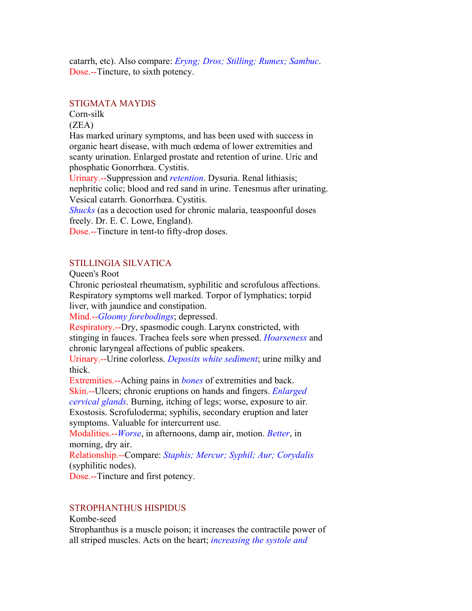catarrh, etc). Also compare: *Eryng; Dros; Stilling; Rumex; Sambuc*. Dose.--Tincture, to sixth potency.

### STIGMATA MAYDIS

Corn-silk (ZEA)

Has marked urinary symptoms, and has been used with success in organic heart disease, with much œdema of lower extremities and scanty urination. Enlarged prostate and retention of urine. Uric and phosphatic Gonorrhœa. Cystitis.

Urinary.--Suppression and *retention*. Dysuria. Renal lithiasis; nephritic colic; blood and red sand in urine. Tenesmus after urinating. Vesical catarrh. Gonorrhœa. Cystitis.

*Shucks* (as a decoction used for chronic malaria, teaspoonful doses freely. Dr. E. C. Lowe, England).

Dose.--Tincture in tent-to fifty-drop doses.

# STILLINGIA SILVATICA

Queen's Root

Chronic periosteal rheumatism, syphilitic and scrofulous affections. Respiratory symptoms well marked. Torpor of lymphatics; torpid liver, with jaundice and constipation.

Mind.--*Gloomy forebodings*; depressed.

Respiratory.--Dry, spasmodic cough. Larynx constricted, with stinging in fauces. Trachea feels sore when pressed. *Hoarseness* and chronic laryngeal affections of public speakers.

Urinary.--Urine colorless. *Deposits white sediment*; urine milky and thick.

Extremities.--Aching pains in *bones* of extremities and back.

Skin.--Ulcers; chronic eruptions on hands and fingers. *Enlarged cervical glands*. Burning, itching of legs; worse, exposure to air. Exostosis. Scrofuloderma; syphilis, secondary eruption and later symptoms. Valuable for intercurrent use.

Modalities.--*Worse*, in afternoons, damp air, motion. *Better*, in morning, dry air.

Relationship.--Compare: *Staphis; Mercur; Syphil; Aur; Corydalis*  (syphilitic nodes).

Dose.--Tincture and first potency.

# STROPHANTHUS HISPIDUS

Kombe-seed

Strophanthus is a muscle poison; it increases the contractile power of all striped muscles. Acts on the heart; *increasing the systole and*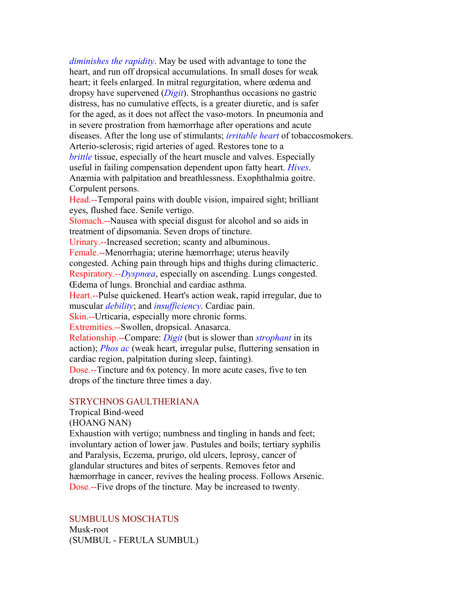*diminishes the rapidity*. May be used with advantage to tone the heart, and run off dropsical accumulations. In small doses for weak heart; it feels enlarged. In mitral regurgitation, where œdema and dropsy have supervened (*Digit*). Strophanthus occasions no gastric distress, has no cumulative effects, is a greater diuretic, and is safer for the aged, as it does not affect the vaso-motors. In pneumonia and in severe prostration from hæmorrhage after operations and acute diseases. After the long use of stimulants; *irritable heart* of tobaccosmokers. Arterio-sclerosis; rigid arteries of aged. Restores tone to a *brittle* tissue, especially of the heart muscle and valves. Especially useful in failing compensation dependent upon fatty heart. *Hives*. Anæmia with palpitation and breathlessness. Exophthalmia goitre. Corpulent persons. Head.--Temporal pains with double vision, impaired sight; brilliant eyes, flushed face. Senile vertigo. Stomach.--Nausea with special disgust for alcohol and so aids in treatment of dipsomania. Seven drops of tincture. Urinary.--Increased secretion; scanty and albuminous. Female.--Menorrhagia; uterine hæmorrhage; uterus heavily congested. Aching pain through hips and thighs during climacteric. Respiratory.--*Dyspnœa*, especially on ascending. Lungs congested. Œdema of lungs. Bronchial and cardiac asthma. Heart.--Pulse quickened. Heart's action weak, rapid irregular, due to muscular *debility*; and *insufficiency*. Cardiac pain.

Skin.--Urticaria, especially more chronic forms.

Extremities.--Swollen, dropsical. Anasarca.

Relationship.--Compare: *Digit* (but is slower than *strophant* in its action); *Phos ac* (weak heart, irregular pulse, fluttering sensation in cardiac region, palpitation during sleep, fainting).

Dose.--Tincture and 6x potency. In more acute cases, five to ten drops of the tincture three times a day.

### STRYCHNOS GAULTHERIANA

Tropical Bind-weed (HOANG NAN)

Exhaustion with vertigo; numbness and tingling in hands and feet; involuntary action of lower jaw. Pustules and boils; tertiary syphilis and Paralysis, Eczema, prurigo, old ulcers, leprosy, cancer of

glandular structures and bites of serpents. Removes fetor and hæmorrhage in cancer, revives the healing process. Follows Arsenic. Dose.--Five drops of the tincture. May be increased to twenty.

SUMBULUS MOSCHATUS

Musk-root (SUMBUL - FERULA SUMBUL)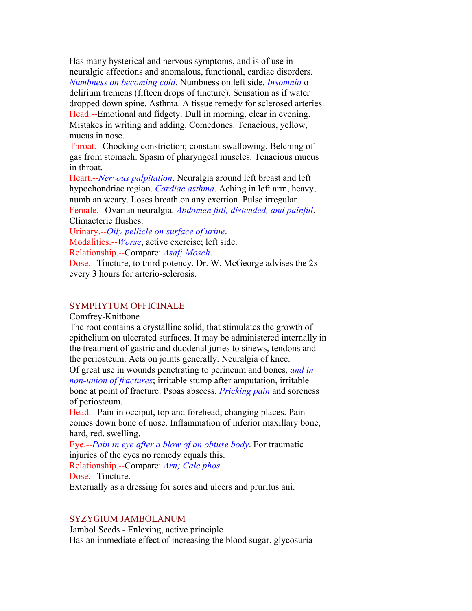Has many hysterical and nervous symptoms, and is of use in neuralgic affections and anomalous, functional, cardiac disorders. *Numbness on becoming cold*. Numbness on left side. *Insomnia* of delirium tremens (fifteen drops of tincture). Sensation as if water dropped down spine. Asthma. A tissue remedy for sclerosed arteries. Head.--Emotional and fidgety. Dull in morning, clear in evening. Mistakes in writing and adding. Comedones. Tenacious, yellow, mucus in nose.

Throat.--Chocking constriction; constant swallowing. Belching of gas from stomach. Spasm of pharyngeal muscles. Tenacious mucus in throat.

Heart.--*Nervous palpitation*. Neuralgia around left breast and left hypochondriac region. *Cardiac asthma*. Aching in left arm, heavy, numb an weary. Loses breath on any exertion. Pulse irregular. Female.--Ovarian neuralgia. *Abdomen full, distended, and painful*.

Climacteric flushes.

Urinary.--*Oily pellicle on surface of urine*. Modalities.--*Worse*, active exercise; left side.

Relationship.--Compare: *Asaf; Mosch*.

Dose.--Tincture, to third potency. Dr. W. McGeorge advises the 2x every 3 hours for arterio-sclerosis.

### SYMPHYTUM OFFICINALE

Comfrey-Knitbone

The root contains a crystalline solid, that stimulates the growth of epithelium on ulcerated surfaces. It may be administered internally in the treatment of gastric and duodenal juries to sinews, tendons and the periosteum. Acts on joints generally. Neuralgia of knee. Of great use in wounds penetrating to perineum and bones, *and in* 

*non-union of fractures*; irritable stump after amputation, irritable bone at point of fracture. Psoas abscess. *Pricking pain* and soreness of periosteum.

Head.--Pain in occiput, top and forehead; changing places. Pain comes down bone of nose. Inflammation of inferior maxillary bone, hard, red, swelling.

Eye.--*Pain in eye after a blow of an obtuse body*. For traumatic injuries of the eyes no remedy equals this.

Relationship.--Compare: *Arn; Calc phos*.

Dose.--Tincture.

Externally as a dressing for sores and ulcers and pruritus ani.

### SYZYGIUM JAMBOLANUM

Jambol Seeds - Enlexing, active principle Has an immediate effect of increasing the blood sugar, glycosuria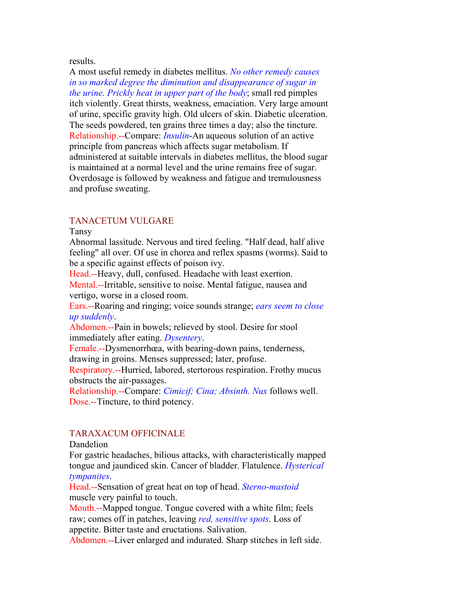#### results.

A most useful remedy in diabetes mellitus. *No other remedy causes in so marked degree the diminution and disappearance of sugar in the urine. Prickly heat in upper part of the body*; small red pimples itch violently. Great thirsts, weakness, emaciation. Very large amount of urine, specific gravity high. Old ulcers of skin. Diabetic ulceration. The seeds powdered, ten grains three times a day; also the tincture. Relationship.--Compare: *Insulin*-An aqueous solution of an active principle from pancreas which affects sugar metabolism. If administered at suitable intervals in diabetes mellitus, the blood sugar is maintained at a normal level and the urine remains free of sugar. Overdosage is followed by weakness and fatigue and tremulousness and profuse sweating.

#### TANACETUM VULGARE

Tansy

Abnormal lassitude. Nervous and tired feeling. "Half dead, half alive feeling" all over. Of use in chorea and reflex spasms (worms). Said to be a specific against effects of poison ivy.

Head.--Heavy, dull, confused. Headache with least exertion.

Mental.--Irritable, sensitive to noise. Mental fatigue, nausea and vertigo, worse in a closed room.

Ears.--Roaring and ringing; voice sounds strange; *ears seem to close up suddenly*.

Abdomen.--Pain in bowels; relieved by stool. Desire for stool immediately after eating. *Dysentery*.

Female.--Dysmenorrhœa, with bearing-down pains, tenderness, drawing in groins. Menses suppressed; later, profuse.

Respiratory.--Hurried, labored, stertorous respiration. Frothy mucus obstructs the air-passages.

Relationship.--Compare: *Cimicif; Cina; Absinth. Nux* follows well. Dose.--Tincture, to third potency.

### TARAXACUM OFFICINALE

#### Dandelion

For gastric headaches, bilious attacks, with characteristically mapped tongue and jaundiced skin. Cancer of bladder. Flatulence. *Hysterical tympanites*.

Head.--Sensation of great heat on top of head. *Sterno-mastoid*  muscle very painful to touch.

Mouth.--Mapped tongue. Tongue covered with a white film; feels raw; comes off in patches, leaving *red, sensitive spots*. Loss of appetite. Bitter taste and eructations. Salivation.

Abdomen.--Liver enlarged and indurated. Sharp stitches in left side.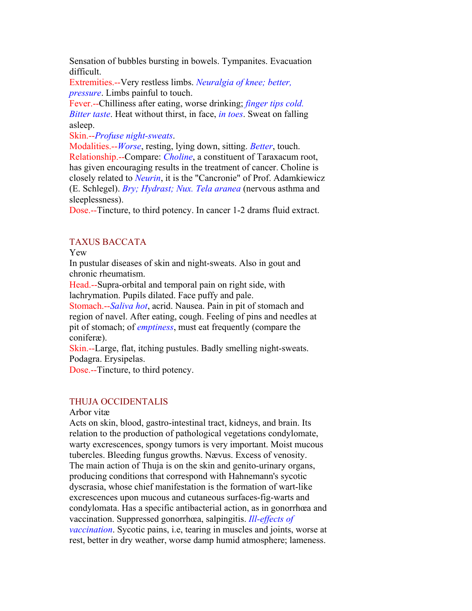Sensation of bubbles bursting in bowels. Tympanites. Evacuation difficult.

Extremities.--Very restless limbs. *Neuralgia of knee; better, pressure*. Limbs painful to touch.

Fever.--Chilliness after eating, worse drinking; *finger tips cold. Bitter taste*. Heat without thirst, in face, *in toes*. Sweat on falling asleep.

Skin.--*Profuse night-sweats*.

Modalities.--*Worse*, resting, lying down, sitting. *Better*, touch. Relationship.--Compare: *Choline*, a constituent of Taraxacum root, has given encouraging results in the treatment of cancer. Choline is closely related to *Neurin*, it is the "Cancronie" of Prof. Adamkiewicz (E. Schlegel). *Bry; Hydrast; Nux. Tela aranea* (nervous asthma and sleeplessness).

Dose.--Tincture, to third potency. In cancer 1-2 drams fluid extract.

### TAXUS BACCATA

Yew

In pustular diseases of skin and night-sweats. Also in gout and chronic rheumatism.

Head.--Supra-orbital and temporal pain on right side, with lachrymation. Pupils dilated. Face puffy and pale.

Stomach.--*Saliva hot*, acrid. Nausea. Pain in pit of stomach and region of navel. After eating, cough. Feeling of pins and needles at pit of stomach; of *emptiness*, must eat frequently (compare the coniferæ).

Skin.--Large, flat, itching pustules. Badly smelling night-sweats. Podagra. Erysipelas.

Dose.--Tincture, to third potency.

### THUJA OCCIDENTALIS

Arbor vitæ

Acts on skin, blood, gastro-intestinal tract, kidneys, and brain. Its relation to the production of pathological vegetations condylomate, warty excrescences, spongy tumors is very important. Moist mucous tubercles. Bleeding fungus growths. Nævus. Excess of venosity. The main action of Thuja is on the skin and genito-urinary organs, producing conditions that correspond with Hahnemann's sycotic dyscrasia, whose chief manifestation is the formation of wart-like excrescences upon mucous and cutaneous surfaces-fig-warts and condylomata. Has a specific antibacterial action, as in gonorrhœa and vaccination. Suppressed gonorrhœa, salpingitis. *Ill-effects of vaccination*. Sycotic pains, i.e, tearing in muscles and joints, worse at rest, better in dry weather, worse damp humid atmosphere; lameness.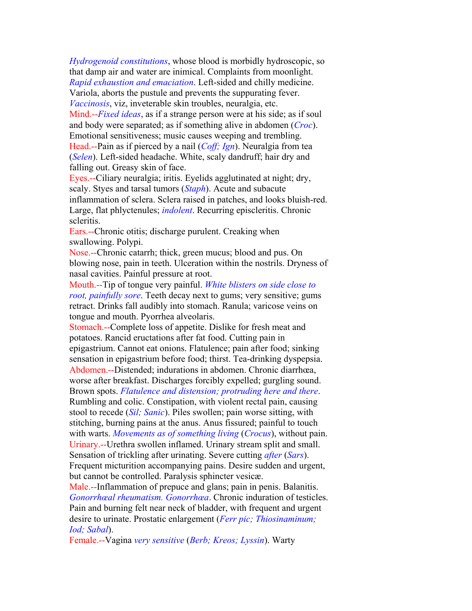*Hydrogenoid constitutions*, whose blood is morbidly hydroscopic, so that damp air and water are inimical. Complaints from moonlight. *Rapid exhaustion and emaciation*. Left-sided and chilly medicine. Variola, aborts the pustule and prevents the suppurating fever. *Vaccinosis*, viz, inveterable skin troubles, neuralgia, etc. Mind.--*Fixed ideas*, as if a strange person were at his side; as if soul

and body were separated; as if something alive in abdomen (*Croc*). Emotional sensitiveness; music causes weeping and trembling. Head.--Pain as if pierced by a nail (*Coff; Ign*). Neuralgia from tea (*Selen*). Left-sided headache. White, scaly dandruff; hair dry and falling out. Greasy skin of face.

Eyes.--Ciliary neuralgia; iritis. Eyelids agglutinated at night; dry, scaly. Styes and tarsal tumors (*Staph*). Acute and subacute inflammation of sclera. Sclera raised in patches, and looks bluish-red. Large, flat phlyctenules; *indolent*. Recurring episcleritis. Chronic scleritis.

Ears.--Chronic otitis; discharge purulent. Creaking when swallowing. Polypi.

Nose.--Chronic catarrh; thick, green mucus; blood and pus. On blowing nose, pain in teeth. Ulceration within the nostrils. Dryness of nasal cavities. Painful pressure at root.

Mouth.--Tip of tongue very painful. *White blisters on side close to root, painfully sore*. Teeth decay next to gums; very sensitive; gums retract. Drinks fall audibly into stomach. Ranula; varicose veins on tongue and mouth. Pyorrhea alveolaris.

Stomach.--Complete loss of appetite. Dislike for fresh meat and potatoes. Rancid eructations after fat food. Cutting pain in epigastrium. Cannot eat onions. Flatulence; pain after food; sinking sensation in epigastrium before food; thirst. Tea-drinking dyspepsia. Abdomen.--Distended; indurations in abdomen. Chronic diarrhœa, worse after breakfast. Discharges forcibly expelled; gurgling sound. Brown spots. *Flatulence and distension; protruding here and there*. Rumbling and colic. Constipation, with violent rectal pain, causing stool to recede (*Sil; Sanic*). Piles swollen; pain worse sitting, with stitching, burning pains at the anus. Anus fissured; painful to touch

with warts. *Movements as of something living* (*Crocus*), without pain. Urinary.--Urethra swollen inflamed. Urinary stream split and small. Sensation of trickling after urinating. Severe cutting *after* (*Sars*). Frequent micturition accompanying pains. Desire sudden and urgent, but cannot be controlled. Paralysis sphincter vesicæ.

Male.--Inflammation of prepuce and glans; pain in penis. Balanitis. *Gonorrhœal rheumatism. Gonorrhœa*. Chronic induration of testicles. Pain and burning felt near neck of bladder, with frequent and urgent desire to urinate. Prostatic enlargement (*Ferr pic; Thiosinaminum; Iod; Sabal*).

Female.--Vagina *very sensitive* (*Berb; Kreos; Lyssin*). Warty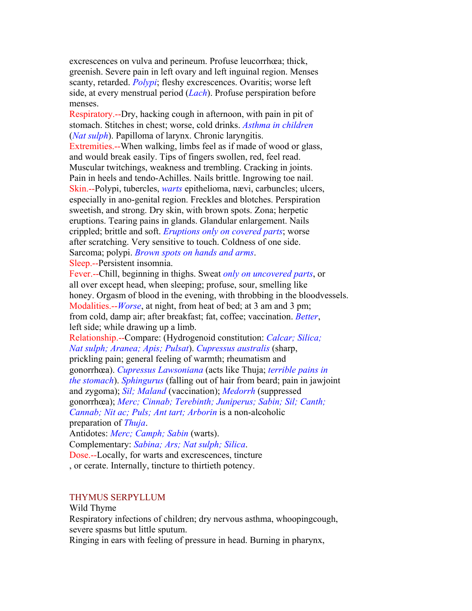excrescences on vulva and perineum. Profuse leucorrhœa; thick, greenish. Severe pain in left ovary and left inguinal region. Menses scanty, retarded. *Polypi*; fleshy excrescences. Ovaritis; worse left side, at every menstrual period (*Lach*). Profuse perspiration before menses.

Respiratory.--Dry, hacking cough in afternoon, with pain in pit of stomach. Stitches in chest; worse, cold drinks. *Asthma in children*  (*Nat sulph*). Papilloma of larynx. Chronic laryngitis.

Extremities.--When walking, limbs feel as if made of wood or glass, and would break easily. Tips of fingers swollen, red, feel read. Muscular twitchings, weakness and trembling. Cracking in joints. Pain in heels and tendo-Achilles. Nails brittle. Ingrowing toe nail. Skin.--Polypi, tubercles, *warts* epithelioma, nævi, carbuncles; ulcers, especially in ano-genital region. Freckles and blotches. Perspiration sweetish, and strong. Dry skin, with brown spots. Zona; herpetic eruptions. Tearing pains in glands. Glandular enlargement. Nails crippled; brittle and soft. *Eruptions only on covered parts*; worse after scratching. Very sensitive to touch. Coldness of one side. Sarcoma; polypi. *Brown spots on hands and arms*.

Sleep.--Persistent insomnia.

Fever.--Chill, beginning in thighs. Sweat *only on uncovered parts*, or all over except head, when sleeping; profuse, sour, smelling like honey. Orgasm of blood in the evening, with throbbing in the bloodvessels. Modalities.--*Worse*, at night, from heat of bed; at 3 am and 3 pm; from cold, damp air; after breakfast; fat, coffee; vaccination. *Better*, left side; while drawing up a limb.

Relationship.--Compare: (Hydrogenoid constitution: *Calcar; Silica; Nat sulph; Aranea; Apis; Pulsat*). *Cupressus australis* (sharp, prickling pain; general feeling of warmth; rheumatism and gonorrhœa). *Cupressus Lawsoniana* (acts like Thuja; *terrible pains in the stomach*). *Sphingurus* (falling out of hair from beard; pain in jawjoint and zygoma); *Sil; Maland* (vaccination); *Medorrh* (suppressed gonorrhœa); *Merc; Cinnab; Terebinth; Juniperus; Sabin; Sil; Canth; Cannab; Nit ac; Puls; Ant tart; Arborin* is a non-alcoholic preparation of *Thuja*.

Antidotes: *Merc; Camph; Sabin* (warts). Complementary: *Sabina; Ars; Nat sulph; Silica*. Dose.--Locally, for warts and excrescences, tincture , or cerate. Internally, tincture to thirtieth potency.

#### THYMUS SERPYLLUM

Wild Thyme

Respiratory infections of children; dry nervous asthma, whoopingcough, severe spasms but little sputum.

Ringing in ears with feeling of pressure in head. Burning in pharynx,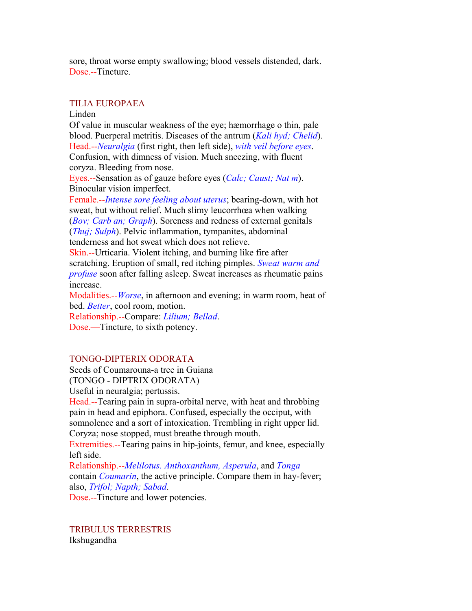sore, throat worse empty swallowing; blood vessels distended, dark. Dose --Tincture.

### TILIA EUROPAEA

Linden

Of value in muscular weakness of the eye; hæmorrhage o thin, pale blood. Puerperal metritis. Diseases of the antrum (*Kali hyd; Chelid*). Head.--*Neuralgia* (first right, then left side), *with veil before eyes*. Confusion, with dimness of vision. Much sneezing, with fluent coryza. Bleeding from nose.

Eyes.--Sensation as of gauze before eyes (*Calc; Caust; Nat m*). Binocular vision imperfect.

Female.--*Intense sore feeling about uterus*; bearing-down, with hot sweat, but without relief. Much slimy leucorrhœa when walking (*Bov; Carb an; Graph*). Soreness and redness of external genitals (*Thuj; Sulph*). Pelvic inflammation, tympanites, abdominal tenderness and hot sweat which does not relieve.

Skin.--Urticaria. Violent itching, and burning like fire after scratching. Eruption of small, red itching pimples. *Sweat warm and profuse* soon after falling asleep. Sweat increases as rheumatic pains increase.

Modalities.--*Worse*, in afternoon and evening; in warm room, heat of bed. *Better*, cool room, motion.

Relationship.--Compare: *Lilium; Bellad*.

Dose.—Tincture, to sixth potency.

# TONGO-DIPTERIX ODORATA

Seeds of Coumarouna-a tree in Guiana (TONGO - DIPTRIX ODORATA) Useful in neuralgia; pertussis. Head.--Tearing pain in supra-orbital nerve, with heat and throbbing pain in head and epiphora. Confused, especially the occiput, with somnolence and a sort of intoxication. Trembling in right upper lid. Coryza; nose stopped, must breathe through mouth. Extremities.--Tearing pains in hip-joints, femur, and knee, especially left side. Relationship.--*Melilotus. Anthoxanthum, Asperula*, and *Tonga*  contain *Coumarin*, the active principle. Compare them in hay-fever; also, *Trifol; Napth; Sabad*.

Dose.--Tincture and lower potencies.

TRIBULUS TERRESTRIS Ikshugandha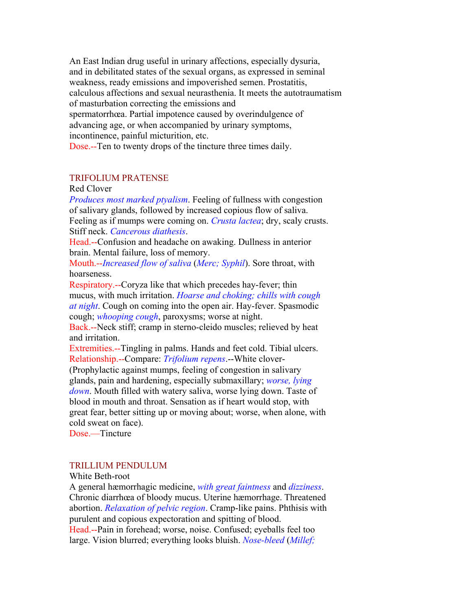An East Indian drug useful in urinary affections, especially dysuria, and in debilitated states of the sexual organs, as expressed in seminal weakness, ready emissions and impoverished semen. Prostatitis, calculous affections and sexual neurasthenia. It meets the autotraumatism of masturbation correcting the emissions and spermatorrhœa. Partial impotence caused by overindulgence of advancing age, or when accompanied by urinary symptoms, incontinence, painful micturition, etc.

Dose.--Ten to twenty drops of the tincture three times daily.

### TRIFOLIUM PRATENSE

Red Clover

*Produces most marked ptyalism*. Feeling of fullness with congestion of salivary glands, followed by increased copious flow of saliva. Feeling as if mumps were coming on. *Crusta lactea*; dry, scaly crusts. Stiff neck. *Cancerous diathesis*.

Head.--Confusion and headache on awaking. Dullness in anterior brain. Mental failure, loss of memory.

Mouth.--*Increased flow of saliva* (*Merc; Syphil*). Sore throat, with hoarseness.

Respiratory.--Coryza like that which precedes hay-fever; thin mucus, with much irritation. *Hoarse and choking; chills with cough at night*. Cough on coming into the open air. Hay-fever. Spasmodic cough; *whooping cough*, paroxysms; worse at night.

Back.--Neck stiff; cramp in sterno-cleido muscles; relieved by heat and irritation.

Extremities.--Tingling in palms. Hands and feet cold. Tibial ulcers. Relationship.--Compare: *Trifolium repens*.--White clover- (Prophylactic against mumps, feeling of congestion in salivary glands, pain and hardening, especially submaxillary; *worse, lying down*. Mouth filled with watery saliva, worse lying down. Taste of blood in mouth and throat. Sensation as if heart would stop, with great fear, better sitting up or moving about; worse, when alone, with cold sweat on face).

Dose.—Tincture

#### TRILLIUM PENDULUM

White Beth-root

A general hæmorrhagic medicine, *with great faintness* and *dizziness*. Chronic diarrhœa of bloody mucus. Uterine hæmorrhage. Threatened abortion. *Relaxation of pelvic region*. Cramp-like pains. Phthisis with purulent and copious expectoration and spitting of blood.

Head.--Pain in forehead; worse, noise. Confused; eyeballs feel too large. Vision blurred; everything looks bluish. *Nose-bleed* (*Millef;*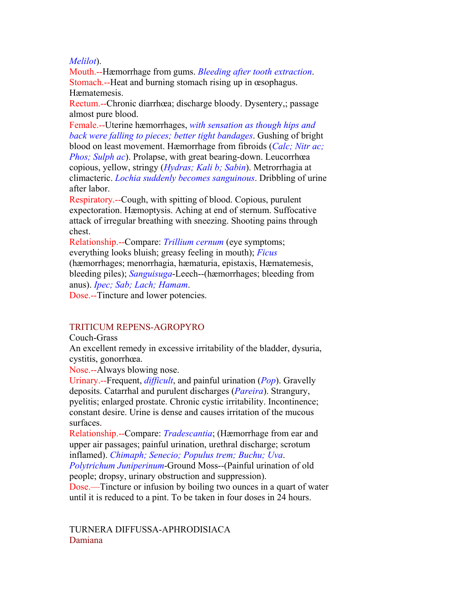### *Melilot*).

Mouth.--Hæmorrhage from gums. *Bleeding after tooth extraction*. Stomach.--Heat and burning stomach rising up in œsophagus. Hæmatemesis.

Rectum.--Chronic diarrhœa; discharge bloody. Dysentery,; passage almost pure blood.

Female.--Uterine hæmorrhages, *with sensation as though hips and back were falling to pieces; better tight bandages*. Gushing of bright blood on least movement. Hæmorrhage from fibroids (*Calc; Nitr ac; Phos; Sulph ac*). Prolapse, with great bearing-down. Leucorrhœa copious, yellow, stringy (*Hydras; Kali b; Sabin*). Metrorrhagia at climacteric. *Lochia suddenly becomes sanguinous*. Dribbling of urine after labor.

Respiratory.--Cough, with spitting of blood. Copious, purulent expectoration. Hæmoptysis. Aching at end of sternum. Suffocative attack of irregular breathing with sneezing. Shooting pains through chest.

Relationship.--Compare: *Trillium cernum* (eye symptoms; everything looks bluish; greasy feeling in mouth); *Ficus*  (hæmorrhages; menorrhagia, hæmaturia, epistaxis, Hæmatemesis, bleeding piles); *Sanguisuga*-Leech--(hæmorrhages; bleeding from anus). *Ipec; Sab; Lach; Hamam*.

Dose.--Tincture and lower potencies.

# TRITICUM REPENS-AGROPYRO

Couch-Grass

An excellent remedy in excessive irritability of the bladder, dysuria, cystitis, gonorrhœa.

Nose.--Always blowing nose.

Urinary.--Frequent, *difficult*, and painful urination (*Pop*). Gravelly deposits. Catarrhal and purulent discharges (*Pareira*). Strangury, pyelitis; enlarged prostate. Chronic cystic irritability. Incontinence; constant desire. Urine is dense and causes irritation of the mucous surfaces.

Relationship.--Compare: *Tradescantia*; (Hæmorrhage from ear and upper air passages; painful urination, urethral discharge; scrotum inflamed). *Chimaph; Senecio; Populus trem; Buchu; Uva*.

*Polytrichum Juniperinum*-Ground Moss--(Painful urination of old people; dropsy, urinary obstruction and suppression).

Dose.—Tincture or infusion by boiling two ounces in a quart of water until it is reduced to a pint. To be taken in four doses in 24 hours.

TURNERA DIFFUSSA-APHRODISIACA Damiana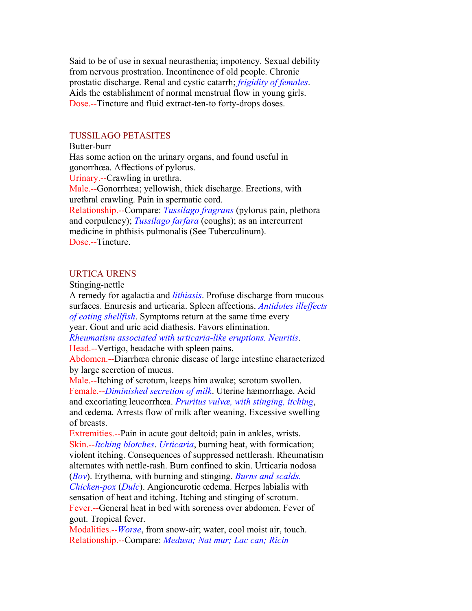Said to be of use in sexual neurasthenia; impotency. Sexual debility from nervous prostration. Incontinence of old people. Chronic prostatic discharge. Renal and cystic catarrh; *frigidity of females*. Aids the establishment of normal menstrual flow in young girls. Dose.--Tincture and fluid extract-ten-to forty-drops doses.

#### TUSSILAGO PETASITES

Butter-burr Has some action on the urinary organs, and found useful in gonorrhœa. Affections of pylorus. Urinary.--Crawling in urethra. Male.--Gonorrhœa; yellowish, thick discharge. Erections, with urethral crawling. Pain in spermatic cord. Relationship.--Compare: *Tussilago fragrans* (pylorus pain, plethora and corpulency); *Tussilago farfara* (coughs); as an intercurrent medicine in phthisis pulmonalis (See Tuberculinum). Dose.--Tincture.

#### URTICA URENS

Stinging-nettle

A remedy for agalactia and *lithiasis*. Profuse discharge from mucous surfaces. Enuresis and urticaria. Spleen affections. *Antidotes illeffects of eating shellfish*. Symptoms return at the same time every year. Gout and uric acid diathesis. Favors elimination. *Rheumatism associated with urticaria-like eruptions. Neuritis*.

Head.--Vertigo, headache with spleen pains.

Abdomen.--Diarrhœa chronic disease of large intestine characterized by large secretion of mucus.

Male.--Itching of scrotum, keeps him awake; scrotum swollen. Female.--*Diminished secretion of milk*. Uterine hæmorrhage. Acid and excoriating leucorrhœa. *Pruritus vulvæ, with stinging, itching*, and œdema. Arrests flow of milk after weaning. Excessive swelling of breasts.

Extremities.--Pain in acute gout deltoid; pain in ankles, wrists. Skin.--*Itching blotches*. *Urticaria*, burning heat, with formication; violent itching. Consequences of suppressed nettlerash. Rheumatism alternates with nettle-rash. Burn confined to skin. Urticaria nodosa (*Bov*). Erythema, with burning and stinging. *Burns and scalds. Chicken-pox* (*Dulc*). Angioneurotic œdema. Herpes labialis with sensation of heat and itching. Itching and stinging of scrotum. Fever.--General heat in bed with soreness over abdomen. Fever of gout. Tropical fever.

Modalities.--*Worse*, from snow-air; water, cool moist air, touch. Relationship.--Compare: *Medusa; Nat mur; Lac can; Ricin*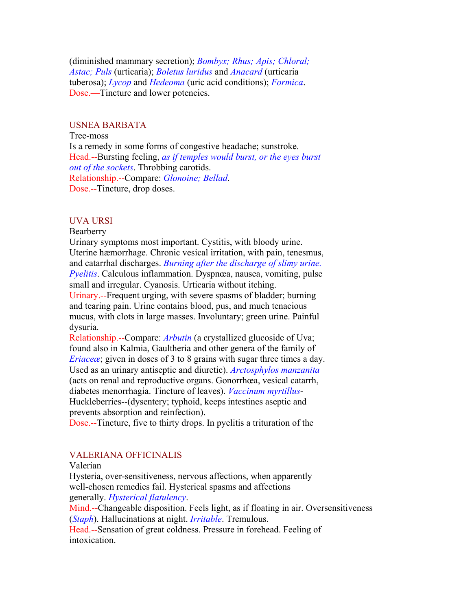(diminished mammary secretion); *Bombyx; Rhus; Apis; Chloral; Astac; Puls* (urticaria); *Boletus luridus* and *Anacard* (urticaria tuberosa); *Lycop* and *Hedeoma* (uric acid conditions); *Formica*. Dose.—Tincture and lower potencies.

#### USNEA BARBATA

Tree-moss Is a remedy in some forms of congestive headache; sunstroke. Head.--Bursting feeling, *as if temples would burst, or the eyes burst out of the sockets*. Throbbing carotids. Relationship.--Compare: *Glonoine; Bellad*. Dose.--Tincture, drop doses.

#### UVA URSI

#### Bearberry

Urinary symptoms most important. Cystitis, with bloody urine. Uterine hæmorrhage. Chronic vesical irritation, with pain, tenesmus, and catarrhal discharges. *Burning after the discharge of slimy urine. Pyelitis*. Calculous inflammation. Dyspnœa, nausea, vomiting, pulse small and irregular. Cyanosis. Urticaria without itching.

Urinary.--Frequent urging, with severe spasms of bladder; burning and tearing pain. Urine contains blood, pus, and much tenacious mucus, with clots in large masses. Involuntary; green urine. Painful dysuria.

Relationship.--Compare: *Arbutin* (a crystallized glucoside of Uva; found also in Kalmia, Gaultheria and other genera of the family of *Eriaceæ*; given in doses of 3 to 8 grains with sugar three times a day. Used as an urinary antiseptic and diuretic). *Arctosphylos manzanita*  (acts on renal and reproductive organs. Gonorrhœa, vesical catarrh, diabetes menorrhagia. Tincture of leaves). *Vaccinum myrtillus*-Huckleberries--(dysentery; typhoid, keeps intestines aseptic and prevents absorption and reinfection).

Dose.--Tincture, five to thirty drops. In pyelitis a trituration of the

#### VALERIANA OFFICINALIS

#### Valerian

Hysteria, over-sensitiveness, nervous affections, when apparently well-chosen remedies fail. Hysterical spasms and affections generally. *Hysterical flatulency*.

Mind.--Changeable disposition. Feels light, as if floating in air. Oversensitiveness (*Staph*). Hallucinations at night. *Irritable*. Tremulous.

Head.--Sensation of great coldness. Pressure in forehead. Feeling of intoxication.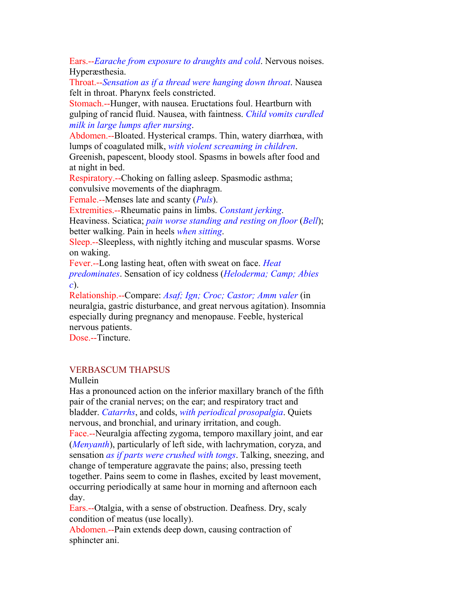Ears.--*Earache from exposure to draughts and cold*. Nervous noises. Hyperæsthesia.

Throat.--*Sensation as if a thread were hanging down throat*. Nausea felt in throat. Pharynx feels constricted.

Stomach.--Hunger, with nausea. Eructations foul. Heartburn with gulping of rancid fluid. Nausea, with faintness. *Child vomits curdled milk in large lumps after nursing*.

Abdomen.--Bloated. Hysterical cramps. Thin, watery diarrhœa, with lumps of coagulated milk, *with violent screaming in children*.

Greenish, papescent, bloody stool. Spasms in bowels after food and at night in bed.

Respiratory.--Choking on falling asleep. Spasmodic asthma; convulsive movements of the diaphragm.

Female.--Menses late and scanty (*Puls*).

Extremities.--Rheumatic pains in limbs. *Constant jerking*.

Heaviness. Sciatica; *pain worse standing and resting on floor* (*Bell*); better walking. Pain in heels *when sitting*.

Sleep.--Sleepless, with nightly itching and muscular spasms. Worse on waking.

Fever.--Long lasting heat, often with sweat on face. *Heat predominates*. Sensation of icy coldness (*Heloderma; Camp; Abies c*).

Relationship.--Compare: *Asaf; Ign; Croc; Castor; Amm valer* (in neuralgia, gastric disturbance, and great nervous agitation). Insomnia especially during pregnancy and menopause. Feeble, hysterical nervous patients.

Dose.--Tincture.

# VERBASCUM THAPSUS

Mullein

Has a pronounced action on the inferior maxillary branch of the fifth pair of the cranial nerves; on the ear; and respiratory tract and bladder. *Catarrhs*, and colds, *with periodical prosopalgia*. Quiets nervous, and bronchial, and urinary irritation, and cough.

Face.--Neuralgia affecting zygoma, temporo maxillary joint, and ear (*Menyanth*), particularly of left side, with lachrymation, coryza, and sensation *as if parts were crushed with tongs*. Talking, sneezing, and change of temperature aggravate the pains; also, pressing teeth together. Pains seem to come in flashes, excited by least movement, occurring periodically at same hour in morning and afternoon each day.

Ears.--Otalgia, with a sense of obstruction. Deafness. Dry, scaly condition of meatus (use locally).

Abdomen.--Pain extends deep down, causing contraction of sphincter ani.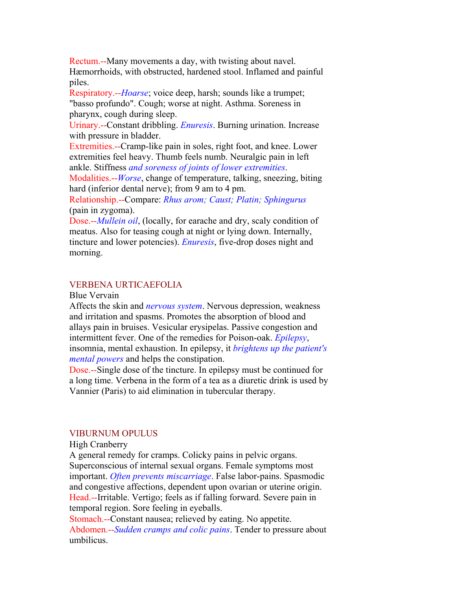Rectum.--Many movements a day, with twisting about navel. Hæmorrhoids, with obstructed, hardened stool. Inflamed and painful piles.

Respiratory.--*Hoarse*; voice deep, harsh; sounds like a trumpet; "basso profundo". Cough; worse at night. Asthma. Soreness in pharynx, cough during sleep.

Urinary.--Constant dribbling. *Enuresis*. Burning urination. Increase with pressure in bladder.

Extremities.--Cramp-like pain in soles, right foot, and knee. Lower extremities feel heavy. Thumb feels numb. Neuralgic pain in left ankle. Stiffness *and soreness of joints of lower extremities*.

Modalities.--*Worse*, change of temperature, talking, sneezing, biting hard (inferior dental nerve); from 9 am to 4 pm.

Relationship.--Compare: *Rhus arom; Caust; Platin; Sphingurus*  (pain in zygoma).

Dose.--*Mullein oil*, (locally, for earache and dry, scaly condition of meatus. Also for teasing cough at night or lying down. Internally, tincture and lower potencies). *Enuresis*, five-drop doses night and morning.

# VERBENA URTICAEFOLIA

Blue Vervain

Affects the skin and *nervous system*. Nervous depression, weakness and irritation and spasms. Promotes the absorption of blood and allays pain in bruises. Vesicular erysipelas. Passive congestion and intermittent fever. One of the remedies for Poison-oak. *Epilepsy*, insomnia, mental exhaustion. In epilepsy, it *brightens up the patient's mental powers* and helps the constipation.

Dose.--Single dose of the tincture. In epilepsy must be continued for a long time. Verbena in the form of a tea as a diuretic drink is used by Vannier (Paris) to aid elimination in tubercular therapy.

#### VIBURNUM OPULUS

High Cranberry

A general remedy for cramps. Colicky pains in pelvic organs. Superconscious of internal sexual organs. Female symptoms most important. *Often prevents miscarriage*. False labor-pains. Spasmodic and congestive affections, dependent upon ovarian or uterine origin. Head.--Irritable. Vertigo; feels as if falling forward. Severe pain in temporal region. Sore feeling in eyeballs.

Stomach.--Constant nausea; relieved by eating. No appetite. Abdomen.--*Sudden cramps and colic pains*. Tender to pressure about umbilicus.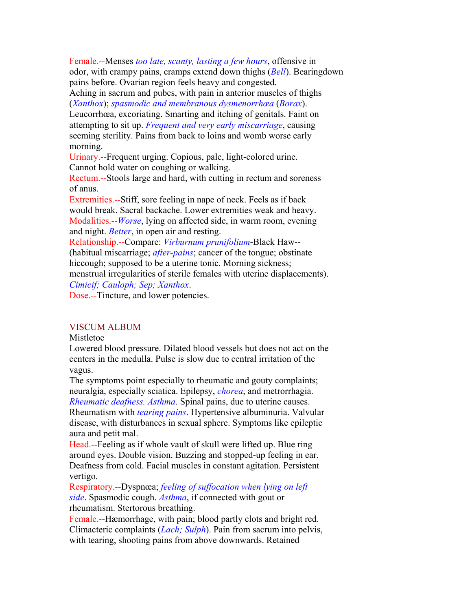Female.--Menses *too late, scanty, lasting a few hours*, offensive in odor, with crampy pains, cramps extend down thighs (*Bell*). Bearingdown pains before. Ovarian region feels heavy and congested.

Aching in sacrum and pubes, with pain in anterior muscles of thighs (*Xanthox*); *spasmodic and membranous dysmenorrhœa* (*Borax*).

Leucorrhœa, excoriating. Smarting and itching of genitals. Faint on attempting to sit up. *Frequent and very early miscarriage*, causing seeming sterility. Pains from back to loins and womb worse early morning.

Urinary.--Frequent urging. Copious, pale, light-colored urine. Cannot hold water on coughing or walking.

Rectum.--Stools large and hard, with cutting in rectum and soreness of anus.

Extremities.--Stiff, sore feeling in nape of neck. Feels as if back would break. Sacral backache. Lower extremities weak and heavy. Modalities.--*Worse*, lying on affected side, in warm room, evening and night. *Better*, in open air and resting.

Relationship.--Compare: *Virburnum prunifolium*-Black Haw-- (habitual miscarriage; *after-pains*; cancer of the tongue; obstinate hiccough; supposed to be a uterine tonic. Morning sickness; menstrual irregularities of sterile females with uterine displacements). *Cimicif; Cauloph; Sep; Xanthox*.

Dose.--Tincture, and lower potencies.

### VISCUM ALBUM

Mistletoe

Lowered blood pressure. Dilated blood vessels but does not act on the centers in the medulla. Pulse is slow due to central irritation of the vagus.

The symptoms point especially to rheumatic and gouty complaints; neuralgia, especially sciatica. Epilepsy, *chorea*, and metrorrhagia. *Rheumatic deafness. Asthma*. Spinal pains, due to uterine causes. Rheumatism with *tearing pains*. Hypertensive albuminuria. Valvular disease, with disturbances in sexual sphere. Symptoms like epileptic aura and petit mal.

Head.--Feeling as if whole vault of skull were lifted up. Blue ring around eyes. Double vision. Buzzing and stopped-up feeling in ear. Deafness from cold. Facial muscles in constant agitation. Persistent vertigo.

Respiratory.--Dyspnœa; *feeling of suffocation when lying on left side*. Spasmodic cough. *Asthma*, if connected with gout or rheumatism. Stertorous breathing.

Female.--Hæmorrhage, with pain; blood partly clots and bright red. Climacteric complaints (*Lach; Sulph*). Pain from sacrum into pelvis, with tearing, shooting pains from above downwards. Retained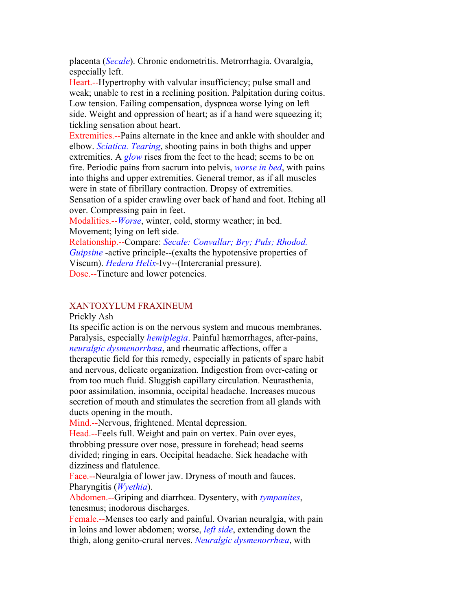placenta (*Secale*). Chronic endometritis. Metrorrhagia. Ovaralgia, especially left.

Heart.--Hypertrophy with valvular insufficiency; pulse small and weak; unable to rest in a reclining position. Palpitation during coitus. Low tension. Failing compensation, dyspnœa worse lying on left side. Weight and oppression of heart; as if a hand were squeezing it; tickling sensation about heart.

Extremities.--Pains alternate in the knee and ankle with shoulder and elbow. *Sciatica. Tearing*, shooting pains in both thighs and upper extremities. A *glow* rises from the feet to the head; seems to be on fire. Periodic pains from sacrum into pelvis, *worse in bed*, with pains into thighs and upper extremities. General tremor, as if all muscles were in state of fibrillary contraction. Dropsy of extremities. Sensation of a spider crawling over back of hand and foot. Itching all over. Compressing pain in feet.

Modalities.--*Worse*, winter, cold, stormy weather; in bed. Movement; lying on left side.

Relationship.--Compare: *Secale: Convallar; Bry; Puls; Rhodod. Guipsine* -active principle--(exalts the hypotensive properties of Viscum). *Hedera Helix*-Ivy--(Intercranial pressure). Dose.--Tincture and lower potencies.

#### XANTOXYLUM FRAXINEUM

#### Prickly Ash

Its specific action is on the nervous system and mucous membranes. Paralysis, especially *hemiplegia*. Painful hæmorrhages, after-pains, *neuralgic dysmenorrhœa*, and rheumatic affections, offer a therapeutic field for this remedy, especially in patients of spare habit and nervous, delicate organization. Indigestion from over-eating or from too much fluid. Sluggish capillary circulation. Neurasthenia, poor assimilation, insomnia, occipital headache. Increases mucous secretion of mouth and stimulates the secretion from all glands with ducts opening in the mouth.

Mind.--Nervous, frightened. Mental depression.

Head.--Feels full. Weight and pain on vertex. Pain over eyes, throbbing pressure over nose, pressure in forehead; head seems divided; ringing in ears. Occipital headache. Sick headache with dizziness and flatulence.

Face.--Neuralgia of lower jaw. Dryness of mouth and fauces. Pharyngitis (*Wyethia*).

Abdomen.--Griping and diarrhœa. Dysentery, with *tympanites*, tenesmus; inodorous discharges.

Female.--Menses too early and painful. Ovarian neuralgia, with pain in loins and lower abdomen; worse, *left side*, extending down the thigh, along genito-crural nerves. *Neuralgic dysmenorrhœa*, with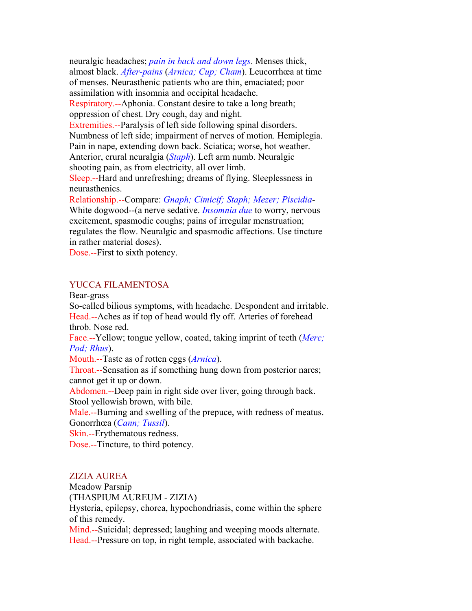neuralgic headaches; *pain in back and down legs*. Menses thick, almost black. *After-pains* (*Arnica; Cup; Cham*). Leucorrhœa at time of menses. Neurasthenic patients who are thin, emaciated; poor assimilation with insomnia and occipital headache. Respiratory.--Aphonia. Constant desire to take a long breath; oppression of chest. Dry cough, day and night. Extremities.--Paralysis of left side following spinal disorders. Numbness of left side; impairment of nerves of motion. Hemiplegia. Pain in nape, extending down back. Sciatica; worse, hot weather. Anterior, crural neuralgia (*Staph*). Left arm numb. Neuralgic shooting pain, as from electricity, all over limb. Sleep.--Hard and unrefreshing; dreams of flying. Sleeplessness in neurasthenics. Relationship.--Compare: *Gnaph; Cimicif; Staph; Mezer; Piscidia*-White dogwood--(a nerve sedative. *Insomnia due* to worry, nervous

excitement, spasmodic coughs; pains of irregular menstruation; regulates the flow. Neuralgic and spasmodic affections. Use tincture in rather material doses).

Dose.--First to sixth potency.

### YUCCA FILAMENTOSA

Bear-grass

So-called bilious symptoms, with headache. Despondent and irritable. Head.--Aches as if top of head would fly off. Arteries of forehead throb. Nose red.

Face.--Yellow; tongue yellow, coated, taking imprint of teeth (*Merc; Pod; Rhus*).

Mouth.--Taste as of rotten eggs (*Arnica*).

Throat.--Sensation as if something hung down from posterior nares; cannot get it up or down.

Abdomen.--Deep pain in right side over liver, going through back. Stool yellowish brown, with bile.

Male.--Burning and swelling of the prepuce, with redness of meatus. Gonorrhœa (*Cann; Tussil*).

Skin.--Erythematous redness.

Dose.--Tincture, to third potency.

### ZIZIA AUREA

Meadow Parsnip

(THASPIUM AUREUM - ZIZIA)

Hysteria, epilepsy, chorea, hypochondriasis, come within the sphere of this remedy.

Mind.--Suicidal; depressed; laughing and weeping moods alternate. Head.--Pressure on top, in right temple, associated with backache.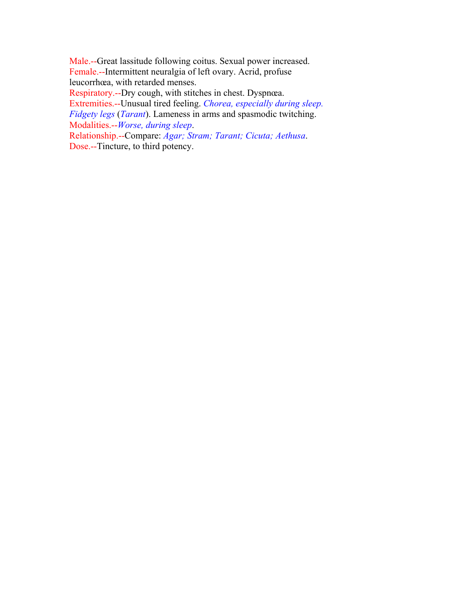Male.--Great lassitude following coitus. Sexual power increased. Female.--Intermittent neuralgia of left ovary. Acrid, profuse leucorrhœa, with retarded menses.

Respiratory.--Dry cough, with stitches in chest. Dyspnœa.

Extremities.--Unusual tired feeling. *Chorea, especially during sleep. Fidgety legs* (*Tarant*). Lameness in arms and spasmodic twitching. Modalities.--*Worse, during sleep*.

Relationship.--Compare: *Agar; Stram; Tarant; Cicuta; Aethusa*. Dose.--Tincture, to third potency.